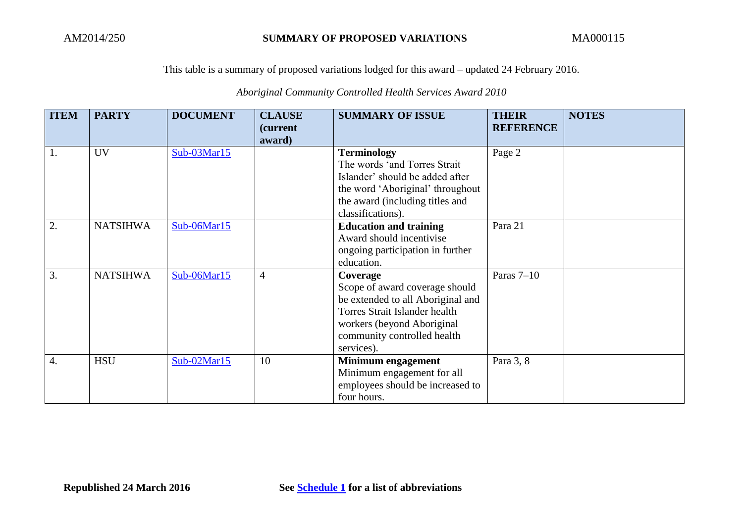## *Aboriginal Community Controlled Health Services Award 2010*

| <b>ITEM</b>      | <b>PARTY</b>    | <b>DOCUMENT</b> | <b>CLAUSE</b><br><i>(current)</i><br>award) | <b>SUMMARY OF ISSUE</b>                                                                                                                                                                     | <b>THEIR</b><br><b>REFERENCE</b> | <b>NOTES</b> |
|------------------|-----------------|-----------------|---------------------------------------------|---------------------------------------------------------------------------------------------------------------------------------------------------------------------------------------------|----------------------------------|--------------|
|                  | <b>UV</b>       | Sub-03Mar15     |                                             | <b>Terminology</b><br>The words 'and Torres Strait<br>Islander' should be added after<br>the word 'Aboriginal' throughout<br>the award (including titles and<br>classifications).           | Page 2                           |              |
| 2.               | <b>NATSIHWA</b> | Sub-06Mar15     |                                             | <b>Education and training</b><br>Award should incentivise<br>ongoing participation in further<br>education.                                                                                 | Para 21                          |              |
| 3.               | <b>NATSIHWA</b> | Sub-06Mar15     | $\overline{4}$                              | Coverage<br>Scope of award coverage should<br>be extended to all Aboriginal and<br>Torres Strait Islander health<br>workers (beyond Aboriginal<br>community controlled health<br>services). | Paras $7-10$                     |              |
| $\overline{4}$ . | <b>HSU</b>      | Sub-02Mar15     | 10                                          | Minimum engagement<br>Minimum engagement for all<br>employees should be increased to<br>four hours.                                                                                         | Para 3, 8                        |              |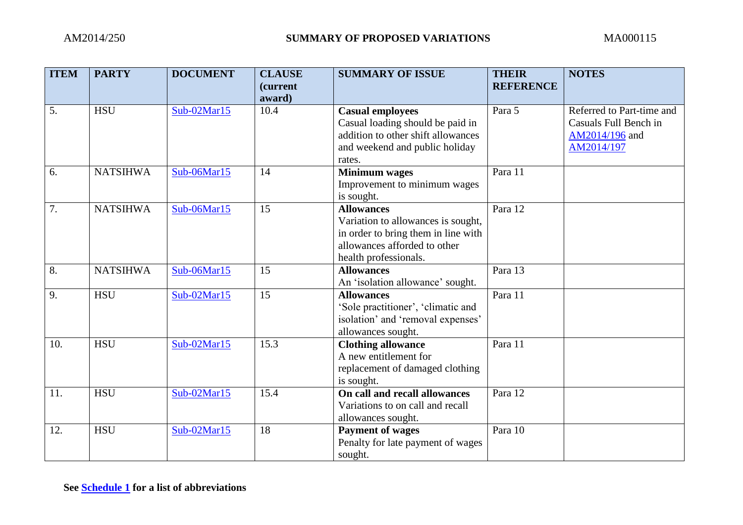| <b>ITEM</b> | <b>PARTY</b>    | <b>DOCUMENT</b> | <b>CLAUSE</b><br>(current | <b>SUMMARY OF ISSUE</b>                                             | <b>THEIR</b><br><b>REFERENCE</b> | <b>NOTES</b>                                       |
|-------------|-----------------|-----------------|---------------------------|---------------------------------------------------------------------|----------------------------------|----------------------------------------------------|
|             |                 |                 | award)                    |                                                                     |                                  |                                                    |
| 5.          | <b>HSU</b>      | $Sub-02Mar15$   | 10.4                      | <b>Casual employees</b><br>Casual loading should be paid in         | Para 5                           | Referred to Part-time and<br>Casuals Full Bench in |
|             |                 |                 |                           | addition to other shift allowances                                  |                                  | AM2014/196 and                                     |
|             |                 |                 |                           | and weekend and public holiday                                      |                                  | AM2014/197                                         |
|             |                 |                 |                           | rates.                                                              |                                  |                                                    |
| 6.          | <b>NATSIHWA</b> | Sub-06Mar15     | 14                        | <b>Minimum</b> wages                                                | Para 11                          |                                                    |
|             |                 |                 |                           | Improvement to minimum wages                                        |                                  |                                                    |
|             |                 |                 |                           | is sought.                                                          |                                  |                                                    |
| 7.          | <b>NATSIHWA</b> | Sub-06Mar15     | 15                        | <b>Allowances</b>                                                   | Para 12                          |                                                    |
|             |                 |                 |                           | Variation to allowances is sought,                                  |                                  |                                                    |
|             |                 |                 |                           | in order to bring them in line with<br>allowances afforded to other |                                  |                                                    |
|             |                 |                 |                           | health professionals.                                               |                                  |                                                    |
| 8.          | <b>NATSIHWA</b> | Sub-06Mar15     | 15                        | <b>Allowances</b>                                                   | Para 13                          |                                                    |
|             |                 |                 |                           | An 'isolation allowance' sought.                                    |                                  |                                                    |
| 9.          | <b>HSU</b>      | Sub-02Mar15     | 15                        | <b>Allowances</b>                                                   | Para 11                          |                                                    |
|             |                 |                 |                           | 'Sole practitioner', 'climatic and                                  |                                  |                                                    |
|             |                 |                 |                           | isolation' and 'removal expenses'                                   |                                  |                                                    |
|             |                 |                 |                           | allowances sought.                                                  |                                  |                                                    |
| 10.         | <b>HSU</b>      | Sub-02Mar15     | 15.3                      | <b>Clothing allowance</b>                                           | Para 11                          |                                                    |
|             |                 |                 |                           | A new entitlement for                                               |                                  |                                                    |
|             |                 |                 |                           | replacement of damaged clothing                                     |                                  |                                                    |
|             |                 |                 |                           | is sought.                                                          |                                  |                                                    |
| 11.         | <b>HSU</b>      | Sub-02Mar15     | 15.4                      | On call and recall allowances                                       | Para 12                          |                                                    |
|             |                 |                 |                           | Variations to on call and recall                                    |                                  |                                                    |
|             |                 |                 |                           | allowances sought.                                                  |                                  |                                                    |
| 12.         | <b>HSU</b>      | Sub-02Mar15     | 18                        | <b>Payment of wages</b>                                             | Para 10                          |                                                    |
|             |                 |                 |                           | Penalty for late payment of wages                                   |                                  |                                                    |
|             |                 |                 |                           | sought.                                                             |                                  |                                                    |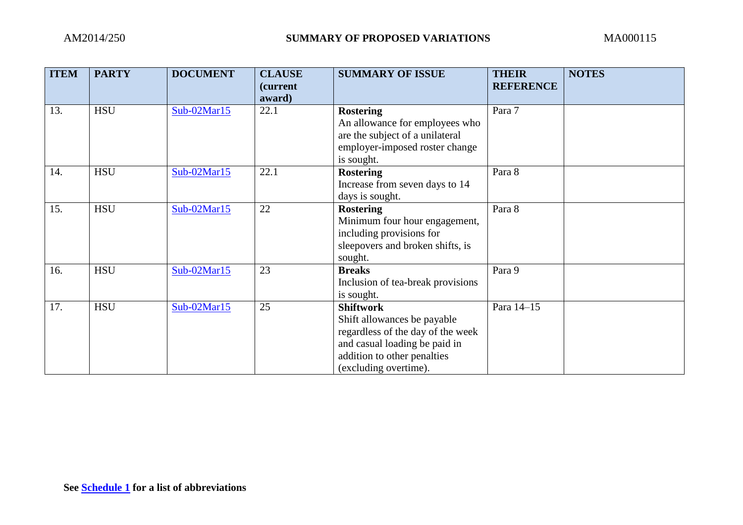| <b>ITEM</b> | <b>PARTY</b> | <b>DOCUMENT</b> | <b>CLAUSE</b><br><i>(current)</i><br>award) | <b>SUMMARY OF ISSUE</b>                                                                                                                                                       | <b>THEIR</b><br><b>REFERENCE</b> | <b>NOTES</b> |
|-------------|--------------|-----------------|---------------------------------------------|-------------------------------------------------------------------------------------------------------------------------------------------------------------------------------|----------------------------------|--------------|
| 13.         | <b>HSU</b>   | $Sub-02Mar15$   | 22.1                                        | <b>Rostering</b><br>An allowance for employees who<br>are the subject of a unilateral<br>employer-imposed roster change<br>is sought.                                         | Para 7                           |              |
| 14.         | <b>HSU</b>   | $Sub-02Mar15$   | 22.1                                        | <b>Rostering</b><br>Increase from seven days to 14<br>days is sought.                                                                                                         | Para 8                           |              |
| 15.         | <b>HSU</b>   | $Sub-02Mar15$   | 22                                          | <b>Rostering</b><br>Minimum four hour engagement,<br>including provisions for<br>sleepovers and broken shifts, is<br>sought.                                                  | Para 8                           |              |
| 16.         | <b>HSU</b>   | $Sub-02Mar15$   | 23                                          | <b>Breaks</b><br>Inclusion of tea-break provisions<br>is sought.                                                                                                              | Para 9                           |              |
| 17.         | <b>HSU</b>   | $Sub-02Mar15$   | 25                                          | <b>Shiftwork</b><br>Shift allowances be payable<br>regardless of the day of the week<br>and casual loading be paid in<br>addition to other penalties<br>(excluding overtime). | Para 14-15                       |              |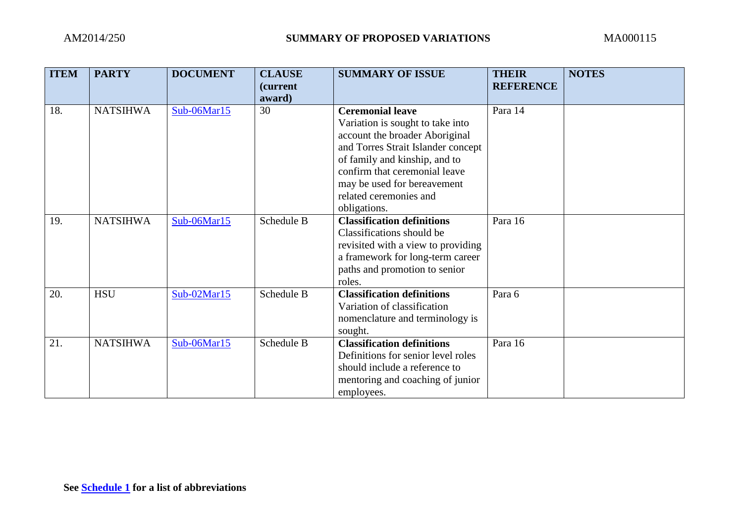| <b>ITEM</b> | <b>PARTY</b>    | <b>DOCUMENT</b> | <b>CLAUSE</b> | <b>SUMMARY OF ISSUE</b>            | <b>THEIR</b>     | <b>NOTES</b> |
|-------------|-----------------|-----------------|---------------|------------------------------------|------------------|--------------|
|             |                 |                 | (current)     |                                    | <b>REFERENCE</b> |              |
|             |                 |                 | award)        |                                    |                  |              |
| 18.         | <b>NATSIHWA</b> | Sub-06Mar15     | 30            | <b>Ceremonial leave</b>            | Para 14          |              |
|             |                 |                 |               | Variation is sought to take into   |                  |              |
|             |                 |                 |               | account the broader Aboriginal     |                  |              |
|             |                 |                 |               | and Torres Strait Islander concept |                  |              |
|             |                 |                 |               | of family and kinship, and to      |                  |              |
|             |                 |                 |               | confirm that ceremonial leave      |                  |              |
|             |                 |                 |               | may be used for bereavement        |                  |              |
|             |                 |                 |               | related ceremonies and             |                  |              |
|             |                 |                 |               | obligations.                       |                  |              |
| 19.         | <b>NATSIHWA</b> | Sub-06Mar15     | Schedule B    | <b>Classification definitions</b>  | Para 16          |              |
|             |                 |                 |               | Classifications should be          |                  |              |
|             |                 |                 |               | revisited with a view to providing |                  |              |
|             |                 |                 |               | a framework for long-term career   |                  |              |
|             |                 |                 |               | paths and promotion to senior      |                  |              |
|             |                 |                 |               | roles.                             |                  |              |
| 20.         | <b>HSU</b>      | $Sub-02Mar15$   | Schedule B    | <b>Classification definitions</b>  | Para 6           |              |
|             |                 |                 |               | Variation of classification        |                  |              |
|             |                 |                 |               | nomenclature and terminology is    |                  |              |
|             |                 |                 |               | sought.                            |                  |              |
| 21.         | <b>NATSIHWA</b> | $Sub-06Mar15$   | Schedule B    | <b>Classification definitions</b>  | Para 16          |              |
|             |                 |                 |               | Definitions for senior level roles |                  |              |
|             |                 |                 |               | should include a reference to      |                  |              |
|             |                 |                 |               | mentoring and coaching of junior   |                  |              |
|             |                 |                 |               | employees.                         |                  |              |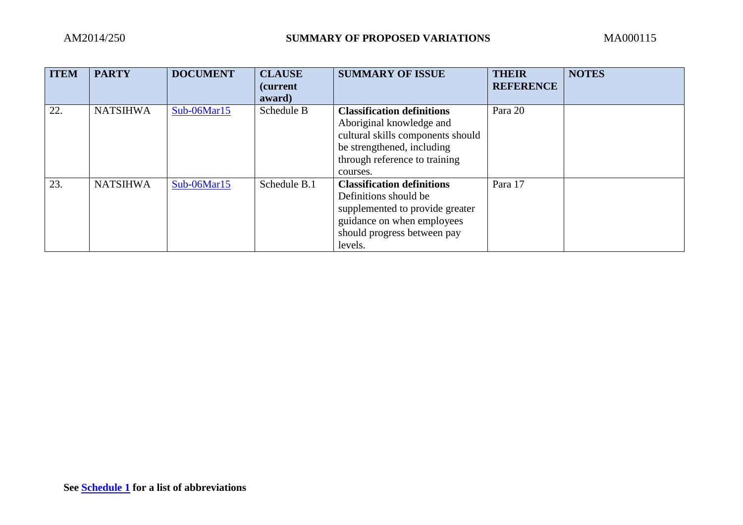| <b>ITEM</b> | <b>PARTY</b>    | <b>DOCUMENT</b> | <b>CLAUSE</b><br><i>(current)</i><br>award) | <b>SUMMARY OF ISSUE</b>                                                                                                                                                       | <b>THEIR</b><br><b>REFERENCE</b> | <b>NOTES</b> |
|-------------|-----------------|-----------------|---------------------------------------------|-------------------------------------------------------------------------------------------------------------------------------------------------------------------------------|----------------------------------|--------------|
| 22.         | <b>NATSIHWA</b> | Sub-06Mar15     | Schedule B                                  | <b>Classification definitions</b><br>Aboriginal knowledge and<br>cultural skills components should<br>be strengthened, including<br>through reference to training<br>courses. | Para 20                          |              |
| 23.         | <b>NATSIHWA</b> | Sub-06Mar15     | Schedule B.1                                | <b>Classification definitions</b><br>Definitions should be<br>supplemented to provide greater<br>guidance on when employees<br>should progress between pay<br>levels.         | Para 17                          |              |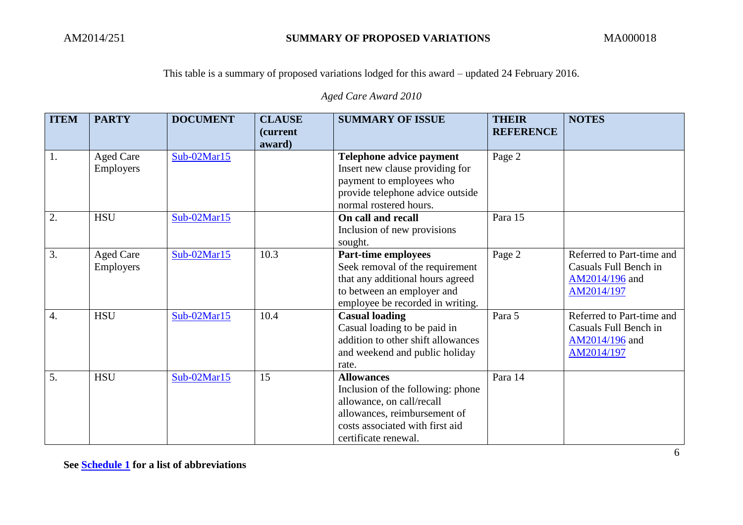*Aged Care Award 2010*

| <b>ITEM</b>      | <b>PARTY</b>                  | <b>DOCUMENT</b> | <b>CLAUSE</b><br>(current<br>award) | <b>SUMMARY OF ISSUE</b>                                                                                                                                                        | <b>THEIR</b><br><b>REFERENCE</b> | <b>NOTES</b>                                                                       |
|------------------|-------------------------------|-----------------|-------------------------------------|--------------------------------------------------------------------------------------------------------------------------------------------------------------------------------|----------------------------------|------------------------------------------------------------------------------------|
| 1.               | <b>Aged Care</b><br>Employers | $Sub-02Mar15$   |                                     | Telephone advice payment<br>Insert new clause providing for<br>payment to employees who<br>provide telephone advice outside<br>normal rostered hours.                          | Page 2                           |                                                                                    |
| 2.               | <b>HSU</b>                    | Sub-02Mar15     |                                     | On call and recall<br>Inclusion of new provisions<br>sought.                                                                                                                   | Para 15                          |                                                                                    |
| 3.               | <b>Aged Care</b><br>Employers | $Sub-02Mar15$   | 10.3                                | <b>Part-time employees</b><br>Seek removal of the requirement<br>that any additional hours agreed<br>to between an employer and<br>employee be recorded in writing.            | Page 2                           | Referred to Part-time and<br>Casuals Full Bench in<br>AM2014/196 and<br>AM2014/197 |
| $\overline{4}$ . | <b>HSU</b>                    | Sub-02Mar15     | 10.4                                | <b>Casual loading</b><br>Casual loading to be paid in<br>addition to other shift allowances<br>and weekend and public holiday<br>rate.                                         | Para 5                           | Referred to Part-time and<br>Casuals Full Bench in<br>AM2014/196 and<br>AM2014/197 |
| 5.               | <b>HSU</b>                    | $Sub-02Mar15$   | 15                                  | <b>Allowances</b><br>Inclusion of the following: phone<br>allowance, on call/recall<br>allowances, reimbursement of<br>costs associated with first aid<br>certificate renewal. | Para 14                          |                                                                                    |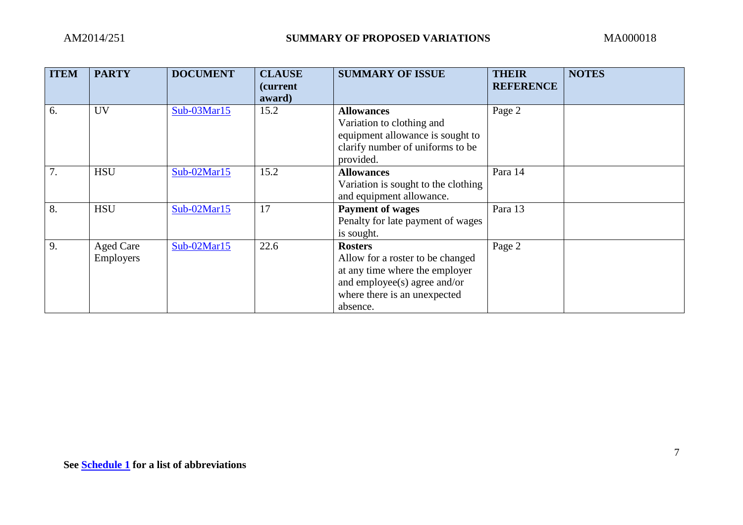| <b>ITEM</b> | <b>PARTY</b>                  | <b>DOCUMENT</b> | <b>CLAUSE</b><br><i>(current)</i><br>award) | <b>SUMMARY OF ISSUE</b>                                                                                                                                          | <b>THEIR</b><br><b>REFERENCE</b> | <b>NOTES</b> |
|-------------|-------------------------------|-----------------|---------------------------------------------|------------------------------------------------------------------------------------------------------------------------------------------------------------------|----------------------------------|--------------|
| 6.          | <b>UV</b>                     | Sub-03Mar15     | 15.2                                        | <b>Allowances</b><br>Variation to clothing and<br>equipment allowance is sought to<br>clarify number of uniforms to be<br>provided.                              | Page 2                           |              |
| 7.          | <b>HSU</b>                    | $Sub-02Mar15$   | 15.2                                        | <b>Allowances</b><br>Variation is sought to the clothing<br>and equipment allowance.                                                                             | Para 14                          |              |
| 8.          | <b>HSU</b>                    | Sub-02Mar15     | 17                                          | <b>Payment of wages</b><br>Penalty for late payment of wages<br>is sought.                                                                                       | Para 13                          |              |
| 9.          | <b>Aged Care</b><br>Employers | $Sub-02Mar15$   | 22.6                                        | <b>Rosters</b><br>Allow for a roster to be changed<br>at any time where the employer<br>and employee(s) agree and/or<br>where there is an unexpected<br>absence. | Page 2                           |              |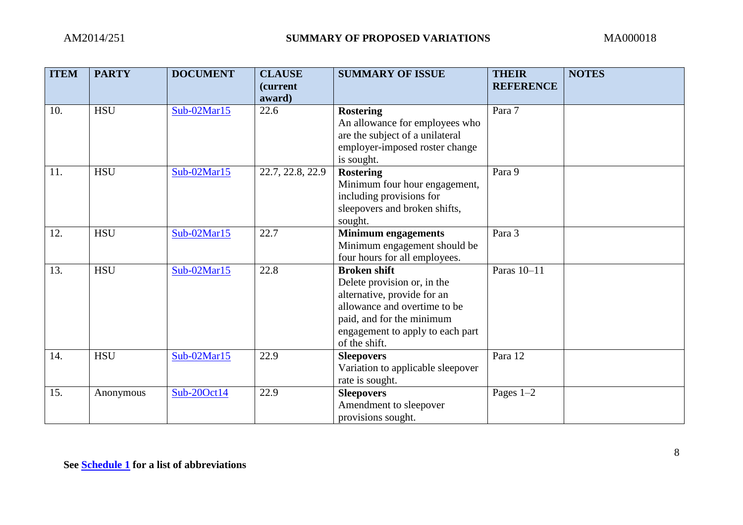| <b>ITEM</b> | <b>PARTY</b> | <b>DOCUMENT</b> | <b>CLAUSE</b><br>(current | <b>SUMMARY OF ISSUE</b>           | <b>THEIR</b><br><b>REFERENCE</b> | <b>NOTES</b> |
|-------------|--------------|-----------------|---------------------------|-----------------------------------|----------------------------------|--------------|
| 10.         | <b>HSU</b>   | $Sub-02Mar15$   | award)<br>22.6            | <b>Rostering</b>                  | Para 7                           |              |
|             |              |                 |                           | An allowance for employees who    |                                  |              |
|             |              |                 |                           | are the subject of a unilateral   |                                  |              |
|             |              |                 |                           | employer-imposed roster change    |                                  |              |
|             |              |                 |                           | is sought.                        |                                  |              |
| 11.         | <b>HSU</b>   | $Sub-02Mar15$   | 22.7, 22.8, 22.9          | <b>Rostering</b>                  | Para 9                           |              |
|             |              |                 |                           | Minimum four hour engagement,     |                                  |              |
|             |              |                 |                           | including provisions for          |                                  |              |
|             |              |                 |                           | sleepovers and broken shifts,     |                                  |              |
|             |              |                 |                           | sought.                           |                                  |              |
| 12.         | <b>HSU</b>   | $Sub-02Mar15$   | 22.7                      | <b>Minimum engagements</b>        | Para 3                           |              |
|             |              |                 |                           | Minimum engagement should be      |                                  |              |
|             |              |                 |                           | four hours for all employees.     |                                  |              |
| 13.         | <b>HSU</b>   | $Sub-02Mar15$   | 22.8                      | <b>Broken shift</b>               | Paras 10-11                      |              |
|             |              |                 |                           | Delete provision or, in the       |                                  |              |
|             |              |                 |                           | alternative, provide for an       |                                  |              |
|             |              |                 |                           | allowance and overtime to be      |                                  |              |
|             |              |                 |                           | paid, and for the minimum         |                                  |              |
|             |              |                 |                           | engagement to apply to each part  |                                  |              |
|             |              |                 |                           | of the shift.                     |                                  |              |
| 14.         | <b>HSU</b>   | $Sub-02Mar15$   | 22.9                      | <b>Sleepovers</b>                 | Para 12                          |              |
|             |              |                 |                           | Variation to applicable sleepover |                                  |              |
|             |              |                 |                           | rate is sought.                   |                                  |              |
| 15.         | Anonymous    | Sub-20Oct14     | 22.9                      | <b>Sleepovers</b>                 | Pages $1-2$                      |              |
|             |              |                 |                           | Amendment to sleepover            |                                  |              |
|             |              |                 |                           | provisions sought.                |                                  |              |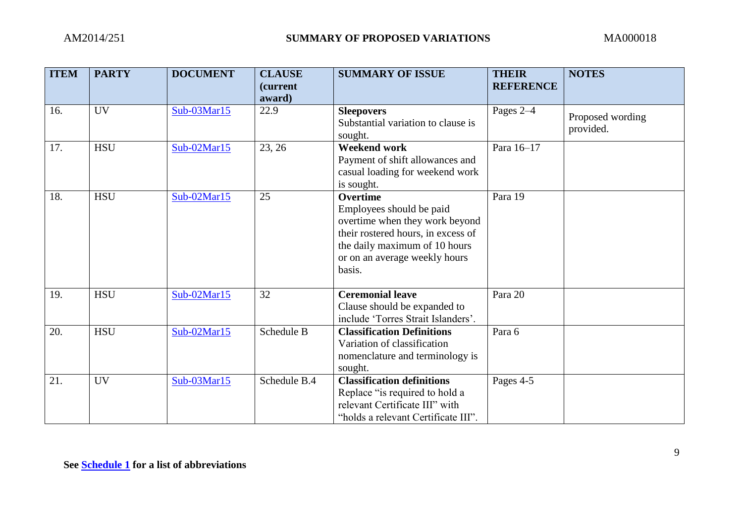| <b>ITEM</b> | <b>PARTY</b> | <b>DOCUMENT</b> | <b>CLAUSE</b><br><i>(current)</i><br>award) | <b>SUMMARY OF ISSUE</b>                                                                                                                                                                         | <b>THEIR</b><br><b>REFERENCE</b> | <b>NOTES</b>                  |
|-------------|--------------|-----------------|---------------------------------------------|-------------------------------------------------------------------------------------------------------------------------------------------------------------------------------------------------|----------------------------------|-------------------------------|
| 16.         | <b>UV</b>    | $Sub-03Mar15$   | 22.9                                        | <b>Sleepovers</b><br>Substantial variation to clause is<br>sought.                                                                                                                              | Pages 2-4                        | Proposed wording<br>provided. |
| 17.         | <b>HSU</b>   | $Sub-02Mar15$   | 23, 26                                      | <b>Weekend work</b><br>Payment of shift allowances and<br>casual loading for weekend work<br>is sought.                                                                                         | Para 16-17                       |                               |
| 18.         | <b>HSU</b>   | $Sub-02Mar15$   | 25                                          | <b>Overtime</b><br>Employees should be paid<br>overtime when they work beyond<br>their rostered hours, in excess of<br>the daily maximum of 10 hours<br>or on an average weekly hours<br>basis. | Para 19                          |                               |
| 19.         | <b>HSU</b>   | $Sub-02Mar15$   | 32                                          | <b>Ceremonial leave</b><br>Clause should be expanded to<br>include 'Torres Strait Islanders'.                                                                                                   | Para 20                          |                               |
| 20.         | <b>HSU</b>   | $Sub-02Mar15$   | Schedule B                                  | <b>Classification Definitions</b><br>Variation of classification<br>nomenclature and terminology is<br>sought.                                                                                  | Para 6                           |                               |
| 21.         | <b>UV</b>    | $Sub-03Mar15$   | Schedule B.4                                | <b>Classification definitions</b><br>Replace "is required to hold a<br>relevant Certificate III" with<br>"holds a relevant Certificate III".                                                    | Pages 4-5                        |                               |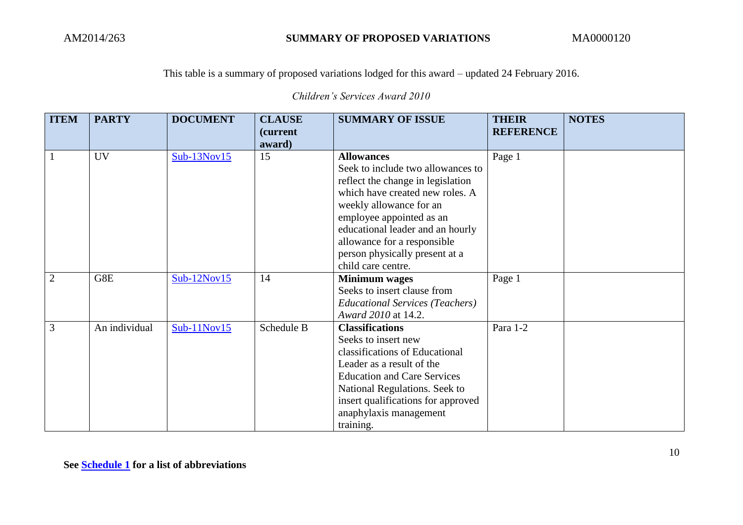*Children's Services Award 2010*

| <b>ITEM</b>    | <b>PARTY</b>  | <b>DOCUMENT</b> | <b>CLAUSE</b><br><i>(current)</i> | <b>SUMMARY OF ISSUE</b>                                              | <b>THEIR</b><br><b>REFERENCE</b> | <b>NOTES</b> |
|----------------|---------------|-----------------|-----------------------------------|----------------------------------------------------------------------|----------------------------------|--------------|
|                |               |                 | award)                            |                                                                      |                                  |              |
| $\mathbf{1}$   | <b>UV</b>     | $Sub-13Nov15$   | 15                                | <b>Allowances</b>                                                    | Page 1                           |              |
|                |               |                 |                                   | Seek to include two allowances to                                    |                                  |              |
|                |               |                 |                                   | reflect the change in legislation<br>which have created new roles. A |                                  |              |
|                |               |                 |                                   | weekly allowance for an                                              |                                  |              |
|                |               |                 |                                   | employee appointed as an                                             |                                  |              |
|                |               |                 |                                   | educational leader and an hourly                                     |                                  |              |
|                |               |                 |                                   | allowance for a responsible                                          |                                  |              |
|                |               |                 |                                   | person physically present at a                                       |                                  |              |
|                |               |                 |                                   | child care centre.                                                   |                                  |              |
| $\overline{2}$ | G8E           | $Sub-12Nov15$   | 14                                | <b>Minimum</b> wages                                                 | Page 1                           |              |
|                |               |                 |                                   | Seeks to insert clause from                                          |                                  |              |
|                |               |                 |                                   | <b>Educational Services (Teachers)</b>                               |                                  |              |
|                |               |                 |                                   | Award 2010 at 14.2.                                                  |                                  |              |
| 3              | An individual | $Sub-11Nov15$   | Schedule B                        | <b>Classifications</b>                                               | Para 1-2                         |              |
|                |               |                 |                                   | Seeks to insert new                                                  |                                  |              |
|                |               |                 |                                   | classifications of Educational                                       |                                  |              |
|                |               |                 |                                   | Leader as a result of the                                            |                                  |              |
|                |               |                 |                                   | <b>Education and Care Services</b>                                   |                                  |              |
|                |               |                 |                                   | National Regulations. Seek to                                        |                                  |              |
|                |               |                 |                                   | insert qualifications for approved                                   |                                  |              |
|                |               |                 |                                   | anaphylaxis management                                               |                                  |              |
|                |               |                 |                                   | training.                                                            |                                  |              |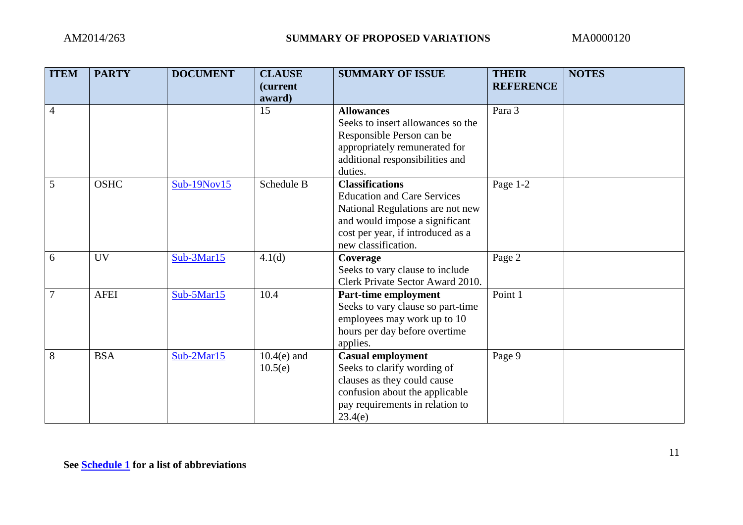| <b>ITEM</b>    | <b>PARTY</b> | <b>DOCUMENT</b> | <b>CLAUSE</b><br>(current<br>award) | <b>SUMMARY OF ISSUE</b>                                                                                                                                                                        | <b>THEIR</b><br><b>REFERENCE</b> | <b>NOTES</b> |
|----------------|--------------|-----------------|-------------------------------------|------------------------------------------------------------------------------------------------------------------------------------------------------------------------------------------------|----------------------------------|--------------|
| $\overline{4}$ |              |                 | 15                                  | <b>Allowances</b><br>Seeks to insert allowances so the<br>Responsible Person can be<br>appropriately remunerated for<br>additional responsibilities and<br>duties.                             | Para 3                           |              |
| $\overline{5}$ | <b>OSHC</b>  | Sub-19Nov15     | Schedule B                          | <b>Classifications</b><br><b>Education and Care Services</b><br>National Regulations are not new<br>and would impose a significant<br>cost per year, if introduced as a<br>new classification. | Page 1-2                         |              |
| 6              | <b>UV</b>    | Sub-3Mar15      | 4.1(d)                              | Coverage<br>Seeks to vary clause to include<br>Clerk Private Sector Award 2010.                                                                                                                | Page 2                           |              |
| $\overline{7}$ | <b>AFEI</b>  | $Sub-5Mar15$    | 10.4                                | Part-time employment<br>Seeks to vary clause so part-time<br>employees may work up to 10<br>hours per day before overtime<br>applies.                                                          | Point 1                          |              |
| 8              | <b>BSA</b>   | $Sub-2Mar15$    | $10.4(e)$ and<br>10.5(e)            | <b>Casual employment</b><br>Seeks to clarify wording of<br>clauses as they could cause<br>confusion about the applicable<br>pay requirements in relation to<br>23.4(e)                         | Page 9                           |              |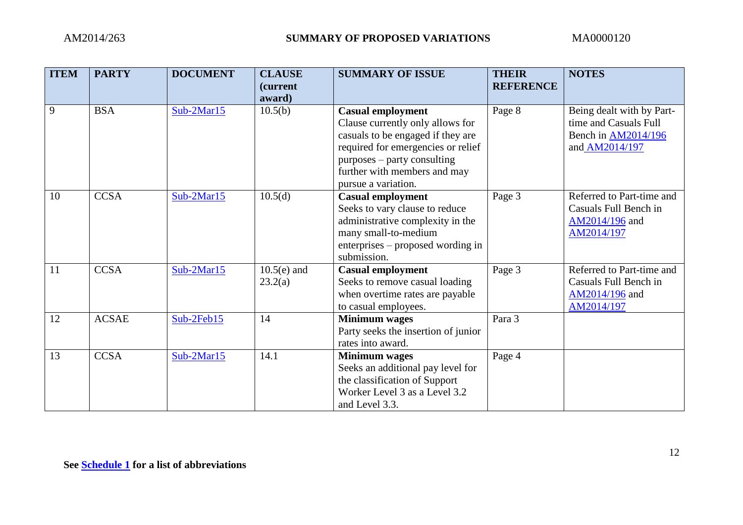| <b>ITEM</b> | <b>PARTY</b> | <b>DOCUMENT</b> | <b>CLAUSE</b><br><i>(current)</i> | <b>SUMMARY OF ISSUE</b>                                                                                                                                                                                                       | <b>THEIR</b><br><b>REFERENCE</b> | <b>NOTES</b>                                                                                |
|-------------|--------------|-----------------|-----------------------------------|-------------------------------------------------------------------------------------------------------------------------------------------------------------------------------------------------------------------------------|----------------------------------|---------------------------------------------------------------------------------------------|
|             |              |                 | award)                            |                                                                                                                                                                                                                               |                                  |                                                                                             |
| 9           | <b>BSA</b>   | $Sub-2Mar15$    | 10.5(b)                           | <b>Casual employment</b><br>Clause currently only allows for<br>casuals to be engaged if they are<br>required for emergencies or relief<br>purposes – party consulting<br>further with members and may<br>pursue a variation. | Page 8                           | Being dealt with by Part-<br>time and Casuals Full<br>Bench in AM2014/196<br>and AM2014/197 |
| 10          | <b>CCSA</b>  | $Sub-2Mar15$    | 10.5(d)                           | <b>Casual employment</b><br>Seeks to vary clause to reduce<br>administrative complexity in the<br>many small-to-medium<br>enterprises – proposed wording in<br>submission.                                                    | Page 3                           | Referred to Part-time and<br>Casuals Full Bench in<br>AM2014/196 and<br>AM2014/197          |
| 11          | <b>CCSA</b>  | $Sub-2Mar15$    | $10.5(e)$ and<br>23.2(a)          | <b>Casual employment</b><br>Seeks to remove casual loading<br>when overtime rates are payable<br>to casual employees.                                                                                                         | Page 3                           | Referred to Part-time and<br>Casuals Full Bench in<br>AM2014/196 and<br>AM2014/197          |
| 12          | <b>ACSAE</b> | $Sub-2Feb15$    | 14                                | <b>Minimum</b> wages<br>Party seeks the insertion of junior<br>rates into award.                                                                                                                                              | Para 3                           |                                                                                             |
| 13          | <b>CCSA</b>  | $Sub-2Mar15$    | 14.1                              | <b>Minimum</b> wages<br>Seeks an additional pay level for<br>the classification of Support<br>Worker Level 3 as a Level 3.2<br>and Level 3.3.                                                                                 | Page 4                           |                                                                                             |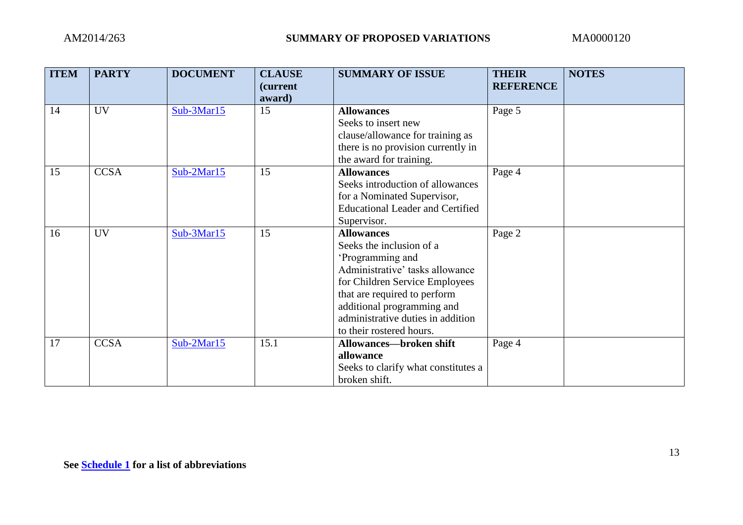| <b>ITEM</b> | <b>PARTY</b> | <b>DOCUMENT</b> | <b>CLAUSE</b><br><i>(current)</i> | <b>SUMMARY OF ISSUE</b>                 | <b>THEIR</b><br><b>REFERENCE</b> | <b>NOTES</b> |
|-------------|--------------|-----------------|-----------------------------------|-----------------------------------------|----------------------------------|--------------|
|             |              |                 | award)                            |                                         |                                  |              |
| 14          | <b>UV</b>    | $Sub-3Mar15$    | 15                                | <b>Allowances</b>                       | Page 5                           |              |
|             |              |                 |                                   | Seeks to insert new                     |                                  |              |
|             |              |                 |                                   | clause/allowance for training as        |                                  |              |
|             |              |                 |                                   | there is no provision currently in      |                                  |              |
|             |              |                 |                                   | the award for training.                 |                                  |              |
| 15          | <b>CCSA</b>  | $Sub-2Mar15$    | 15                                | <b>Allowances</b>                       | Page 4                           |              |
|             |              |                 |                                   | Seeks introduction of allowances        |                                  |              |
|             |              |                 |                                   | for a Nominated Supervisor,             |                                  |              |
|             |              |                 |                                   | <b>Educational Leader and Certified</b> |                                  |              |
|             |              |                 |                                   | Supervisor.                             |                                  |              |
| 16          | <b>UV</b>    | $Sub-3Mar15$    | 15                                | <b>Allowances</b>                       | Page 2                           |              |
|             |              |                 |                                   | Seeks the inclusion of a                |                                  |              |
|             |              |                 |                                   | 'Programming and                        |                                  |              |
|             |              |                 |                                   | Administrative' tasks allowance         |                                  |              |
|             |              |                 |                                   | for Children Service Employees          |                                  |              |
|             |              |                 |                                   | that are required to perform            |                                  |              |
|             |              |                 |                                   | additional programming and              |                                  |              |
|             |              |                 |                                   | administrative duties in addition       |                                  |              |
|             |              |                 |                                   | to their rostered hours.                |                                  |              |
| 17          | <b>CCSA</b>  | $Sub-2Mar15$    | 15.1                              | <b>Allowances-broken shift</b>          | Page 4                           |              |
|             |              |                 |                                   | allowance                               |                                  |              |
|             |              |                 |                                   | Seeks to clarify what constitutes a     |                                  |              |
|             |              |                 |                                   | broken shift.                           |                                  |              |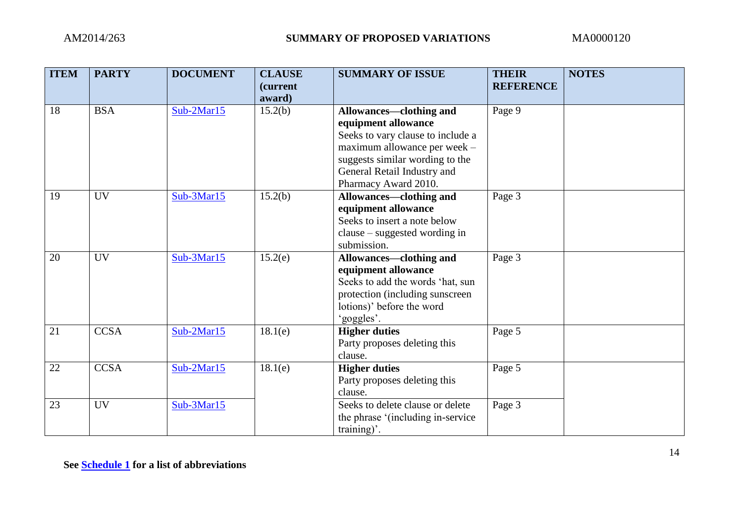| <b>ITEM</b>     | <b>PARTY</b> | <b>DOCUMENT</b> | <b>CLAUSE</b><br><i>(current)</i><br>award) | <b>SUMMARY OF ISSUE</b>                                                                                                                                                                                       | <b>THEIR</b><br><b>REFERENCE</b> | <b>NOTES</b> |
|-----------------|--------------|-----------------|---------------------------------------------|---------------------------------------------------------------------------------------------------------------------------------------------------------------------------------------------------------------|----------------------------------|--------------|
| 18              | <b>BSA</b>   | $Sub-2Mar15$    | 15.2(b)                                     | Allowances—clothing and<br>equipment allowance<br>Seeks to vary clause to include a<br>maximum allowance per week -<br>suggests similar wording to the<br>General Retail Industry and<br>Pharmacy Award 2010. | Page 9                           |              |
| 19              | <b>UV</b>    | $Sub-3Mar15$    | 15.2(b)                                     | Allowances-clothing and<br>equipment allowance<br>Seeks to insert a note below<br>clause – suggested wording in<br>submission.                                                                                | Page 3                           |              |
| 20              | <b>UV</b>    | $Sub-3Mar15$    | 15.2(e)                                     | Allowances—clothing and<br>equipment allowance<br>Seeks to add the words 'hat, sun<br>protection (including sunscreen<br>lotions)' before the word<br>'goggles'.                                              | Page 3                           |              |
| $\overline{21}$ | <b>CCSA</b>  | $Sub-2Mar15$    | 18.1(e)                                     | <b>Higher duties</b><br>Party proposes deleting this<br>clause.                                                                                                                                               | Page 5                           |              |
| 22              | <b>CCSA</b>  | $Sub-2Mar15$    | 18.1(e)                                     | <b>Higher duties</b><br>Party proposes deleting this<br>clause.                                                                                                                                               | Page 5                           |              |
| 23              | <b>UV</b>    | $Sub-3Mar15$    |                                             | Seeks to delete clause or delete<br>the phrase '(including in-service)<br>$(\text{training})^2$ .                                                                                                             | Page 3                           |              |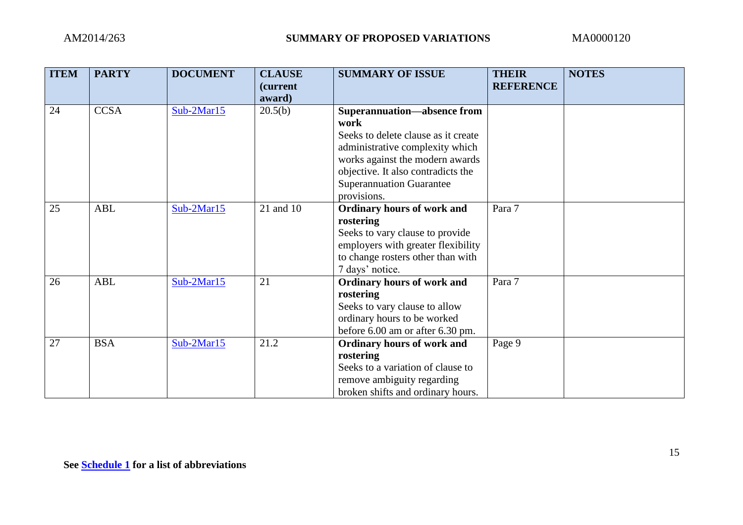| <b>ITEM</b> | <b>PARTY</b> | <b>DOCUMENT</b> | <b>CLAUSE</b><br><i>(current)</i> | <b>SUMMARY OF ISSUE</b>             | <b>THEIR</b><br><b>REFERENCE</b> | <b>NOTES</b> |
|-------------|--------------|-----------------|-----------------------------------|-------------------------------------|----------------------------------|--------------|
|             |              |                 | award)                            |                                     |                                  |              |
| 24          | <b>CCSA</b>  | $Sub-2Mar15$    | 20.5(b)                           | <b>Superannuation—absence from</b>  |                                  |              |
|             |              |                 |                                   | work                                |                                  |              |
|             |              |                 |                                   | Seeks to delete clause as it create |                                  |              |
|             |              |                 |                                   | administrative complexity which     |                                  |              |
|             |              |                 |                                   | works against the modern awards     |                                  |              |
|             |              |                 |                                   | objective. It also contradicts the  |                                  |              |
|             |              |                 |                                   | <b>Superannuation Guarantee</b>     |                                  |              |
|             |              |                 |                                   | provisions.                         |                                  |              |
| 25          | <b>ABL</b>   | $Sub-2Mar15$    | 21 and 10                         | <b>Ordinary hours of work and</b>   | Para 7                           |              |
|             |              |                 |                                   | rostering                           |                                  |              |
|             |              |                 |                                   | Seeks to vary clause to provide     |                                  |              |
|             |              |                 |                                   | employers with greater flexibility  |                                  |              |
|             |              |                 |                                   | to change rosters other than with   |                                  |              |
|             |              |                 |                                   | 7 days' notice.                     |                                  |              |
| 26          | <b>ABL</b>   | $Sub-2Mar15$    | 21                                | <b>Ordinary hours of work and</b>   | Para 7                           |              |
|             |              |                 |                                   | rostering                           |                                  |              |
|             |              |                 |                                   | Seeks to vary clause to allow       |                                  |              |
|             |              |                 |                                   | ordinary hours to be worked         |                                  |              |
|             |              |                 |                                   | before 6.00 am or after 6.30 pm.    |                                  |              |
| 27          | <b>BSA</b>   | $Sub-2Mar15$    | 21.2                              | <b>Ordinary hours of work and</b>   | Page 9                           |              |
|             |              |                 |                                   | rostering                           |                                  |              |
|             |              |                 |                                   | Seeks to a variation of clause to   |                                  |              |
|             |              |                 |                                   | remove ambiguity regarding          |                                  |              |
|             |              |                 |                                   | broken shifts and ordinary hours.   |                                  |              |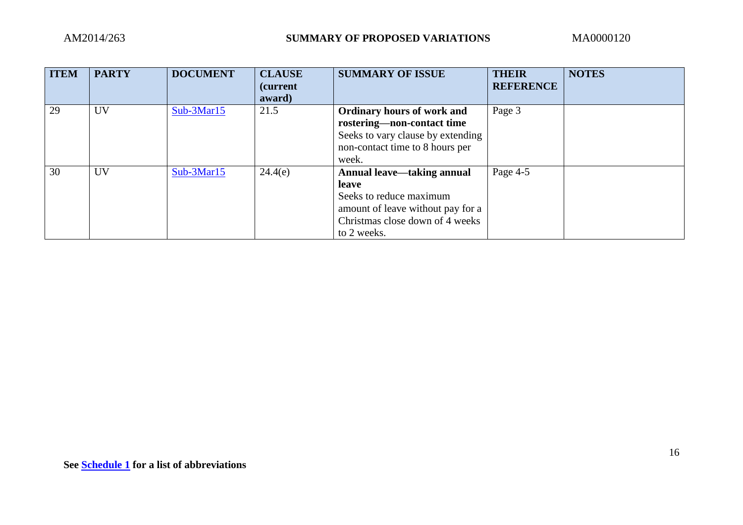| <b>ITEM</b> | <b>PARTY</b> | <b>DOCUMENT</b> | <b>CLAUSE</b><br><i>(current)</i><br>award) | <b>SUMMARY OF ISSUE</b>                                                                                                                                      | <b>THEIR</b><br><b>REFERENCE</b> | <b>NOTES</b> |
|-------------|--------------|-----------------|---------------------------------------------|--------------------------------------------------------------------------------------------------------------------------------------------------------------|----------------------------------|--------------|
| 29          | <b>UV</b>    | $Sub-3Mar15$    | 21.5                                        | <b>Ordinary hours of work and</b><br>rostering-non-contact time<br>Seeks to vary clause by extending<br>non-contact time to 8 hours per<br>week.             | Page 3                           |              |
| 30          | <b>UV</b>    | $Sub-3Mar15$    | 24.4(e)                                     | <b>Annual leave—taking annual</b><br>leave<br>Seeks to reduce maximum<br>amount of leave without pay for a<br>Christmas close down of 4 weeks<br>to 2 weeks. | Page 4-5                         |              |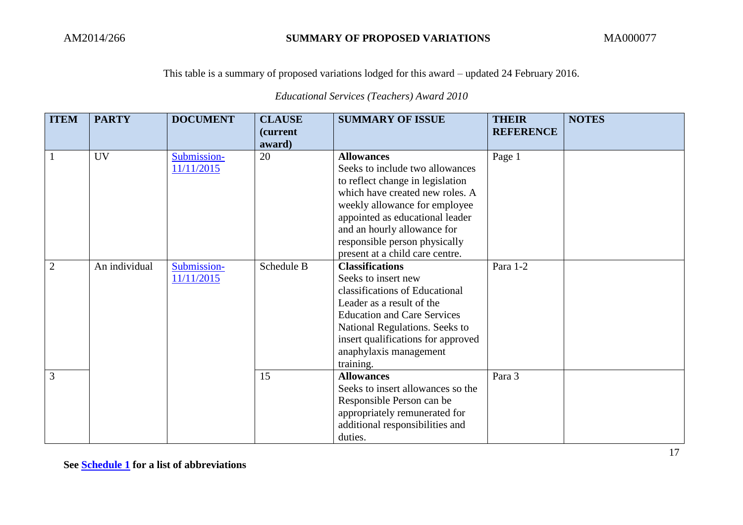*Educational Services (Teachers) Award 2010*

| <b>ITEM</b>    | <b>PARTY</b>  | <b>DOCUMENT</b> | <b>CLAUSE</b><br><i>(current)</i> | <b>SUMMARY OF ISSUE</b>                               | <b>THEIR</b><br><b>REFERENCE</b> | <b>NOTES</b> |
|----------------|---------------|-----------------|-----------------------------------|-------------------------------------------------------|----------------------------------|--------------|
|                |               |                 | award)                            |                                                       |                                  |              |
|                | <b>UV</b>     | Submission-     | 20                                | <b>Allowances</b>                                     | Page 1                           |              |
|                |               | 11/11/2015      |                                   | Seeks to include two allowances                       |                                  |              |
|                |               |                 |                                   | to reflect change in legislation                      |                                  |              |
|                |               |                 |                                   | which have created new roles. A                       |                                  |              |
|                |               |                 |                                   | weekly allowance for employee                         |                                  |              |
|                |               |                 |                                   | appointed as educational leader                       |                                  |              |
|                |               |                 |                                   | and an hourly allowance for                           |                                  |              |
|                |               |                 |                                   | responsible person physically                         |                                  |              |
|                |               |                 |                                   | present at a child care centre.                       |                                  |              |
| $\overline{2}$ | An individual | Submission-     | Schedule B                        | <b>Classifications</b>                                | Para 1-2                         |              |
|                |               | 11/11/2015      |                                   | Seeks to insert new<br>classifications of Educational |                                  |              |
|                |               |                 |                                   | Leader as a result of the                             |                                  |              |
|                |               |                 |                                   | <b>Education and Care Services</b>                    |                                  |              |
|                |               |                 |                                   | National Regulations. Seeks to                        |                                  |              |
|                |               |                 |                                   | insert qualifications for approved                    |                                  |              |
|                |               |                 |                                   | anaphylaxis management                                |                                  |              |
|                |               |                 |                                   | training.                                             |                                  |              |
| 3              |               |                 | 15                                | <b>Allowances</b>                                     | Para 3                           |              |
|                |               |                 |                                   | Seeks to insert allowances so the                     |                                  |              |
|                |               |                 |                                   | Responsible Person can be                             |                                  |              |
|                |               |                 |                                   | appropriately remunerated for                         |                                  |              |
|                |               |                 |                                   | additional responsibilities and                       |                                  |              |
|                |               |                 |                                   | duties.                                               |                                  |              |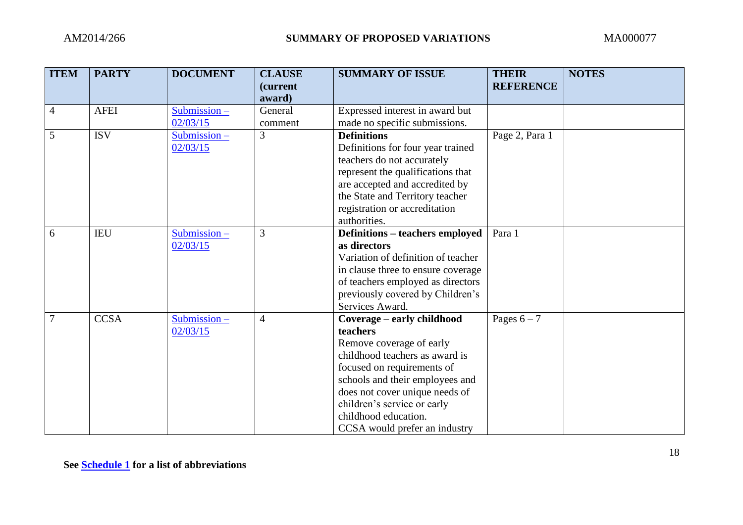| <b>ITEM</b> | <b>PARTY</b> | <b>DOCUMENT</b> | <b>CLAUSE</b><br>(current<br>award) | <b>SUMMARY OF ISSUE</b>                       | <b>THEIR</b><br><b>REFERENCE</b> | <b>NOTES</b> |
|-------------|--------------|-----------------|-------------------------------------|-----------------------------------------------|----------------------------------|--------------|
| 4           | <b>AFEI</b>  | Submission-     | General                             | Expressed interest in award but               |                                  |              |
|             |              | 02/03/15        | comment                             | made no specific submissions.                 |                                  |              |
| 5           | <b>ISV</b>   | Submission-     | 3                                   | <b>Definitions</b>                            | Page 2, Para 1                   |              |
|             |              | 02/03/15        |                                     | Definitions for four year trained             |                                  |              |
|             |              |                 |                                     | teachers do not accurately                    |                                  |              |
|             |              |                 |                                     | represent the qualifications that             |                                  |              |
|             |              |                 |                                     | are accepted and accredited by                |                                  |              |
|             |              |                 |                                     | the State and Territory teacher               |                                  |              |
|             |              |                 |                                     | registration or accreditation<br>authorities. |                                  |              |
| 6           | <b>IEU</b>   | $Submission -$  | 3                                   | <b>Definitions – teachers employed</b>        | Para 1                           |              |
|             |              | 02/03/15        |                                     | as directors                                  |                                  |              |
|             |              |                 |                                     | Variation of definition of teacher            |                                  |              |
|             |              |                 |                                     | in clause three to ensure coverage            |                                  |              |
|             |              |                 |                                     | of teachers employed as directors             |                                  |              |
|             |              |                 |                                     | previously covered by Children's              |                                  |              |
|             |              |                 |                                     | Services Award.                               |                                  |              |
|             | <b>CCSA</b>  | $Submission -$  | $\overline{4}$                      | Coverage - early childhood                    | Pages $6 - 7$                    |              |
|             |              | 02/03/15        |                                     | teachers                                      |                                  |              |
|             |              |                 |                                     | Remove coverage of early                      |                                  |              |
|             |              |                 |                                     | childhood teachers as award is                |                                  |              |
|             |              |                 |                                     | focused on requirements of                    |                                  |              |
|             |              |                 |                                     | schools and their employees and               |                                  |              |
|             |              |                 |                                     | does not cover unique needs of                |                                  |              |
|             |              |                 |                                     | children's service or early                   |                                  |              |
|             |              |                 |                                     | childhood education.                          |                                  |              |
|             |              |                 |                                     | CCSA would prefer an industry                 |                                  |              |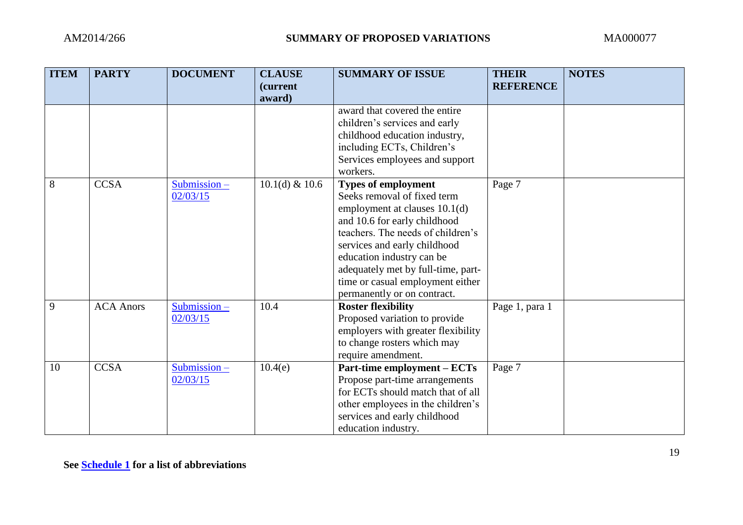| <b>ITEM</b> | <b>PARTY</b>     | <b>DOCUMENT</b>            | <b>CLAUSE</b><br>(current<br>award) | <b>SUMMARY OF ISSUE</b>                                                                                                                                                                                                                                                                                                               | <b>THEIR</b><br><b>REFERENCE</b> | <b>NOTES</b> |
|-------------|------------------|----------------------------|-------------------------------------|---------------------------------------------------------------------------------------------------------------------------------------------------------------------------------------------------------------------------------------------------------------------------------------------------------------------------------------|----------------------------------|--------------|
|             |                  |                            |                                     | award that covered the entire<br>children's services and early<br>childhood education industry,<br>including ECTs, Children's<br>Services employees and support<br>workers.                                                                                                                                                           |                                  |              |
| 8           | <b>CCSA</b>      | $Submission -$<br>02/03/15 | $10.1(d)$ & $10.6$                  | <b>Types of employment</b><br>Seeks removal of fixed term<br>employment at clauses 10.1(d)<br>and 10.6 for early childhood<br>teachers. The needs of children's<br>services and early childhood<br>education industry can be<br>adequately met by full-time, part-<br>time or casual employment either<br>permanently or on contract. | Page 7                           |              |
| 9           | <b>ACA Anors</b> | Submission-<br>02/03/15    | 10.4                                | <b>Roster flexibility</b><br>Proposed variation to provide<br>employers with greater flexibility<br>to change rosters which may<br>require amendment.                                                                                                                                                                                 | Page 1, para 1                   |              |
| 10          | <b>CCSA</b>      | Submission-<br>02/03/15    | 10.4(e)                             | <b>Part-time employment – ECTs</b><br>Propose part-time arrangements<br>for ECTs should match that of all<br>other employees in the children's<br>services and early childhood<br>education industry.                                                                                                                                 | Page 7                           |              |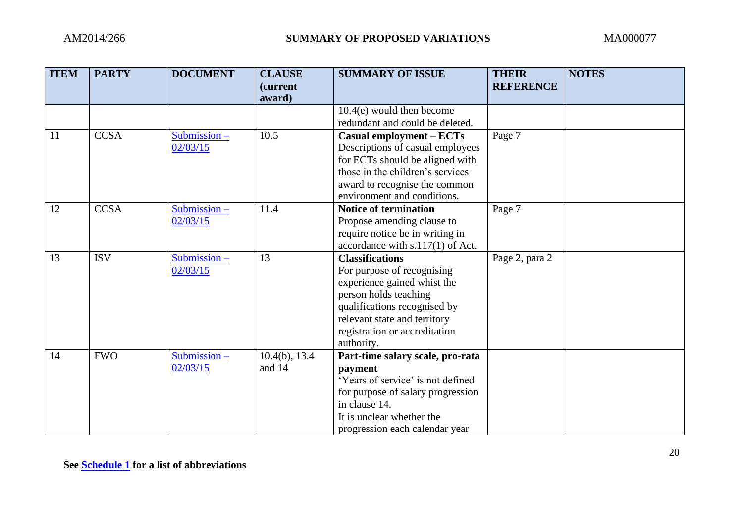| <b>ITEM</b> | <b>PARTY</b> | <b>DOCUMENT</b> | <b>CLAUSE</b><br><i>(current)</i><br>award) | <b>SUMMARY OF ISSUE</b>           | <b>THEIR</b><br><b>REFERENCE</b> | <b>NOTES</b> |
|-------------|--------------|-----------------|---------------------------------------------|-----------------------------------|----------------------------------|--------------|
|             |              |                 |                                             | $10.4(e)$ would then become       |                                  |              |
|             |              |                 |                                             | redundant and could be deleted.   |                                  |              |
| 11          | <b>CCSA</b>  | Submission-     | 10.5                                        | Casual employment - ECTs          | Page 7                           |              |
|             |              | 02/03/15        |                                             | Descriptions of casual employees  |                                  |              |
|             |              |                 |                                             | for ECTs should be aligned with   |                                  |              |
|             |              |                 |                                             | those in the children's services  |                                  |              |
|             |              |                 |                                             | award to recognise the common     |                                  |              |
|             |              |                 |                                             | environment and conditions.       |                                  |              |
| 12          | <b>CCSA</b>  | $Submission -$  | 11.4                                        | <b>Notice of termination</b>      | Page 7                           |              |
|             |              | 02/03/15        |                                             | Propose amending clause to        |                                  |              |
|             |              |                 |                                             | require notice be in writing in   |                                  |              |
|             |              |                 |                                             | accordance with s.117(1) of Act.  |                                  |              |
| 13          | <b>ISV</b>   | $Submission -$  | 13                                          | <b>Classifications</b>            | Page 2, para 2                   |              |
|             |              | 02/03/15        |                                             | For purpose of recognising        |                                  |              |
|             |              |                 |                                             | experience gained whist the       |                                  |              |
|             |              |                 |                                             | person holds teaching             |                                  |              |
|             |              |                 |                                             | qualifications recognised by      |                                  |              |
|             |              |                 |                                             | relevant state and territory      |                                  |              |
|             |              |                 |                                             | registration or accreditation     |                                  |              |
|             |              |                 |                                             | authority.                        |                                  |              |
| 14          | <b>FWO</b>   | Submission-     | $10.4(b)$ , 13.4                            | Part-time salary scale, pro-rata  |                                  |              |
|             |              | 02/03/15        | and 14                                      | payment                           |                                  |              |
|             |              |                 |                                             | 'Years of service' is not defined |                                  |              |
|             |              |                 |                                             | for purpose of salary progression |                                  |              |
|             |              |                 |                                             | in clause 14.                     |                                  |              |
|             |              |                 |                                             | It is unclear whether the         |                                  |              |
|             |              |                 |                                             | progression each calendar year    |                                  |              |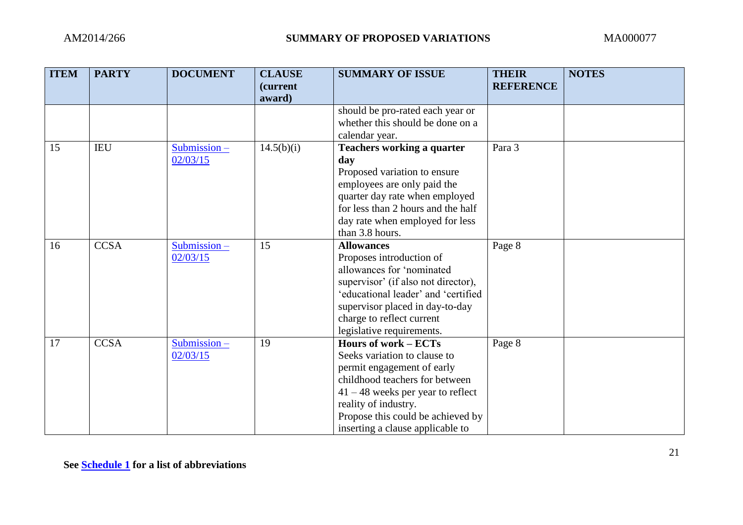| <b>ITEM</b> | <b>PARTY</b> | <b>DOCUMENT</b> | <b>CLAUSE</b><br>(current<br>award) | <b>SUMMARY OF ISSUE</b>                                | <b>THEIR</b><br><b>REFERENCE</b> | <b>NOTES</b> |
|-------------|--------------|-----------------|-------------------------------------|--------------------------------------------------------|----------------------------------|--------------|
|             |              |                 |                                     | should be pro-rated each year or                       |                                  |              |
|             |              |                 |                                     | whether this should be done on a                       |                                  |              |
|             |              |                 |                                     | calendar year.                                         |                                  |              |
| 15          | <b>IEU</b>   | Submission-     | 14.5(b)(i)                          | <b>Teachers working a quarter</b>                      | Para 3                           |              |
|             |              | 02/03/15        |                                     | day                                                    |                                  |              |
|             |              |                 |                                     | Proposed variation to ensure                           |                                  |              |
|             |              |                 |                                     | employees are only paid the                            |                                  |              |
|             |              |                 |                                     | quarter day rate when employed                         |                                  |              |
|             |              |                 |                                     | for less than 2 hours and the half                     |                                  |              |
|             |              |                 |                                     | day rate when employed for less                        |                                  |              |
|             |              |                 |                                     | than 3.8 hours.                                        |                                  |              |
| 16          | <b>CCSA</b>  | $Submission -$  | 15                                  | <b>Allowances</b>                                      | Page 8                           |              |
|             |              | 02/03/15        |                                     | Proposes introduction of                               |                                  |              |
|             |              |                 |                                     | allowances for 'nominated                              |                                  |              |
|             |              |                 |                                     | supervisor' (if also not director),                    |                                  |              |
|             |              |                 |                                     | 'educational leader' and 'certified                    |                                  |              |
|             |              |                 |                                     | supervisor placed in day-to-day                        |                                  |              |
|             |              |                 |                                     | charge to reflect current<br>legislative requirements. |                                  |              |
| 17          | <b>CCSA</b>  | $Submission -$  | 19                                  | Hours of work - ECTs                                   | Page 8                           |              |
|             |              | 02/03/15        |                                     | Seeks variation to clause to                           |                                  |              |
|             |              |                 |                                     | permit engagement of early                             |                                  |              |
|             |              |                 |                                     | childhood teachers for between                         |                                  |              |
|             |              |                 |                                     | $41 - 48$ weeks per year to reflect                    |                                  |              |
|             |              |                 |                                     | reality of industry.                                   |                                  |              |
|             |              |                 |                                     | Propose this could be achieved by                      |                                  |              |
|             |              |                 |                                     | inserting a clause applicable to                       |                                  |              |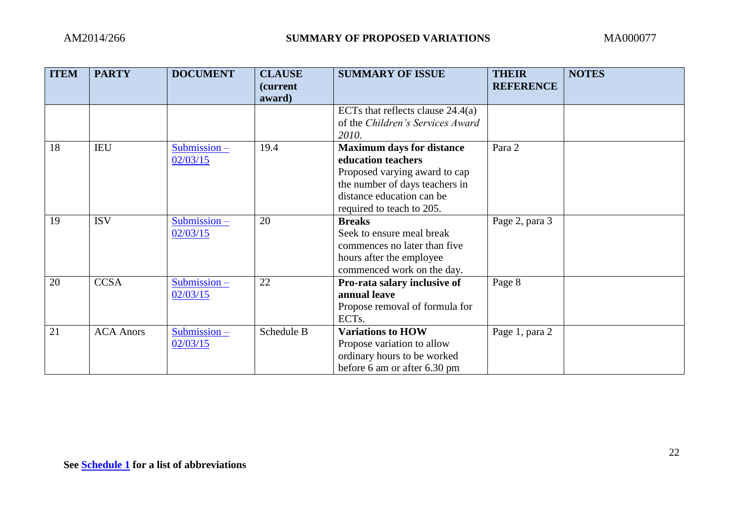| <b>ITEM</b> | <b>PARTY</b>     | <b>DOCUMENT</b>            | <b>CLAUSE</b><br><i>(current)</i><br>award) | <b>SUMMARY OF ISSUE</b>                                                                                                                                                             | <b>THEIR</b><br><b>REFERENCE</b> | <b>NOTES</b> |
|-------------|------------------|----------------------------|---------------------------------------------|-------------------------------------------------------------------------------------------------------------------------------------------------------------------------------------|----------------------------------|--------------|
|             |                  |                            |                                             | ECTs that reflects clause $24.4(a)$<br>of the Children's Services Award<br>2010.                                                                                                    |                                  |              |
| 18          | <b>IEU</b>       | Submission-<br>02/03/15    | 19.4                                        | <b>Maximum days for distance</b><br>education teachers<br>Proposed varying award to cap<br>the number of days teachers in<br>distance education can be<br>required to teach to 205. | Para 2                           |              |
| 19          | <b>ISV</b>       | $Submission -$<br>02/03/15 | 20                                          | <b>Breaks</b><br>Seek to ensure meal break<br>commences no later than five<br>hours after the employee<br>commenced work on the day.                                                | Page 2, para 3                   |              |
| 20          | <b>CCSA</b>      | Submission-<br>02/03/15    | 22                                          | Pro-rata salary inclusive of<br>annual leave<br>Propose removal of formula for<br>ECT <sub>s</sub> .                                                                                | Page 8                           |              |
| 21          | <b>ACA Anors</b> | Submission-<br>02/03/15    | Schedule B                                  | <b>Variations to HOW</b><br>Propose variation to allow<br>ordinary hours to be worked<br>before 6 am or after 6.30 pm                                                               | Page 1, para 2                   |              |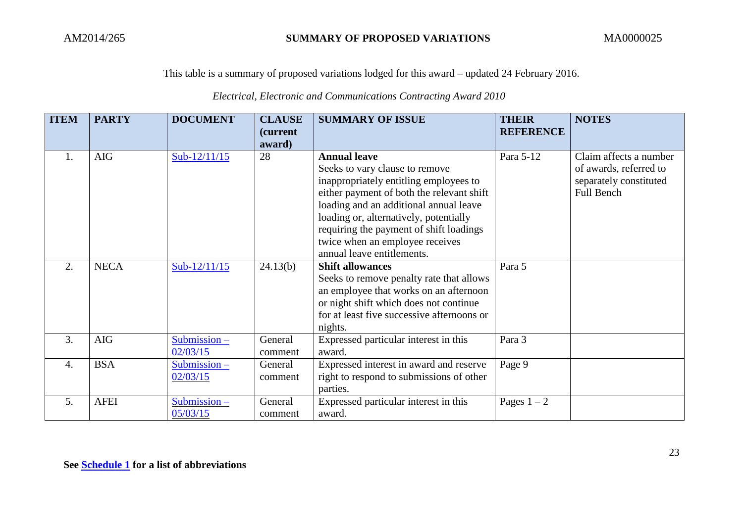|  |  | Electrical, Electronic and Communications Contracting Award 2010 |
|--|--|------------------------------------------------------------------|
|--|--|------------------------------------------------------------------|

| <b>ITEM</b>      | <b>PARTY</b> | <b>DOCUMENT</b>            | <b>CLAUSE</b><br>(current<br>award) | <b>SUMMARY OF ISSUE</b>                                                                                                                                                                                                                                                                                                                      | <b>THEIR</b><br><b>REFERENCE</b> | <b>NOTES</b>                                                                             |
|------------------|--------------|----------------------------|-------------------------------------|----------------------------------------------------------------------------------------------------------------------------------------------------------------------------------------------------------------------------------------------------------------------------------------------------------------------------------------------|----------------------------------|------------------------------------------------------------------------------------------|
| 1.               | <b>AIG</b>   | Sub-12/11/15               | 28                                  | <b>Annual leave</b><br>Seeks to vary clause to remove<br>inappropriately entitling employees to<br>either payment of both the relevant shift<br>loading and an additional annual leave<br>loading or, alternatively, potentially<br>requiring the payment of shift loadings<br>twice when an employee receives<br>annual leave entitlements. | Para 5-12                        | Claim affects a number<br>of awards, referred to<br>separately constituted<br>Full Bench |
| 2.               | <b>NECA</b>  | Sub- $12/11/15$            | 24.13(b)                            | <b>Shift allowances</b><br>Seeks to remove penalty rate that allows<br>an employee that works on an afternoon<br>or night shift which does not continue<br>for at least five successive afternoons or<br>nights.                                                                                                                             | Para 5                           |                                                                                          |
| 3.               | <b>AIG</b>   | $Submission -$<br>02/03/15 | General<br>comment                  | Expressed particular interest in this<br>award.                                                                                                                                                                                                                                                                                              | Para 3                           |                                                                                          |
| $\overline{4}$ . | <b>BSA</b>   | $Submission -$<br>02/03/15 | General<br>comment                  | Expressed interest in award and reserve<br>right to respond to submissions of other<br>parties.                                                                                                                                                                                                                                              | Page 9                           |                                                                                          |
| 5.               | <b>AFEI</b>  | Submission-<br>05/03/15    | General<br>comment                  | Expressed particular interest in this<br>award.                                                                                                                                                                                                                                                                                              | Pages $1-2$                      |                                                                                          |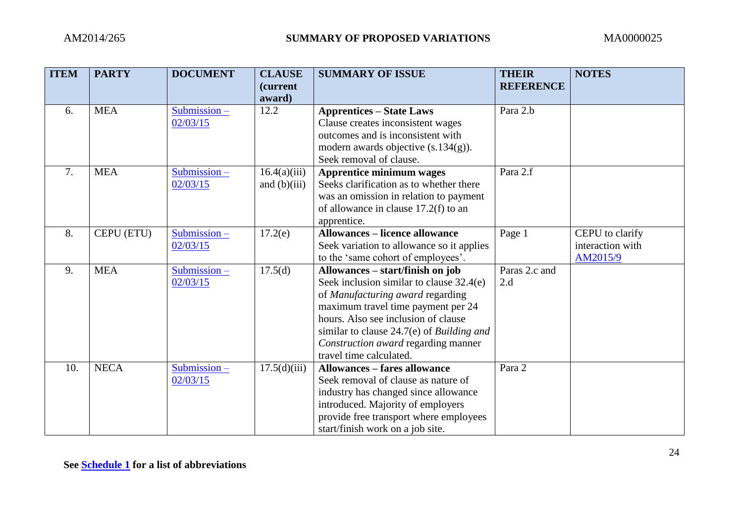| <b>ITEM</b> | <b>PARTY</b> | <b>DOCUMENT</b>            | <b>CLAUSE</b><br><i>(current)</i><br>award) | <b>SUMMARY OF ISSUE</b>                                                                                                                                                                                                                                                                                      | <b>THEIR</b><br><b>REFERENCE</b> | <b>NOTES</b>                                    |
|-------------|--------------|----------------------------|---------------------------------------------|--------------------------------------------------------------------------------------------------------------------------------------------------------------------------------------------------------------------------------------------------------------------------------------------------------------|----------------------------------|-------------------------------------------------|
| 6.          | <b>MEA</b>   | Submission $-$<br>02/03/15 | 12.2                                        | <b>Apprentices – State Laws</b><br>Clause creates inconsistent wages<br>outcomes and is inconsistent with<br>modern awards objective $(s.134(g))$ .<br>Seek removal of clause.                                                                                                                               | Para 2.b                         |                                                 |
| 7.          | <b>MEA</b>   | Submission-<br>02/03/15    | 16.4(a)(iii)<br>and $(b)(iii)$              | Apprentice minimum wages<br>Seeks clarification as to whether there<br>was an omission in relation to payment<br>of allowance in clause 17.2(f) to an<br>apprentice.                                                                                                                                         | Para 2.f                         |                                                 |
| 8.          | CEPU (ETU)   | Submission-<br>02/03/15    | 17.2(e)                                     | <b>Allowances – licence allowance</b><br>Seek variation to allowance so it applies<br>to the 'same cohort of employees'.                                                                                                                                                                                     | Page 1                           | CEPU to clarify<br>interaction with<br>AM2015/9 |
| 9.          | <b>MEA</b>   | Submission-<br>02/03/15    | 17.5(d)                                     | Allowances – start/finish on job<br>Seek inclusion similar to clause 32.4(e)<br>of Manufacturing award regarding<br>maximum travel time payment per 24<br>hours. Also see inclusion of clause<br>similar to clause 24.7(e) of Building and<br>Construction award regarding manner<br>travel time calculated. | Paras 2.c and<br>2.d             |                                                 |
| 10.         | <b>NECA</b>  | $Submission -$<br>02/03/15 | 17.5(d)(iii)                                | <b>Allowances - fares allowance</b><br>Seek removal of clause as nature of<br>industry has changed since allowance<br>introduced. Majority of employers<br>provide free transport where employees<br>start/finish work on a job site.                                                                        | Para 2                           |                                                 |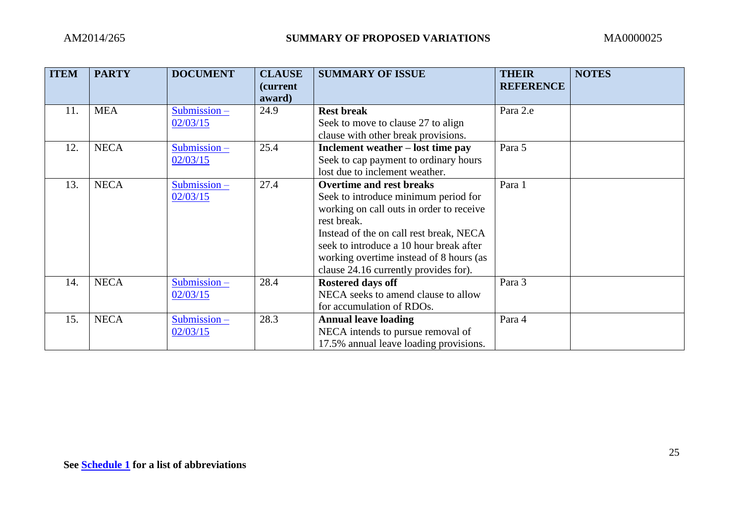| <b>ITEM</b> | <b>PARTY</b> | <b>DOCUMENT</b>         | <b>CLAUSE</b><br><i>(current)</i><br>award) | <b>SUMMARY OF ISSUE</b>                                                 | <b>THEIR</b><br><b>REFERENCE</b> | <b>NOTES</b> |
|-------------|--------------|-------------------------|---------------------------------------------|-------------------------------------------------------------------------|----------------------------------|--------------|
| 11.         | <b>MEA</b>   | Submission-<br>02/03/15 | 24.9                                        | <b>Rest break</b><br>Seek to move to clause 27 to align                 | Para 2.e                         |              |
|             |              |                         |                                             | clause with other break provisions.                                     |                                  |              |
| 12.         | <b>NECA</b>  | Submission-             | 25.4                                        | Inclement weather – lost time pay                                       | Para 5                           |              |
|             |              | 02/03/15                |                                             | Seek to cap payment to ordinary hours<br>lost due to inclement weather. |                                  |              |
| 13.         | <b>NECA</b>  | Submission-             | 27.4                                        | <b>Overtime and rest breaks</b>                                         | Para 1                           |              |
|             |              | 02/03/15                |                                             | Seek to introduce minimum period for                                    |                                  |              |
|             |              |                         |                                             | working on call outs in order to receive                                |                                  |              |
|             |              |                         |                                             | rest break.                                                             |                                  |              |
|             |              |                         |                                             | Instead of the on call rest break, NECA                                 |                                  |              |
|             |              |                         |                                             | seek to introduce a 10 hour break after                                 |                                  |              |
|             |              |                         |                                             | working overtime instead of 8 hours (as                                 |                                  |              |
| 14.         | <b>NECA</b>  | Submission-             | 28.4                                        | clause 24.16 currently provides for).<br><b>Rostered days off</b>       | Para 3                           |              |
|             |              | 02/03/15                |                                             | NECA seeks to amend clause to allow                                     |                                  |              |
|             |              |                         |                                             | for accumulation of RDOs.                                               |                                  |              |
| 15.         | <b>NECA</b>  | $Submission -$          | 28.3                                        | <b>Annual leave loading</b>                                             | Para 4                           |              |
|             |              | 02/03/15                |                                             | NECA intends to pursue removal of                                       |                                  |              |
|             |              |                         |                                             | 17.5% annual leave loading provisions.                                  |                                  |              |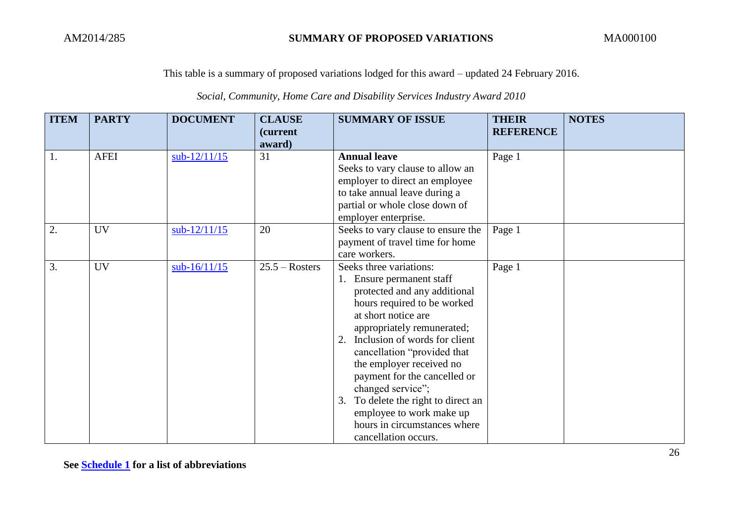## *Social, Community, Home Care and Disability Services Industry Award 2010*

| <b>ITEM</b> | <b>PARTY</b> | <b>DOCUMENT</b> | <b>CLAUSE</b><br>(current | <b>SUMMARY OF ISSUE</b>                                                                                                                                                                                                                                                                                                                                                                                                                                 | <b>THEIR</b><br><b>REFERENCE</b> | <b>NOTES</b> |
|-------------|--------------|-----------------|---------------------------|---------------------------------------------------------------------------------------------------------------------------------------------------------------------------------------------------------------------------------------------------------------------------------------------------------------------------------------------------------------------------------------------------------------------------------------------------------|----------------------------------|--------------|
| 1.          | <b>AFEI</b>  | $sub-12/11/15$  | award)<br>31              | <b>Annual leave</b><br>Seeks to vary clause to allow an<br>employer to direct an employee<br>to take annual leave during a<br>partial or whole close down of<br>employer enterprise.                                                                                                                                                                                                                                                                    | Page 1                           |              |
| 2.          | <b>UV</b>    | $sub-12/11/15$  | 20                        | Seeks to vary clause to ensure the<br>payment of travel time for home<br>care workers.                                                                                                                                                                                                                                                                                                                                                                  | Page 1                           |              |
| 3.          | <b>UV</b>    | $sub-16/11/15$  | $25.5 - Rosters$          | Seeks three variations:<br>1. Ensure permanent staff<br>protected and any additional<br>hours required to be worked<br>at short notice are<br>appropriately remunerated;<br>2. Inclusion of words for client<br>cancellation "provided that<br>the employer received no<br>payment for the cancelled or<br>changed service";<br>3. To delete the right to direct an<br>employee to work make up<br>hours in circumstances where<br>cancellation occurs. | Page 1                           |              |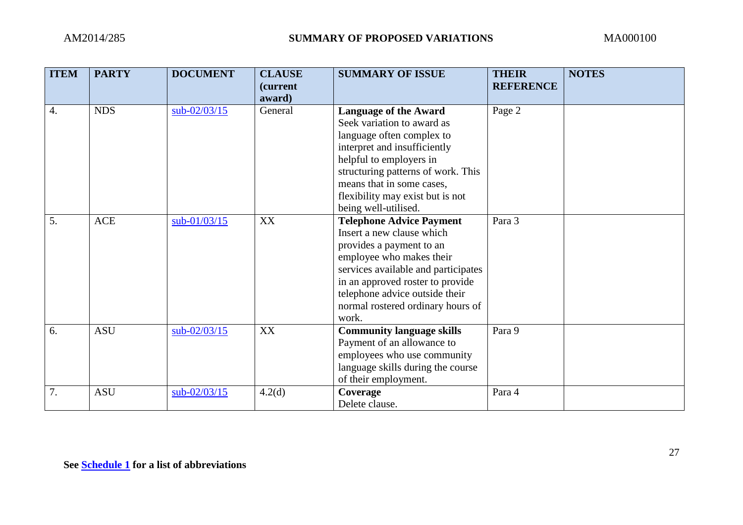| <b>ITEM</b> | <b>PARTY</b> | <b>DOCUMENT</b> | <b>CLAUSE</b><br><i>(current)</i> | <b>SUMMARY OF ISSUE</b>             | <b>THEIR</b><br><b>REFERENCE</b> | <b>NOTES</b> |
|-------------|--------------|-----------------|-----------------------------------|-------------------------------------|----------------------------------|--------------|
|             |              |                 | award)                            |                                     |                                  |              |
| 4.          | <b>NDS</b>   | sub-02/03/15    | General                           | <b>Language of the Award</b>        | Page 2                           |              |
|             |              |                 |                                   | Seek variation to award as          |                                  |              |
|             |              |                 |                                   | language often complex to           |                                  |              |
|             |              |                 |                                   | interpret and insufficiently        |                                  |              |
|             |              |                 |                                   | helpful to employers in             |                                  |              |
|             |              |                 |                                   | structuring patterns of work. This  |                                  |              |
|             |              |                 |                                   | means that in some cases,           |                                  |              |
|             |              |                 |                                   | flexibility may exist but is not    |                                  |              |
|             |              |                 |                                   | being well-utilised.                |                                  |              |
| 5.          | ACE          | sub-01/03/15    | XX                                | <b>Telephone Advice Payment</b>     | Para 3                           |              |
|             |              |                 |                                   | Insert a new clause which           |                                  |              |
|             |              |                 |                                   | provides a payment to an            |                                  |              |
|             |              |                 |                                   | employee who makes their            |                                  |              |
|             |              |                 |                                   | services available and participates |                                  |              |
|             |              |                 |                                   | in an approved roster to provide    |                                  |              |
|             |              |                 |                                   | telephone advice outside their      |                                  |              |
|             |              |                 |                                   | normal rostered ordinary hours of   |                                  |              |
|             |              |                 |                                   | work.                               |                                  |              |
| 6.          | <b>ASU</b>   | sub-02/03/15    | XX                                | <b>Community language skills</b>    | Para 9                           |              |
|             |              |                 |                                   | Payment of an allowance to          |                                  |              |
|             |              |                 |                                   | employees who use community         |                                  |              |
|             |              |                 |                                   | language skills during the course   |                                  |              |
|             |              |                 |                                   | of their employment.                |                                  |              |
| 7.          | <b>ASU</b>   | sub-02/03/15    | 4.2(d)                            | Coverage                            | Para 4                           |              |
|             |              |                 |                                   | Delete clause.                      |                                  |              |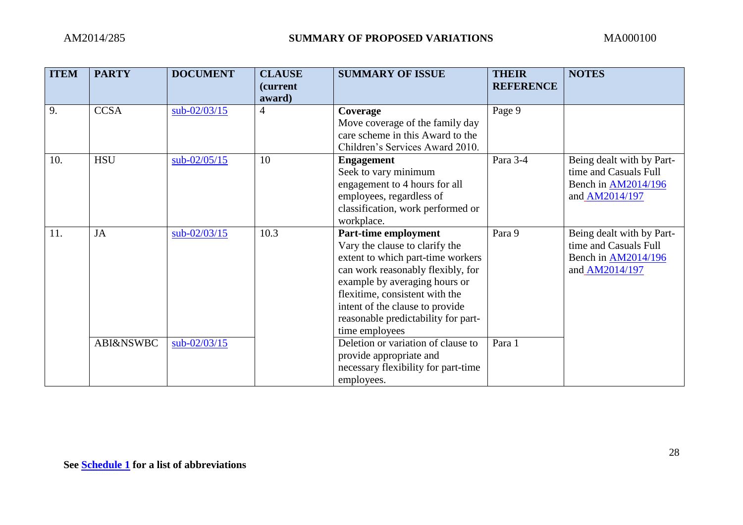| <b>ITEM</b> | <b>PARTY</b>         | <b>DOCUMENT</b> | <b>CLAUSE</b><br><i>(current)</i><br>award) | <b>SUMMARY OF ISSUE</b>             | <b>THEIR</b><br><b>REFERENCE</b> | <b>NOTES</b>               |
|-------------|----------------------|-----------------|---------------------------------------------|-------------------------------------|----------------------------------|----------------------------|
| 9.          | <b>CCSA</b>          | sub-02/03/15    | 4                                           | Coverage                            | Page 9                           |                            |
|             |                      |                 |                                             | Move coverage of the family day     |                                  |                            |
|             |                      |                 |                                             | care scheme in this Award to the    |                                  |                            |
|             |                      |                 |                                             | Children's Services Award 2010.     |                                  |                            |
| 10.         | <b>HSU</b>           | sub-02/05/15    | 10                                          | <b>Engagement</b>                   | Para 3-4                         | Being dealt with by Part-  |
|             |                      |                 |                                             | Seek to vary minimum                |                                  | time and Casuals Full      |
|             |                      |                 |                                             | engagement to 4 hours for all       |                                  | Bench in <b>AM2014/196</b> |
|             |                      |                 |                                             | employees, regardless of            |                                  | and AM2014/197             |
|             |                      |                 |                                             | classification, work performed or   |                                  |                            |
|             |                      |                 |                                             | workplace.                          |                                  |                            |
| 11.         | <b>JA</b>            | $sub-02/03/15$  | 10.3                                        | Part-time employment                | Para 9                           | Being dealt with by Part-  |
|             |                      |                 |                                             | Vary the clause to clarify the      |                                  | time and Casuals Full      |
|             |                      |                 |                                             | extent to which part-time workers   |                                  | Bench in <b>AM2014/196</b> |
|             |                      |                 |                                             | can work reasonably flexibly, for   |                                  | and AM2014/197             |
|             |                      |                 |                                             | example by averaging hours or       |                                  |                            |
|             |                      |                 |                                             | flexitime, consistent with the      |                                  |                            |
|             |                      |                 |                                             | intent of the clause to provide     |                                  |                            |
|             |                      |                 |                                             | reasonable predictability for part- |                                  |                            |
|             |                      |                 |                                             | time employees                      |                                  |                            |
|             | <b>ABI&amp;NSWBC</b> | sub-02/03/15    |                                             | Deletion or variation of clause to  | Para 1                           |                            |
|             |                      |                 |                                             | provide appropriate and             |                                  |                            |
|             |                      |                 |                                             | necessary flexibility for part-time |                                  |                            |
|             |                      |                 |                                             | employees.                          |                                  |                            |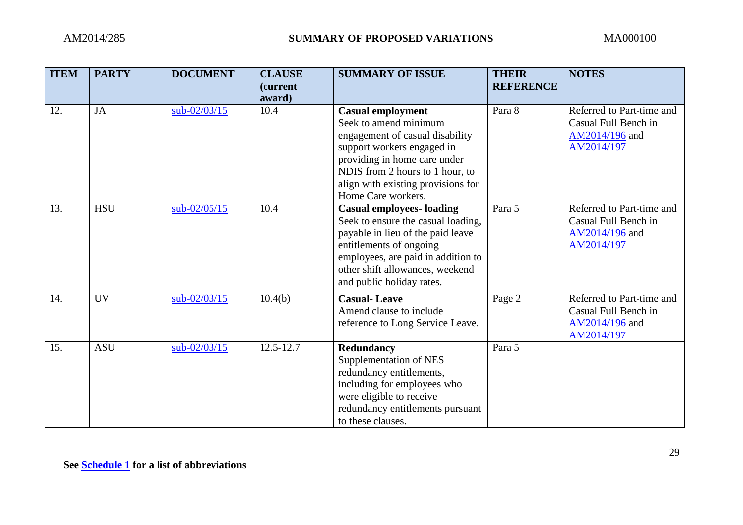| <b>ITEM</b> | <b>PARTY</b> | <b>DOCUMENT</b> | <b>CLAUSE</b><br><i>(current)</i><br>award) | <b>SUMMARY OF ISSUE</b>                                                                                                                                                                                                                           | <b>THEIR</b><br><b>REFERENCE</b> | <b>NOTES</b>                                                                      |
|-------------|--------------|-----------------|---------------------------------------------|---------------------------------------------------------------------------------------------------------------------------------------------------------------------------------------------------------------------------------------------------|----------------------------------|-----------------------------------------------------------------------------------|
| 12.         | <b>JA</b>    | sub-02/03/15    | 10.4                                        | <b>Casual employment</b><br>Seek to amend minimum<br>engagement of casual disability<br>support workers engaged in<br>providing in home care under<br>NDIS from 2 hours to 1 hour, to<br>align with existing provisions for<br>Home Care workers. | Para 8                           | Referred to Part-time and<br>Casual Full Bench in<br>AM2014/196 and<br>AM2014/197 |
| 13.         | <b>HSU</b>   | $sub-02/05/15$  | 10.4                                        | <b>Casual employees- loading</b><br>Seek to ensure the casual loading,<br>payable in lieu of the paid leave<br>entitlements of ongoing<br>employees, are paid in addition to<br>other shift allowances, weekend<br>and public holiday rates.      | Para 5                           | Referred to Part-time and<br>Casual Full Bench in<br>AM2014/196 and<br>AM2014/197 |
| 14.         | <b>UV</b>    | $sub-02/03/15$  | 10.4(b)                                     | <b>Casual-Leave</b><br>Amend clause to include<br>reference to Long Service Leave.                                                                                                                                                                | Page 2                           | Referred to Part-time and<br>Casual Full Bench in<br>AM2014/196 and<br>AM2014/197 |
| 15.         | <b>ASU</b>   | $sub-02/03/15$  | $12.5 - 12.7$                               | Redundancy<br>Supplementation of NES<br>redundancy entitlements,<br>including for employees who<br>were eligible to receive<br>redundancy entitlements pursuant<br>to these clauses.                                                              | Para 5                           |                                                                                   |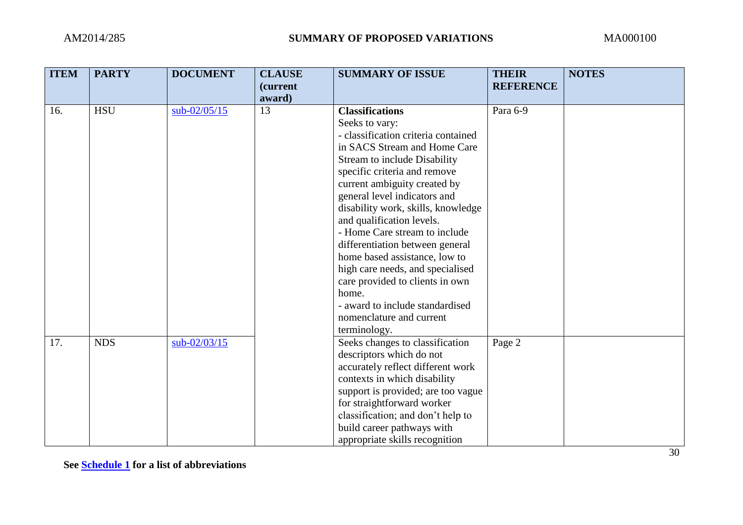| <b>ITEM</b> | <b>PARTY</b> | <b>DOCUMENT</b> | <b>CLAUSE</b><br>(current | <b>SUMMARY OF ISSUE</b>                                       | <b>THEIR</b><br><b>REFERENCE</b> | <b>NOTES</b> |
|-------------|--------------|-----------------|---------------------------|---------------------------------------------------------------|----------------------------------|--------------|
| 16.         | <b>HSU</b>   | $sub-02/05/15$  | award)<br>13              | <b>Classifications</b>                                        | Para 6-9                         |              |
|             |              |                 |                           | Seeks to vary:                                                |                                  |              |
|             |              |                 |                           | - classification criteria contained                           |                                  |              |
|             |              |                 |                           | in SACS Stream and Home Care                                  |                                  |              |
|             |              |                 |                           | Stream to include Disability                                  |                                  |              |
|             |              |                 |                           | specific criteria and remove                                  |                                  |              |
|             |              |                 |                           | current ambiguity created by                                  |                                  |              |
|             |              |                 |                           | general level indicators and                                  |                                  |              |
|             |              |                 |                           | disability work, skills, knowledge                            |                                  |              |
|             |              |                 |                           | and qualification levels.                                     |                                  |              |
|             |              |                 |                           | - Home Care stream to include                                 |                                  |              |
|             |              |                 |                           | differentiation between general                               |                                  |              |
|             |              |                 |                           | home based assistance, low to                                 |                                  |              |
|             |              |                 |                           | high care needs, and specialised                              |                                  |              |
|             |              |                 |                           | care provided to clients in own                               |                                  |              |
|             |              |                 |                           | home.                                                         |                                  |              |
|             |              |                 |                           | - award to include standardised                               |                                  |              |
|             |              |                 |                           | nomenclature and current                                      |                                  |              |
|             |              |                 |                           | terminology.                                                  |                                  |              |
| 17.         | <b>NDS</b>   | sub-02/03/15    |                           | Seeks changes to classification                               | Page 2                           |              |
|             |              |                 |                           | descriptors which do not<br>accurately reflect different work |                                  |              |
|             |              |                 |                           | contexts in which disability                                  |                                  |              |
|             |              |                 |                           | support is provided; are too vague                            |                                  |              |
|             |              |                 |                           | for straightforward worker                                    |                                  |              |
|             |              |                 |                           | classification; and don't help to                             |                                  |              |
|             |              |                 |                           | build career pathways with                                    |                                  |              |
|             |              |                 |                           | appropriate skills recognition                                |                                  |              |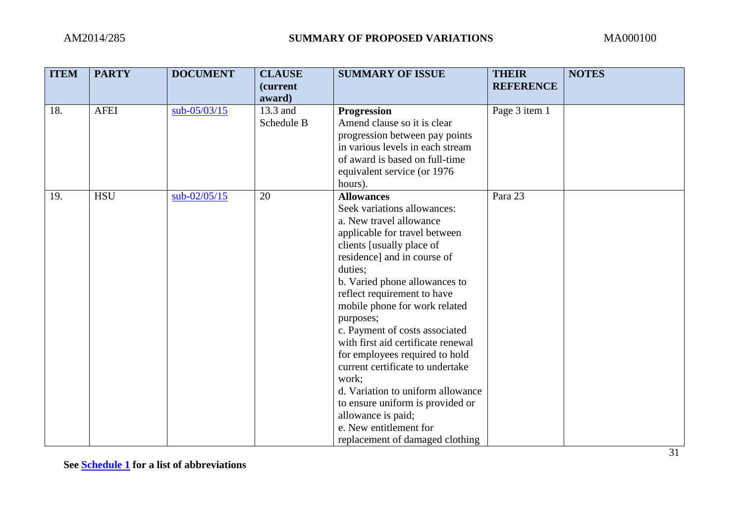| <b>ITEM</b> | <b>PARTY</b> | <b>DOCUMENT</b> | <b>CLAUSE</b><br>(current<br>award) | <b>SUMMARY OF ISSUE</b>                                                                                                                                                                                                                                                                                                                                                                                                                                                                                                                                                                                              | <b>THEIR</b><br><b>REFERENCE</b> | <b>NOTES</b> |
|-------------|--------------|-----------------|-------------------------------------|----------------------------------------------------------------------------------------------------------------------------------------------------------------------------------------------------------------------------------------------------------------------------------------------------------------------------------------------------------------------------------------------------------------------------------------------------------------------------------------------------------------------------------------------------------------------------------------------------------------------|----------------------------------|--------------|
| 18.         | <b>AFEI</b>  | sub-05/03/15    | 13.3 and<br>Schedule B              | <b>Progression</b><br>Amend clause so it is clear<br>progression between pay points<br>in various levels in each stream<br>of award is based on full-time<br>equivalent service (or 1976)<br>hours).                                                                                                                                                                                                                                                                                                                                                                                                                 | Page 3 item 1                    |              |
| 19.         | <b>HSU</b>   | $sub-02/05/15$  | 20                                  | <b>Allowances</b><br>Seek variations allowances:<br>a. New travel allowance<br>applicable for travel between<br>clients [usually place of<br>residence] and in course of<br>duties;<br>b. Varied phone allowances to<br>reflect requirement to have<br>mobile phone for work related<br>purposes;<br>c. Payment of costs associated<br>with first aid certificate renewal<br>for employees required to hold<br>current certificate to undertake<br>work;<br>d. Variation to uniform allowance<br>to ensure uniform is provided or<br>allowance is paid;<br>e. New entitlement for<br>replacement of damaged clothing | Para 23                          |              |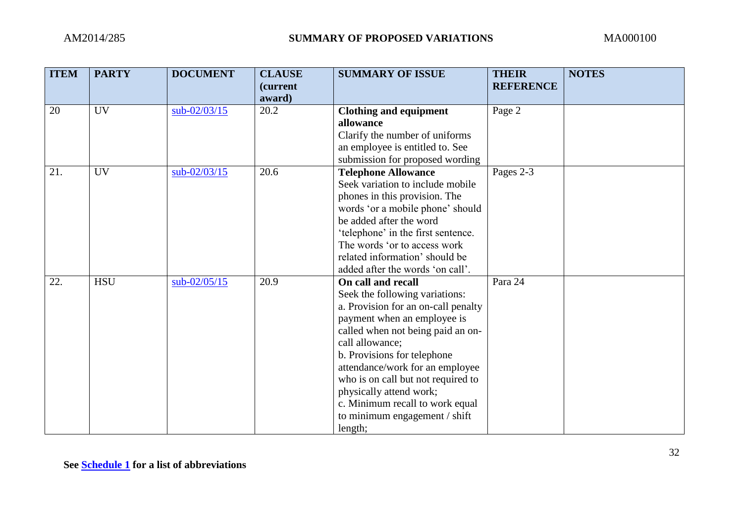| <b>ITEM</b> | <b>PARTY</b> | <b>DOCUMENT</b> | <b>CLAUSE</b><br>(current<br>award) | <b>SUMMARY OF ISSUE</b>                                                                                                                                                                                                                                                                                                                                                                              | <b>THEIR</b><br><b>REFERENCE</b> | <b>NOTES</b> |
|-------------|--------------|-----------------|-------------------------------------|------------------------------------------------------------------------------------------------------------------------------------------------------------------------------------------------------------------------------------------------------------------------------------------------------------------------------------------------------------------------------------------------------|----------------------------------|--------------|
| 20          | <b>UV</b>    | sub-02/03/15    | 20.2                                | <b>Clothing and equipment</b><br>allowance<br>Clarify the number of uniforms<br>an employee is entitled to. See<br>submission for proposed wording                                                                                                                                                                                                                                                   | Page 2                           |              |
| 21.         | <b>UV</b>    | $sub-02/03/15$  | 20.6                                | <b>Telephone Allowance</b><br>Seek variation to include mobile<br>phones in this provision. The<br>words 'or a mobile phone' should<br>be added after the word<br>'telephone' in the first sentence.<br>The words 'or to access work<br>related information' should be<br>added after the words 'on call'.                                                                                           | Pages 2-3                        |              |
| 22.         | <b>HSU</b>   | $sub-02/05/15$  | 20.9                                | On call and recall<br>Seek the following variations:<br>a. Provision for an on-call penalty<br>payment when an employee is<br>called when not being paid an on-<br>call allowance;<br>b. Provisions for telephone<br>attendance/work for an employee<br>who is on call but not required to<br>physically attend work;<br>c. Minimum recall to work equal<br>to minimum engagement / shift<br>length; | Para 24                          |              |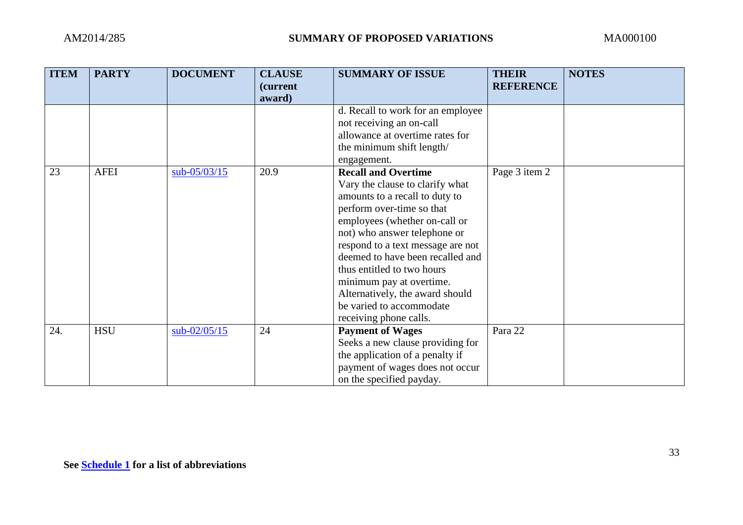| <b>ITEM</b> | <b>PARTY</b> | <b>DOCUMENT</b> | <b>CLAUSE</b><br>(current | <b>SUMMARY OF ISSUE</b>           | <b>THEIR</b><br><b>REFERENCE</b> | <b>NOTES</b> |
|-------------|--------------|-----------------|---------------------------|-----------------------------------|----------------------------------|--------------|
|             |              |                 | award)                    |                                   |                                  |              |
|             |              |                 |                           | d. Recall to work for an employee |                                  |              |
|             |              |                 |                           | not receiving an on-call          |                                  |              |
|             |              |                 |                           | allowance at overtime rates for   |                                  |              |
|             |              |                 |                           | the minimum shift length/         |                                  |              |
|             |              |                 |                           | engagement.                       |                                  |              |
| 23          | <b>AFEI</b>  | $sub-05/03/15$  | 20.9                      | <b>Recall and Overtime</b>        | Page 3 item 2                    |              |
|             |              |                 |                           | Vary the clause to clarify what   |                                  |              |
|             |              |                 |                           | amounts to a recall to duty to    |                                  |              |
|             |              |                 |                           | perform over-time so that         |                                  |              |
|             |              |                 |                           | employees (whether on-call or     |                                  |              |
|             |              |                 |                           | not) who answer telephone or      |                                  |              |
|             |              |                 |                           | respond to a text message are not |                                  |              |
|             |              |                 |                           | deemed to have been recalled and  |                                  |              |
|             |              |                 |                           | thus entitled to two hours        |                                  |              |
|             |              |                 |                           | minimum pay at overtime.          |                                  |              |
|             |              |                 |                           | Alternatively, the award should   |                                  |              |
|             |              |                 |                           | be varied to accommodate          |                                  |              |
|             |              |                 |                           | receiving phone calls.            |                                  |              |
| 24.         | <b>HSU</b>   | $sub-02/05/15$  | 24                        | <b>Payment of Wages</b>           | Para 22                          |              |
|             |              |                 |                           | Seeks a new clause providing for  |                                  |              |
|             |              |                 |                           | the application of a penalty if   |                                  |              |
|             |              |                 |                           | payment of wages does not occur   |                                  |              |
|             |              |                 |                           | on the specified payday.          |                                  |              |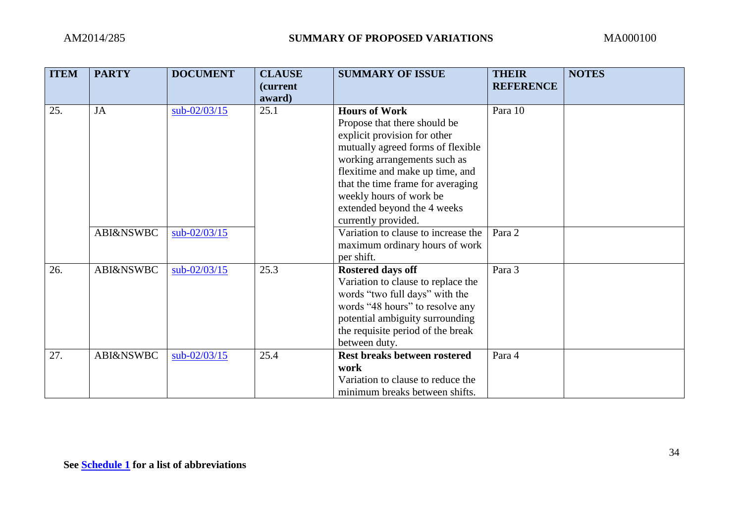| <b>ITEM</b> | <b>PARTY</b>         | <b>DOCUMENT</b> | <b>CLAUSE</b><br><i>(current</i> | <b>SUMMARY OF ISSUE</b>                                                                                                                                                                                                                                                                     | <b>THEIR</b><br><b>REFERENCE</b> | <b>NOTES</b> |
|-------------|----------------------|-----------------|----------------------------------|---------------------------------------------------------------------------------------------------------------------------------------------------------------------------------------------------------------------------------------------------------------------------------------------|----------------------------------|--------------|
|             |                      |                 | award)                           |                                                                                                                                                                                                                                                                                             |                                  |              |
| 25.         | JA                   | $sub-02/03/15$  | 25.1                             | <b>Hours of Work</b><br>Propose that there should be<br>explicit provision for other<br>mutually agreed forms of flexible<br>working arrangements such as<br>flexitime and make up time, and<br>that the time frame for averaging<br>weekly hours of work be<br>extended beyond the 4 weeks | Para 10                          |              |
|             | <b>ABI&amp;NSWBC</b> | sub-02/03/15    |                                  | currently provided.<br>Variation to clause to increase the<br>maximum ordinary hours of work<br>per shift.                                                                                                                                                                                  | Para 2                           |              |
| 26.         | <b>ABI&amp;NSWBC</b> | $sub-02/03/15$  | 25.3                             | <b>Rostered days off</b><br>Variation to clause to replace the<br>words "two full days" with the<br>words "48 hours" to resolve any<br>potential ambiguity surrounding<br>the requisite period of the break<br>between duty.                                                                | Para 3                           |              |
| 27.         | <b>ABI&amp;NSWBC</b> | sub-02/03/15    | 25.4                             | Rest breaks between rostered<br>work<br>Variation to clause to reduce the<br>minimum breaks between shifts.                                                                                                                                                                                 | Para 4                           |              |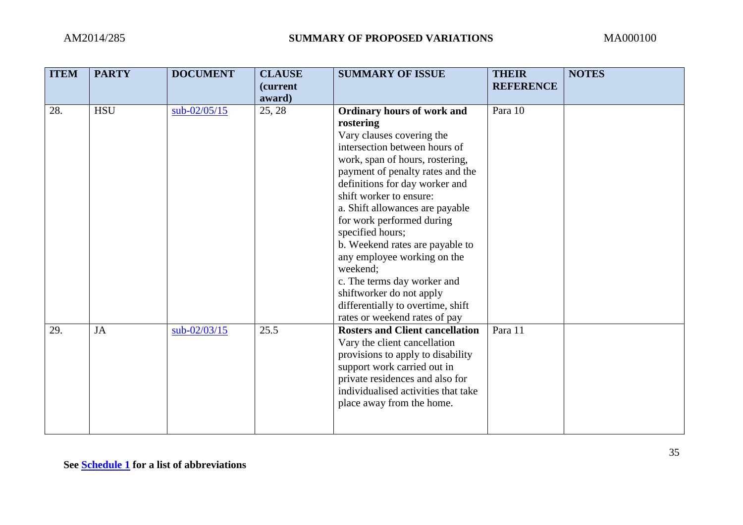| <b>ITEM</b> | <b>PARTY</b> | <b>DOCUMENT</b> | <b>CLAUSE</b><br>(current<br>award) | <b>SUMMARY OF ISSUE</b>                                                                                                                                                                                                                                                                                                                                                                                                                                                                                                                             | <b>THEIR</b><br><b>REFERENCE</b> | <b>NOTES</b> |
|-------------|--------------|-----------------|-------------------------------------|-----------------------------------------------------------------------------------------------------------------------------------------------------------------------------------------------------------------------------------------------------------------------------------------------------------------------------------------------------------------------------------------------------------------------------------------------------------------------------------------------------------------------------------------------------|----------------------------------|--------------|
| 28.         | <b>HSU</b>   | $sub-02/05/15$  | 25, 28                              | <b>Ordinary hours of work and</b><br>rostering<br>Vary clauses covering the<br>intersection between hours of<br>work, span of hours, rostering,<br>payment of penalty rates and the<br>definitions for day worker and<br>shift worker to ensure:<br>a. Shift allowances are payable<br>for work performed during<br>specified hours;<br>b. Weekend rates are payable to<br>any employee working on the<br>weekend;<br>c. The terms day worker and<br>shiftworker do not apply<br>differentially to overtime, shift<br>rates or weekend rates of pay | Para 10                          |              |
| 29.         | $\rm JA$     | $sub-02/03/15$  | 25.5                                | <b>Rosters and Client cancellation</b><br>Vary the client cancellation<br>provisions to apply to disability<br>support work carried out in<br>private residences and also for<br>individualised activities that take<br>place away from the home.                                                                                                                                                                                                                                                                                                   | Para 11                          |              |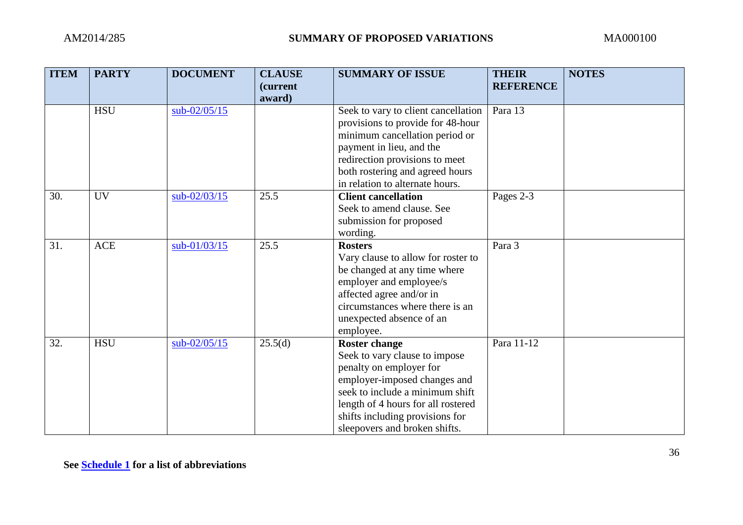| <b>ITEM</b> | <b>PARTY</b> | <b>DOCUMENT</b> | <b>CLAUSE</b><br>(current<br>award) | <b>SUMMARY OF ISSUE</b>                                                                                                                                                                                                                                       | <b>THEIR</b><br><b>REFERENCE</b> | <b>NOTES</b> |
|-------------|--------------|-----------------|-------------------------------------|---------------------------------------------------------------------------------------------------------------------------------------------------------------------------------------------------------------------------------------------------------------|----------------------------------|--------------|
|             | <b>HSU</b>   | sub-02/05/15    |                                     | Seek to vary to client cancellation<br>provisions to provide for 48-hour<br>minimum cancellation period or<br>payment in lieu, and the<br>redirection provisions to meet<br>both rostering and agreed hours<br>in relation to alternate hours.                | Para 13                          |              |
| 30.         | <b>UV</b>    | $sub-02/03/15$  | 25.5                                | <b>Client cancellation</b><br>Seek to amend clause. See<br>submission for proposed<br>wording.                                                                                                                                                                | Pages 2-3                        |              |
| 31.         | <b>ACE</b>   | $sub-01/03/15$  | 25.5                                | <b>Rosters</b><br>Vary clause to allow for roster to<br>be changed at any time where<br>employer and employee/s<br>affected agree and/or in<br>circumstances where there is an<br>unexpected absence of an<br>employee.                                       | Para 3                           |              |
| 32.         | <b>HSU</b>   | $sub-02/05/15$  | 25.5(d)                             | <b>Roster change</b><br>Seek to vary clause to impose<br>penalty on employer for<br>employer-imposed changes and<br>seek to include a minimum shift<br>length of 4 hours for all rostered<br>shifts including provisions for<br>sleepovers and broken shifts. | Para 11-12                       |              |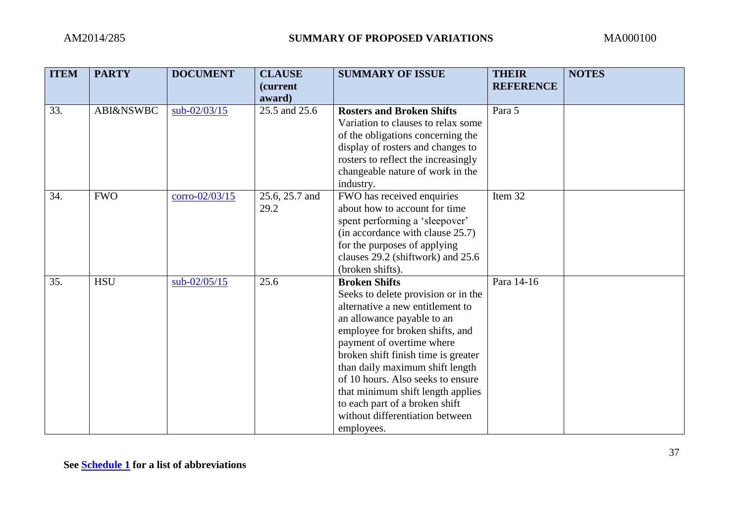| <b>ITEM</b> | <b>PARTY</b>         | <b>DOCUMENT</b>  | <b>CLAUSE</b><br>(current<br>award) | <b>SUMMARY OF ISSUE</b>                                                                                                                                                                                                                                                                                                                                                                                                              | <b>THEIR</b><br><b>REFERENCE</b> | <b>NOTES</b> |
|-------------|----------------------|------------------|-------------------------------------|--------------------------------------------------------------------------------------------------------------------------------------------------------------------------------------------------------------------------------------------------------------------------------------------------------------------------------------------------------------------------------------------------------------------------------------|----------------------------------|--------------|
| 33.         | <b>ABI&amp;NSWBC</b> | $sub-02/03/15$   | 25.5 and 25.6                       | <b>Rosters and Broken Shifts</b><br>Variation to clauses to relax some<br>of the obligations concerning the<br>display of rosters and changes to<br>rosters to reflect the increasingly<br>changeable nature of work in the<br>industry.                                                                                                                                                                                             | Para 5                           |              |
| 34.         | <b>FWO</b>           | $corro-02/03/15$ | 25.6, 25.7 and<br>29.2              | FWO has received enquiries<br>about how to account for time<br>spent performing a 'sleepover'<br>(in accordance with clause 25.7)<br>for the purposes of applying<br>clauses 29.2 (shiftwork) and 25.6<br>(broken shifts).                                                                                                                                                                                                           | Item 32                          |              |
| 35.         | <b>HSU</b>           | $sub-02/05/15$   | 25.6                                | <b>Broken Shifts</b><br>Seeks to delete provision or in the<br>alternative a new entitlement to<br>an allowance payable to an<br>employee for broken shifts, and<br>payment of overtime where<br>broken shift finish time is greater<br>than daily maximum shift length<br>of 10 hours. Also seeks to ensure<br>that minimum shift length applies<br>to each part of a broken shift<br>without differentiation between<br>employees. | Para 14-16                       |              |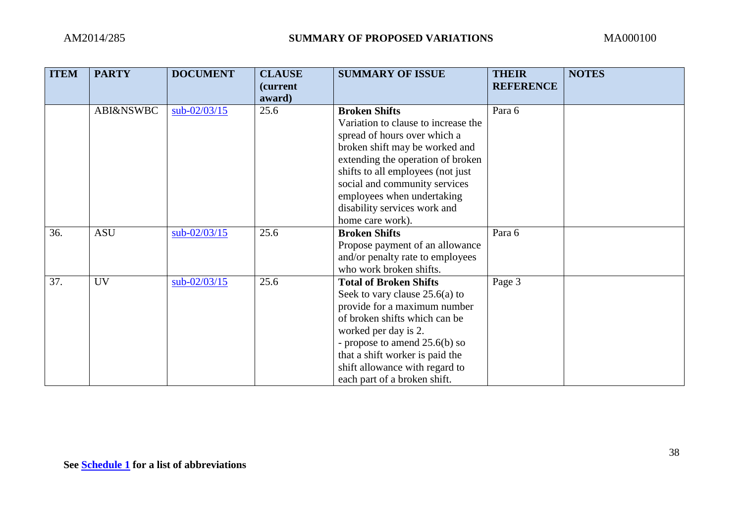| <b>ITEM</b> | <b>PARTY</b>         | <b>DOCUMENT</b> | <b>CLAUSE</b><br>(current | <b>SUMMARY OF ISSUE</b>                                                                                                                                                                                                                                                                                                    | <b>THEIR</b><br><b>REFERENCE</b> | <b>NOTES</b> |
|-------------|----------------------|-----------------|---------------------------|----------------------------------------------------------------------------------------------------------------------------------------------------------------------------------------------------------------------------------------------------------------------------------------------------------------------------|----------------------------------|--------------|
|             |                      |                 | award)                    |                                                                                                                                                                                                                                                                                                                            |                                  |              |
|             | <b>ABI&amp;NSWBC</b> | sub-02/03/15    | 25.6                      | <b>Broken Shifts</b><br>Variation to clause to increase the<br>spread of hours over which a<br>broken shift may be worked and<br>extending the operation of broken<br>shifts to all employees (not just<br>social and community services<br>employees when undertaking<br>disability services work and<br>home care work). | Para 6                           |              |
| 36.         | <b>ASU</b>           | $sub-02/03/15$  | 25.6                      | <b>Broken Shifts</b><br>Propose payment of an allowance<br>and/or penalty rate to employees<br>who work broken shifts.                                                                                                                                                                                                     | Para 6                           |              |
| 37.         | <b>UV</b>            | $sub-02/03/15$  | 25.6                      | <b>Total of Broken Shifts</b><br>Seek to vary clause $25.6(a)$ to<br>provide for a maximum number<br>of broken shifts which can be<br>worked per day is 2.<br>- propose to amend $25.6(b)$ so<br>that a shift worker is paid the<br>shift allowance with regard to<br>each part of a broken shift.                         | Page 3                           |              |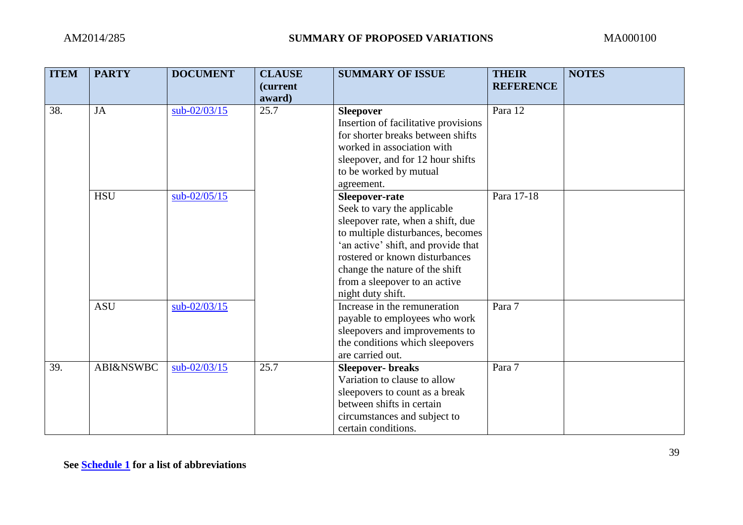| <b>ITEM</b> | <b>PARTY</b>         | <b>DOCUMENT</b> | <b>CLAUSE</b><br>(current<br>award) | <b>SUMMARY OF ISSUE</b>              | <b>THEIR</b><br><b>REFERENCE</b> | <b>NOTES</b> |
|-------------|----------------------|-----------------|-------------------------------------|--------------------------------------|----------------------------------|--------------|
| 38.         | JA                   | $sub-02/03/15$  | 25.7                                | <b>Sleepover</b>                     | Para 12                          |              |
|             |                      |                 |                                     | Insertion of facilitative provisions |                                  |              |
|             |                      |                 |                                     | for shorter breaks between shifts    |                                  |              |
|             |                      |                 |                                     | worked in association with           |                                  |              |
|             |                      |                 |                                     | sleepover, and for 12 hour shifts    |                                  |              |
|             |                      |                 |                                     | to be worked by mutual               |                                  |              |
|             |                      |                 |                                     | agreement.                           |                                  |              |
|             | <b>HSU</b>           | $sub-02/05/15$  |                                     | Sleepover-rate                       | Para 17-18                       |              |
|             |                      |                 |                                     | Seek to vary the applicable          |                                  |              |
|             |                      |                 |                                     | sleepover rate, when a shift, due    |                                  |              |
|             |                      |                 |                                     | to multiple disturbances, becomes    |                                  |              |
|             |                      |                 |                                     | 'an active' shift, and provide that  |                                  |              |
|             |                      |                 |                                     | rostered or known disturbances       |                                  |              |
|             |                      |                 |                                     | change the nature of the shift       |                                  |              |
|             |                      |                 |                                     | from a sleepover to an active        |                                  |              |
|             |                      |                 |                                     | night duty shift.                    |                                  |              |
|             | <b>ASU</b>           | sub-02/03/15    |                                     | Increase in the remuneration         | Para 7                           |              |
|             |                      |                 |                                     | payable to employees who work        |                                  |              |
|             |                      |                 |                                     | sleepovers and improvements to       |                                  |              |
|             |                      |                 |                                     | the conditions which sleepovers      |                                  |              |
|             |                      |                 |                                     | are carried out.                     |                                  |              |
| 39.         | <b>ABI&amp;NSWBC</b> | $sub-02/03/15$  | 25.7                                | <b>Sleepover-</b> breaks             | Para 7                           |              |
|             |                      |                 |                                     | Variation to clause to allow         |                                  |              |
|             |                      |                 |                                     | sleepovers to count as a break       |                                  |              |
|             |                      |                 |                                     | between shifts in certain            |                                  |              |
|             |                      |                 |                                     | circumstances and subject to         |                                  |              |
|             |                      |                 |                                     | certain conditions.                  |                                  |              |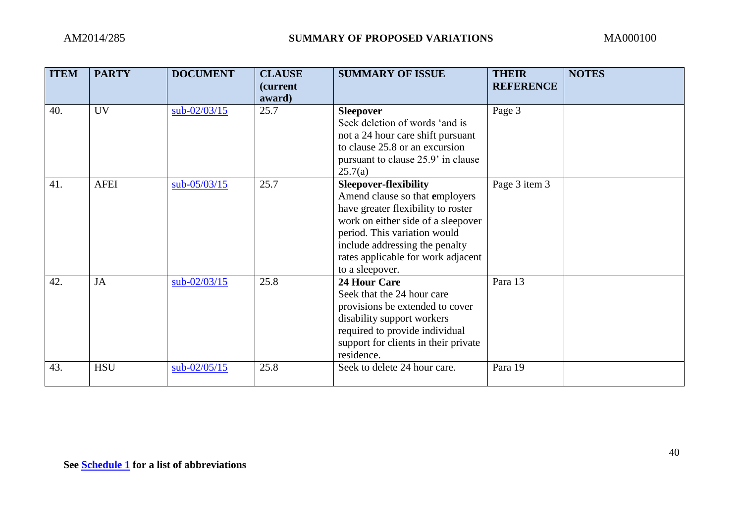| <b>ITEM</b> | <b>PARTY</b> | <b>DOCUMENT</b> | <b>CLAUSE</b><br><i>(current)</i><br>award) | <b>SUMMARY OF ISSUE</b>                                                                                                                                                                                                                                               | <b>THEIR</b><br><b>REFERENCE</b> | <b>NOTES</b> |
|-------------|--------------|-----------------|---------------------------------------------|-----------------------------------------------------------------------------------------------------------------------------------------------------------------------------------------------------------------------------------------------------------------------|----------------------------------|--------------|
| 40.         | <b>UV</b>    | $sub-02/03/15$  | 25.7                                        | <b>Sleepover</b><br>Seek deletion of words 'and is<br>not a 24 hour care shift pursuant<br>to clause 25.8 or an excursion<br>pursuant to clause 25.9' in clause<br>25.7(a)                                                                                            | Page 3                           |              |
| 41.         | <b>AFEI</b>  | $sub-05/03/15$  | 25.7                                        | <b>Sleepover-flexibility</b><br>Amend clause so that employers<br>have greater flexibility to roster<br>work on either side of a sleepover<br>period. This variation would<br>include addressing the penalty<br>rates applicable for work adjacent<br>to a sleepover. | Page 3 item 3                    |              |
| 42.         | <b>JA</b>    | $sub-02/03/15$  | 25.8                                        | <b>24 Hour Care</b><br>Seek that the 24 hour care<br>provisions be extended to cover<br>disability support workers<br>required to provide individual<br>support for clients in their private<br>residence.                                                            | Para 13                          |              |
| 43.         | <b>HSU</b>   | $sub-02/05/15$  | 25.8                                        | Seek to delete 24 hour care.                                                                                                                                                                                                                                          | Para 19                          |              |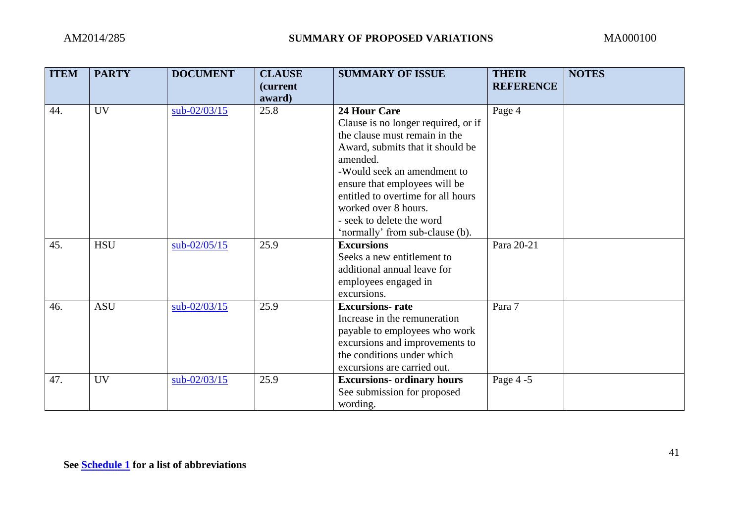| <b>ITEM</b> | <b>PARTY</b> | <b>DOCUMENT</b> | <b>CLAUSE</b>              | <b>SUMMARY OF ISSUE</b>                                                                                                                                                                                                                                                   | <b>THEIR</b>     | <b>NOTES</b> |
|-------------|--------------|-----------------|----------------------------|---------------------------------------------------------------------------------------------------------------------------------------------------------------------------------------------------------------------------------------------------------------------------|------------------|--------------|
|             |              |                 | <i>(current)</i><br>award) |                                                                                                                                                                                                                                                                           | <b>REFERENCE</b> |              |
| 44.         | <b>UV</b>    | sub-02/03/15    | 25.8                       | <b>24 Hour Care</b><br>Clause is no longer required, or if<br>the clause must remain in the<br>Award, submits that it should be<br>amended.<br>-Would seek an amendment to<br>ensure that employees will be<br>entitled to overtime for all hours<br>worked over 8 hours. | Page 4           |              |
| 45.         | <b>HSU</b>   | $sub-02/05/15$  | 25.9                       | - seek to delete the word<br>'normally' from sub-clause (b).<br><b>Excursions</b><br>Seeks a new entitlement to                                                                                                                                                           | Para 20-21       |              |
|             |              |                 |                            | additional annual leave for<br>employees engaged in<br>excursions.                                                                                                                                                                                                        |                  |              |
| 46.         | <b>ASU</b>   | $sub-02/03/15$  | 25.9                       | <b>Excursions-</b> rate<br>Increase in the remuneration<br>payable to employees who work<br>excursions and improvements to<br>the conditions under which<br>excursions are carried out.                                                                                   | Para 7           |              |
| 47.         | <b>UV</b>    | $sub-02/03/15$  | 25.9                       | <b>Excursions- ordinary hours</b><br>See submission for proposed<br>wording.                                                                                                                                                                                              | Page 4 -5        |              |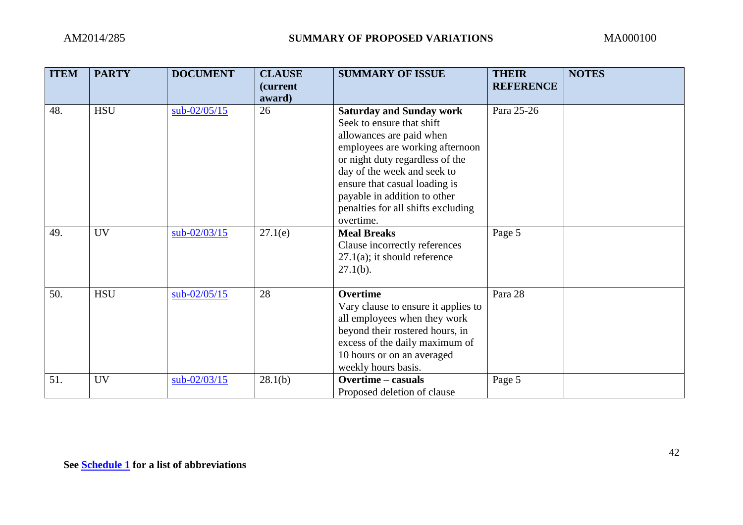| <b>ITEM</b> | <b>PARTY</b> | <b>DOCUMENT</b> | <b>CLAUSE</b><br><i>(current)</i> | <b>SUMMARY OF ISSUE</b>                                                                                                                                                                                                                                                                                           | <b>THEIR</b><br><b>REFERENCE</b> | <b>NOTES</b> |
|-------------|--------------|-----------------|-----------------------------------|-------------------------------------------------------------------------------------------------------------------------------------------------------------------------------------------------------------------------------------------------------------------------------------------------------------------|----------------------------------|--------------|
|             |              |                 | award)                            |                                                                                                                                                                                                                                                                                                                   |                                  |              |
| 48.         | <b>HSU</b>   | $sub-02/05/15$  | 26                                | <b>Saturday and Sunday work</b><br>Seek to ensure that shift<br>allowances are paid when<br>employees are working afternoon<br>or night duty regardless of the<br>day of the week and seek to<br>ensure that casual loading is<br>payable in addition to other<br>penalties for all shifts excluding<br>overtime. | Para 25-26                       |              |
| 49.         | <b>UV</b>    | $sub-02/03/15$  | 27.1(e)                           | <b>Meal Breaks</b><br>Clause incorrectly references<br>$27.1(a)$ ; it should reference<br>$27.1(b)$ .                                                                                                                                                                                                             | Page 5                           |              |
| 50.         | <b>HSU</b>   | $sub-02/05/15$  | 28                                | Overtime<br>Vary clause to ensure it applies to<br>all employees when they work<br>beyond their rostered hours, in<br>excess of the daily maximum of<br>10 hours or on an averaged<br>weekly hours basis.                                                                                                         | Para 28                          |              |
| 51.         | <b>UV</b>    | $sub-02/03/15$  | 28.1(b)                           | Overtime - casuals<br>Proposed deletion of clause                                                                                                                                                                                                                                                                 | Page 5                           |              |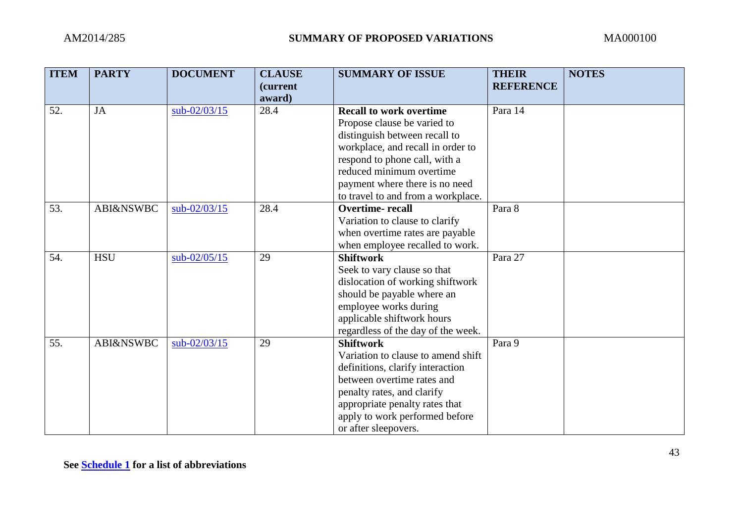| <b>ITEM</b> | <b>PARTY</b>         | <b>DOCUMENT</b> | <b>CLAUSE</b><br>(current<br>award) | <b>SUMMARY OF ISSUE</b>            | <b>THEIR</b><br><b>REFERENCE</b> | <b>NOTES</b> |
|-------------|----------------------|-----------------|-------------------------------------|------------------------------------|----------------------------------|--------------|
| 52.         | <b>JA</b>            | sub-02/03/15    | 28.4                                | <b>Recall to work overtime</b>     | Para 14                          |              |
|             |                      |                 |                                     | Propose clause be varied to        |                                  |              |
|             |                      |                 |                                     | distinguish between recall to      |                                  |              |
|             |                      |                 |                                     | workplace, and recall in order to  |                                  |              |
|             |                      |                 |                                     | respond to phone call, with a      |                                  |              |
|             |                      |                 |                                     | reduced minimum overtime           |                                  |              |
|             |                      |                 |                                     | payment where there is no need     |                                  |              |
|             |                      |                 |                                     | to travel to and from a workplace. |                                  |              |
| 53.         | <b>ABI&amp;NSWBC</b> | $sub-02/03/15$  | 28.4                                | <b>Overtime-recall</b>             | Para 8                           |              |
|             |                      |                 |                                     | Variation to clause to clarify     |                                  |              |
|             |                      |                 |                                     | when overtime rates are payable    |                                  |              |
|             |                      |                 |                                     | when employee recalled to work.    |                                  |              |
| 54.         | <b>HSU</b>           | $sub-02/05/15$  | 29                                  | <b>Shiftwork</b>                   | Para 27                          |              |
|             |                      |                 |                                     | Seek to vary clause so that        |                                  |              |
|             |                      |                 |                                     | dislocation of working shiftwork   |                                  |              |
|             |                      |                 |                                     | should be payable where an         |                                  |              |
|             |                      |                 |                                     | employee works during              |                                  |              |
|             |                      |                 |                                     | applicable shiftwork hours         |                                  |              |
|             |                      |                 |                                     | regardless of the day of the week. |                                  |              |
| 55.         | <b>ABI&amp;NSWBC</b> | $sub-02/03/15$  | 29                                  | <b>Shiftwork</b>                   | Para 9                           |              |
|             |                      |                 |                                     | Variation to clause to amend shift |                                  |              |
|             |                      |                 |                                     | definitions, clarify interaction   |                                  |              |
|             |                      |                 |                                     | between overtime rates and         |                                  |              |
|             |                      |                 |                                     | penalty rates, and clarify         |                                  |              |
|             |                      |                 |                                     | appropriate penalty rates that     |                                  |              |
|             |                      |                 |                                     | apply to work performed before     |                                  |              |
|             |                      |                 |                                     | or after sleepovers.               |                                  |              |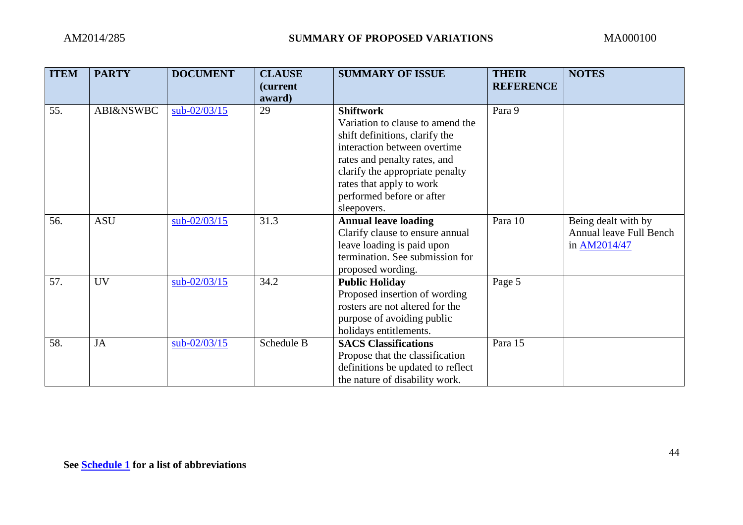| <b>ITEM</b> | <b>PARTY</b>         | <b>DOCUMENT</b> | <b>CLAUSE</b><br><i>(current)</i> | <b>SUMMARY OF ISSUE</b>                  | <b>THEIR</b><br><b>REFERENCE</b> | <b>NOTES</b>            |
|-------------|----------------------|-----------------|-----------------------------------|------------------------------------------|----------------------------------|-------------------------|
|             |                      |                 | award)                            |                                          |                                  |                         |
| 55.         | <b>ABI&amp;NSWBC</b> | $sub-02/03/15$  | 29                                | <b>Shiftwork</b>                         | Para 9                           |                         |
|             |                      |                 |                                   | Variation to clause to amend the         |                                  |                         |
|             |                      |                 |                                   | shift definitions, clarify the           |                                  |                         |
|             |                      |                 |                                   | interaction between overtime             |                                  |                         |
|             |                      |                 |                                   | rates and penalty rates, and             |                                  |                         |
|             |                      |                 |                                   | clarify the appropriate penalty          |                                  |                         |
|             |                      |                 |                                   | rates that apply to work                 |                                  |                         |
|             |                      |                 |                                   | performed before or after<br>sleepovers. |                                  |                         |
| 56.         | <b>ASU</b>           | sub-02/03/15    | 31.3                              | <b>Annual leave loading</b>              | Para 10                          | Being dealt with by     |
|             |                      |                 |                                   | Clarify clause to ensure annual          |                                  | Annual leave Full Bench |
|             |                      |                 |                                   | leave loading is paid upon               |                                  | in AM2014/47            |
|             |                      |                 |                                   | termination. See submission for          |                                  |                         |
|             |                      |                 |                                   | proposed wording.                        |                                  |                         |
| 57.         | <b>UV</b>            | $sub-02/03/15$  | 34.2                              | <b>Public Holiday</b>                    | Page 5                           |                         |
|             |                      |                 |                                   | Proposed insertion of wording            |                                  |                         |
|             |                      |                 |                                   | rosters are not altered for the          |                                  |                         |
|             |                      |                 |                                   | purpose of avoiding public               |                                  |                         |
|             |                      |                 |                                   | holidays entitlements.                   |                                  |                         |
| 58.         | JA                   | $sub-02/03/15$  | Schedule B                        | <b>SACS Classifications</b>              | Para 15                          |                         |
|             |                      |                 |                                   | Propose that the classification          |                                  |                         |
|             |                      |                 |                                   | definitions be updated to reflect        |                                  |                         |
|             |                      |                 |                                   | the nature of disability work.           |                                  |                         |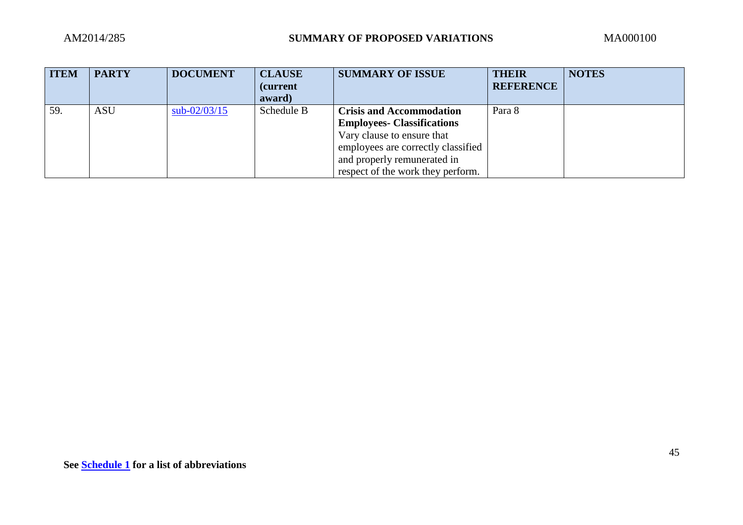| <b>ITEM</b> | <b>PARTY</b> | <b>DOCUMENT</b> | <b>CLAUSE</b>    | <b>SUMMARY OF ISSUE</b>            | THEIR            | <b>NOTES</b> |
|-------------|--------------|-----------------|------------------|------------------------------------|------------------|--------------|
|             |              |                 | <i>(current)</i> |                                    | <b>REFERENCE</b> |              |
|             |              |                 | award)           |                                    |                  |              |
| 59.         | <b>ASU</b>   | $sub-02/03/15$  | Schedule B       | <b>Crisis and Accommodation</b>    | Para 8           |              |
|             |              |                 |                  | <b>Employees- Classifications</b>  |                  |              |
|             |              |                 |                  | Vary clause to ensure that         |                  |              |
|             |              |                 |                  | employees are correctly classified |                  |              |
|             |              |                 |                  | and properly remunerated in        |                  |              |
|             |              |                 |                  | respect of the work they perform.  |                  |              |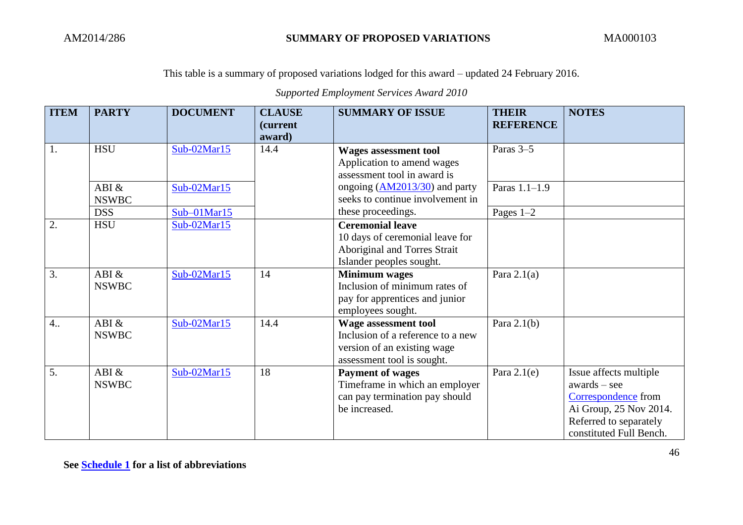*Supported Employment Services Award 2010*

| <b>ITEM</b>      | <b>PARTY</b>             | <b>DOCUMENT</b> | <b>CLAUSE</b>              | <b>SUMMARY OF ISSUE</b>                                                                                                       | <b>THEIR</b>     | <b>NOTES</b>                                                                                                                                   |
|------------------|--------------------------|-----------------|----------------------------|-------------------------------------------------------------------------------------------------------------------------------|------------------|------------------------------------------------------------------------------------------------------------------------------------------------|
|                  |                          |                 | <i>(current)</i><br>award) |                                                                                                                               | <b>REFERENCE</b> |                                                                                                                                                |
| 1.               | <b>HSU</b>               | Sub-02Mar15     | 14.4                       | <b>Wages assessment tool</b>                                                                                                  | Paras 3-5        |                                                                                                                                                |
|                  |                          |                 |                            | Application to amend wages<br>assessment tool in award is                                                                     |                  |                                                                                                                                                |
|                  | ABI $&$<br><b>NSWBC</b>  | Sub-02Mar15     |                            | ongoing $(AM2013/30)$ and party<br>seeks to continue involvement in                                                           | Paras 1.1-1.9    |                                                                                                                                                |
|                  | DSS                      | $Sub-01Mar15$   |                            | these proceedings.                                                                                                            | Pages $1-2$      |                                                                                                                                                |
| 2.               | <b>HSU</b>               | Sub-02Mar15     |                            | <b>Ceremonial leave</b><br>10 days of ceremonial leave for<br>Aboriginal and Torres Strait<br>Islander peoples sought.        |                  |                                                                                                                                                |
| $\overline{3}$ . | ABI $\&$<br><b>NSWBC</b> | $Sub-02Mar15$   | 14                         | <b>Minimum</b> wages<br>Inclusion of minimum rates of<br>pay for apprentices and junior<br>employees sought.                  | Para $2.1(a)$    |                                                                                                                                                |
| 4.               | ABI $\&$<br><b>NSWBC</b> | Sub-02Mar15     | 14.4                       | <b>Wage assessment tool</b><br>Inclusion of a reference to a new<br>version of an existing wage<br>assessment tool is sought. | Para $2.1(b)$    |                                                                                                                                                |
| $\overline{5}$ . | ABI $\&$<br><b>NSWBC</b> | Sub-02Mar15     | 18                         | <b>Payment of wages</b><br>Timeframe in which an employer<br>can pay termination pay should<br>be increased.                  | Para $2.1(e)$    | Issue affects multiple<br>$awards - see$<br>Correspondence from<br>Ai Group, 25 Nov 2014.<br>Referred to separately<br>constituted Full Bench. |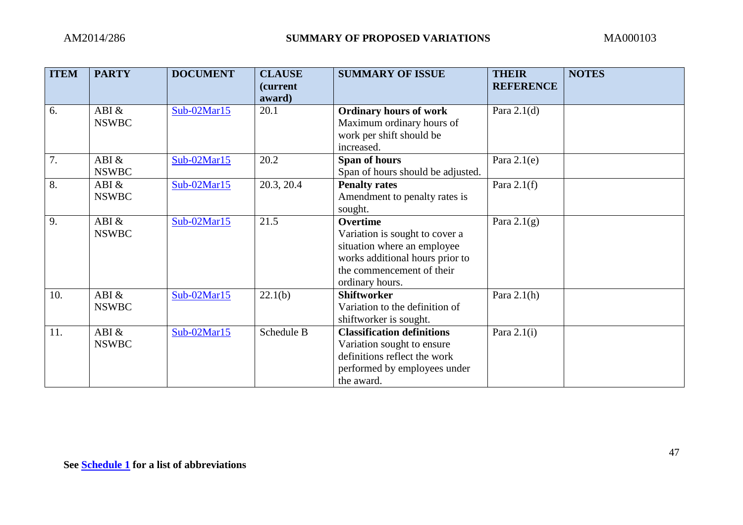| <b>ITEM</b> | <b>PARTY</b> | <b>DOCUMENT</b> | <b>CLAUSE</b><br>(current | <b>SUMMARY OF ISSUE</b>           | <b>THEIR</b><br><b>REFERENCE</b> | <b>NOTES</b> |
|-------------|--------------|-----------------|---------------------------|-----------------------------------|----------------------------------|--------------|
|             |              |                 | award)                    |                                   |                                  |              |
| 6.          | ABI &        | $Sub-02Mar15$   | 20.1                      | <b>Ordinary hours of work</b>     | Para $2.1(d)$                    |              |
|             | <b>NSWBC</b> |                 |                           | Maximum ordinary hours of         |                                  |              |
|             |              |                 |                           | work per shift should be          |                                  |              |
|             |              |                 |                           | increased.                        |                                  |              |
| 7.          | ABI &        | Sub-02Mar15     | 20.2                      | Span of hours                     | Para $2.1(e)$                    |              |
|             | <b>NSWBC</b> |                 |                           | Span of hours should be adjusted. |                                  |              |
| 8.          | ABI $\&$     | $Sub-02Mar15$   | 20.3, 20.4                | <b>Penalty rates</b>              | Para $2.1(f)$                    |              |
|             | <b>NSWBC</b> |                 |                           | Amendment to penalty rates is     |                                  |              |
|             |              |                 |                           | sought.                           |                                  |              |
| 9.          | ABI &        | $Sub-02Mar15$   | 21.5                      | <b>Overtime</b>                   | Para $2.1(g)$                    |              |
|             | <b>NSWBC</b> |                 |                           | Variation is sought to cover a    |                                  |              |
|             |              |                 |                           | situation where an employee       |                                  |              |
|             |              |                 |                           | works additional hours prior to   |                                  |              |
|             |              |                 |                           | the commencement of their         |                                  |              |
|             |              |                 |                           | ordinary hours.                   |                                  |              |
| 10.         | ABI &        | $Sub-02Mar15$   | 22.1(b)                   | <b>Shiftworker</b>                | Para $2.1(h)$                    |              |
|             | <b>NSWBC</b> |                 |                           | Variation to the definition of    |                                  |              |
|             |              |                 |                           | shiftworker is sought.            |                                  |              |
| 11.         | ABI &        | $Sub-02Mar15$   | Schedule B                | <b>Classification definitions</b> | Para $2.1(i)$                    |              |
|             | <b>NSWBC</b> |                 |                           | Variation sought to ensure        |                                  |              |
|             |              |                 |                           | definitions reflect the work      |                                  |              |
|             |              |                 |                           | performed by employees under      |                                  |              |
|             |              |                 |                           | the award.                        |                                  |              |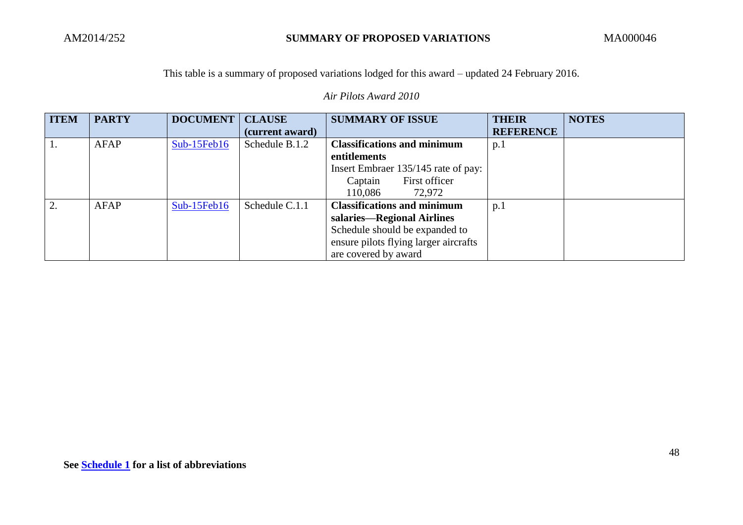*Air Pilots Award 2010*

| <b>ITEM</b> | <b>PARTY</b> | <b>DOCUMENT</b> | <b>CLAUSE</b>   | <b>SUMMARY OF ISSUE</b>               | <b>THEIR</b>     | <b>NOTES</b> |
|-------------|--------------|-----------------|-----------------|---------------------------------------|------------------|--------------|
|             |              |                 | (current award) |                                       | <b>REFERENCE</b> |              |
|             | AFAP         | $Sub-15Feb16$   | Schedule B.1.2  | <b>Classifications and minimum</b>    | p <sub>1</sub>   |              |
|             |              |                 |                 | entitlements                          |                  |              |
|             |              |                 |                 | Insert Embraer 135/145 rate of pay:   |                  |              |
|             |              |                 |                 | First officer<br>Captain              |                  |              |
|             |              |                 |                 | 110,086<br>72,972                     |                  |              |
| $\gamma$    | AFAP         | $Sub-15Feb16$   | Schedule C.1.1  | <b>Classifications and minimum</b>    | p.1              |              |
|             |              |                 |                 | salaries—Regional Airlines            |                  |              |
|             |              |                 |                 | Schedule should be expanded to        |                  |              |
|             |              |                 |                 | ensure pilots flying larger aircrafts |                  |              |
|             |              |                 |                 | are covered by award                  |                  |              |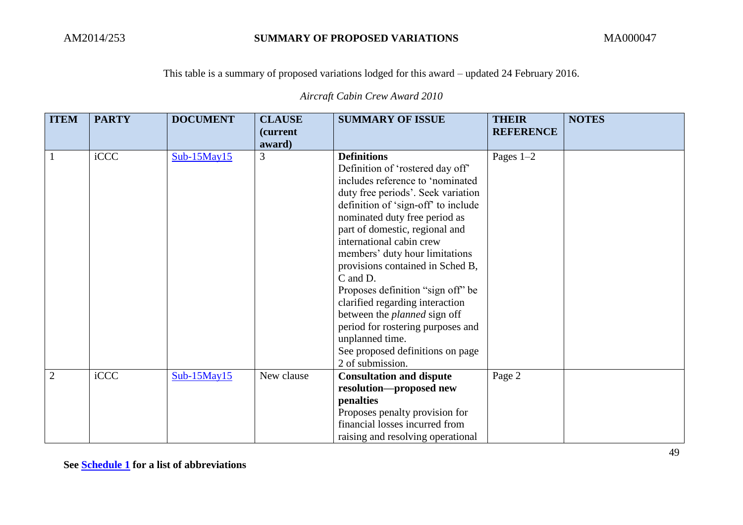*Aircraft Cabin Crew Award 2010*

| <b>ITEM</b>    | <b>PARTY</b> | <b>DOCUMENT</b>   | <b>CLAUSE</b><br><i>(current)</i> | <b>SUMMARY OF ISSUE</b>                                                                                                                                                                                                                                                                                                                                                                                                                                                                                                                                                                 | <b>THEIR</b><br><b>REFERENCE</b> | <b>NOTES</b> |
|----------------|--------------|-------------------|-----------------------------------|-----------------------------------------------------------------------------------------------------------------------------------------------------------------------------------------------------------------------------------------------------------------------------------------------------------------------------------------------------------------------------------------------------------------------------------------------------------------------------------------------------------------------------------------------------------------------------------------|----------------------------------|--------------|
|                |              |                   | award)                            |                                                                                                                                                                                                                                                                                                                                                                                                                                                                                                                                                                                         |                                  |              |
| $\mathbf{1}$   | iCCC         | $Sub-15May15$     | 3                                 | <b>Definitions</b><br>Definition of 'rostered day off'<br>includes reference to 'nominated<br>duty free periods'. Seek variation<br>definition of 'sign-off' to include<br>nominated duty free period as<br>part of domestic, regional and<br>international cabin crew<br>members' duty hour limitations<br>provisions contained in Sched B,<br>C and D.<br>Proposes definition "sign off" be<br>clarified regarding interaction<br>between the <i>planned</i> sign off<br>period for rostering purposes and<br>unplanned time.<br>See proposed definitions on page<br>2 of submission. | Pages $1-2$                      |              |
| $\overline{2}$ | iCCC         | $Sub-15$ May $15$ | New clause                        | <b>Consultation and dispute</b><br>resolution-proposed new<br>penalties<br>Proposes penalty provision for<br>financial losses incurred from<br>raising and resolving operational                                                                                                                                                                                                                                                                                                                                                                                                        | Page 2                           |              |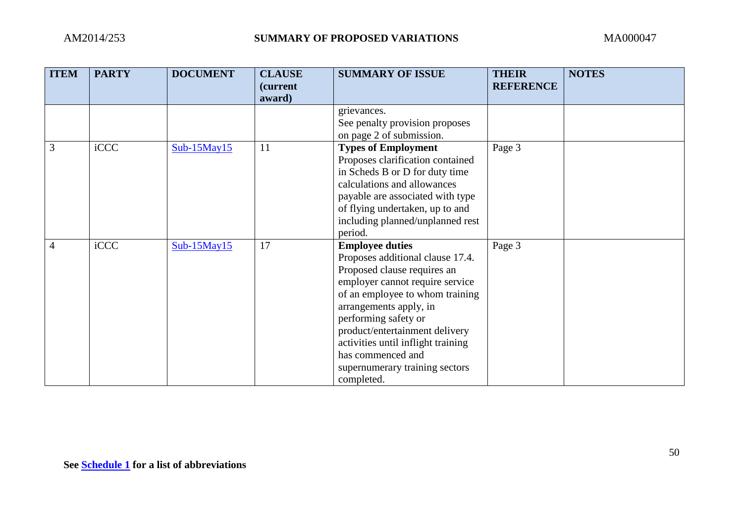| <b>ITEM</b>    | <b>PARTY</b> | <b>DOCUMENT</b>   | <b>CLAUSE</b><br><i>(current)</i><br>award) | <b>SUMMARY OF ISSUE</b>                                                                                                                                                                                                                                                                                                                                        | <b>THEIR</b><br><b>REFERENCE</b> | <b>NOTES</b> |
|----------------|--------------|-------------------|---------------------------------------------|----------------------------------------------------------------------------------------------------------------------------------------------------------------------------------------------------------------------------------------------------------------------------------------------------------------------------------------------------------------|----------------------------------|--------------|
|                |              |                   |                                             | grievances.<br>See penalty provision proposes<br>on page 2 of submission.                                                                                                                                                                                                                                                                                      |                                  |              |
| 3              | iCCC         | $Sub-15$ May $15$ | 11                                          | <b>Types of Employment</b><br>Proposes clarification contained<br>in Scheds B or D for duty time<br>calculations and allowances<br>payable are associated with type<br>of flying undertaken, up to and<br>including planned/unplanned rest<br>period.                                                                                                          | Page 3                           |              |
| $\overline{4}$ | iCCC         | $Sub-15$ May $15$ | 17                                          | <b>Employee duties</b><br>Proposes additional clause 17.4.<br>Proposed clause requires an<br>employer cannot require service<br>of an employee to whom training<br>arrangements apply, in<br>performing safety or<br>product/entertainment delivery<br>activities until inflight training<br>has commenced and<br>supernumerary training sectors<br>completed. | Page 3                           |              |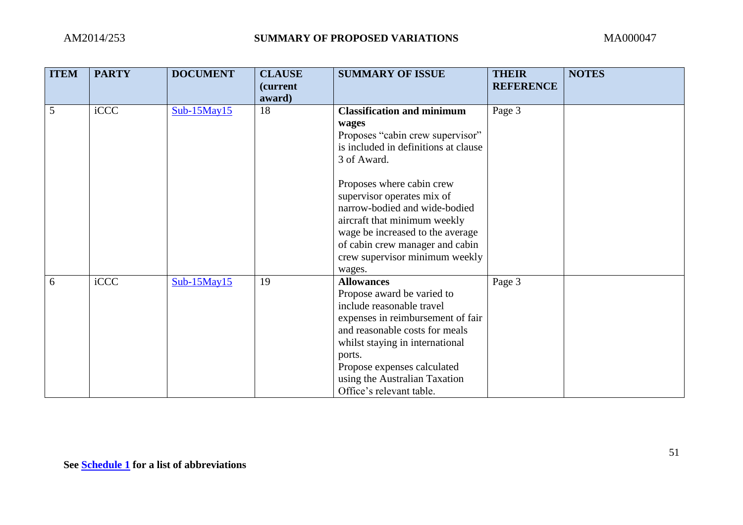| <b>ITEM</b> | <b>PARTY</b> | <b>DOCUMENT</b>   | <b>CLAUSE</b><br>(current | <b>SUMMARY OF ISSUE</b>              | <b>THEIR</b><br><b>REFERENCE</b> | <b>NOTES</b> |
|-------------|--------------|-------------------|---------------------------|--------------------------------------|----------------------------------|--------------|
|             |              |                   | award)                    |                                      |                                  |              |
| 5           | iCCC         | $Sub-15$ May15    | 18                        | <b>Classification and minimum</b>    | Page 3                           |              |
|             |              |                   |                           | wages                                |                                  |              |
|             |              |                   |                           | Proposes "cabin crew supervisor"     |                                  |              |
|             |              |                   |                           | is included in definitions at clause |                                  |              |
|             |              |                   |                           | 3 of Award.                          |                                  |              |
|             |              |                   |                           | Proposes where cabin crew            |                                  |              |
|             |              |                   |                           | supervisor operates mix of           |                                  |              |
|             |              |                   |                           | narrow-bodied and wide-bodied        |                                  |              |
|             |              |                   |                           | aircraft that minimum weekly         |                                  |              |
|             |              |                   |                           | wage be increased to the average     |                                  |              |
|             |              |                   |                           | of cabin crew manager and cabin      |                                  |              |
|             |              |                   |                           | crew supervisor minimum weekly       |                                  |              |
|             |              |                   |                           | wages.                               |                                  |              |
| 6           | iCCC         | $Sub-15$ May $15$ | 19                        | <b>Allowances</b>                    | Page 3                           |              |
|             |              |                   |                           | Propose award be varied to           |                                  |              |
|             |              |                   |                           | include reasonable travel            |                                  |              |
|             |              |                   |                           | expenses in reimbursement of fair    |                                  |              |
|             |              |                   |                           | and reasonable costs for meals       |                                  |              |
|             |              |                   |                           | whilst staying in international      |                                  |              |
|             |              |                   |                           | ports.                               |                                  |              |
|             |              |                   |                           | Propose expenses calculated          |                                  |              |
|             |              |                   |                           | using the Australian Taxation        |                                  |              |
|             |              |                   |                           | Office's relevant table.             |                                  |              |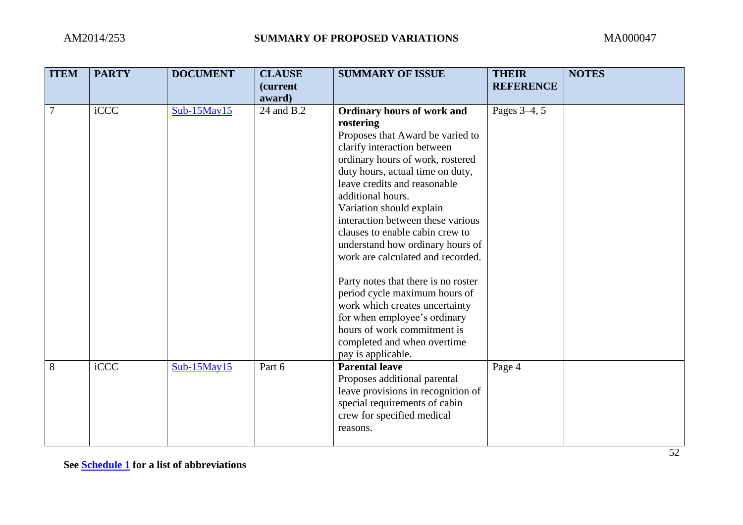| <b>ITEM</b> | <b>PARTY</b> | <b>DOCUMENT</b> | <b>CLAUSE</b><br>(current<br>award) | <b>SUMMARY OF ISSUE</b>                                                                                                                                                                                                                                                                                                                                                                                                                                                                                                                                                                                                                            | <b>THEIR</b><br><b>REFERENCE</b> | <b>NOTES</b> |
|-------------|--------------|-----------------|-------------------------------------|----------------------------------------------------------------------------------------------------------------------------------------------------------------------------------------------------------------------------------------------------------------------------------------------------------------------------------------------------------------------------------------------------------------------------------------------------------------------------------------------------------------------------------------------------------------------------------------------------------------------------------------------------|----------------------------------|--------------|
| 7           | iCCC         | $Sub-15May15$   | 24 and B.2                          | Ordinary hours of work and<br>rostering<br>Proposes that Award be varied to<br>clarify interaction between<br>ordinary hours of work, rostered<br>duty hours, actual time on duty,<br>leave credits and reasonable<br>additional hours.<br>Variation should explain<br>interaction between these various<br>clauses to enable cabin crew to<br>understand how ordinary hours of<br>work are calculated and recorded.<br>Party notes that there is no roster<br>period cycle maximum hours of<br>work which creates uncertainty<br>for when employee's ordinary<br>hours of work commitment is<br>completed and when overtime<br>pay is applicable. | Pages 3–4, 5                     |              |
| 8           | iCCC         | $Sub-15May15$   | Part 6                              | <b>Parental leave</b><br>Proposes additional parental<br>leave provisions in recognition of<br>special requirements of cabin<br>crew for specified medical<br>reasons.                                                                                                                                                                                                                                                                                                                                                                                                                                                                             | Page 4                           |              |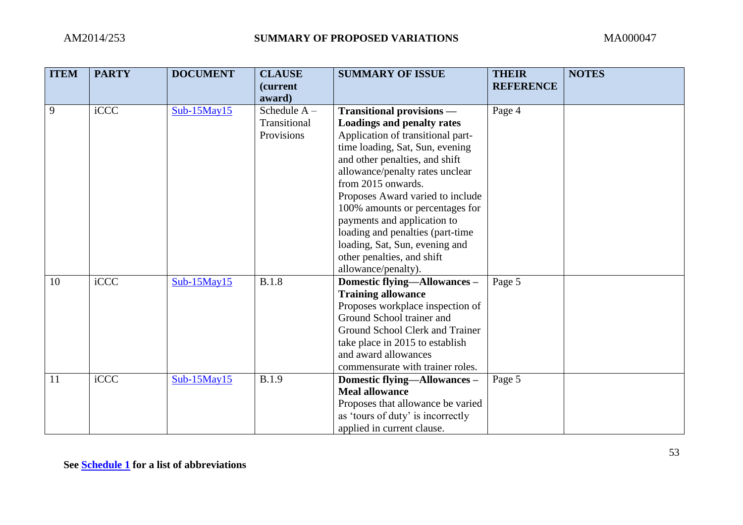| <b>ITEM</b> | <b>PARTY</b> | <b>DOCUMENT</b>   | <b>CLAUSE</b><br>(current<br>award)          | <b>SUMMARY OF ISSUE</b>                                                                                                                                                                                                                                                                                                                 | <b>THEIR</b><br><b>REFERENCE</b> | <b>NOTES</b> |
|-------------|--------------|-------------------|----------------------------------------------|-----------------------------------------------------------------------------------------------------------------------------------------------------------------------------------------------------------------------------------------------------------------------------------------------------------------------------------------|----------------------------------|--------------|
| 9           | iCCC         | $Sub-15$ May15    | Schedule $A -$<br>Transitional<br>Provisions | Transitional provisions -<br><b>Loadings and penalty rates</b><br>Application of transitional part-<br>time loading, Sat, Sun, evening<br>and other penalties, and shift<br>allowance/penalty rates unclear<br>from 2015 onwards.<br>Proposes Award varied to include<br>100% amounts or percentages for<br>payments and application to | Page 4                           |              |
|             |              |                   |                                              | loading and penalties (part-time<br>loading, Sat, Sun, evening and<br>other penalties, and shift<br>allowance/penalty).                                                                                                                                                                                                                 |                                  |              |
| 10          | iCCC         | $Sub-15$ May $15$ | <b>B.1.8</b>                                 | Domestic flying-Allowances-<br><b>Training allowance</b><br>Proposes workplace inspection of<br>Ground School trainer and<br>Ground School Clerk and Trainer<br>take place in 2015 to establish<br>and award allowances<br>commensurate with trainer roles.                                                                             | Page 5                           |              |
| 11          | iCCC         | $Sub-15$ May $15$ | <b>B.1.9</b>                                 | Domestic flying-Allowances -<br><b>Meal allowance</b><br>Proposes that allowance be varied<br>as 'tours of duty' is incorrectly<br>applied in current clause.                                                                                                                                                                           | Page 5                           |              |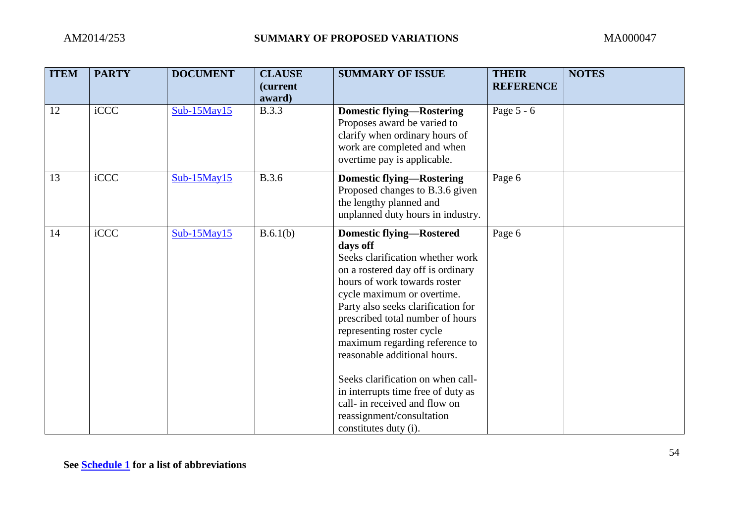| <b>ITEM</b> | <b>PARTY</b> | <b>DOCUMENT</b> | <b>CLAUSE</b><br>(current<br>award) | <b>SUMMARY OF ISSUE</b>                                                                                                                                                                                                                                                                                                                                                                                                                                                                                                       | <b>THEIR</b><br><b>REFERENCE</b> | <b>NOTES</b> |
|-------------|--------------|-----------------|-------------------------------------|-------------------------------------------------------------------------------------------------------------------------------------------------------------------------------------------------------------------------------------------------------------------------------------------------------------------------------------------------------------------------------------------------------------------------------------------------------------------------------------------------------------------------------|----------------------------------|--------------|
| 12          | iCCC         | $Sub-15$ May15  | <b>B.3.3</b>                        | <b>Domestic flying—Rostering</b><br>Proposes award be varied to<br>clarify when ordinary hours of<br>work are completed and when<br>overtime pay is applicable.                                                                                                                                                                                                                                                                                                                                                               | Page 5 - 6                       |              |
| 13          | iCCC         | Sub-15May15     | <b>B.3.6</b>                        | <b>Domestic flying—Rostering</b><br>Proposed changes to B.3.6 given<br>the lengthy planned and<br>unplanned duty hours in industry.                                                                                                                                                                                                                                                                                                                                                                                           | Page 6                           |              |
| 14          | iCCC         | $Sub-15May15$   | B.6.1(b)                            | <b>Domestic flying-Rostered</b><br>days off<br>Seeks clarification whether work<br>on a rostered day off is ordinary<br>hours of work towards roster<br>cycle maximum or overtime.<br>Party also seeks clarification for<br>prescribed total number of hours<br>representing roster cycle<br>maximum regarding reference to<br>reasonable additional hours.<br>Seeks clarification on when call-<br>in interrupts time free of duty as<br>call- in received and flow on<br>reassignment/consultation<br>constitutes duty (i). | Page 6                           |              |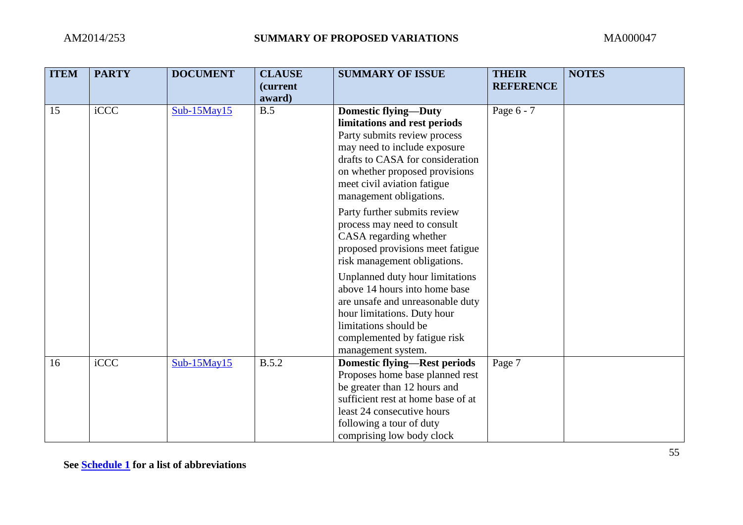| <b>ITEM</b> | <b>PARTY</b> | <b>DOCUMENT</b>   | <b>CLAUSE</b><br>(current<br>award) | <b>SUMMARY OF ISSUE</b>                                                                                                                                                                                                                                     | <b>THEIR</b><br><b>REFERENCE</b> | <b>NOTES</b> |
|-------------|--------------|-------------------|-------------------------------------|-------------------------------------------------------------------------------------------------------------------------------------------------------------------------------------------------------------------------------------------------------------|----------------------------------|--------------|
| 15          | iCCC         | $Sub-15$ May $15$ | B.5                                 | <b>Domestic flying-Duty</b><br>limitations and rest periods<br>Party submits review process<br>may need to include exposure<br>drafts to CASA for consideration<br>on whether proposed provisions<br>meet civil aviation fatigue<br>management obligations. | Page 6 - 7                       |              |
|             |              |                   |                                     | Party further submits review<br>process may need to consult<br>CASA regarding whether<br>proposed provisions meet fatigue<br>risk management obligations.                                                                                                   |                                  |              |
|             |              |                   |                                     | Unplanned duty hour limitations<br>above 14 hours into home base<br>are unsafe and unreasonable duty<br>hour limitations. Duty hour<br>limitations should be<br>complemented by fatigue risk<br>management system.                                          |                                  |              |
| 16          | iCCC         | $Sub-15$ May $15$ | <b>B.5.2</b>                        | <b>Domestic flying—Rest periods</b><br>Proposes home base planned rest<br>be greater than 12 hours and<br>sufficient rest at home base of at<br>least 24 consecutive hours<br>following a tour of duty<br>comprising low body clock                         | Page 7                           |              |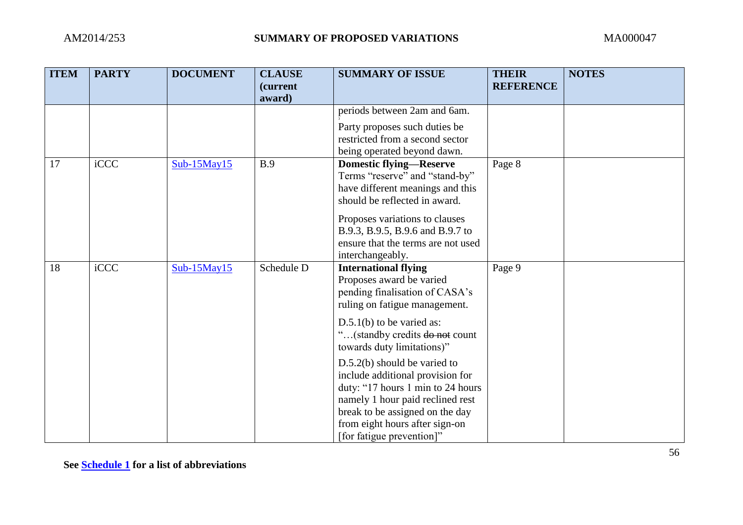| <b>ITEM</b> | <b>PARTY</b> | <b>DOCUMENT</b>   | <b>CLAUSE</b><br>(current<br>award) | <b>SUMMARY OF ISSUE</b>                                                                                                                                                                                                                       | <b>THEIR</b><br><b>REFERENCE</b> | <b>NOTES</b> |
|-------------|--------------|-------------------|-------------------------------------|-----------------------------------------------------------------------------------------------------------------------------------------------------------------------------------------------------------------------------------------------|----------------------------------|--------------|
|             |              |                   |                                     | periods between 2am and 6am.                                                                                                                                                                                                                  |                                  |              |
|             |              |                   |                                     | Party proposes such duties be<br>restricted from a second sector<br>being operated beyond dawn.                                                                                                                                               |                                  |              |
| 17          | iCCC         | $Sub-15May15$     | <b>B.9</b>                          | <b>Domestic flying-Reserve</b><br>Terms "reserve" and "stand-by"<br>have different meanings and this<br>should be reflected in award.                                                                                                         | Page 8                           |              |
|             |              |                   |                                     | Proposes variations to clauses<br>B.9.3, B.9.5, B.9.6 and B.9.7 to<br>ensure that the terms are not used<br>interchangeably.                                                                                                                  |                                  |              |
| 18          | iCCC         | $Sub-15$ May $15$ | Schedule D                          | <b>International flying</b><br>Proposes award be varied<br>pending finalisation of CASA's<br>ruling on fatigue management.                                                                                                                    | Page 9                           |              |
|             |              |                   |                                     | $D.5.1(b)$ to be varied as:<br>(standby credits do not count<br>towards duty limitations)"                                                                                                                                                    |                                  |              |
|             |              |                   |                                     | $D.5.2(b)$ should be varied to<br>include additional provision for<br>duty: "17 hours 1 min to 24 hours<br>namely 1 hour paid reclined rest<br>break to be assigned on the day<br>from eight hours after sign-on<br>[for fatigue prevention]" |                                  |              |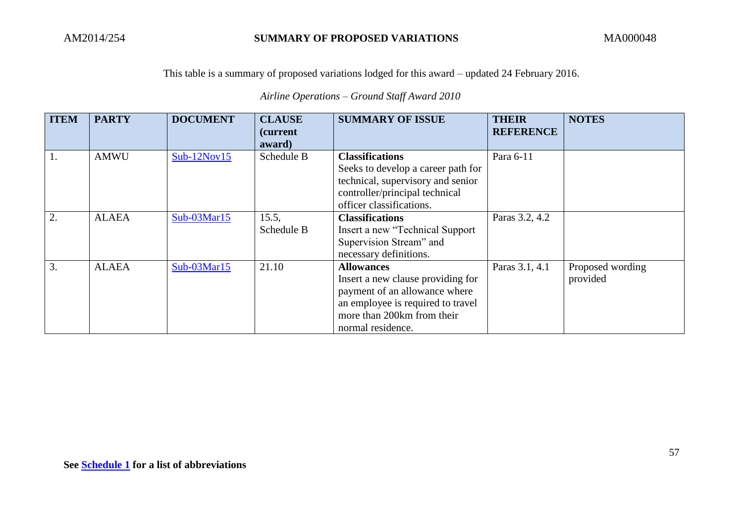*Airline Operations – Ground Staff Award 2010*

| <b>ITEM</b> | <b>PARTY</b> | <b>DOCUMENT</b> | <b>CLAUSE</b><br>(current)<br>award) | <b>SUMMARY OF ISSUE</b>                                                                                                                                                         | <b>THEIR</b><br><b>REFERENCE</b> | <b>NOTES</b>                 |
|-------------|--------------|-----------------|--------------------------------------|---------------------------------------------------------------------------------------------------------------------------------------------------------------------------------|----------------------------------|------------------------------|
|             | <b>AMWU</b>  | $Sub-12Nov15$   | Schedule B                           | <b>Classifications</b><br>Seeks to develop a career path for<br>technical, supervisory and senior<br>controller/principal technical<br>officer classifications.                 | Para 6-11                        |                              |
| 2.          | <b>ALAEA</b> | Sub-03Mar15     | 15.5,<br>Schedule B                  | <b>Classifications</b><br>Insert a new "Technical Support"<br>Supervision Stream" and<br>necessary definitions.                                                                 | Paras 3.2, 4.2                   |                              |
| 3.          | <b>ALAEA</b> | Sub-03Mar15     | 21.10                                | <b>Allowances</b><br>Insert a new clause providing for<br>payment of an allowance where<br>an employee is required to travel<br>more than 200km from their<br>normal residence. | Paras 3.1, 4.1                   | Proposed wording<br>provided |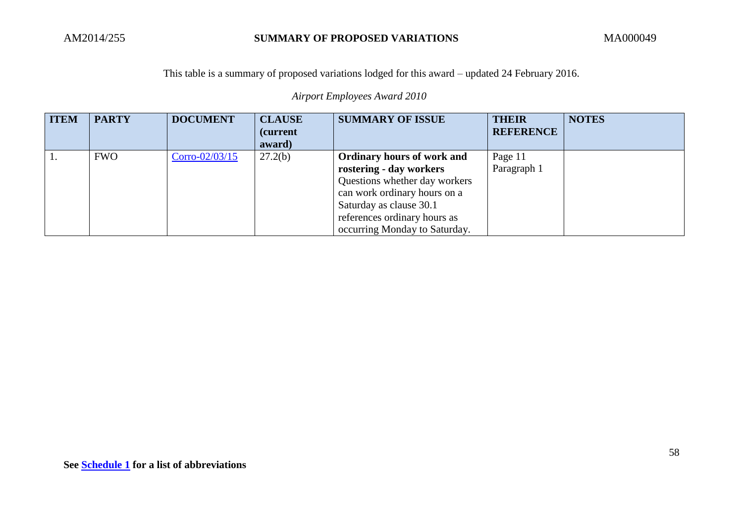*Airport Employees Award 2010*

| <b>ITEM</b> | <b>PARTY</b> | <b>DOCUMENT</b> | <b>CLAUSE</b><br><i>(current)</i><br>award) | <b>SUMMARY OF ISSUE</b>                                                                                                                                                                                                   | <b>THEIR</b><br><b>REFERENCE</b> | <b>NOTES</b> |
|-------------|--------------|-----------------|---------------------------------------------|---------------------------------------------------------------------------------------------------------------------------------------------------------------------------------------------------------------------------|----------------------------------|--------------|
|             | <b>FWO</b>   | Corro-02/03/15  | 27.2(b)                                     | <b>Ordinary hours of work and</b><br>rostering - day workers<br>Questions whether day workers<br>can work ordinary hours on a<br>Saturday as clause 30.1<br>references ordinary hours as<br>occurring Monday to Saturday. | Page 11<br>Paragraph 1           |              |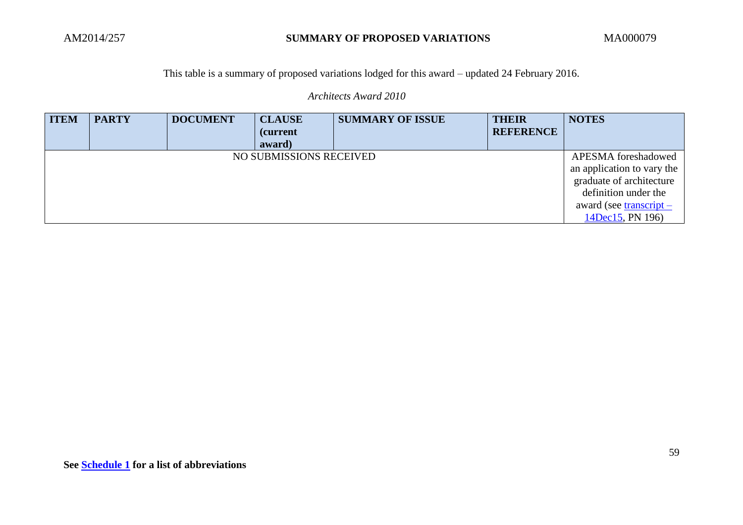*Architects Award 2010*

| <b>ITEM</b> | <b>PARTY</b> | <b>DOCUMENT</b> | <b>CLAUSE</b><br><i>(current)</i><br>award) | <b>SUMMARY OF ISSUE</b> | <b>THEIR</b><br><b>REFERENCE</b> | <b>NOTES</b>                                                                                                                                           |
|-------------|--------------|-----------------|---------------------------------------------|-------------------------|----------------------------------|--------------------------------------------------------------------------------------------------------------------------------------------------------|
|             |              |                 | NO SUBMISSIONS RECEIVED                     |                         |                                  | APESMA foreshadowed<br>an application to vary the<br>graduate of architecture<br>definition under the<br>award (see transcript $-$<br>14Dec15, PN 196) |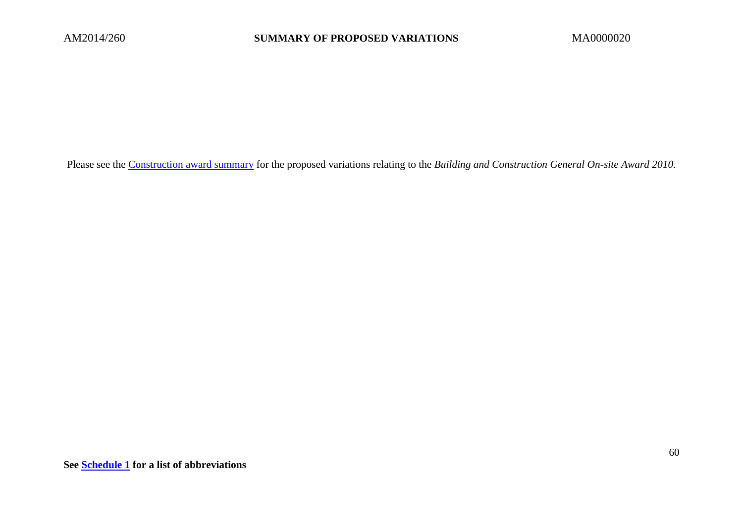Please see the [Construction award summary](http://www.fwc.gov.au/documents/sites/awardsmodernfouryr/submissions/AM2014274-andors-construction-awards-summary.pdf) for the proposed variations relating to the *Building and Construction General On-site Award 2010.*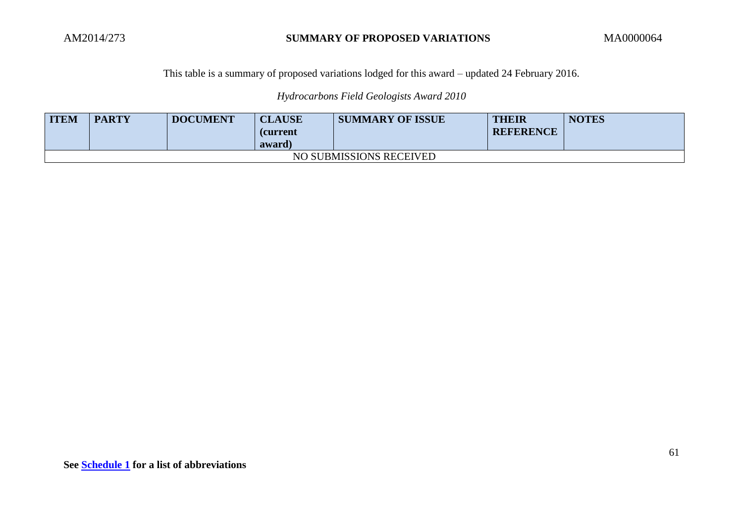# *Hydrocarbons Field Geologists Award 2010*

| <b>ITEM</b>             | <b>PARTY</b> | <b>DOCUMENT</b> | <b>CLAUSE</b><br><b>(current</b><br>award) | <b>SUMMARY OF ISSUE</b> | THEIR<br><b>REFERENCE</b> | <b>NOTES</b> |  |  |
|-------------------------|--------------|-----------------|--------------------------------------------|-------------------------|---------------------------|--------------|--|--|
| NO SUBMISSIONS RECEIVED |              |                 |                                            |                         |                           |              |  |  |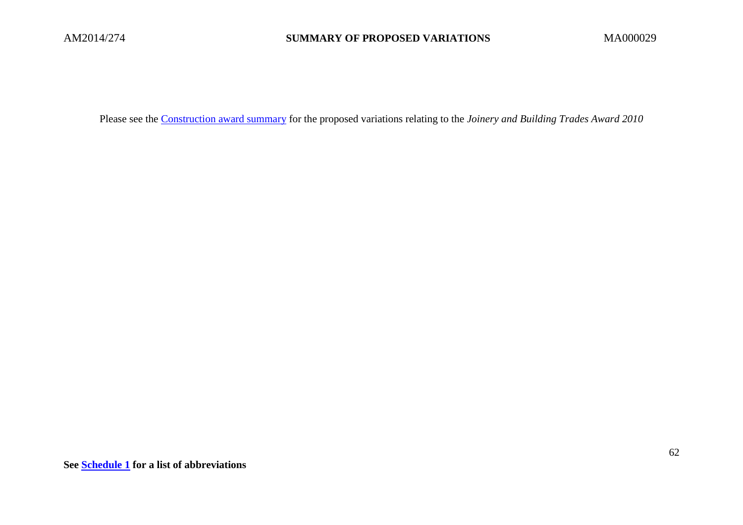Please see the [Construction award summary](http://www.fwc.gov.au/documents/sites/awardsmodernfouryr/submissions/AM2014274-andors-construction-awards-summary.pdf) for the proposed variations relating to the *Joinery and Building Trades Award 2010*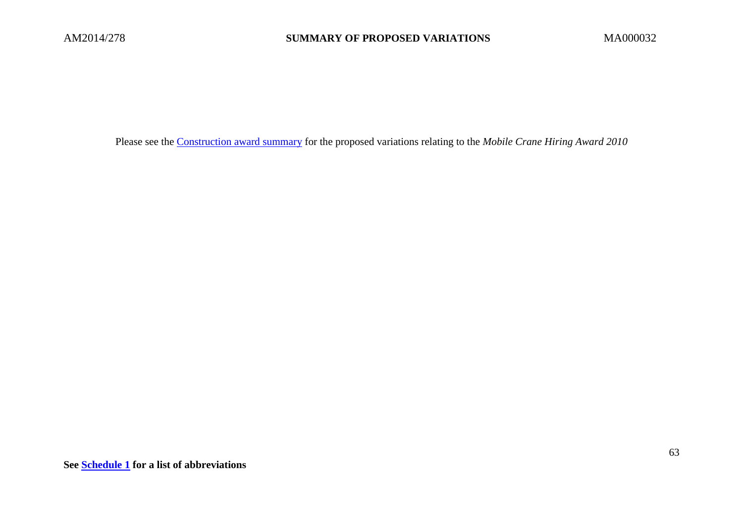Please see the [Construction award summary](http://www.fwc.gov.au/documents/sites/awardsmodernfouryr/submissions/AM2014274-andors-construction-awards-summary.pdf) for the proposed variations relating to the *Mobile Crane Hiring Award 2010*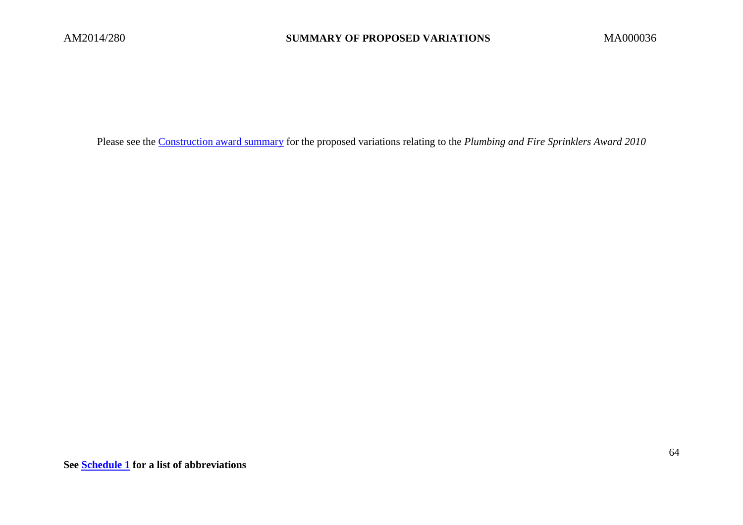Please see the [Construction award summary](http://www.fwc.gov.au/documents/sites/awardsmodernfouryr/submissions/AM2014274-andors-construction-awards-summary.pdf) for the proposed variations relating to the *Plumbing and Fire Sprinklers Award 2010*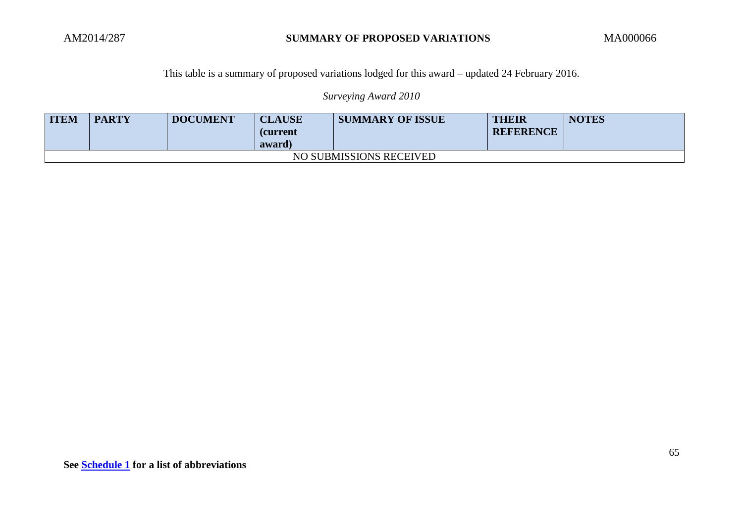*Surveying Award 2010*

| <b>ITEM</b>             | <b>PARTY</b> | <b>DOCUMENT</b> | <b>CLAUSE</b><br>(current<br>award) | <b>SUMMARY OF ISSUE</b> | THEIR<br><b>REFERENCE</b> | <b>NOTES</b> |  |
|-------------------------|--------------|-----------------|-------------------------------------|-------------------------|---------------------------|--------------|--|
| NO SUBMISSIONS RECEIVED |              |                 |                                     |                         |                           |              |  |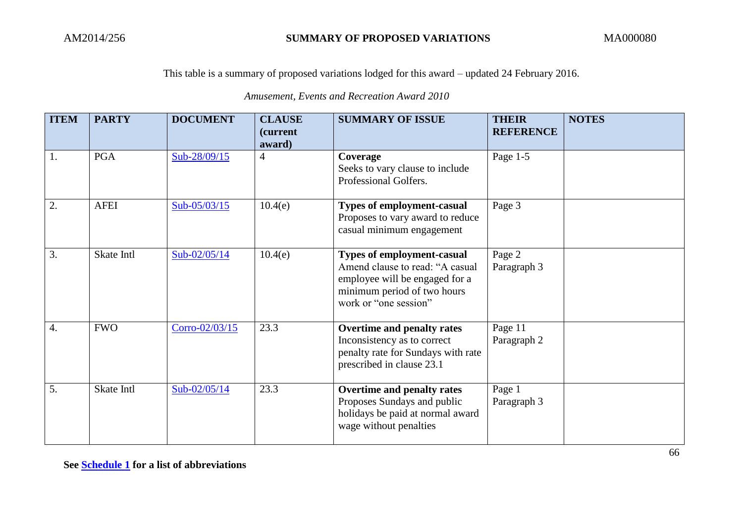*Amusement, Events and Recreation Award 2010*

| <b>ITEM</b>      | <b>PARTY</b> | <b>DOCUMENT</b> | <b>CLAUSE</b><br><i>(current)</i><br>award) | <b>SUMMARY OF ISSUE</b>                                                                                                                                        | <b>THEIR</b><br><b>REFERENCE</b> | <b>NOTES</b> |
|------------------|--------------|-----------------|---------------------------------------------|----------------------------------------------------------------------------------------------------------------------------------------------------------------|----------------------------------|--------------|
| 1.               | <b>PGA</b>   | Sub-28/09/15    | $\overline{4}$                              | Coverage<br>Seeks to vary clause to include<br>Professional Golfers.                                                                                           | Page 1-5                         |              |
| 2.               | <b>AFEI</b>  | Sub- $05/03/15$ | 10.4(e)                                     | <b>Types of employment-casual</b><br>Proposes to vary award to reduce<br>casual minimum engagement                                                             | Page 3                           |              |
| 3.               | Skate Intl   | Sub- $02/05/14$ | 10.4(e)                                     | <b>Types of employment-casual</b><br>Amend clause to read: "A casual<br>employee will be engaged for a<br>minimum period of two hours<br>work or "one session" | Page 2<br>Paragraph 3            |              |
| $\overline{4}$ . | <b>FWO</b>   | Corro-02/03/15  | 23.3                                        | Overtime and penalty rates<br>Inconsistency as to correct<br>penalty rate for Sundays with rate<br>prescribed in clause 23.1                                   | Page 11<br>Paragraph 2           |              |
| 5.               | Skate Intl   | $Sub-02/05/14$  | 23.3                                        | Overtime and penalty rates<br>Proposes Sundays and public<br>holidays be paid at normal award<br>wage without penalties                                        | Page 1<br>Paragraph 3            |              |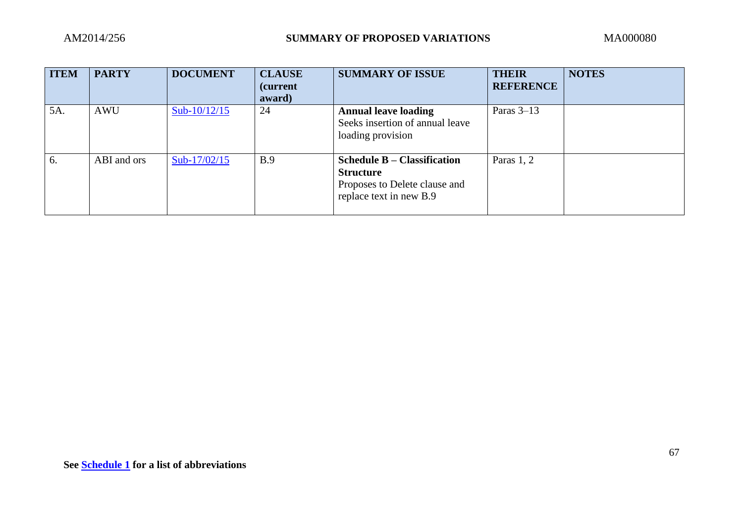| <b>ITEM</b> | <b>PARTY</b> | <b>DOCUMENT</b> | <b>CLAUSE</b><br>(current<br>award) | <b>SUMMARY OF ISSUE</b>                                                                                            | <b>THEIR</b><br><b>REFERENCE</b> | <b>NOTES</b> |
|-------------|--------------|-----------------|-------------------------------------|--------------------------------------------------------------------------------------------------------------------|----------------------------------|--------------|
| 5A.         | <b>AWU</b>   | Sub- $10/12/15$ | 24                                  | <b>Annual leave loading</b><br>Seeks insertion of annual leave<br>loading provision                                | Paras $3-13$                     |              |
| 6.          | ABI and ors  | Sub- $17/02/15$ | B.9                                 | <b>Schedule B – Classification</b><br><b>Structure</b><br>Proposes to Delete clause and<br>replace text in new B.9 | Paras 1, 2                       |              |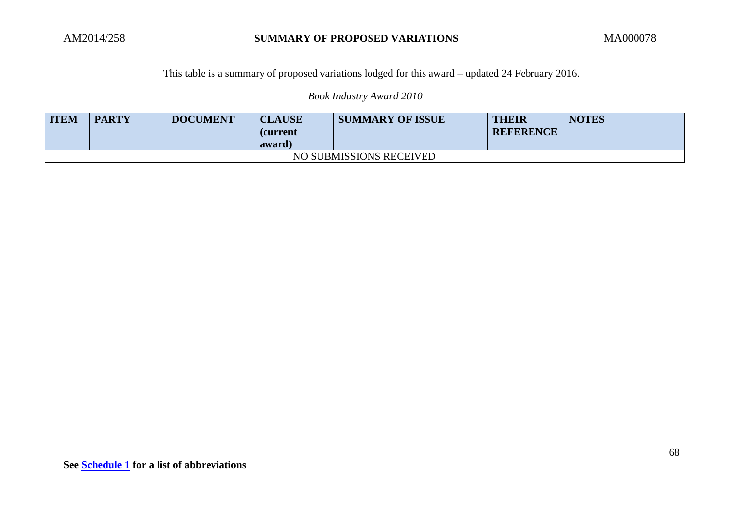*Book Industry Award 2010*

| <b>ITEM</b>             | <b>PARTY</b> | <b>DOCUMENT</b> | <b>CLAUSE</b><br><b>(current</b><br>award) | <b>SUMMARY OF ISSUE</b> | <b>THEIR</b><br><b>REFERENCE</b> | <b>NOTES</b> |  |  |
|-------------------------|--------------|-----------------|--------------------------------------------|-------------------------|----------------------------------|--------------|--|--|
| NO SUBMISSIONS RECEIVED |              |                 |                                            |                         |                                  |              |  |  |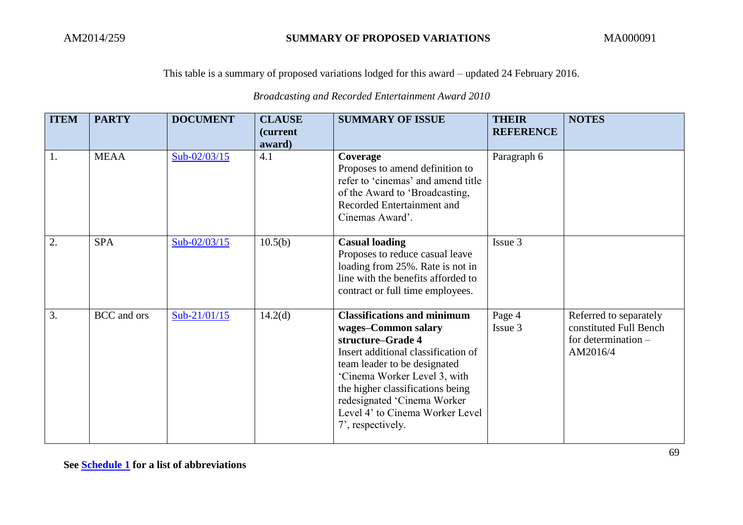# *Broadcasting and Recorded Entertainment Award 2010*

| <b>ITEM</b>      | <b>PARTY</b> | <b>DOCUMENT</b> | <b>CLAUSE</b><br><i>(current)</i><br>award) | <b>SUMMARY OF ISSUE</b>                                                                                                                                                                                                                                                                                          | <b>THEIR</b><br><b>REFERENCE</b> | <b>NOTES</b>                                                                        |
|------------------|--------------|-----------------|---------------------------------------------|------------------------------------------------------------------------------------------------------------------------------------------------------------------------------------------------------------------------------------------------------------------------------------------------------------------|----------------------------------|-------------------------------------------------------------------------------------|
| 1.               | <b>MEAA</b>  | Sub-02/03/15    | 4.1                                         | Coverage<br>Proposes to amend definition to<br>refer to 'cinemas' and amend title<br>of the Award to 'Broadcasting,<br>Recorded Entertainment and<br>Cinemas Award'.                                                                                                                                             | Paragraph 6                      |                                                                                     |
| 2.               | <b>SPA</b>   | Sub-02/03/15    | 10.5(b)                                     | <b>Casual loading</b><br>Proposes to reduce casual leave<br>loading from 25%. Rate is not in<br>line with the benefits afforded to<br>contract or full time employees.                                                                                                                                           | Issue 3                          |                                                                                     |
| $\overline{3}$ . | BCC and ors  | Sub-21/01/15    | 14.2 <sub>(d)</sub>                         | <b>Classifications and minimum</b><br>wages-Common salary<br>structure-Grade 4<br>Insert additional classification of<br>team leader to be designated<br>'Cinema Worker Level 3, with<br>the higher classifications being<br>redesignated 'Cinema Worker<br>Level 4' to Cinema Worker Level<br>7', respectively. | Page 4<br>Issue 3                | Referred to separately<br>constituted Full Bench<br>for determination -<br>AM2016/4 |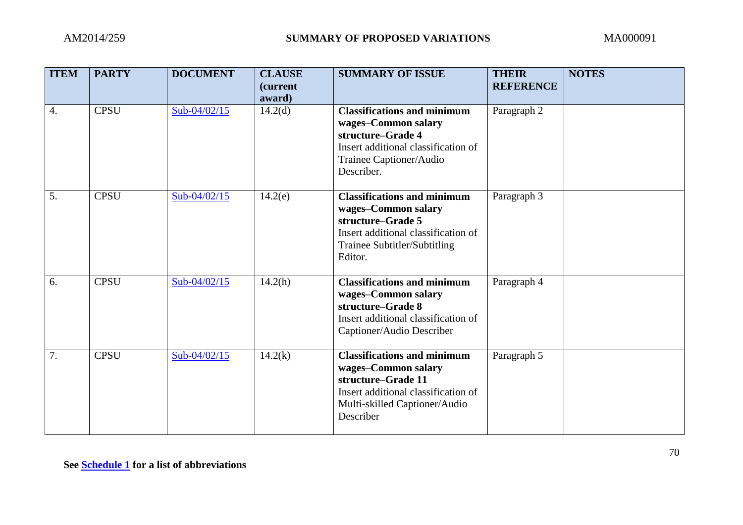| <b>ITEM</b>      | <b>PARTY</b> | <b>DOCUMENT</b> | <b>CLAUSE</b><br>(current<br>award) | <b>SUMMARY OF ISSUE</b>                                                                                                                                              | <b>THEIR</b><br><b>REFERENCE</b> | <b>NOTES</b> |
|------------------|--------------|-----------------|-------------------------------------|----------------------------------------------------------------------------------------------------------------------------------------------------------------------|----------------------------------|--------------|
| $\overline{4}$ . | <b>CPSU</b>  | Sub-04/02/15    | 14.2 <sub>(d)</sub>                 | <b>Classifications and minimum</b><br>wages-Common salary<br>structure-Grade 4<br>Insert additional classification of<br>Trainee Captioner/Audio<br>Describer.       | Paragraph 2                      |              |
| 5.               | <b>CPSU</b>  | Sub-04/02/15    | 14.2(e)                             | <b>Classifications and minimum</b><br>wages-Common salary<br>structure-Grade 5<br>Insert additional classification of<br>Trainee Subtitler/Subtitling<br>Editor.     | Paragraph 3                      |              |
| 6.               | <b>CPSU</b>  | Sub-04/02/15    | 14.2(h)                             | <b>Classifications and minimum</b><br>wages-Common salary<br>structure–Grade 8<br>Insert additional classification of<br>Captioner/Audio Describer                   | Paragraph 4                      |              |
| 7.               | <b>CPSU</b>  | Sub-04/02/15    | 14.2(k)                             | <b>Classifications and minimum</b><br>wages-Common salary<br>structure-Grade 11<br>Insert additional classification of<br>Multi-skilled Captioner/Audio<br>Describer | Paragraph 5                      |              |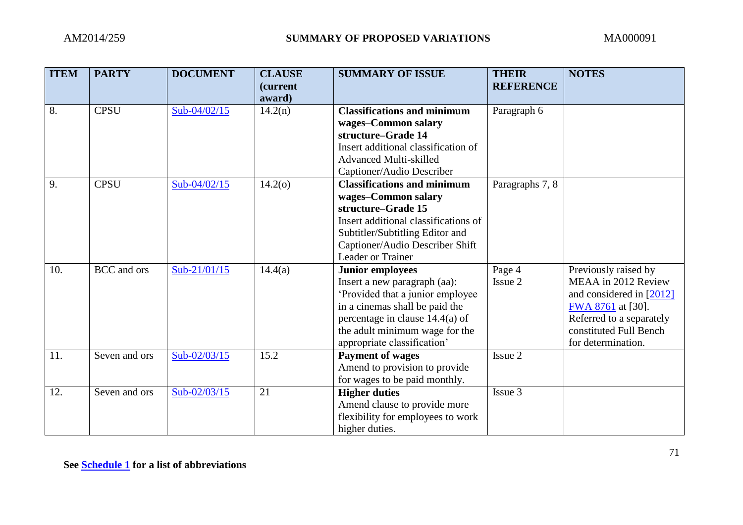| <b>ITEM</b> | <b>PARTY</b>       | <b>DOCUMENT</b> | <b>CLAUSE</b><br><i>(current)</i><br>award) | <b>SUMMARY OF ISSUE</b>                                                                                                                                                                                                             | <b>THEIR</b><br><b>REFERENCE</b> | <b>NOTES</b>                                                                                                                                                               |
|-------------|--------------------|-----------------|---------------------------------------------|-------------------------------------------------------------------------------------------------------------------------------------------------------------------------------------------------------------------------------------|----------------------------------|----------------------------------------------------------------------------------------------------------------------------------------------------------------------------|
| 8.          | <b>CPSU</b>        | $Sub-04/02/15$  | 14.2(n)                                     | <b>Classifications and minimum</b><br>wages-Common salary<br>structure-Grade 14<br>Insert additional classification of<br><b>Advanced Multi-skilled</b><br>Captioner/Audio Describer                                                | Paragraph 6                      |                                                                                                                                                                            |
| 9.          | <b>CPSU</b>        | Sub-04/02/15    | 14.2(0)                                     | <b>Classifications and minimum</b><br>wages-Common salary<br>structure-Grade 15<br>Insert additional classifications of<br>Subtitler/Subtitling Editor and<br>Captioner/Audio Describer Shift<br>Leader or Trainer                  | Paragraphs 7, 8                  |                                                                                                                                                                            |
| 10.         | <b>BCC</b> and ors | Sub-21/01/15    | 14.4(a)                                     | <b>Junior employees</b><br>Insert a new paragraph (aa):<br>'Provided that a junior employee<br>in a cinemas shall be paid the<br>percentage in clause $14.4(a)$ of<br>the adult minimum wage for the<br>appropriate classification' | Page 4<br>Issue 2                | Previously raised by<br>MEAA in 2012 Review<br>and considered in $[2012]$<br>FWA 8761 at [30].<br>Referred to a separately<br>constituted Full Bench<br>for determination. |
| 11.         | Seven and ors      | Sub-02/03/15    | 15.2                                        | <b>Payment of wages</b><br>Amend to provision to provide<br>for wages to be paid monthly.                                                                                                                                           | Issue 2                          |                                                                                                                                                                            |
| 12.         | Seven and ors      | Sub-02/03/15    | 21                                          | <b>Higher duties</b><br>Amend clause to provide more<br>flexibility for employees to work<br>higher duties.                                                                                                                         | Issue 3                          |                                                                                                                                                                            |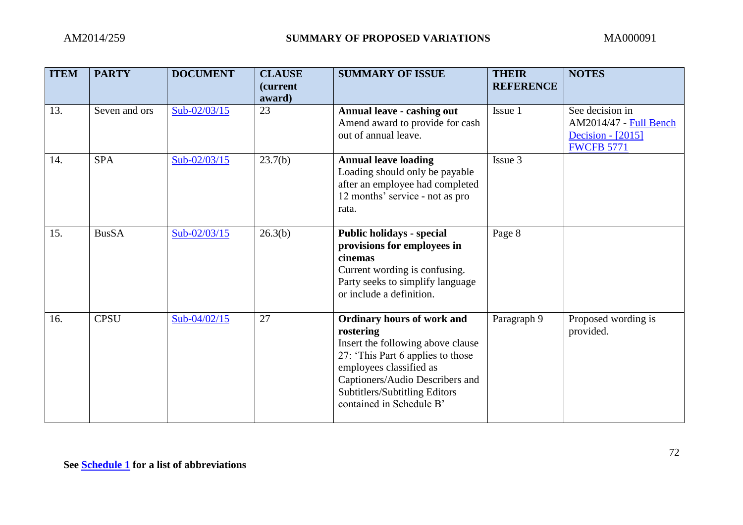| <b>ITEM</b> | <b>PARTY</b>  | <b>DOCUMENT</b> | <b>CLAUSE</b><br><i>(current</i><br>award) | <b>SUMMARY OF ISSUE</b>                                                                                                                                                                                                                             | <b>THEIR</b><br><b>REFERENCE</b> | <b>NOTES</b>                                                                        |
|-------------|---------------|-----------------|--------------------------------------------|-----------------------------------------------------------------------------------------------------------------------------------------------------------------------------------------------------------------------------------------------------|----------------------------------|-------------------------------------------------------------------------------------|
| 13.         | Seven and ors | Sub-02/03/15    | 23                                         | Annual leave - cashing out<br>Amend award to provide for cash<br>out of annual leave.                                                                                                                                                               | Issue 1                          | See decision in<br>AM2014/47 - Full Bench<br>Decision - [2015]<br><b>FWCFB 5771</b> |
| 14.         | <b>SPA</b>    | Sub-02/03/15    | 23.7(b)                                    | <b>Annual leave loading</b><br>Loading should only be payable<br>after an employee had completed<br>12 months' service - not as pro<br>rata.                                                                                                        | Issue 3                          |                                                                                     |
| 15.         | <b>BusSA</b>  | Sub-02/03/15    | 26.3(b)                                    | <b>Public holidays - special</b><br>provisions for employees in<br>cinemas<br>Current wording is confusing.<br>Party seeks to simplify language<br>or include a definition.                                                                         | Page 8                           |                                                                                     |
| 16.         | <b>CPSU</b>   | Sub-04/02/15    | 27                                         | <b>Ordinary hours of work and</b><br>rostering<br>Insert the following above clause<br>27: 'This Part 6 applies to those<br>employees classified as<br>Captioners/Audio Describers and<br>Subtitlers/Subtitling Editors<br>contained in Schedule B' | Paragraph 9                      | Proposed wording is<br>provided.                                                    |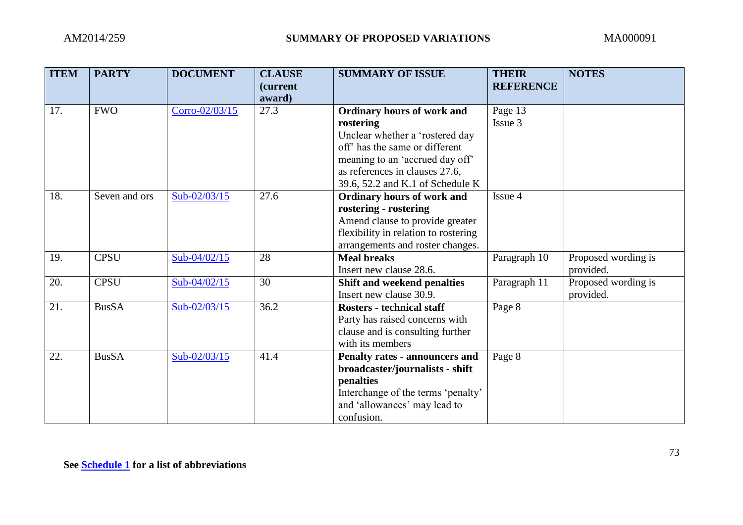| <b>ITEM</b> | <b>PARTY</b>  | <b>DOCUMENT</b> | <b>CLAUSE</b><br>(current | <b>SUMMARY OF ISSUE</b>                                     | <b>THEIR</b><br><b>REFERENCE</b> | <b>NOTES</b>        |
|-------------|---------------|-----------------|---------------------------|-------------------------------------------------------------|----------------------------------|---------------------|
|             |               |                 | award)                    |                                                             |                                  |                     |
| 17.         | <b>FWO</b>    | Corro-02/03/15  | 27.3                      | <b>Ordinary hours of work and</b>                           | Page 13                          |                     |
|             |               |                 |                           | rostering                                                   | Issue 3                          |                     |
|             |               |                 |                           | Unclear whether a 'rostered day                             |                                  |                     |
|             |               |                 |                           | off <sup><math>\circ</math></sup> has the same or different |                                  |                     |
|             |               |                 |                           | meaning to an 'accrued day off'                             |                                  |                     |
|             |               |                 |                           | as references in clauses 27.6,                              |                                  |                     |
|             |               |                 |                           | 39.6, 52.2 and K.1 of Schedule K                            |                                  |                     |
| 18.         | Seven and ors | Sub-02/03/15    | 27.6                      | Ordinary hours of work and                                  | Issue 4                          |                     |
|             |               |                 |                           | rostering - rostering                                       |                                  |                     |
|             |               |                 |                           | Amend clause to provide greater                             |                                  |                     |
|             |               |                 |                           | flexibility in relation to rostering                        |                                  |                     |
|             |               |                 |                           | arrangements and roster changes.                            |                                  |                     |
| 19.         | <b>CPSU</b>   | Sub-04/02/15    | 28                        | <b>Meal breaks</b>                                          | Paragraph 10                     | Proposed wording is |
|             |               |                 |                           | Insert new clause 28.6.                                     |                                  | provided.           |
| 20.         | <b>CPSU</b>   | $Sub-04/02/15$  | 30                        | Shift and weekend penalties                                 | Paragraph 11                     | Proposed wording is |
|             |               |                 |                           | Insert new clause 30.9.                                     |                                  | provided.           |
| 21.         | <b>BusSA</b>  | $Sub-02/03/15$  | 36.2                      | <b>Rosters - technical staff</b>                            | Page 8                           |                     |
|             |               |                 |                           | Party has raised concerns with                              |                                  |                     |
|             |               |                 |                           | clause and is consulting further                            |                                  |                     |
|             |               |                 |                           | with its members                                            |                                  |                     |
| 22.         | <b>BusSA</b>  | Sub-02/03/15    | 41.4                      | Penalty rates - announcers and                              | Page 8                           |                     |
|             |               |                 |                           | broadcaster/journalists - shift                             |                                  |                     |
|             |               |                 |                           | penalties                                                   |                                  |                     |
|             |               |                 |                           | Interchange of the terms 'penalty'                          |                                  |                     |
|             |               |                 |                           | and 'allowances' may lead to                                |                                  |                     |
|             |               |                 |                           | confusion.                                                  |                                  |                     |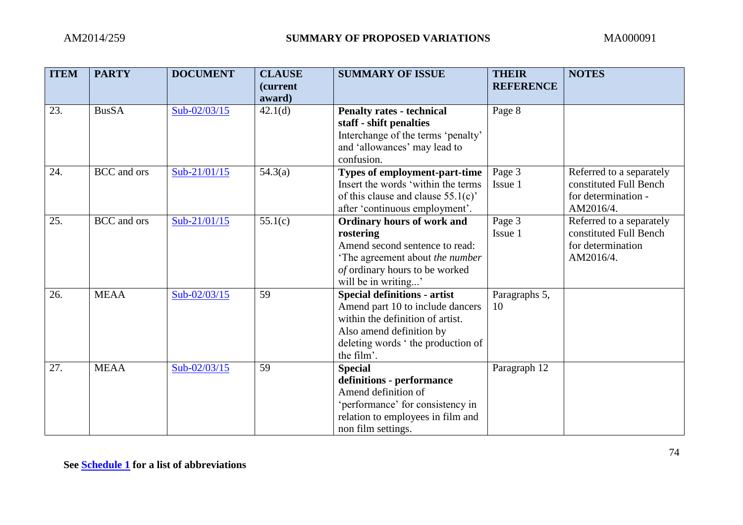| <b>ITEM</b> | <b>PARTY</b>       | <b>DOCUMENT</b> | <b>CLAUSE</b><br><i>(current)</i><br>award) | <b>SUMMARY OF ISSUE</b>                                                                                                                                                                    | <b>THEIR</b><br><b>REFERENCE</b> | <b>NOTES</b>                                                                           |
|-------------|--------------------|-----------------|---------------------------------------------|--------------------------------------------------------------------------------------------------------------------------------------------------------------------------------------------|----------------------------------|----------------------------------------------------------------------------------------|
| 23.         | <b>BusSA</b>       | Sub-02/03/15    | 42.1(d)                                     | <b>Penalty rates - technical</b><br>staff - shift penalties<br>Interchange of the terms 'penalty'<br>and 'allowances' may lead to<br>confusion.                                            | Page 8                           |                                                                                        |
| 24.         | BCC and ors        | Sub-21/01/15    | 54.3(a)                                     | <b>Types of employment-part-time</b><br>Insert the words 'within the terms<br>of this clause and clause $55.1(c)$<br>after 'continuous employment'.                                        | Page 3<br>Issue 1                | Referred to a separately<br>constituted Full Bench<br>for determination -<br>AM2016/4. |
| 25.         | <b>BCC</b> and ors | Sub-21/01/15    | 55.1(c)                                     | <b>Ordinary hours of work and</b><br>rostering<br>Amend second sentence to read:<br>'The agreement about the number<br>of ordinary hours to be worked<br>will be in writing'               | Page 3<br>Issue 1                | Referred to a separately<br>constituted Full Bench<br>for determination<br>AM2016/4.   |
| 26.         | <b>MEAA</b>        | Sub-02/03/15    | 59                                          | <b>Special definitions - artist</b><br>Amend part 10 to include dancers<br>within the definition of artist.<br>Also amend definition by<br>deleting words 'the production of<br>the film'. | Paragraphs 5,<br>10              |                                                                                        |
| 27.         | <b>MEAA</b>        | Sub-02/03/15    | 59                                          | <b>Special</b><br>definitions - performance<br>Amend definition of<br>'performance' for consistency in<br>relation to employees in film and<br>non film settings.                          | Paragraph 12                     |                                                                                        |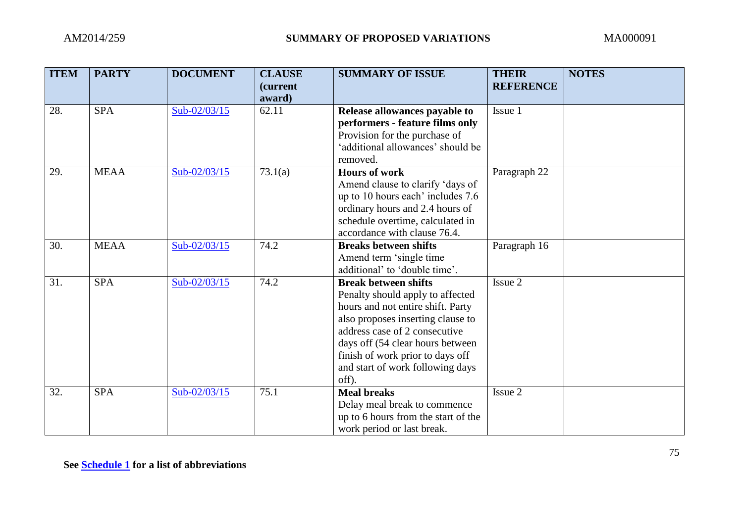| <b>ITEM</b> | <b>PARTY</b> | <b>DOCUMENT</b> | <b>CLAUSE</b><br><i>(current)</i> | <b>SUMMARY OF ISSUE</b>                                                                                                                                                                                                                                                                         | <b>THEIR</b><br><b>REFERENCE</b> | <b>NOTES</b> |
|-------------|--------------|-----------------|-----------------------------------|-------------------------------------------------------------------------------------------------------------------------------------------------------------------------------------------------------------------------------------------------------------------------------------------------|----------------------------------|--------------|
| 28.         | <b>SPA</b>   | Sub-02/03/15    | award)<br>62.11                   | Release allowances payable to<br>performers - feature films only<br>Provision for the purchase of<br>'additional allowances' should be<br>removed.                                                                                                                                              | Issue 1                          |              |
| 29.         | <b>MEAA</b>  | Sub-02/03/15    | 73.1(a)                           | <b>Hours of work</b><br>Amend clause to clarify 'days of<br>up to 10 hours each' includes 7.6<br>ordinary hours and 2.4 hours of<br>schedule overtime, calculated in<br>accordance with clause 76.4.                                                                                            | Paragraph 22                     |              |
| 30.         | <b>MEAA</b>  | Sub-02/03/15    | 74.2                              | <b>Breaks between shifts</b><br>Amend term 'single time<br>additional' to 'double time'.                                                                                                                                                                                                        | Paragraph $16$                   |              |
| 31.         | <b>SPA</b>   | Sub-02/03/15    | 74.2                              | <b>Break between shifts</b><br>Penalty should apply to affected<br>hours and not entire shift. Party<br>also proposes inserting clause to<br>address case of 2 consecutive<br>days off (54 clear hours between<br>finish of work prior to days off<br>and start of work following days<br>off). | Issue 2                          |              |
| 32.         | <b>SPA</b>   | Sub-02/03/15    | 75.1                              | <b>Meal breaks</b><br>Delay meal break to commence<br>up to 6 hours from the start of the<br>work period or last break.                                                                                                                                                                         | Issue 2                          |              |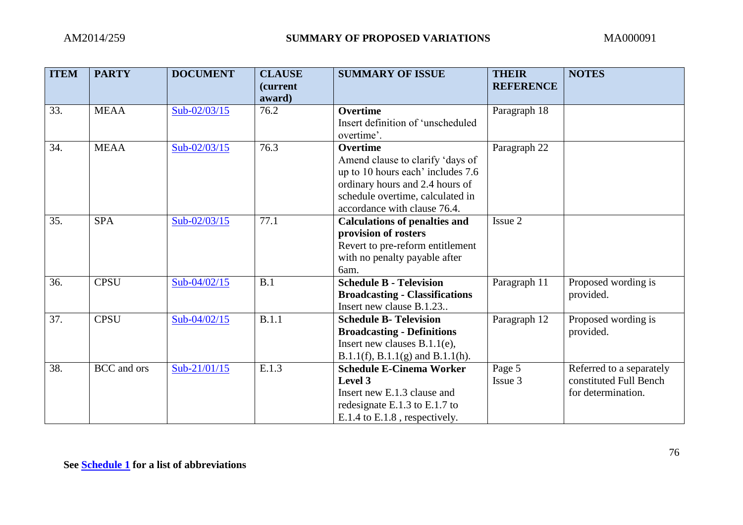| <b>ITEM</b> | <b>PARTY</b>       | <b>DOCUMENT</b> | <b>CLAUSE</b><br><i>(current)</i><br>award) | <b>SUMMARY OF ISSUE</b>                                                                                                                                                                         | <b>THEIR</b><br><b>REFERENCE</b> | <b>NOTES</b>                                                             |
|-------------|--------------------|-----------------|---------------------------------------------|-------------------------------------------------------------------------------------------------------------------------------------------------------------------------------------------------|----------------------------------|--------------------------------------------------------------------------|
| 33.         | <b>MEAA</b>        | Sub-02/03/15    | 76.2                                        | <b>Overtime</b><br>Insert definition of 'unscheduled<br>overtime'.                                                                                                                              | Paragraph 18                     |                                                                          |
| 34.         | <b>MEAA</b>        | Sub-02/03/15    | 76.3                                        | <b>Overtime</b><br>Amend clause to clarify 'days of<br>up to 10 hours each' includes 7.6<br>ordinary hours and 2.4 hours of<br>schedule overtime, calculated in<br>accordance with clause 76.4. | Paragraph 22                     |                                                                          |
| 35.         | <b>SPA</b>         | Sub-02/03/15    | 77.1                                        | <b>Calculations of penalties and</b><br>provision of rosters<br>Revert to pre-reform entitlement<br>with no penalty payable after<br>6am.                                                       | Issue 2                          |                                                                          |
| 36.         | <b>CPSU</b>        | $Sub-04/02/15$  | B.1                                         | <b>Schedule B - Television</b><br><b>Broadcasting - Classifications</b><br>Insert new clause B.1.23                                                                                             | Paragraph 11                     | Proposed wording is<br>provided.                                         |
| 37.         | <b>CPSU</b>        | Sub-04/02/15    | B.1.1                                       | <b>Schedule B- Television</b><br><b>Broadcasting - Definitions</b><br>Insert new clauses $B.1.1(e)$ ,<br>$B.1.1(f), B.1.1(g)$ and $B.1.1(h)$ .                                                  | Paragraph 12                     | Proposed wording is<br>provided.                                         |
| 38.         | <b>BCC</b> and ors | Sub-21/01/15    | E.1.3                                       | <b>Schedule E-Cinema Worker</b><br>Level 3<br>Insert new E.1.3 clause and<br>redesignate E.1.3 to E.1.7 to<br>E.1.4 to E.1.8, respectively.                                                     | Page 5<br>Issue 3                | Referred to a separately<br>constituted Full Bench<br>for determination. |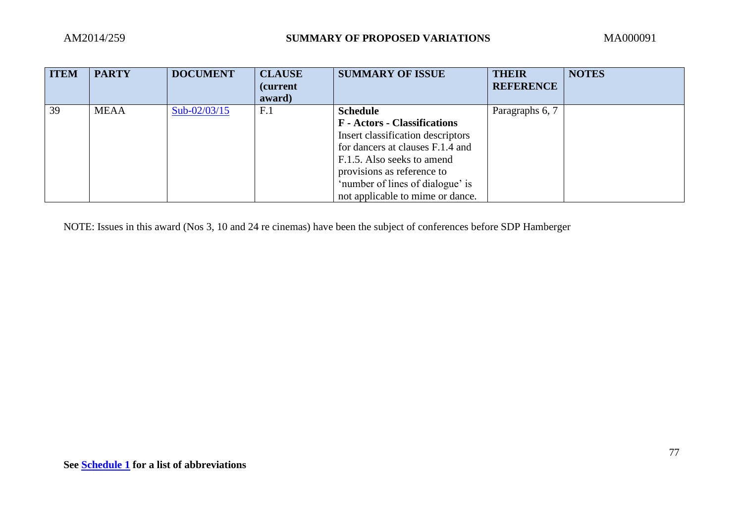| <b>ITEM</b> | <b>PARTY</b> | <b>DOCUMENT</b> | <b>CLAUSE</b><br><i>(current)</i><br>award) | <b>SUMMARY OF ISSUE</b>                                                                                                                                                                                                                          | <b>THEIR</b><br><b>REFERENCE</b> | <b>NOTES</b> |
|-------------|--------------|-----------------|---------------------------------------------|--------------------------------------------------------------------------------------------------------------------------------------------------------------------------------------------------------------------------------------------------|----------------------------------|--------------|
| 39          | <b>MEAA</b>  | $Sub-02/03/15$  | F <sub>.1</sub>                             | <b>Schedule</b>                                                                                                                                                                                                                                  | Paragraphs 6, 7                  |              |
|             |              |                 |                                             | <b>F</b> - Actors - Classifications<br>Insert classification descriptors<br>for dancers at clauses F.1.4 and<br>F.1.5. Also seeks to amend<br>provisions as reference to<br>'number of lines of dialogue' is<br>not applicable to mime or dance. |                                  |              |

NOTE: Issues in this award (Nos 3, 10 and 24 re cinemas) have been the subject of conferences before SDP Hamberger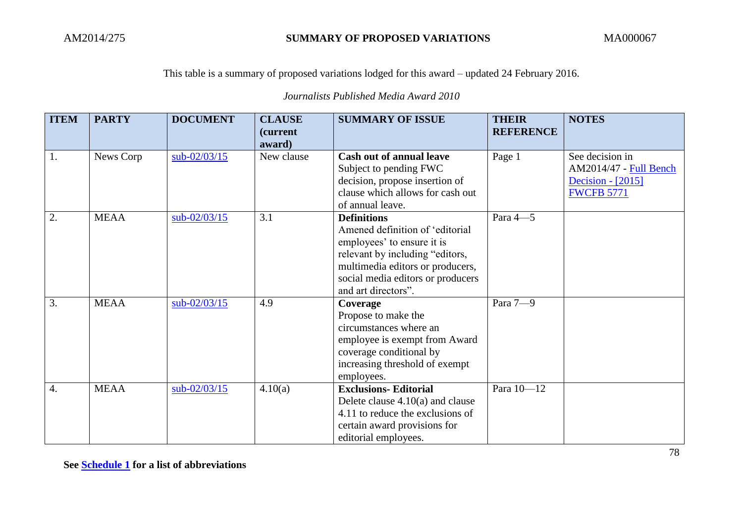*Journalists Published Media Award 2010*

| <b>ITEM</b>      | <b>PARTY</b> | <b>DOCUMENT</b> | <b>CLAUSE</b>              | <b>SUMMARY OF ISSUE</b>                                                                                                                                                                                                | THEIR            | <b>NOTES</b>                                                                        |
|------------------|--------------|-----------------|----------------------------|------------------------------------------------------------------------------------------------------------------------------------------------------------------------------------------------------------------------|------------------|-------------------------------------------------------------------------------------|
|                  |              |                 | <i>(current)</i><br>award) |                                                                                                                                                                                                                        | <b>REFERENCE</b> |                                                                                     |
| 1.               | News Corp    | $sub-02/03/15$  | New clause                 | <b>Cash out of annual leave</b><br>Subject to pending FWC<br>decision, propose insertion of<br>clause which allows for cash out<br>of annual leave.                                                                    | Page 1           | See decision in<br>AM2014/47 - Full Bench<br>Decision - [2015]<br><b>FWCFB 5771</b> |
| $\overline{2}$ . | <b>MEAA</b>  | $sub-02/03/15$  | 3.1                        | <b>Definitions</b><br>Amened definition of 'editorial<br>employees' to ensure it is<br>relevant by including "editors,<br>multimedia editors or producers,<br>social media editors or producers<br>and art directors". | Para $4-5$       |                                                                                     |
| 3.               | <b>MEAA</b>  | $sub-02/03/15$  | 4.9                        | Coverage<br>Propose to make the<br>circumstances where an<br>employee is exempt from Award<br>coverage conditional by<br>increasing threshold of exempt<br>employees.                                                  | Para 7-9         |                                                                                     |
| $\overline{4}$ . | <b>MEAA</b>  | $sub-02/03/15$  | 4.10(a)                    | <b>Exclusions- Editorial</b><br>Delete clause $4.10(a)$ and clause<br>4.11 to reduce the exclusions of<br>certain award provisions for<br>editorial employees.                                                         | Para 10-12       |                                                                                     |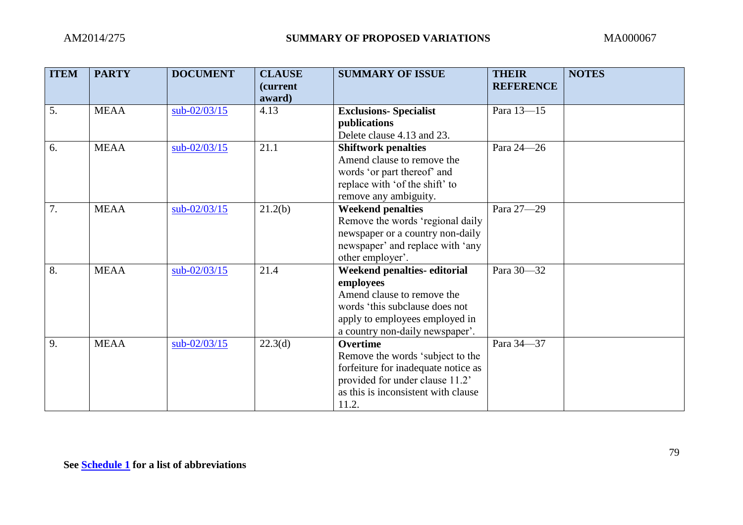| <b>ITEM</b> | <b>PARTY</b> | <b>DOCUMENT</b> | <b>CLAUSE</b><br><i>(current)</i><br>award) | <b>SUMMARY OF ISSUE</b>                                                                                                                                                       | <b>THEIR</b><br><b>REFERENCE</b> | <b>NOTES</b> |
|-------------|--------------|-----------------|---------------------------------------------|-------------------------------------------------------------------------------------------------------------------------------------------------------------------------------|----------------------------------|--------------|
| 5.          | <b>MEAA</b>  | $sub-02/03/15$  | 4.13                                        | <b>Exclusions-Specialist</b>                                                                                                                                                  | Para 13-15                       |              |
|             |              |                 |                                             | publications<br>Delete clause 4.13 and 23.                                                                                                                                    |                                  |              |
| 6.          | <b>MEAA</b>  | $sub-02/03/15$  | 21.1                                        | <b>Shiftwork penalties</b><br>Amend clause to remove the<br>words 'or part thereof' and<br>replace with 'of the shift' to<br>remove any ambiguity.                            | Para 24-26                       |              |
| 7.          | <b>MEAA</b>  | $sub-02/03/15$  | 21.2(b)                                     | <b>Weekend penalties</b><br>Remove the words 'regional daily<br>newspaper or a country non-daily<br>newspaper' and replace with 'any<br>other employer'.                      | Para 27-29                       |              |
| 8.          | <b>MEAA</b>  | $sub-02/03/15$  | 21.4                                        | Weekend penalties-editorial<br>employees<br>Amend clause to remove the<br>words 'this subclause does not<br>apply to employees employed in<br>a country non-daily newspaper'. | Para 30-32                       |              |
| 9.          | <b>MEAA</b>  | sub-02/03/15    | 22.3(d)                                     | <b>Overtime</b><br>Remove the words 'subject to the<br>forfeiture for inadequate notice as<br>provided for under clause 11.2'<br>as this is inconsistent with clause<br>11.2. | Para 34-37                       |              |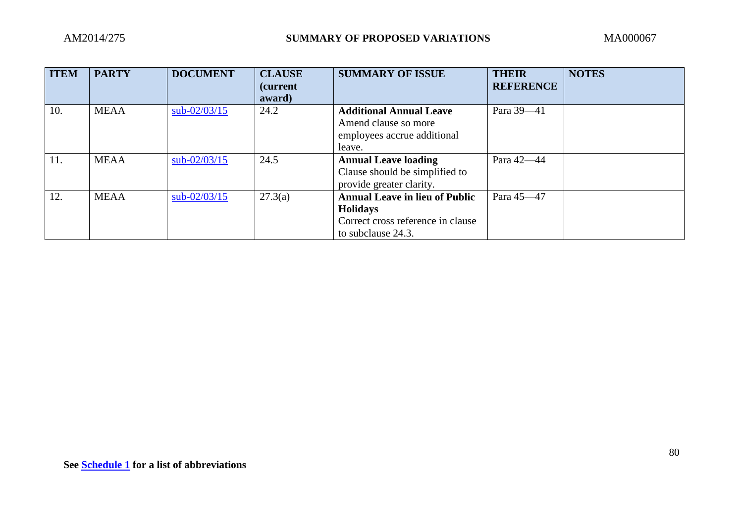| <b>ITEM</b> | <b>PARTY</b> | <b>DOCUMENT</b> | <b>CLAUSE</b><br><i>(current)</i><br>award) | <b>SUMMARY OF ISSUE</b>                                                                                             | <b>THEIR</b><br><b>REFERENCE</b> | <b>NOTES</b> |
|-------------|--------------|-----------------|---------------------------------------------|---------------------------------------------------------------------------------------------------------------------|----------------------------------|--------------|
| 10.         | <b>MEAA</b>  | $sub-02/03/15$  | 24.2                                        | <b>Additional Annual Leave</b><br>Amend clause so more<br>employees accrue additional<br>leave.                     | Para 39-41                       |              |
| 11.         | <b>MEAA</b>  | $sub-02/03/15$  | 24.5                                        | <b>Annual Leave loading</b><br>Clause should be simplified to<br>provide greater clarity.                           | Para 42-44                       |              |
| 12.         | <b>MEAA</b>  | $sub-02/03/15$  | 27.3(a)                                     | <b>Annual Leave in lieu of Public</b><br><b>Holidays</b><br>Correct cross reference in clause<br>to subclause 24.3. | Para 45-47                       |              |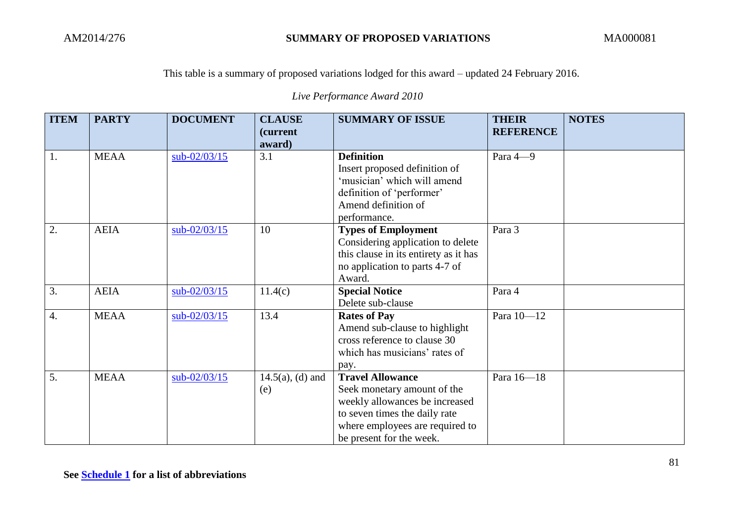*Live Performance Award 2010*

| <b>ITEM</b>      | <b>PARTY</b> | <b>DOCUMENT</b> | <b>CLAUSE</b>              | <b>SUMMARY OF ISSUE</b>                                                                                                                                                                  | <b>THEIR</b><br><b>REFERENCE</b> | <b>NOTES</b> |
|------------------|--------------|-----------------|----------------------------|------------------------------------------------------------------------------------------------------------------------------------------------------------------------------------------|----------------------------------|--------------|
|                  |              |                 | <i>(current)</i><br>award) |                                                                                                                                                                                          |                                  |              |
| 1.               | <b>MEAA</b>  | $sub-02/03/15$  | 3.1                        | <b>Definition</b><br>Insert proposed definition of<br>'musician' which will amend<br>definition of 'performer'<br>Amend definition of<br>performance.                                    | Para 4-9                         |              |
| 2.               | <b>AEIA</b>  | $sub-02/03/15$  | 10                         | <b>Types of Employment</b><br>Considering application to delete<br>this clause in its entirety as it has<br>no application to parts 4-7 of<br>Award.                                     | Para 3                           |              |
| $\overline{3}$ . | <b>AEIA</b>  | $sub-02/03/15$  | 11.4(c)                    | <b>Special Notice</b><br>Delete sub-clause                                                                                                                                               | Para 4                           |              |
| $\overline{4}$ . | <b>MEAA</b>  | $sub-02/03/15$  | 13.4                       | <b>Rates of Pay</b><br>Amend sub-clause to highlight<br>cross reference to clause 30<br>which has musicians' rates of<br>pay.                                                            | Para 10-12                       |              |
| 5.               | <b>MEAA</b>  | $sub-02/03/15$  | $14.5(a)$ , (d) and<br>(e) | <b>Travel Allowance</b><br>Seek monetary amount of the<br>weekly allowances be increased<br>to seven times the daily rate<br>where employees are required to<br>be present for the week. | Para 16-18                       |              |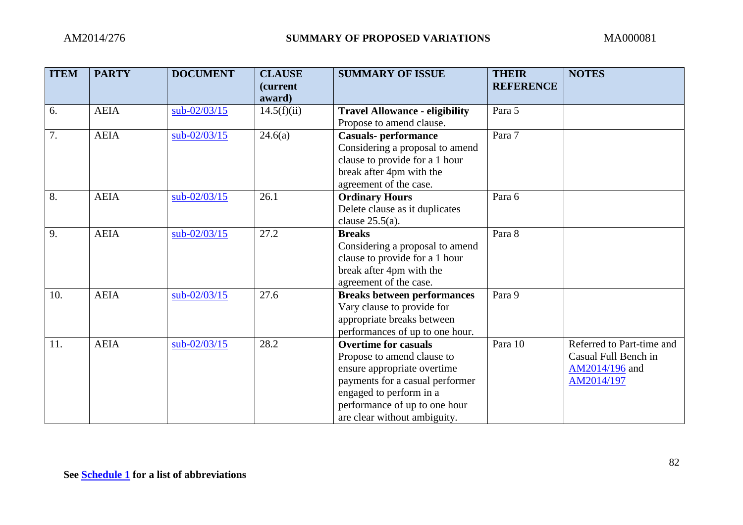| <b>ITEM</b> | <b>PARTY</b> | <b>DOCUMENT</b> | <b>CLAUSE</b><br>(current<br>award) | <b>SUMMARY OF ISSUE</b>                                                                                                                                                                                                 | <b>THEIR</b><br><b>REFERENCE</b> | <b>NOTES</b>                                                                      |
|-------------|--------------|-----------------|-------------------------------------|-------------------------------------------------------------------------------------------------------------------------------------------------------------------------------------------------------------------------|----------------------------------|-----------------------------------------------------------------------------------|
| 6.          | <b>AEIA</b>  | $sub-02/03/15$  | 14.5(f)(ii)                         | <b>Travel Allowance - eligibility</b><br>Propose to amend clause.                                                                                                                                                       | Para 5                           |                                                                                   |
| 7.          | <b>AEIA</b>  | $sub-02/03/15$  | 24.6(a)                             | <b>Casuals- performance</b><br>Considering a proposal to amend<br>clause to provide for a 1 hour<br>break after 4pm with the<br>agreement of the case.                                                                  | Para 7                           |                                                                                   |
| 8.          | <b>AEIA</b>  | $sub-02/03/15$  | 26.1                                | <b>Ordinary Hours</b><br>Delete clause as it duplicates<br>clause $25.5(a)$ .                                                                                                                                           | Para 6                           |                                                                                   |
| 9.          | <b>AEIA</b>  | $sub-02/03/15$  | 27.2                                | <b>Breaks</b><br>Considering a proposal to amend<br>clause to provide for a 1 hour<br>break after 4pm with the<br>agreement of the case.                                                                                | Para 8                           |                                                                                   |
| 10.         | <b>AEIA</b>  | $sub-02/03/15$  | 27.6                                | <b>Breaks between performances</b><br>Vary clause to provide for<br>appropriate breaks between<br>performances of up to one hour.                                                                                       | Para 9                           |                                                                                   |
| 11.         | <b>AEIA</b>  | $sub-02/03/15$  | 28.2                                | <b>Overtime for casuals</b><br>Propose to amend clause to<br>ensure appropriate overtime<br>payments for a casual performer<br>engaged to perform in a<br>performance of up to one hour<br>are clear without ambiguity. | Para 10                          | Referred to Part-time and<br>Casual Full Bench in<br>AM2014/196 and<br>AM2014/197 |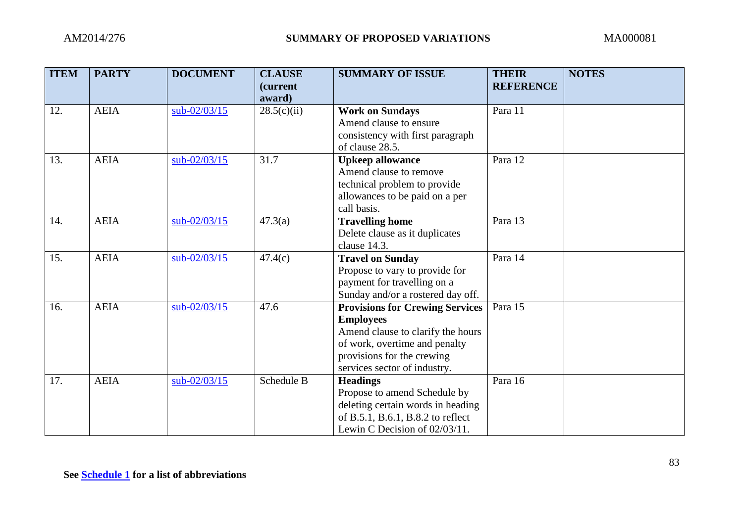| <b>ITEM</b> | <b>PARTY</b> | <b>DOCUMENT</b> | <b>CLAUSE</b><br><i>(current)</i><br>award) | <b>SUMMARY OF ISSUE</b>                | <b>THEIR</b><br><b>REFERENCE</b> | <b>NOTES</b> |
|-------------|--------------|-----------------|---------------------------------------------|----------------------------------------|----------------------------------|--------------|
| 12.         | <b>AEIA</b>  | $sub-02/03/15$  | 28.5(c)(ii)                                 | <b>Work on Sundays</b>                 | Para 11                          |              |
|             |              |                 |                                             | Amend clause to ensure                 |                                  |              |
|             |              |                 |                                             | consistency with first paragraph       |                                  |              |
|             |              |                 |                                             | of clause 28.5.                        |                                  |              |
| 13.         | <b>AEIA</b>  | sub-02/03/15    | 31.7                                        | <b>Upkeep allowance</b>                | Para 12                          |              |
|             |              |                 |                                             | Amend clause to remove                 |                                  |              |
|             |              |                 |                                             | technical problem to provide           |                                  |              |
|             |              |                 |                                             | allowances to be paid on a per         |                                  |              |
|             |              |                 |                                             | call basis.                            |                                  |              |
| 14.         | <b>AEIA</b>  | $sub-02/03/15$  | 47.3(a)                                     | <b>Travelling home</b>                 | Para 13                          |              |
|             |              |                 |                                             | Delete clause as it duplicates         |                                  |              |
|             |              |                 |                                             | clause 14.3.                           |                                  |              |
| 15.         | <b>AEIA</b>  | $sub-02/03/15$  | 47.4(c)                                     | <b>Travel on Sunday</b>                | Para 14                          |              |
|             |              |                 |                                             | Propose to vary to provide for         |                                  |              |
|             |              |                 |                                             | payment for travelling on a            |                                  |              |
|             |              |                 |                                             | Sunday and/or a rostered day off.      |                                  |              |
| 16.         | <b>AEIA</b>  | sub-02/03/15    | 47.6                                        | <b>Provisions for Crewing Services</b> | Para 15                          |              |
|             |              |                 |                                             | <b>Employees</b>                       |                                  |              |
|             |              |                 |                                             | Amend clause to clarify the hours      |                                  |              |
|             |              |                 |                                             | of work, overtime and penalty          |                                  |              |
|             |              |                 |                                             | provisions for the crewing             |                                  |              |
|             |              |                 |                                             | services sector of industry.           |                                  |              |
| 17.         | <b>AEIA</b>  | sub-02/03/15    | Schedule B                                  | <b>Headings</b>                        | Para 16                          |              |
|             |              |                 |                                             | Propose to amend Schedule by           |                                  |              |
|             |              |                 |                                             | deleting certain words in heading      |                                  |              |
|             |              |                 |                                             | of B.5.1, B.6.1, B.8.2 to reflect      |                                  |              |
|             |              |                 |                                             | Lewin C Decision of 02/03/11.          |                                  |              |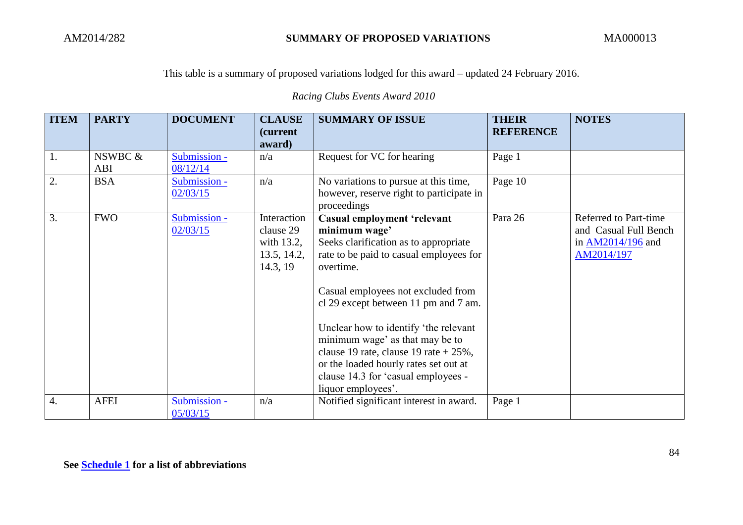*Racing Clubs Events Award 2010*

| <b>ITEM</b>      | <b>PARTY</b>   | <b>DOCUMENT</b>                    | <b>CLAUSE</b><br>(current<br>award)                               | <b>SUMMARY OF ISSUE</b>                                                                                                                                                                                                                                                                                                                                                                                                                                          | <b>THEIR</b><br><b>REFERENCE</b> | <b>NOTES</b>                                                                        |
|------------------|----------------|------------------------------------|-------------------------------------------------------------------|------------------------------------------------------------------------------------------------------------------------------------------------------------------------------------------------------------------------------------------------------------------------------------------------------------------------------------------------------------------------------------------------------------------------------------------------------------------|----------------------------------|-------------------------------------------------------------------------------------|
| 1.               | NSWBC &<br>ABI | Submission -<br>08/12/14           | n/a                                                               | Request for VC for hearing                                                                                                                                                                                                                                                                                                                                                                                                                                       | Page 1                           |                                                                                     |
| 2.               | <b>BSA</b>     | Submission -<br>02/03/15           | n/a                                                               | No variations to pursue at this time,<br>however, reserve right to participate in<br>proceedings                                                                                                                                                                                                                                                                                                                                                                 | Page 10                          |                                                                                     |
| 3.               | <b>FWO</b>     | Submission -<br>02/03/15           | Interaction<br>clause 29<br>with 13.2,<br>13.5, 14.2,<br>14.3, 19 | <b>Casual employment 'relevant</b><br>minimum wage'<br>Seeks clarification as to appropriate<br>rate to be paid to casual employees for<br>overtime.<br>Casual employees not excluded from<br>cl 29 except between 11 pm and 7 am.<br>Unclear how to identify 'the relevant<br>minimum wage' as that may be to<br>clause 19 rate, clause 19 rate $+25\%$ ,<br>or the loaded hourly rates set out at<br>clause 14.3 for 'casual employees -<br>liquor employees'. | Para 26                          | Referred to Part-time<br>and Casual Full Bench<br>in $AM2014/196$ and<br>AM2014/197 |
| $\overline{4}$ . | <b>AFEI</b>    | Submission -<br>$0\frac{5}{03}/15$ | n/a                                                               | Notified significant interest in award.                                                                                                                                                                                                                                                                                                                                                                                                                          | Page 1                           |                                                                                     |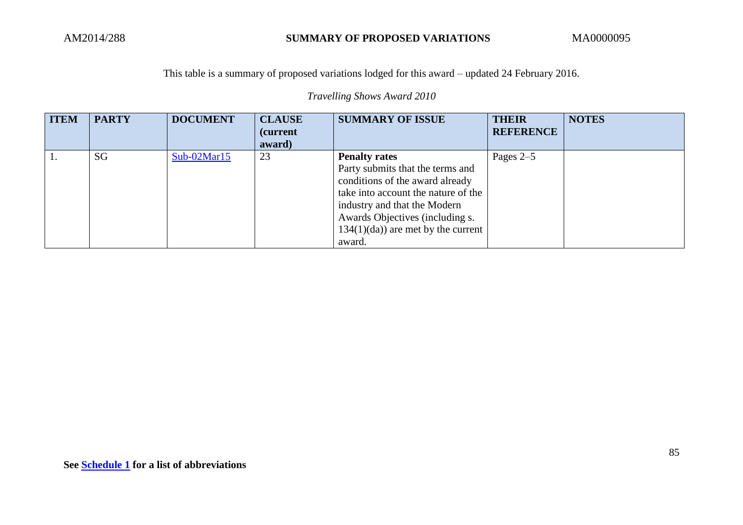*Travelling Shows Award 2010*

| <b>ITEM</b> | <b>PARTY</b> | <b>DOCUMENT</b> | <b>CLAUSE</b><br><i>(current)</i><br>award) | <b>SUMMARY OF ISSUE</b>                                                                                                                                                                                                                                | <b>THEIR</b><br><b>REFERENCE</b> | <b>NOTES</b> |
|-------------|--------------|-----------------|---------------------------------------------|--------------------------------------------------------------------------------------------------------------------------------------------------------------------------------------------------------------------------------------------------------|----------------------------------|--------------|
|             | SG           | $Sub-02Mar15$   | 23                                          | <b>Penalty rates</b><br>Party submits that the terms and<br>conditions of the award already<br>take into account the nature of the<br>industry and that the Modern<br>Awards Objectives (including s.<br>$134(1)(da)$ are met by the current<br>award. | Pages $2-5$                      |              |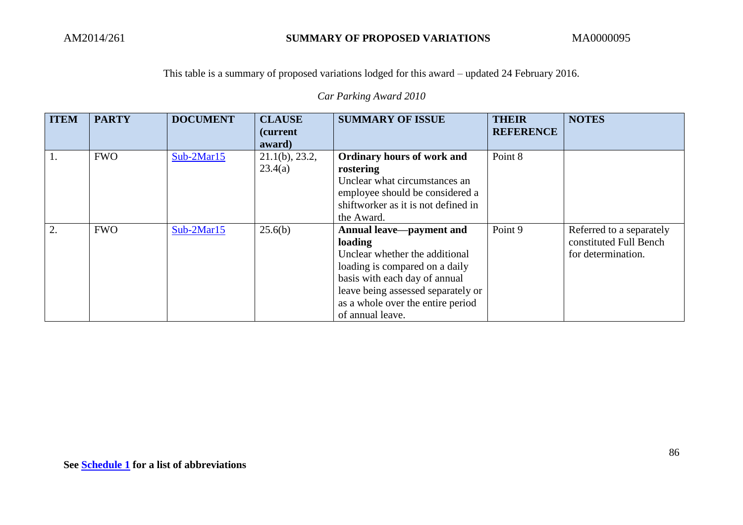*Car Parking Award 2010*

| <b>ITEM</b> | <b>PARTY</b> | <b>DOCUMENT</b> | <b>CLAUSE</b><br><i>(current)</i><br>award) | <b>SUMMARY OF ISSUE</b>                                                                                                                                                                                                                 | <b>THEIR</b><br><b>REFERENCE</b> | <b>NOTES</b>                                                             |
|-------------|--------------|-----------------|---------------------------------------------|-----------------------------------------------------------------------------------------------------------------------------------------------------------------------------------------------------------------------------------------|----------------------------------|--------------------------------------------------------------------------|
| 1.          | <b>FWO</b>   | $Sub-2Mar15$    | $21.1(b)$ , 23.2,<br>23.4(a)                | Ordinary hours of work and<br>rostering<br>Unclear what circumstances an<br>employee should be considered a<br>shiftworker as it is not defined in<br>the Award.                                                                        | Point 8                          |                                                                          |
| 2.          | <b>FWO</b>   | $Sub-2Mar15$    | 25.6(b)                                     | Annual leave—payment and<br>loading<br>Unclear whether the additional<br>loading is compared on a daily<br>basis with each day of annual<br>leave being assessed separately or<br>as a whole over the entire period<br>of annual leave. | Point 9                          | Referred to a separately<br>constituted Full Bench<br>for determination. |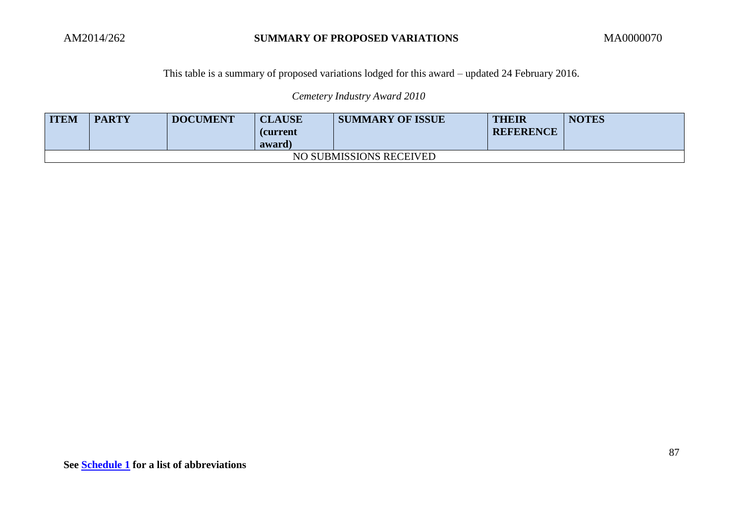*Cemetery Industry Award 2010*

| <b>ITEM</b>             | <b>PARTY</b> | <b>DOCUMENT</b> | <b>CLAUSE</b><br><b>(current</b><br>award) | <b>SUMMARY OF ISSUE</b> | THEIR<br><b>REFERENCE</b> | <b>NOTES</b> |  |  |
|-------------------------|--------------|-----------------|--------------------------------------------|-------------------------|---------------------------|--------------|--|--|
| NO SUBMISSIONS RECEIVED |              |                 |                                            |                         |                           |              |  |  |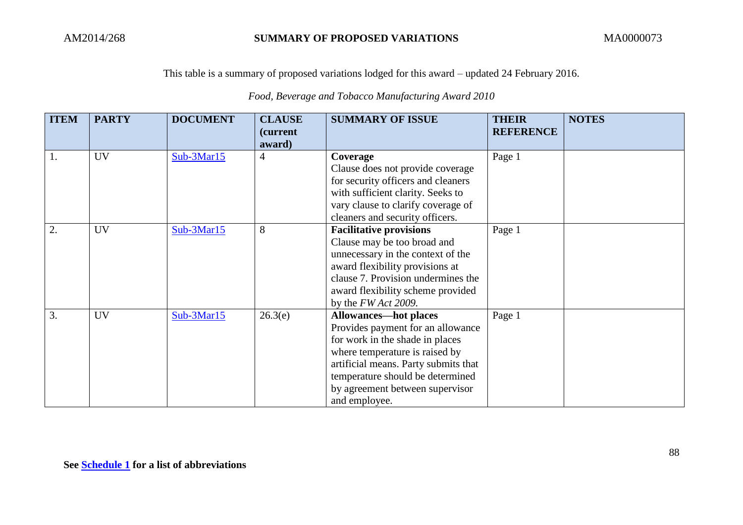*Food, Beverage and Tobacco Manufacturing Award 2010*

| <b>ITEM</b> | <b>PARTY</b> | <b>DOCUMENT</b> | <b>CLAUSE</b><br>(current | <b>SUMMARY OF ISSUE</b>              | <b>THEIR</b><br><b>REFERENCE</b> | <b>NOTES</b> |
|-------------|--------------|-----------------|---------------------------|--------------------------------------|----------------------------------|--------------|
|             |              |                 | award)                    |                                      |                                  |              |
| 1.          | <b>UV</b>    | Sub-3Mar15      | $\overline{4}$            | Coverage                             | Page 1                           |              |
|             |              |                 |                           | Clause does not provide coverage     |                                  |              |
|             |              |                 |                           | for security officers and cleaners   |                                  |              |
|             |              |                 |                           | with sufficient clarity. Seeks to    |                                  |              |
|             |              |                 |                           | vary clause to clarify coverage of   |                                  |              |
|             |              |                 |                           | cleaners and security officers.      |                                  |              |
| 2.          | <b>UV</b>    | Sub-3Mar15      | 8                         | <b>Facilitative provisions</b>       | Page 1                           |              |
|             |              |                 |                           | Clause may be too broad and          |                                  |              |
|             |              |                 |                           | unnecessary in the context of the    |                                  |              |
|             |              |                 |                           | award flexibility provisions at      |                                  |              |
|             |              |                 |                           | clause 7. Provision undermines the   |                                  |              |
|             |              |                 |                           | award flexibility scheme provided    |                                  |              |
|             |              |                 |                           | by the $FWAct$ 2009.                 |                                  |              |
| 3.          | <b>UV</b>    | Sub-3Mar15      | 26.3(e)                   | <b>Allowances—hot places</b>         | Page 1                           |              |
|             |              |                 |                           | Provides payment for an allowance    |                                  |              |
|             |              |                 |                           | for work in the shade in places      |                                  |              |
|             |              |                 |                           | where temperature is raised by       |                                  |              |
|             |              |                 |                           | artificial means. Party submits that |                                  |              |
|             |              |                 |                           | temperature should be determined     |                                  |              |
|             |              |                 |                           | by agreement between supervisor      |                                  |              |
|             |              |                 |                           | and employee.                        |                                  |              |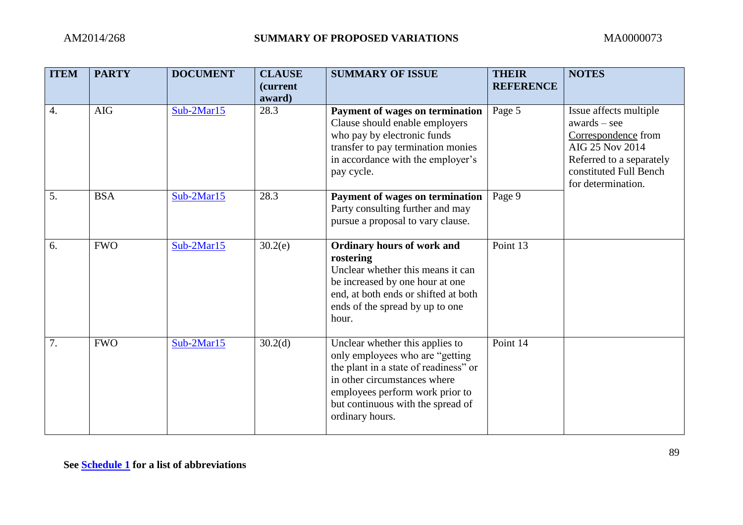| <b>ITEM</b> | <b>PARTY</b> | <b>DOCUMENT</b> | <b>CLAUSE</b><br>(current<br>award) | <b>SUMMARY OF ISSUE</b>                                                                                                                                                                                                                 | <b>THEIR</b><br><b>REFERENCE</b> | <b>NOTES</b>                                                                                                                                                   |
|-------------|--------------|-----------------|-------------------------------------|-----------------------------------------------------------------------------------------------------------------------------------------------------------------------------------------------------------------------------------------|----------------------------------|----------------------------------------------------------------------------------------------------------------------------------------------------------------|
| 4.          | <b>AIG</b>   | $Sub-2Mar15$    | 28.3                                | Payment of wages on termination<br>Clause should enable employers<br>who pay by electronic funds<br>transfer to pay termination monies<br>in accordance with the employer's<br>pay cycle.                                               | Page 5                           | Issue affects multiple<br>$awards - see$<br>Correspondence from<br>AIG 25 Nov 2014<br>Referred to a separately<br>constituted Full Bench<br>for determination. |
| 5.          | <b>BSA</b>   | $Sub-2Mar15$    | 28.3                                | Payment of wages on termination<br>Party consulting further and may<br>pursue a proposal to vary clause.                                                                                                                                | Page 9                           |                                                                                                                                                                |
| 6.          | <b>FWO</b>   | Sub-2Mar15      | 30.2(e)                             | <b>Ordinary hours of work and</b><br>rostering<br>Unclear whether this means it can<br>be increased by one hour at one<br>end, at both ends or shifted at both<br>ends of the spread by up to one<br>hour.                              | Point 13                         |                                                                                                                                                                |
| 7.          | <b>FWO</b>   | Sub-2Mar15      | 30.2 <sub>d</sub>                   | Unclear whether this applies to<br>only employees who are "getting"<br>the plant in a state of readiness" or<br>in other circumstances where<br>employees perform work prior to<br>but continuous with the spread of<br>ordinary hours. | Point 14                         |                                                                                                                                                                |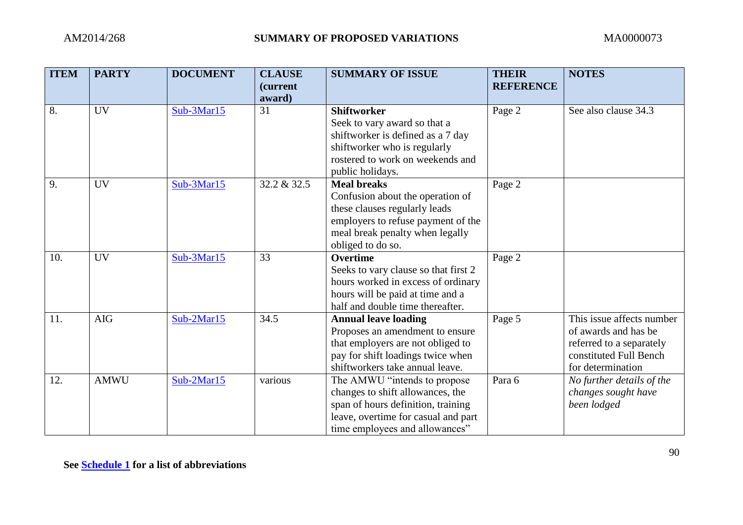| <b>ITEM</b> | <b>PARTY</b> | <b>DOCUMENT</b> | <b>CLAUSE</b><br>(current | <b>SUMMARY OF ISSUE</b>              | <b>THEIR</b><br><b>REFERENCE</b> | <b>NOTES</b>              |
|-------------|--------------|-----------------|---------------------------|--------------------------------------|----------------------------------|---------------------------|
|             |              |                 | award)                    |                                      |                                  |                           |
| 8.          | UV           | Sub-3Mar15      | 31                        | <b>Shiftworker</b>                   | Page 2                           | See also clause 34.3      |
|             |              |                 |                           | Seek to vary award so that a         |                                  |                           |
|             |              |                 |                           | shiftworker is defined as a 7 day    |                                  |                           |
|             |              |                 |                           | shiftworker who is regularly         |                                  |                           |
|             |              |                 |                           | rostered to work on weekends and     |                                  |                           |
|             |              |                 |                           | public holidays.                     |                                  |                           |
| 9.          | <b>UV</b>    | Sub-3Mar15      | 32.2 & 32.5               | <b>Meal breaks</b>                   | Page 2                           |                           |
|             |              |                 |                           | Confusion about the operation of     |                                  |                           |
|             |              |                 |                           | these clauses regularly leads        |                                  |                           |
|             |              |                 |                           | employers to refuse payment of the   |                                  |                           |
|             |              |                 |                           | meal break penalty when legally      |                                  |                           |
|             |              |                 |                           | obliged to do so.                    |                                  |                           |
| 10.         | <b>UV</b>    | Sub-3Mar15      | 33                        | <b>Overtime</b>                      | Page 2                           |                           |
|             |              |                 |                           | Seeks to vary clause so that first 2 |                                  |                           |
|             |              |                 |                           | hours worked in excess of ordinary   |                                  |                           |
|             |              |                 |                           | hours will be paid at time and a     |                                  |                           |
|             |              |                 |                           | half and double time thereafter.     |                                  |                           |
| 11.         | <b>AIG</b>   | $Sub-2Mar15$    | 34.5                      | <b>Annual leave loading</b>          | Page 5                           | This issue affects number |
|             |              |                 |                           | Proposes an amendment to ensure      |                                  | of awards and has be      |
|             |              |                 |                           | that employers are not obliged to    |                                  | referred to a separately  |
|             |              |                 |                           | pay for shift loadings twice when    |                                  | constituted Full Bench    |
|             |              |                 |                           | shiftworkers take annual leave.      |                                  | for determination         |
| 12.         | <b>AMWU</b>  | Sub-2Mar15      | various                   | The AMWU "intends to propose         | Para 6                           | No further details of the |
|             |              |                 |                           | changes to shift allowances, the     |                                  | changes sought have       |
|             |              |                 |                           | span of hours definition, training   |                                  | been lodged               |
|             |              |                 |                           | leave, overtime for casual and part  |                                  |                           |
|             |              |                 |                           | time employees and allowances"       |                                  |                           |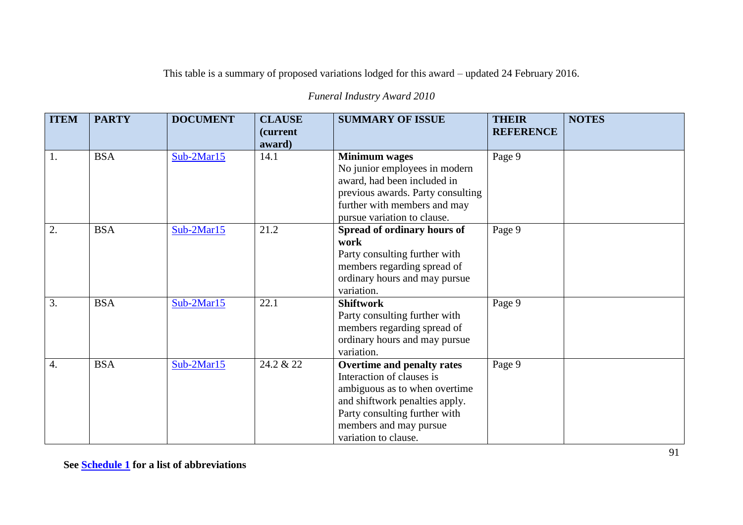| <b>ITEM</b>      | <b>PARTY</b> | <b>DOCUMENT</b> | <b>CLAUSE</b><br><i>(current)</i><br>award) | <b>SUMMARY OF ISSUE</b>                                                                                                                                                                                       | <b>THEIR</b><br><b>REFERENCE</b> | <b>NOTES</b> |
|------------------|--------------|-----------------|---------------------------------------------|---------------------------------------------------------------------------------------------------------------------------------------------------------------------------------------------------------------|----------------------------------|--------------|
| $\overline{1}$ . | <b>BSA</b>   | Sub-2Mar15      | 14.1                                        | <b>Minimum</b> wages<br>No junior employees in modern<br>award, had been included in<br>previous awards. Party consulting<br>further with members and may<br>pursue variation to clause.                      | Page 9                           |              |
| $\overline{2}$ . | <b>BSA</b>   | Sub-2Mar15      | 21.2                                        | Spread of ordinary hours of<br>work<br>Party consulting further with<br>members regarding spread of<br>ordinary hours and may pursue<br>variation.                                                            | Page 9                           |              |
| $\overline{3}$ . | <b>BSA</b>   | $Sub-2Mar15$    | 22.1                                        | <b>Shiftwork</b><br>Party consulting further with<br>members regarding spread of<br>ordinary hours and may pursue<br>variation.                                                                               | Page 9                           |              |
| $\overline{4}$ . | <b>BSA</b>   | $Sub-2Mar15$    | 24.2 & 22                                   | Overtime and penalty rates<br>Interaction of clauses is<br>ambiguous as to when overtime<br>and shiftwork penalties apply.<br>Party consulting further with<br>members and may pursue<br>variation to clause. | Page 9                           |              |

*Funeral Industry Award 2010*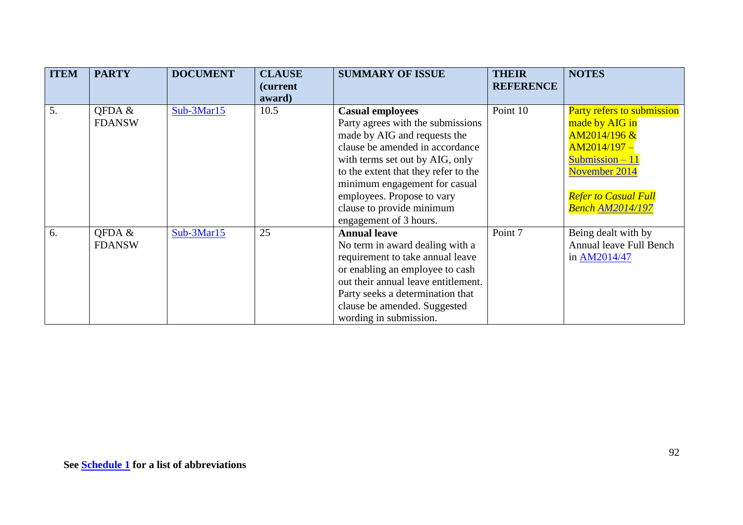| <b>ITEM</b> | <b>PARTY</b>            | <b>DOCUMENT</b> | <b>CLAUSE</b><br><i>(current)</i><br>award) | <b>SUMMARY OF ISSUE</b>                                                                                                                                                                                                                                                                                                          | <b>THEIR</b><br><b>REFERENCE</b> | <b>NOTES</b>                                                                                                                                                                     |
|-------------|-------------------------|-----------------|---------------------------------------------|----------------------------------------------------------------------------------------------------------------------------------------------------------------------------------------------------------------------------------------------------------------------------------------------------------------------------------|----------------------------------|----------------------------------------------------------------------------------------------------------------------------------------------------------------------------------|
| 5.          | OFDA &<br><b>FDANSW</b> | $Sub-3Mar15$    | 10.5                                        | <b>Casual employees</b><br>Party agrees with the submissions<br>made by AIG and requests the<br>clause be amended in accordance<br>with terms set out by AIG, only<br>to the extent that they refer to the<br>minimum engagement for casual<br>employees. Propose to vary<br>clause to provide minimum<br>engagement of 3 hours. | Point 10                         | Party refers to submission<br>made by AIG in<br>$AM2014/196 \&$<br>$AM2014/197 -$<br>Submission $-11$<br>November 2014<br><b>Refer to Casual Full</b><br><b>Bench AM2014/197</b> |
| 6.          | QFDA &<br><b>FDANSW</b> | Sub-3Mar15      | 25                                          | <b>Annual leave</b><br>No term in award dealing with a<br>requirement to take annual leave<br>or enabling an employee to cash<br>out their annual leave entitlement.<br>Party seeks a determination that<br>clause be amended. Suggested<br>wording in submission.                                                               | Point 7                          | Being dealt with by<br>Annual leave Full Bench<br>in AM2014/47                                                                                                                   |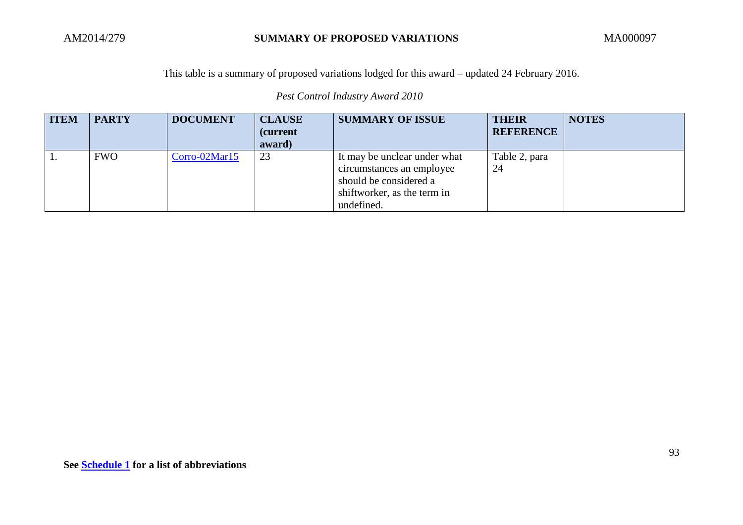*Pest Control Industry Award 2010*

| <b>ITEM</b> | <b>PARTY</b> | <b>DOCUMENT</b> | <b>CLAUSE</b><br><i>(current)</i><br>award) | <b>SUMMARY OF ISSUE</b>                                                                                                          | <b>THEIR</b><br><b>REFERENCE</b> | <b>NOTES</b> |
|-------------|--------------|-----------------|---------------------------------------------|----------------------------------------------------------------------------------------------------------------------------------|----------------------------------|--------------|
|             | <b>FWO</b>   | Corro-02Mar15   | 23                                          | It may be unclear under what<br>circumstances an employee<br>should be considered a<br>shiftworker, as the term in<br>undefined. | Table 2, para<br>24              |              |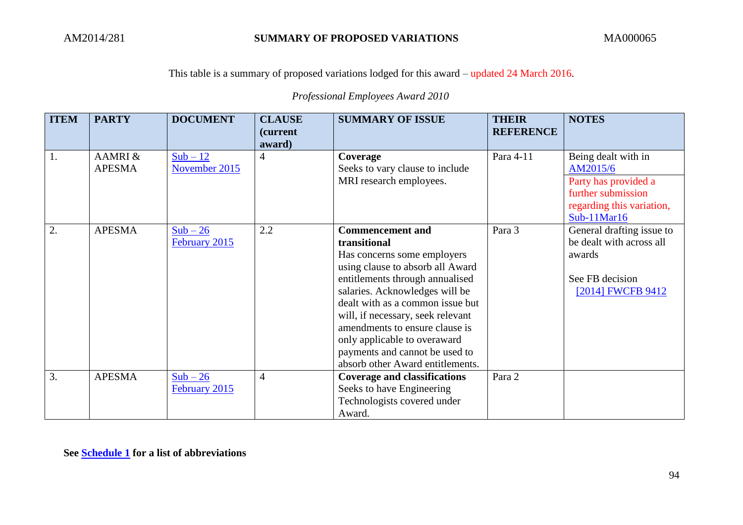*Professional Employees Award 2010*

| <b>ITEM</b>      | <b>PARTY</b>  | <b>DOCUMENT</b> | <b>CLAUSE</b><br><i>(current)</i><br>award) | <b>SUMMARY OF ISSUE</b>             | <b>THEIR</b><br><b>REFERENCE</b> | <b>NOTES</b>              |
|------------------|---------------|-----------------|---------------------------------------------|-------------------------------------|----------------------------------|---------------------------|
| 1.               | AAMRI &       | $Sub - 12$      | 4                                           | Coverage                            | Para 4-11                        | Being dealt with in       |
|                  | <b>APESMA</b> | November 2015   |                                             | Seeks to vary clause to include     |                                  | AM2015/6                  |
|                  |               |                 |                                             | MRI research employees.             |                                  | Party has provided a      |
|                  |               |                 |                                             |                                     |                                  | further submission        |
|                  |               |                 |                                             |                                     |                                  | regarding this variation, |
|                  |               |                 |                                             |                                     |                                  | $Sub-11Mar16$             |
| $\overline{2}$ . | <b>APESMA</b> | $Sub - 26$      | 2.2                                         | <b>Commencement and</b>             | Para 3                           | General drafting issue to |
|                  |               | February 2015   |                                             | transitional                        |                                  | be dealt with across all  |
|                  |               |                 |                                             | Has concerns some employers         |                                  | awards                    |
|                  |               |                 |                                             | using clause to absorb all Award    |                                  |                           |
|                  |               |                 |                                             | entitlements through annualised     |                                  | See FB decision           |
|                  |               |                 |                                             | salaries. Acknowledges will be      |                                  | [2014] FWCFB 9412         |
|                  |               |                 |                                             | dealt with as a common issue but    |                                  |                           |
|                  |               |                 |                                             | will, if necessary, seek relevant   |                                  |                           |
|                  |               |                 |                                             | amendments to ensure clause is      |                                  |                           |
|                  |               |                 |                                             | only applicable to overaward        |                                  |                           |
|                  |               |                 |                                             | payments and cannot be used to      |                                  |                           |
|                  |               |                 |                                             | absorb other Award entitlements.    |                                  |                           |
| 3.               | <b>APESMA</b> | $Sub - 26$      | $\overline{4}$                              | <b>Coverage and classifications</b> | Para 2                           |                           |
|                  |               | February 2015   |                                             | Seeks to have Engineering           |                                  |                           |
|                  |               |                 |                                             | Technologists covered under         |                                  |                           |
|                  |               |                 |                                             | Award.                              |                                  |                           |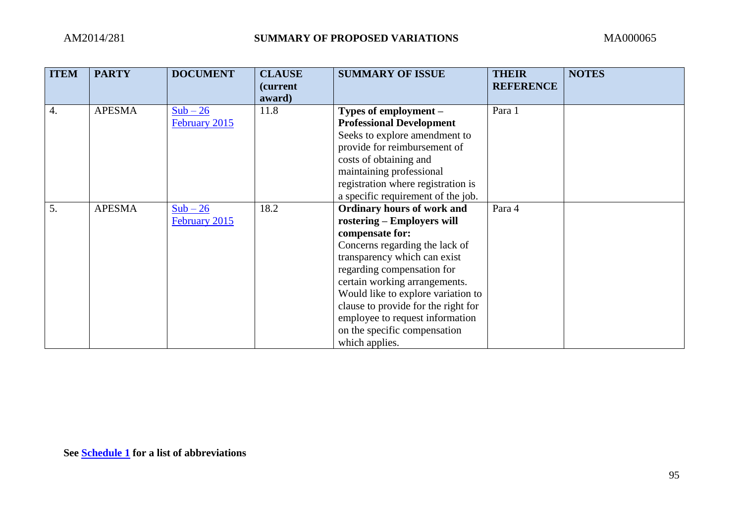| <b>ITEM</b> | <b>PARTY</b>  | <b>DOCUMENT</b> | <b>CLAUSE</b><br>(current | <b>SUMMARY OF ISSUE</b>             | <b>THEIR</b><br><b>REFERENCE</b> | <b>NOTES</b> |
|-------------|---------------|-----------------|---------------------------|-------------------------------------|----------------------------------|--------------|
|             |               |                 | award)                    |                                     |                                  |              |
| 4.          | <b>APESMA</b> | $Sub - 26$      | 11.8                      | Types of employment -               | Para 1                           |              |
|             |               | February 2015   |                           | <b>Professional Development</b>     |                                  |              |
|             |               |                 |                           | Seeks to explore amendment to       |                                  |              |
|             |               |                 |                           | provide for reimbursement of        |                                  |              |
|             |               |                 |                           | costs of obtaining and              |                                  |              |
|             |               |                 |                           | maintaining professional            |                                  |              |
|             |               |                 |                           | registration where registration is  |                                  |              |
|             |               |                 |                           | a specific requirement of the job.  |                                  |              |
| 5.          | <b>APESMA</b> | $Sub - 26$      | 18.2                      | <b>Ordinary hours of work and</b>   | Para 4                           |              |
|             |               | February 2015   |                           | rostering – Employers will          |                                  |              |
|             |               |                 |                           | compensate for:                     |                                  |              |
|             |               |                 |                           | Concerns regarding the lack of      |                                  |              |
|             |               |                 |                           | transparency which can exist        |                                  |              |
|             |               |                 |                           | regarding compensation for          |                                  |              |
|             |               |                 |                           | certain working arrangements.       |                                  |              |
|             |               |                 |                           | Would like to explore variation to  |                                  |              |
|             |               |                 |                           | clause to provide for the right for |                                  |              |
|             |               |                 |                           | employee to request information     |                                  |              |
|             |               |                 |                           | on the specific compensation        |                                  |              |
|             |               |                 |                           | which applies.                      |                                  |              |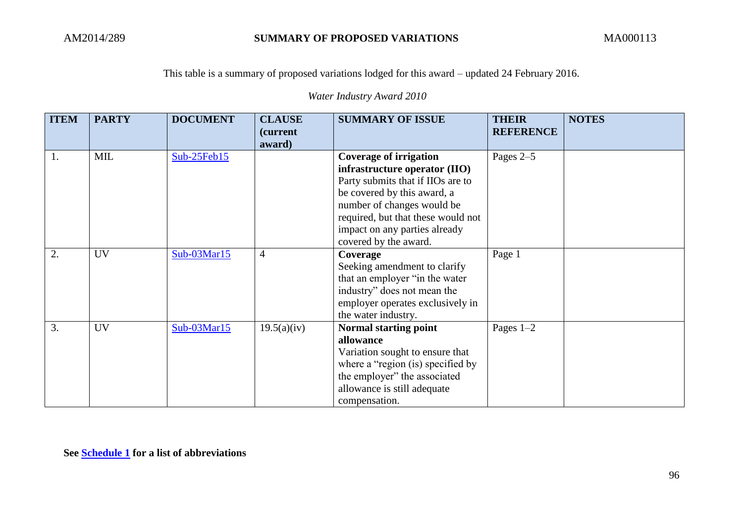*Water Industry Award 2010*

| <b>ITEM</b> | <b>PARTY</b> | <b>DOCUMENT</b> | <b>CLAUSE</b><br>(current | <b>SUMMARY OF ISSUE</b>                                                                                                                                                                                                                                          | <b>THEIR</b><br><b>REFERENCE</b> | <b>NOTES</b> |
|-------------|--------------|-----------------|---------------------------|------------------------------------------------------------------------------------------------------------------------------------------------------------------------------------------------------------------------------------------------------------------|----------------------------------|--------------|
|             |              |                 | award)                    |                                                                                                                                                                                                                                                                  |                                  |              |
| 1.          | <b>MIL</b>   | Sub-25Feb15     |                           | <b>Coverage of irrigation</b><br>infrastructure operator (IIO)<br>Party submits that if IIOs are to<br>be covered by this award, a<br>number of changes would be<br>required, but that these would not<br>impact on any parties already<br>covered by the award. | Pages $2-5$                      |              |
| 2.          | <b>UV</b>    | Sub-03Mar15     | $\overline{4}$            | Coverage<br>Seeking amendment to clarify<br>that an employer "in the water"<br>industry" does not mean the<br>employer operates exclusively in<br>the water industry.                                                                                            | Page 1                           |              |
| 3.          | <b>UV</b>    | Sub-03Mar15     | 19.5(a)(iv)               | Normal starting point<br>allowance<br>Variation sought to ensure that<br>where a "region (is) specified by<br>the employer" the associated<br>allowance is still adequate<br>compensation.                                                                       | Pages $1-2$                      |              |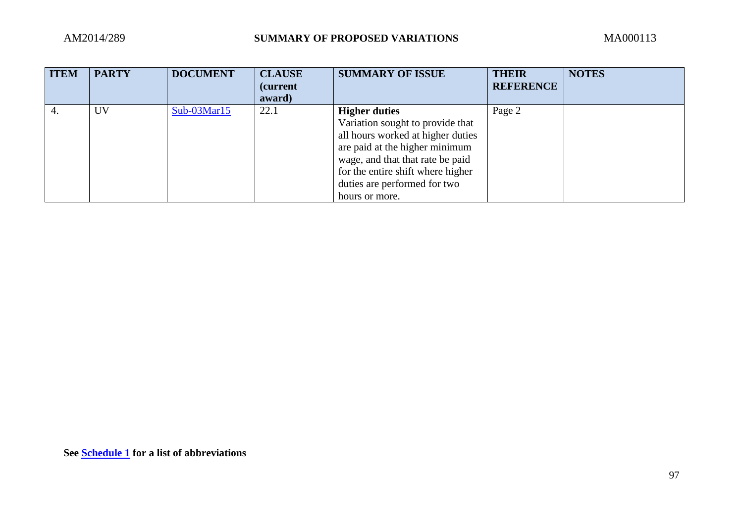| <b>ITEM</b> | <b>PARTY</b> | <b>DOCUMENT</b> | <b>CLAUSE</b><br><i>(current)</i><br>award) | <b>SUMMARY OF ISSUE</b>           | <b>THEIR</b><br><b>REFERENCE</b> | <b>NOTES</b> |
|-------------|--------------|-----------------|---------------------------------------------|-----------------------------------|----------------------------------|--------------|
| 4.          | <b>UV</b>    | $Sub-03Mar15$   | 22.1                                        | <b>Higher duties</b>              | Page 2                           |              |
|             |              |                 |                                             | Variation sought to provide that  |                                  |              |
|             |              |                 |                                             | all hours worked at higher duties |                                  |              |
|             |              |                 |                                             | are paid at the higher minimum    |                                  |              |
|             |              |                 |                                             | wage, and that that rate be paid  |                                  |              |
|             |              |                 |                                             | for the entire shift where higher |                                  |              |
|             |              |                 |                                             | duties are performed for two      |                                  |              |
|             |              |                 |                                             | hours or more.                    |                                  |              |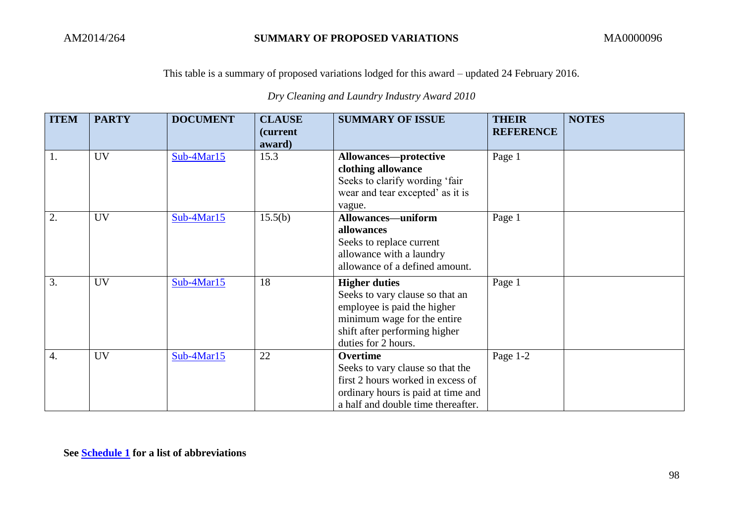*Dry Cleaning and Laundry Industry Award 2010*

| <b>ITEM</b>      | <b>PARTY</b> | <b>DOCUMENT</b> | <b>CLAUSE</b><br><i>(current)</i><br>award) | <b>SUMMARY OF ISSUE</b>                                                                                                                                                       | <b>THEIR</b><br><b>REFERENCE</b> | <b>NOTES</b> |
|------------------|--------------|-----------------|---------------------------------------------|-------------------------------------------------------------------------------------------------------------------------------------------------------------------------------|----------------------------------|--------------|
| 1.               | <b>UV</b>    | $Sub-4Mar15$    | 15.3                                        | Allowances-protective<br>clothing allowance<br>Seeks to clarify wording 'fair<br>wear and tear excepted' as it is<br>vague.                                                   | Page 1                           |              |
| 2.               | <b>UV</b>    | Sub-4Mar15      | 15.5(b)                                     | <b>Allowances-uniform</b><br>allowances<br>Seeks to replace current<br>allowance with a laundry<br>allowance of a defined amount.                                             | Page 1                           |              |
| 3.               | <b>UV</b>    | $Sub-4Mar15$    | 18                                          | <b>Higher duties</b><br>Seeks to vary clause so that an<br>employee is paid the higher<br>minimum wage for the entire<br>shift after performing higher<br>duties for 2 hours. | Page 1                           |              |
| $\overline{4}$ . | <b>UV</b>    | Sub-4Mar15      | 22                                          | Overtime<br>Seeks to vary clause so that the<br>first 2 hours worked in excess of<br>ordinary hours is paid at time and<br>a half and double time thereafter.                 | Page 1-2                         |              |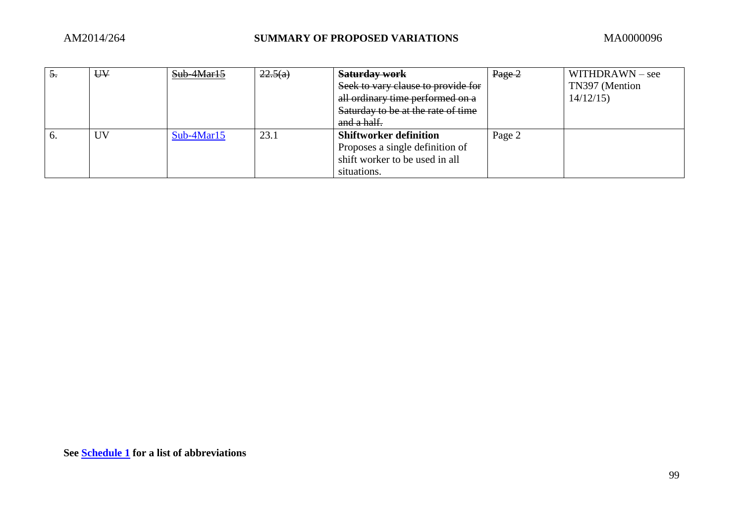| $\partial$ . | UV | Sub-4Mar15   | 22.5(a) | <b>Saturday work</b>               | $Page-2$ | $WITHDRAWN - see$ |
|--------------|----|--------------|---------|------------------------------------|----------|-------------------|
|              |    |              |         | Seek to vary clause to provide for |          | TN397 (Mention    |
|              |    |              |         | all ordinary time performed on a   |          | 14/12/15          |
|              |    |              |         | Saturday to be at the rate of time |          |                   |
|              |    |              |         | and a half.                        |          |                   |
| v.           | UV | $Sub-4Mar15$ | 23.1    | <b>Shiftworker definition</b>      | Page 2   |                   |
|              |    |              |         | Proposes a single definition of    |          |                   |
|              |    |              |         | shift worker to be used in all     |          |                   |
|              |    |              |         | situations.                        |          |                   |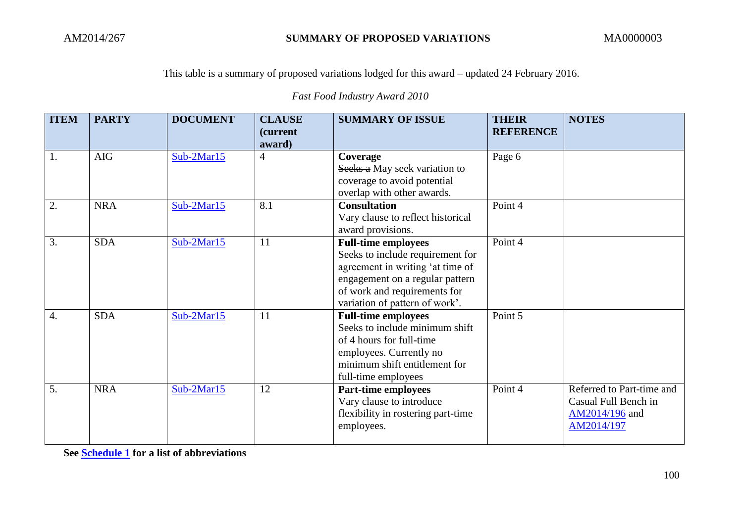*Fast Food Industry Award 2010*

| <b>ITEM</b> | <b>PARTY</b> | <b>DOCUMENT</b> | <b>CLAUSE</b><br><i>(current)</i><br>award) | <b>SUMMARY OF ISSUE</b>                                                                                                                                                                                 | <b>THEIR</b><br><b>REFERENCE</b> | <b>NOTES</b>                                                                      |
|-------------|--------------|-----------------|---------------------------------------------|---------------------------------------------------------------------------------------------------------------------------------------------------------------------------------------------------------|----------------------------------|-----------------------------------------------------------------------------------|
| 1.          | <b>AIG</b>   | $Sub-2Mar15$    | $\overline{4}$                              | Coverage<br>Seeks a May seek variation to<br>coverage to avoid potential<br>overlap with other awards.                                                                                                  | Page 6                           |                                                                                   |
| 2.          | <b>NRA</b>   | $Sub-2Mar15$    | 8.1                                         | <b>Consultation</b><br>Vary clause to reflect historical<br>award provisions.                                                                                                                           | Point 4                          |                                                                                   |
| 3.          | <b>SDA</b>   | $Sub-2Mar15$    | 11                                          | <b>Full-time employees</b><br>Seeks to include requirement for<br>agreement in writing 'at time of<br>engagement on a regular pattern<br>of work and requirements for<br>variation of pattern of work'. | Point 4                          |                                                                                   |
| 4.          | <b>SDA</b>   | $Sub-2Mar15$    | 11                                          | <b>Full-time employees</b><br>Seeks to include minimum shift<br>of 4 hours for full-time<br>employees. Currently no<br>minimum shift entitlement for<br>full-time employees                             | Point 5                          |                                                                                   |
| 5.          | <b>NRA</b>   | $Sub-2Mar15$    | 12                                          | <b>Part-time employees</b><br>Vary clause to introduce<br>flexibility in rostering part-time<br>employees.                                                                                              | Point 4                          | Referred to Part-time and<br>Casual Full Bench in<br>AM2014/196 and<br>AM2014/197 |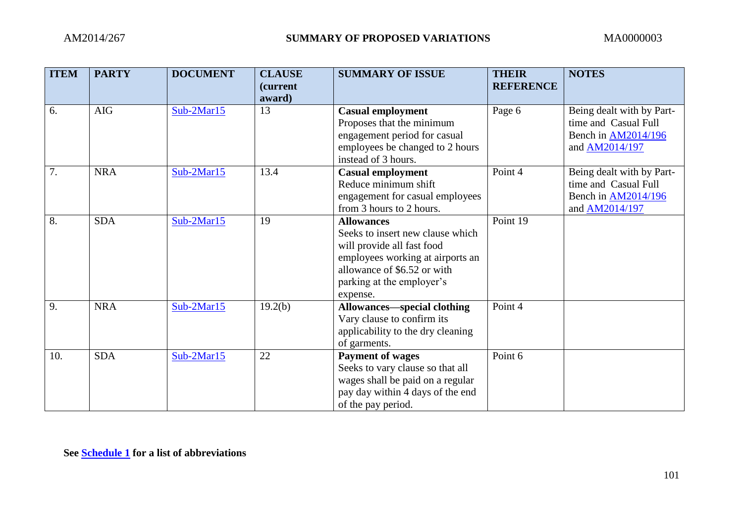| <b>ITEM</b> | <b>PARTY</b> | <b>DOCUMENT</b> | <b>CLAUSE</b><br>(current | <b>SUMMARY OF ISSUE</b>            | <b>THEIR</b><br><b>REFERENCE</b> | <b>NOTES</b>               |
|-------------|--------------|-----------------|---------------------------|------------------------------------|----------------------------------|----------------------------|
|             |              |                 | award)                    |                                    |                                  |                            |
| 6.          | <b>AIG</b>   | Sub-2Mar15      | 13                        | <b>Casual employment</b>           | Page 6                           | Being dealt with by Part-  |
|             |              |                 |                           | Proposes that the minimum          |                                  | time and Casual Full       |
|             |              |                 |                           | engagement period for casual       |                                  | Bench in AM2014/196        |
|             |              |                 |                           | employees be changed to 2 hours    |                                  | and AM2014/197             |
|             |              |                 |                           | instead of 3 hours.                |                                  |                            |
| 7.          | <b>NRA</b>   | Sub-2Mar15      | 13.4                      | <b>Casual employment</b>           | Point 4                          | Being dealt with by Part-  |
|             |              |                 |                           | Reduce minimum shift               |                                  | time and Casual Full       |
|             |              |                 |                           | engagement for casual employees    |                                  | Bench in <b>AM2014/196</b> |
|             |              |                 |                           | from 3 hours to 2 hours.           |                                  | and AM2014/197             |
| 8.          | <b>SDA</b>   | Sub-2Mar15      | 19                        | <b>Allowances</b>                  | Point 19                         |                            |
|             |              |                 |                           | Seeks to insert new clause which   |                                  |                            |
|             |              |                 |                           | will provide all fast food         |                                  |                            |
|             |              |                 |                           | employees working at airports an   |                                  |                            |
|             |              |                 |                           | allowance of \$6.52 or with        |                                  |                            |
|             |              |                 |                           | parking at the employer's          |                                  |                            |
|             |              |                 |                           | expense.                           |                                  |                            |
| 9.          | <b>NRA</b>   | Sub-2Mar15      | 19.2(b)                   | <b>Allowances—special clothing</b> | Point 4                          |                            |
|             |              |                 |                           | Vary clause to confirm its         |                                  |                            |
|             |              |                 |                           | applicability to the dry cleaning  |                                  |                            |
|             |              |                 |                           | of garments.                       |                                  |                            |
| 10.         | <b>SDA</b>   | Sub-2Mar15      | 22                        | <b>Payment of wages</b>            | Point 6                          |                            |
|             |              |                 |                           | Seeks to vary clause so that all   |                                  |                            |
|             |              |                 |                           | wages shall be paid on a regular   |                                  |                            |
|             |              |                 |                           | pay day within 4 days of the end   |                                  |                            |
|             |              |                 |                           | of the pay period.                 |                                  |                            |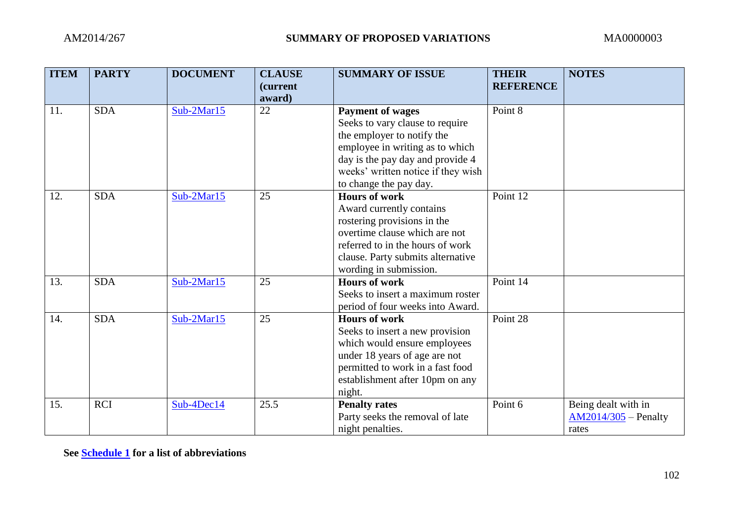| <b>ITEM</b> | <b>PARTY</b> | <b>DOCUMENT</b> | <b>CLAUSE</b><br><i>(current)</i><br>award) | <b>SUMMARY OF ISSUE</b>                                                                                                                                                                                                         | <b>THEIR</b><br><b>REFERENCE</b> | <b>NOTES</b>                                           |
|-------------|--------------|-----------------|---------------------------------------------|---------------------------------------------------------------------------------------------------------------------------------------------------------------------------------------------------------------------------------|----------------------------------|--------------------------------------------------------|
| 11.         | <b>SDA</b>   | Sub-2Mar15      | 22                                          | <b>Payment of wages</b><br>Seeks to vary clause to require<br>the employer to notify the<br>employee in writing as to which<br>day is the pay day and provide 4<br>weeks' written notice if they wish<br>to change the pay day. | Point 8                          |                                                        |
| 12.         | <b>SDA</b>   | Sub-2Mar15      | 25                                          | <b>Hours of work</b><br>Award currently contains<br>rostering provisions in the<br>overtime clause which are not<br>referred to in the hours of work<br>clause. Party submits alternative<br>wording in submission.             | Point 12                         |                                                        |
| 13.         | <b>SDA</b>   | $Sub-2Mar15$    | 25                                          | <b>Hours of work</b><br>Seeks to insert a maximum roster<br>period of four weeks into Award.                                                                                                                                    | Point 14                         |                                                        |
| 14.         | <b>SDA</b>   | $Sub-2Mar15$    | 25                                          | <b>Hours of work</b><br>Seeks to insert a new provision<br>which would ensure employees<br>under 18 years of age are not<br>permitted to work in a fast food<br>establishment after 10pm on any<br>night.                       | Point 28                         |                                                        |
| 15.         | <b>RCI</b>   | $Sub-4Dec14$    | 25.5                                        | <b>Penalty rates</b><br>Party seeks the removal of late<br>night penalties.                                                                                                                                                     | Point 6                          | Being dealt with in<br>$AM2014/305$ – Penalty<br>rates |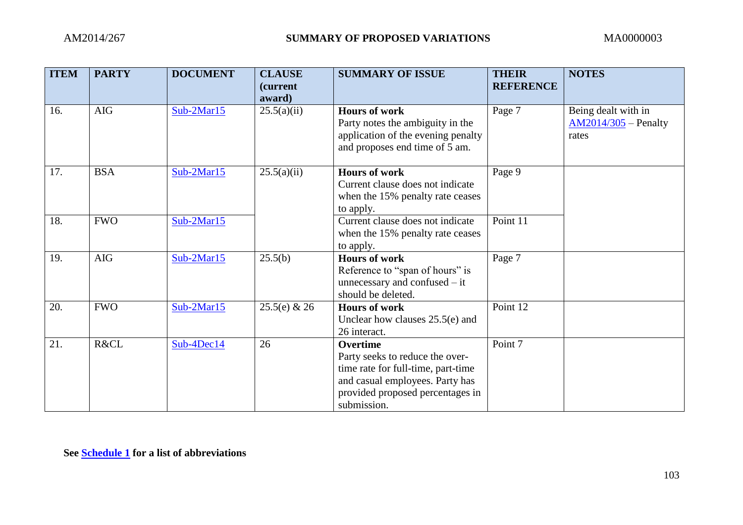| <b>ITEM</b> | <b>PARTY</b> | <b>DOCUMENT</b> | <b>CLAUSE</b><br><i>(current)</i><br>award) | <b>SUMMARY OF ISSUE</b>                                                                                                                                                        | <b>THEIR</b><br><b>REFERENCE</b> | <b>NOTES</b>                                           |
|-------------|--------------|-----------------|---------------------------------------------|--------------------------------------------------------------------------------------------------------------------------------------------------------------------------------|----------------------------------|--------------------------------------------------------|
| 16.         | <b>AIG</b>   | $Sub-2Mar15$    | 25.5(a)(ii)                                 | <b>Hours of work</b><br>Party notes the ambiguity in the<br>application of the evening penalty<br>and proposes end time of 5 am.                                               | Page 7                           | Being dealt with in<br>$AM2014/305$ – Penalty<br>rates |
| 17.         | <b>BSA</b>   | $Sub-2Mar15$    | 25.5(a)(ii)                                 | <b>Hours of work</b><br>Current clause does not indicate<br>when the 15% penalty rate ceases<br>to apply.                                                                      | Page 9                           |                                                        |
| 18.         | <b>FWO</b>   | $Sub-2Mar15$    |                                             | Current clause does not indicate<br>when the 15% penalty rate ceases<br>to apply.                                                                                              | Point 11                         |                                                        |
| 19.         | <b>AIG</b>   | $Sub-2Mar15$    | 25.5(b)                                     | <b>Hours of work</b><br>Reference to "span of hours" is<br>unnecessary and confused $-$ it<br>should be deleted.                                                               | Page 7                           |                                                        |
| 20.         | <b>FWO</b>   | $Sub-2Mar15$    | $25.5(e) \& 26$                             | <b>Hours of work</b><br>Unclear how clauses $25.5(e)$ and<br>26 interact.                                                                                                      | Point 12                         |                                                        |
| 21.         | R&CL         | $Sub-4Dec14$    | 26                                          | <b>Overtime</b><br>Party seeks to reduce the over-<br>time rate for full-time, part-time<br>and casual employees. Party has<br>provided proposed percentages in<br>submission. | Point 7                          |                                                        |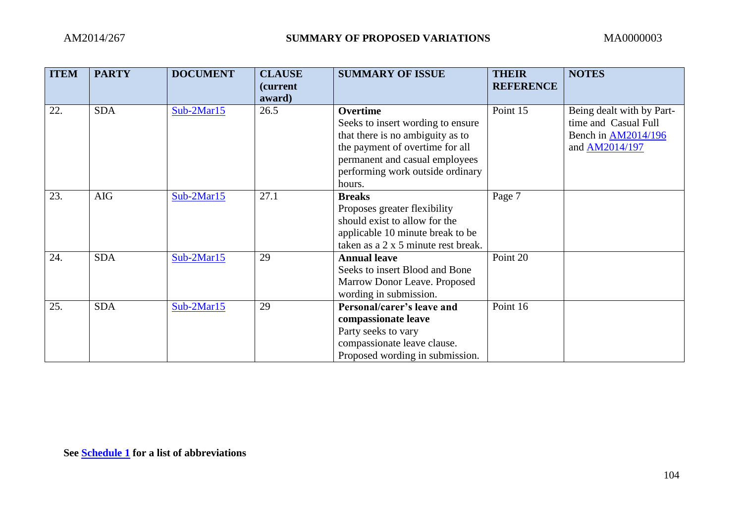| <b>ITEM</b> | <b>PARTY</b> | <b>DOCUMENT</b> | <b>CLAUSE</b><br><i>(current)</i> | <b>SUMMARY OF ISSUE</b>                                                                                                                                                                                     | <b>THEIR</b><br><b>REFERENCE</b> | <b>NOTES</b>                                                                               |
|-------------|--------------|-----------------|-----------------------------------|-------------------------------------------------------------------------------------------------------------------------------------------------------------------------------------------------------------|----------------------------------|--------------------------------------------------------------------------------------------|
|             |              |                 | award)                            |                                                                                                                                                                                                             |                                  |                                                                                            |
| 22.         | <b>SDA</b>   | $Sub-2Mar15$    | 26.5                              | <b>Overtime</b><br>Seeks to insert wording to ensure<br>that there is no ambiguity as to<br>the payment of overtime for all<br>permanent and casual employees<br>performing work outside ordinary<br>hours. | Point 15                         | Being dealt with by Part-<br>time and Casual Full<br>Bench in AM2014/196<br>and AM2014/197 |
| 23.         | <b>AIG</b>   | $Sub-2Mar15$    | 27.1                              | <b>Breaks</b><br>Proposes greater flexibility<br>should exist to allow for the<br>applicable 10 minute break to be<br>taken as a 2 x 5 minute rest break.                                                   | Page 7                           |                                                                                            |
| 24.         | <b>SDA</b>   | Sub-2Mar15      | 29                                | <b>Annual leave</b><br>Seeks to insert Blood and Bone<br>Marrow Donor Leave. Proposed<br>wording in submission.                                                                                             | Point 20                         |                                                                                            |
| 25.         | <b>SDA</b>   | $Sub-2Mar15$    | 29                                | Personal/carer's leave and<br>compassionate leave<br>Party seeks to vary<br>compassionate leave clause.<br>Proposed wording in submission.                                                                  | Point 16                         |                                                                                            |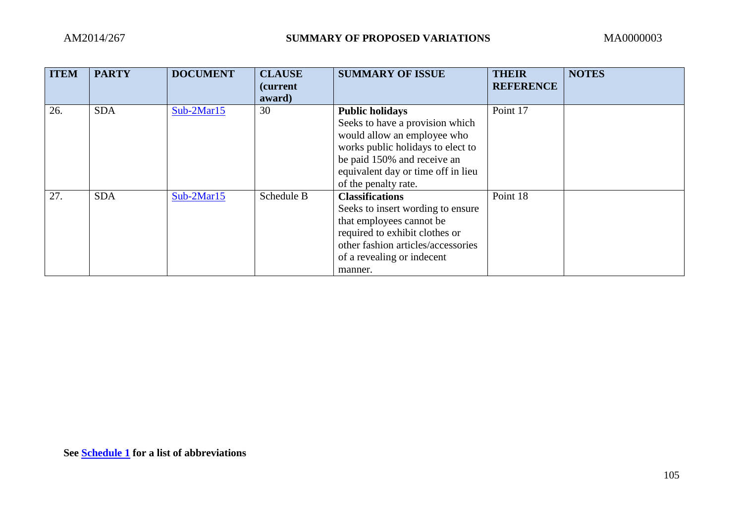| <b>ITEM</b> | <b>PARTY</b> | <b>DOCUMENT</b> | <b>CLAUSE</b><br><i>(current)</i><br>award) | <b>SUMMARY OF ISSUE</b>                                                                                                                                                                                                    | <b>THEIR</b><br><b>REFERENCE</b> | <b>NOTES</b> |
|-------------|--------------|-----------------|---------------------------------------------|----------------------------------------------------------------------------------------------------------------------------------------------------------------------------------------------------------------------------|----------------------------------|--------------|
| 26.         | <b>SDA</b>   | $Sub-2Mar15$    | 30                                          | <b>Public holidays</b><br>Seeks to have a provision which<br>would allow an employee who<br>works public holidays to elect to<br>be paid 150% and receive an<br>equivalent day or time off in lieu<br>of the penalty rate. | Point 17                         |              |
| 27.         | <b>SDA</b>   | $Sub-2Mar15$    | Schedule B                                  | <b>Classifications</b><br>Seeks to insert wording to ensure<br>that employees cannot be<br>required to exhibit clothes or<br>other fashion articles/accessories<br>of a revealing or indecent<br>manner.                   | Point 18                         |              |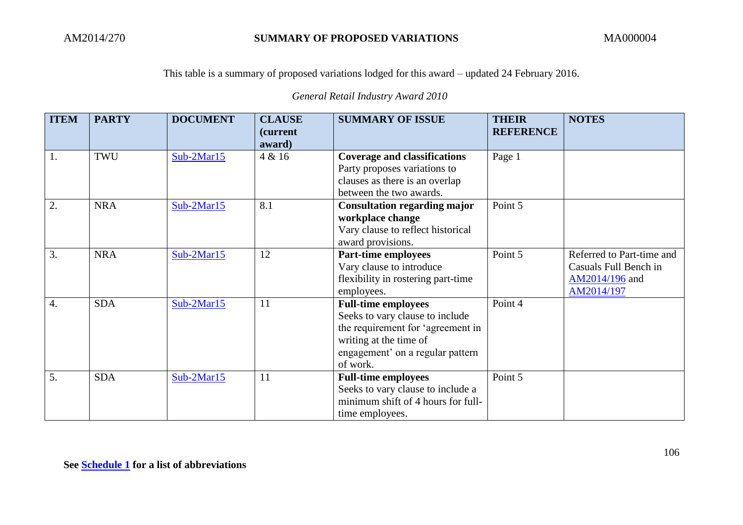*General Retail Industry Award 2010*

| <b>ITEM</b>      | <b>PARTY</b> | <b>DOCUMENT</b> | <b>CLAUSE</b><br><i>(current)</i><br>award) | <b>SUMMARY OF ISSUE</b>                                                                                                                                                      | <b>THEIR</b><br><b>REFERENCE</b> | <b>NOTES</b>                                                                       |
|------------------|--------------|-----------------|---------------------------------------------|------------------------------------------------------------------------------------------------------------------------------------------------------------------------------|----------------------------------|------------------------------------------------------------------------------------|
| 1.               | TWU          | $Sub-2Mar15$    | 4 & 16                                      | <b>Coverage and classifications</b><br>Party proposes variations to<br>clauses as there is an overlap<br>between the two awards.                                             | Page 1                           |                                                                                    |
| 2.               | <b>NRA</b>   | $Sub-2Mar15$    | 8.1                                         | <b>Consultation regarding major</b><br>workplace change<br>Vary clause to reflect historical<br>award provisions.                                                            | Point 5                          |                                                                                    |
| 3.               | <b>NRA</b>   | $Sub-2Mar15$    | 12                                          | Part-time employees<br>Vary clause to introduce<br>flexibility in rostering part-time<br>employees.                                                                          | Point 5                          | Referred to Part-time and<br>Casuals Full Bench in<br>AM2014/196 and<br>AM2014/197 |
| $\overline{4}$ . | <b>SDA</b>   | $Sub-2Mar15$    | 11                                          | <b>Full-time employees</b><br>Seeks to vary clause to include<br>the requirement for 'agreement in<br>writing at the time of<br>engagement' on a regular pattern<br>of work. | Point 4                          |                                                                                    |
| 5.               | <b>SDA</b>   | $Sub-2Mar15$    | 11                                          | <b>Full-time employees</b><br>Seeks to vary clause to include a<br>minimum shift of 4 hours for full-<br>time employees.                                                     | Point 5                          |                                                                                    |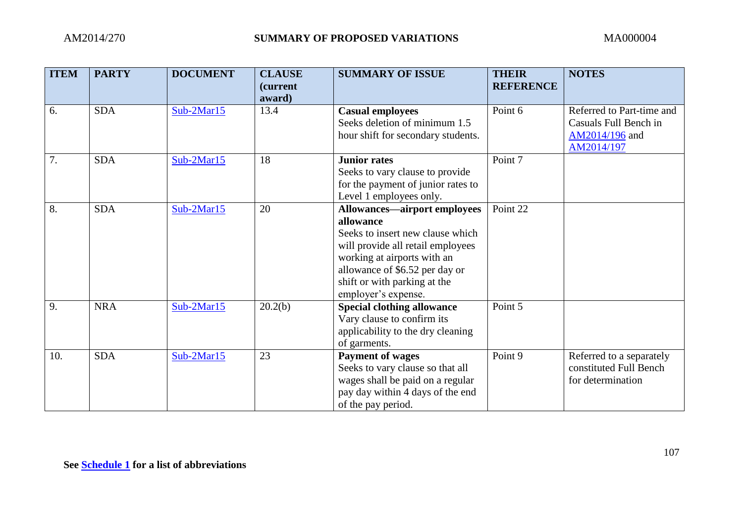| <b>ITEM</b> | <b>PARTY</b> | <b>DOCUMENT</b> | <b>CLAUSE</b><br><i>(current)</i> | <b>SUMMARY OF ISSUE</b>                                                                                                                                                                                                                           | <b>THEIR</b><br><b>REFERENCE</b> | <b>NOTES</b>                                                                       |
|-------------|--------------|-----------------|-----------------------------------|---------------------------------------------------------------------------------------------------------------------------------------------------------------------------------------------------------------------------------------------------|----------------------------------|------------------------------------------------------------------------------------|
|             |              |                 | award)                            |                                                                                                                                                                                                                                                   |                                  |                                                                                    |
| 6.          | <b>SDA</b>   | $Sub-2Mar15$    | 13.4                              | <b>Casual employees</b><br>Seeks deletion of minimum 1.5<br>hour shift for secondary students.                                                                                                                                                    | Point 6                          | Referred to Part-time and<br>Casuals Full Bench in<br>AM2014/196 and<br>AM2014/197 |
| 7.          | <b>SDA</b>   | $Sub-2Mar15$    | 18                                | <b>Junior rates</b><br>Seeks to vary clause to provide<br>for the payment of junior rates to<br>Level 1 employees only.                                                                                                                           | Point 7                          |                                                                                    |
| 8.          | <b>SDA</b>   | $Sub-2Mar15$    | 20                                | <b>Allowances—airport employees</b><br>allowance<br>Seeks to insert new clause which<br>will provide all retail employees<br>working at airports with an<br>allowance of \$6.52 per day or<br>shift or with parking at the<br>employer's expense. | Point 22                         |                                                                                    |
| 9.          | <b>NRA</b>   | $Sub-2Mar15$    | 20.2(b)                           | <b>Special clothing allowance</b><br>Vary clause to confirm its<br>applicability to the dry cleaning<br>of garments.                                                                                                                              | Point 5                          |                                                                                    |
| 10.         | <b>SDA</b>   | $Sub-2Mar15$    | 23                                | <b>Payment of wages</b><br>Seeks to vary clause so that all<br>wages shall be paid on a regular<br>pay day within 4 days of the end<br>of the pay period.                                                                                         | Point 9                          | Referred to a separately<br>constituted Full Bench<br>for determination            |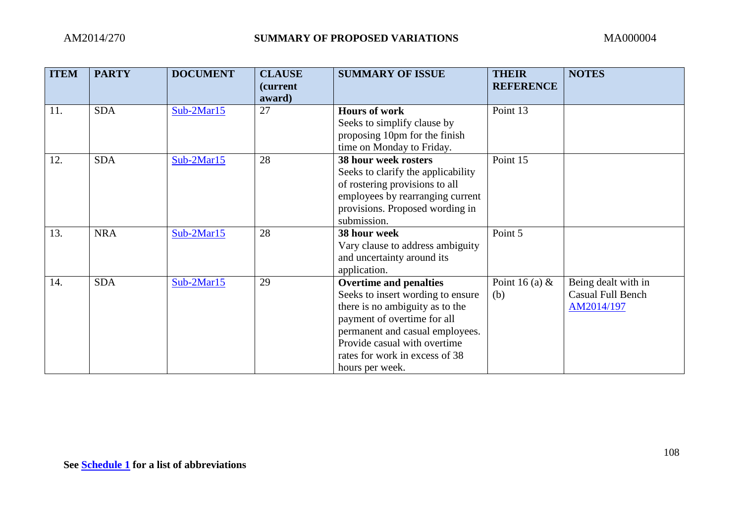| <b>ITEM</b> | <b>PARTY</b> | <b>DOCUMENT</b> | <b>CLAUSE</b><br><i>(current)</i><br>award) | <b>SUMMARY OF ISSUE</b>                             | <b>THEIR</b><br><b>REFERENCE</b> | <b>NOTES</b>             |
|-------------|--------------|-----------------|---------------------------------------------|-----------------------------------------------------|----------------------------------|--------------------------|
| 11.         | <b>SDA</b>   | $Sub-2Mar15$    | 27                                          | <b>Hours of work</b><br>Seeks to simplify clause by | Point 13                         |                          |
|             |              |                 |                                             | proposing 10pm for the finish                       |                                  |                          |
|             |              |                 |                                             | time on Monday to Friday.                           |                                  |                          |
| 12.         | <b>SDA</b>   | Sub-2Mar15      | 28                                          | <b>38 hour week rosters</b>                         | Point 15                         |                          |
|             |              |                 |                                             | Seeks to clarify the applicability                  |                                  |                          |
|             |              |                 |                                             | of rostering provisions to all                      |                                  |                          |
|             |              |                 |                                             | employees by rearranging current                    |                                  |                          |
|             |              |                 |                                             | provisions. Proposed wording in                     |                                  |                          |
|             |              |                 |                                             | submission.                                         |                                  |                          |
| 13.         | <b>NRA</b>   | Sub-2Mar15      | 28                                          | 38 hour week                                        | Point 5                          |                          |
|             |              |                 |                                             | Vary clause to address ambiguity                    |                                  |                          |
|             |              |                 |                                             | and uncertainty around its                          |                                  |                          |
|             |              |                 |                                             | application.                                        |                                  |                          |
| 14.         | <b>SDA</b>   | $Sub-2Mar15$    | 29                                          | <b>Overtime and penalties</b>                       | Point 16 (a) $\&$                | Being dealt with in      |
|             |              |                 |                                             | Seeks to insert wording to ensure                   | (b)                              | <b>Casual Full Bench</b> |
|             |              |                 |                                             | there is no ambiguity as to the                     |                                  | AM2014/197               |
|             |              |                 |                                             | payment of overtime for all                         |                                  |                          |
|             |              |                 |                                             | permanent and casual employees.                     |                                  |                          |
|             |              |                 |                                             | Provide casual with overtime                        |                                  |                          |
|             |              |                 |                                             | rates for work in excess of 38                      |                                  |                          |
|             |              |                 |                                             | hours per week.                                     |                                  |                          |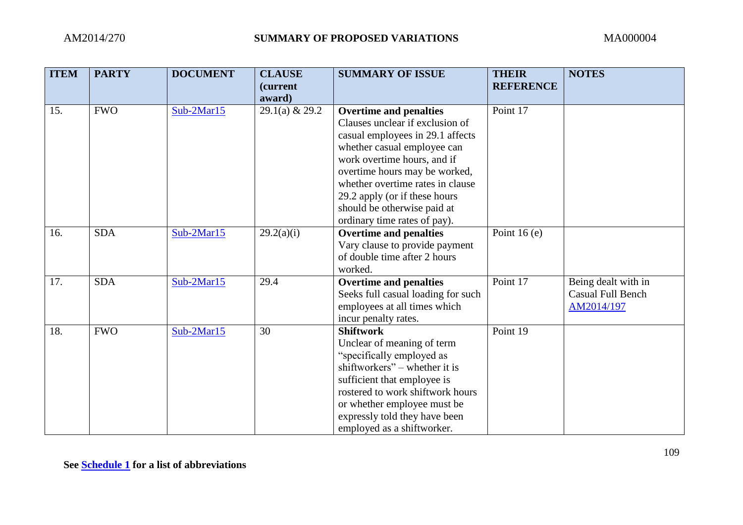| <b>ITEM</b> | <b>PARTY</b> | <b>DOCUMENT</b> | <b>CLAUSE</b><br>(current<br>award) | <b>SUMMARY OF ISSUE</b>                                                                                                                                                                                                                                                                                                                 | <b>THEIR</b><br><b>REFERENCE</b> | <b>NOTES</b>                                                  |
|-------------|--------------|-----------------|-------------------------------------|-----------------------------------------------------------------------------------------------------------------------------------------------------------------------------------------------------------------------------------------------------------------------------------------------------------------------------------------|----------------------------------|---------------------------------------------------------------|
| 15.         | <b>FWO</b>   | Sub-2Mar15      | $29.1(a)$ & 29.2                    | <b>Overtime and penalties</b><br>Clauses unclear if exclusion of<br>casual employees in 29.1 affects<br>whether casual employee can<br>work overtime hours, and if<br>overtime hours may be worked,<br>whether overtime rates in clause<br>29.2 apply (or if these hours<br>should be otherwise paid at<br>ordinary time rates of pay). | Point 17                         |                                                               |
| 16.         | <b>SDA</b>   | Sub-2Mar15      | 29.2(a)(i)                          | <b>Overtime and penalties</b><br>Vary clause to provide payment<br>of double time after 2 hours<br>worked.                                                                                                                                                                                                                              | Point 16 $(e)$                   |                                                               |
| 17.         | <b>SDA</b>   | $Sub-2Mar15$    | 29.4                                | <b>Overtime and penalties</b><br>Seeks full casual loading for such<br>employees at all times which<br>incur penalty rates.                                                                                                                                                                                                             | Point 17                         | Being dealt with in<br><b>Casual Full Bench</b><br>AM2014/197 |
| 18.         | <b>FWO</b>   | $Sub-2Mar15$    | 30                                  | <b>Shiftwork</b><br>Unclear of meaning of term<br>"specifically employed as<br>shiftworkers" – whether it is<br>sufficient that employee is<br>rostered to work shiftwork hours<br>or whether employee must be<br>expressly told they have been<br>employed as a shiftworker.                                                           | Point 19                         |                                                               |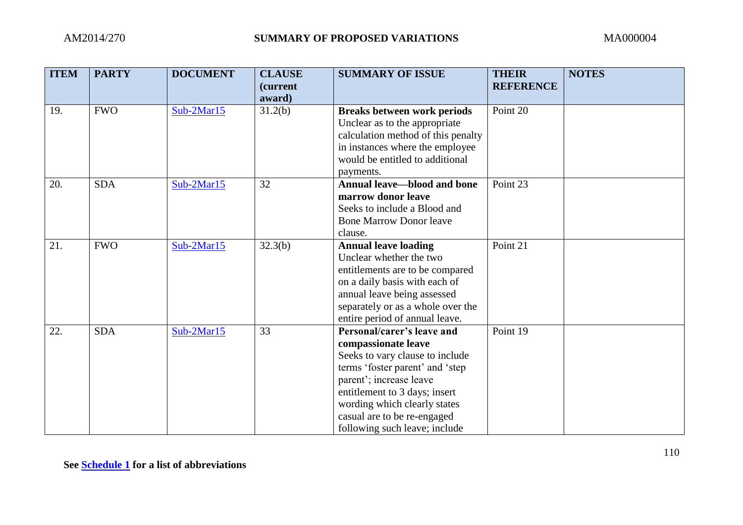| <b>ITEM</b> | <b>PARTY</b> | <b>DOCUMENT</b> | <b>CLAUSE</b><br>(current<br>award) | <b>SUMMARY OF ISSUE</b>                                                                                                                                                                                                                                                             | <b>THEIR</b><br><b>REFERENCE</b> | <b>NOTES</b> |
|-------------|--------------|-----------------|-------------------------------------|-------------------------------------------------------------------------------------------------------------------------------------------------------------------------------------------------------------------------------------------------------------------------------------|----------------------------------|--------------|
| 19.         | <b>FWO</b>   | $Sub-2Mar15$    | 31.2(b)                             | <b>Breaks between work periods</b><br>Unclear as to the appropriate<br>calculation method of this penalty<br>in instances where the employee<br>would be entitled to additional<br>payments.                                                                                        | Point 20                         |              |
| 20.         | <b>SDA</b>   | Sub-2Mar15      | 32                                  | <b>Annual leave—blood and bone</b><br>marrow donor leave<br>Seeks to include a Blood and<br><b>Bone Marrow Donor leave</b><br>clause.                                                                                                                                               | Point 23                         |              |
| 21.         | <b>FWO</b>   | $Sub-2Mar15$    | 32.3(b)                             | <b>Annual leave loading</b><br>Unclear whether the two<br>entitlements are to be compared<br>on a daily basis with each of<br>annual leave being assessed<br>separately or as a whole over the<br>entire period of annual leave.                                                    | Point 21                         |              |
| 22.         | <b>SDA</b>   | Sub-2Mar15      | 33                                  | Personal/carer's leave and<br>compassionate leave<br>Seeks to vary clause to include<br>terms 'foster parent' and 'step<br>parent'; increase leave<br>entitlement to 3 days; insert<br>wording which clearly states<br>casual are to be re-engaged<br>following such leave; include | Point 19                         |              |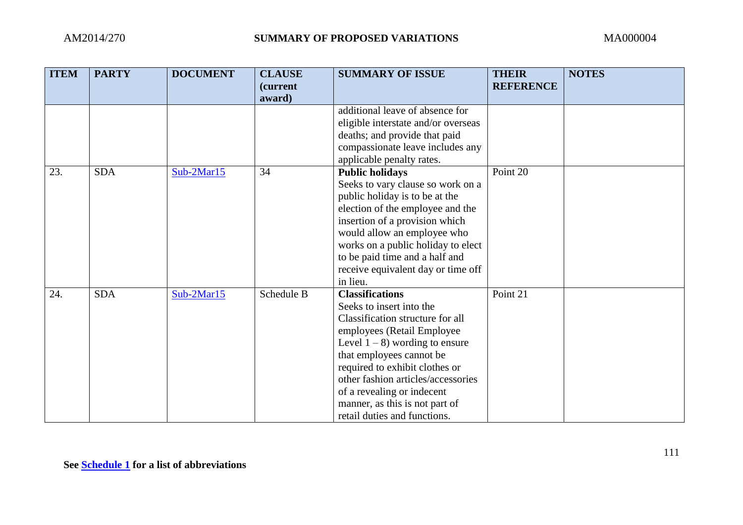| <b>ITEM</b> | <b>PARTY</b> | <b>DOCUMENT</b> | <b>CLAUSE</b><br><i>(current)</i><br>award) | <b>SUMMARY OF ISSUE</b>                                       | <b>THEIR</b><br><b>REFERENCE</b> | <b>NOTES</b> |
|-------------|--------------|-----------------|---------------------------------------------|---------------------------------------------------------------|----------------------------------|--------------|
|             |              |                 |                                             | additional leave of absence for                               |                                  |              |
|             |              |                 |                                             | eligible interstate and/or overseas                           |                                  |              |
|             |              |                 |                                             | deaths; and provide that paid                                 |                                  |              |
|             |              |                 |                                             | compassionate leave includes any                              |                                  |              |
|             |              |                 |                                             | applicable penalty rates.                                     |                                  |              |
| 23.         | <b>SDA</b>   | Sub-2Mar15      | 34                                          | <b>Public holidays</b>                                        | Point $20$                       |              |
|             |              |                 |                                             | Seeks to vary clause so work on a                             |                                  |              |
|             |              |                 |                                             | public holiday is to be at the                                |                                  |              |
|             |              |                 |                                             | election of the employee and the                              |                                  |              |
|             |              |                 |                                             | insertion of a provision which<br>would allow an employee who |                                  |              |
|             |              |                 |                                             | works on a public holiday to elect                            |                                  |              |
|             |              |                 |                                             | to be paid time and a half and                                |                                  |              |
|             |              |                 |                                             | receive equivalent day or time off                            |                                  |              |
|             |              |                 |                                             | in lieu.                                                      |                                  |              |
| 24.         | <b>SDA</b>   | Sub-2Mar15      | Schedule B                                  | <b>Classifications</b>                                        | Point 21                         |              |
|             |              |                 |                                             | Seeks to insert into the                                      |                                  |              |
|             |              |                 |                                             | Classification structure for all                              |                                  |              |
|             |              |                 |                                             | employees (Retail Employee                                    |                                  |              |
|             |              |                 |                                             | Level $1 - 8$ ) wording to ensure                             |                                  |              |
|             |              |                 |                                             | that employees cannot be                                      |                                  |              |
|             |              |                 |                                             | required to exhibit clothes or                                |                                  |              |
|             |              |                 |                                             | other fashion articles/accessories                            |                                  |              |
|             |              |                 |                                             | of a revealing or indecent                                    |                                  |              |
|             |              |                 |                                             | manner, as this is not part of                                |                                  |              |
|             |              |                 |                                             | retail duties and functions.                                  |                                  |              |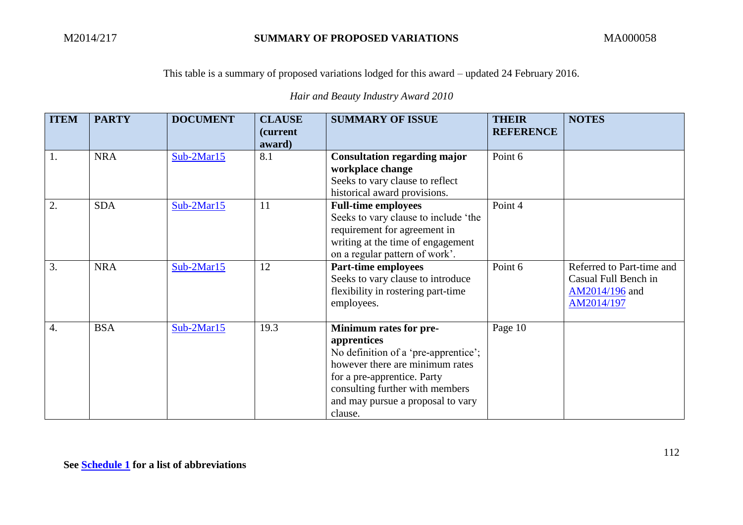This table is a summary of proposed variations lodged for this award – updated 24 February 2016.

*Hair and Beauty Industry Award 2010*

| <b>ITEM</b>      | <b>PARTY</b> | <b>DOCUMENT</b> | <b>CLAUSE</b><br><i>(current)</i><br>award) | <b>SUMMARY OF ISSUE</b>                                                                                                                                                                                                            | <b>THEIR</b><br><b>REFERENCE</b> | <b>NOTES</b>                                                                      |
|------------------|--------------|-----------------|---------------------------------------------|------------------------------------------------------------------------------------------------------------------------------------------------------------------------------------------------------------------------------------|----------------------------------|-----------------------------------------------------------------------------------|
| 1.               | <b>NRA</b>   | $Sub-2Mar15$    | 8.1                                         | <b>Consultation regarding major</b><br>workplace change<br>Seeks to vary clause to reflect<br>historical award provisions.                                                                                                         | Point 6                          |                                                                                   |
| $\overline{2}$   | <b>SDA</b>   | $Sub-2Mar15$    | 11                                          | <b>Full-time employees</b><br>Seeks to vary clause to include 'the<br>requirement for agreement in<br>writing at the time of engagement<br>on a regular pattern of work'.                                                          | Point 4                          |                                                                                   |
| 3.               | <b>NRA</b>   | $Sub-2Mar15$    | 12                                          | <b>Part-time employees</b><br>Seeks to vary clause to introduce<br>flexibility in rostering part-time<br>employees.                                                                                                                | Point 6                          | Referred to Part-time and<br>Casual Full Bench in<br>AM2014/196 and<br>AM2014/197 |
| $\overline{4}$ . | <b>BSA</b>   | $Sub-2Mar15$    | 19.3                                        | Minimum rates for pre-<br>apprentices<br>No definition of a 'pre-apprentice';<br>however there are minimum rates<br>for a pre-apprentice. Party<br>consulting further with members<br>and may pursue a proposal to vary<br>clause. | Page 10                          |                                                                                   |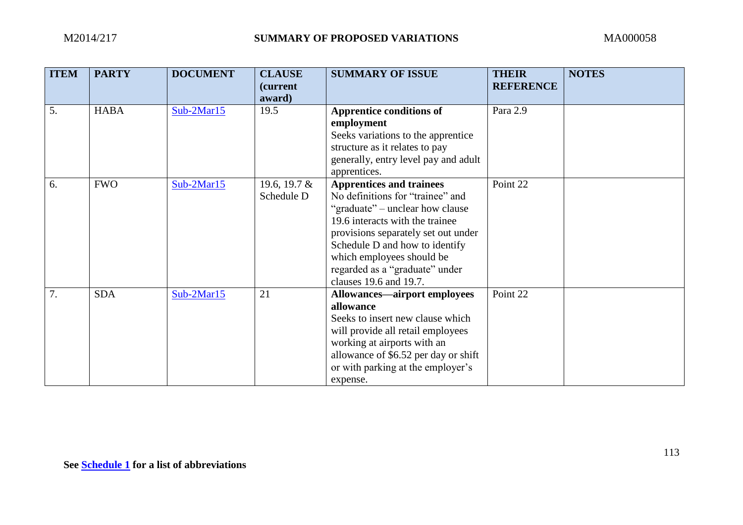| <b>ITEM</b> | <b>PARTY</b> | <b>DOCUMENT</b> | <b>CLAUSE</b>              | <b>SUMMARY OF ISSUE</b>              | <b>THEIR</b>     | <b>NOTES</b> |
|-------------|--------------|-----------------|----------------------------|--------------------------------------|------------------|--------------|
|             |              |                 | <i>(current)</i><br>award) |                                      | <b>REFERENCE</b> |              |
| 5.          | <b>HABA</b>  | $Sub-2Mar15$    | 19.5                       | <b>Apprentice conditions of</b>      | Para 2.9         |              |
|             |              |                 |                            | employment                           |                  |              |
|             |              |                 |                            | Seeks variations to the apprentice   |                  |              |
|             |              |                 |                            | structure as it relates to pay       |                  |              |
|             |              |                 |                            | generally, entry level pay and adult |                  |              |
|             |              |                 |                            | apprentices.                         |                  |              |
| 6.          | <b>FWO</b>   | Sub-2Mar15      | 19.6, 19.7 &               | <b>Apprentices and trainees</b>      | Point 22         |              |
|             |              |                 | Schedule D                 | No definitions for "trainee" and     |                  |              |
|             |              |                 |                            | "graduate" – unclear how clause      |                  |              |
|             |              |                 |                            | 19.6 interacts with the trainee      |                  |              |
|             |              |                 |                            | provisions separately set out under  |                  |              |
|             |              |                 |                            | Schedule D and how to identify       |                  |              |
|             |              |                 |                            | which employees should be            |                  |              |
|             |              |                 |                            | regarded as a "graduate" under       |                  |              |
|             |              |                 |                            | clauses 19.6 and 19.7.               |                  |              |
| 7.          | <b>SDA</b>   | Sub-2Mar15      | 21                         | <b>Allowances—airport employees</b>  | Point 22         |              |
|             |              |                 |                            | allowance                            |                  |              |
|             |              |                 |                            | Seeks to insert new clause which     |                  |              |
|             |              |                 |                            | will provide all retail employees    |                  |              |
|             |              |                 |                            | working at airports with an          |                  |              |
|             |              |                 |                            | allowance of \$6.52 per day or shift |                  |              |
|             |              |                 |                            | or with parking at the employer's    |                  |              |
|             |              |                 |                            | expense.                             |                  |              |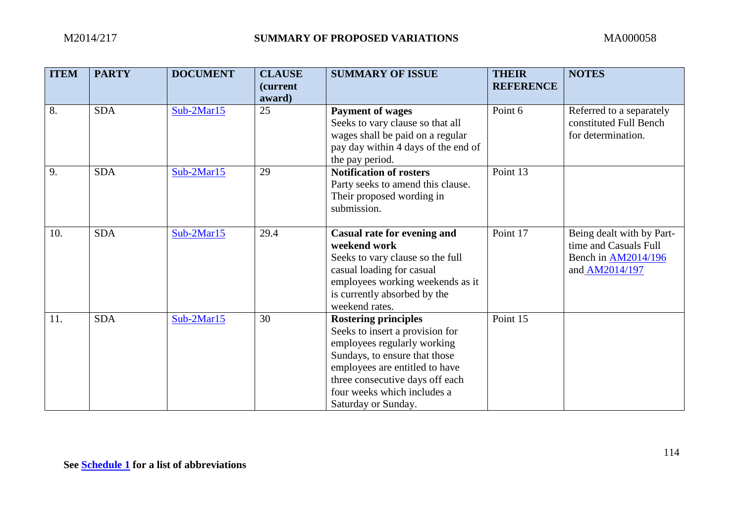| <b>ITEM</b> | <b>PARTY</b> | <b>DOCUMENT</b> | <b>CLAUSE</b><br><i>(current)</i> | <b>SUMMARY OF ISSUE</b>                                                                                                                                                                                                                                   | <b>THEIR</b><br><b>REFERENCE</b> | <b>NOTES</b>                                                                                       |
|-------------|--------------|-----------------|-----------------------------------|-----------------------------------------------------------------------------------------------------------------------------------------------------------------------------------------------------------------------------------------------------------|----------------------------------|----------------------------------------------------------------------------------------------------|
|             |              |                 | award)                            |                                                                                                                                                                                                                                                           |                                  |                                                                                                    |
| 8.          | <b>SDA</b>   | $Sub-2Mar15$    | 25                                | <b>Payment of wages</b><br>Seeks to vary clause so that all<br>wages shall be paid on a regular<br>pay day within 4 days of the end of<br>the pay period.                                                                                                 | Point 6                          | Referred to a separately<br>constituted Full Bench<br>for determination.                           |
| 9.          | <b>SDA</b>   | Sub-2Mar15      | 29                                | <b>Notification of rosters</b><br>Party seeks to amend this clause.<br>Their proposed wording in<br>submission.                                                                                                                                           | Point 13                         |                                                                                                    |
| 10.         | <b>SDA</b>   | Sub-2Mar15      | 29.4                              | <b>Casual rate for evening and</b><br>weekend work<br>Seeks to vary clause so the full<br>casual loading for casual<br>employees working weekends as it<br>is currently absorbed by the<br>weekend rates.                                                 | Point 17                         | Being dealt with by Part-<br>time and Casuals Full<br>Bench in <b>AM2014/196</b><br>and AM2014/197 |
| 11.         | <b>SDA</b>   | Sub-2Mar15      | 30                                | <b>Rostering principles</b><br>Seeks to insert a provision for<br>employees regularly working<br>Sundays, to ensure that those<br>employees are entitled to have<br>three consecutive days off each<br>four weeks which includes a<br>Saturday or Sunday. | Point 15                         |                                                                                                    |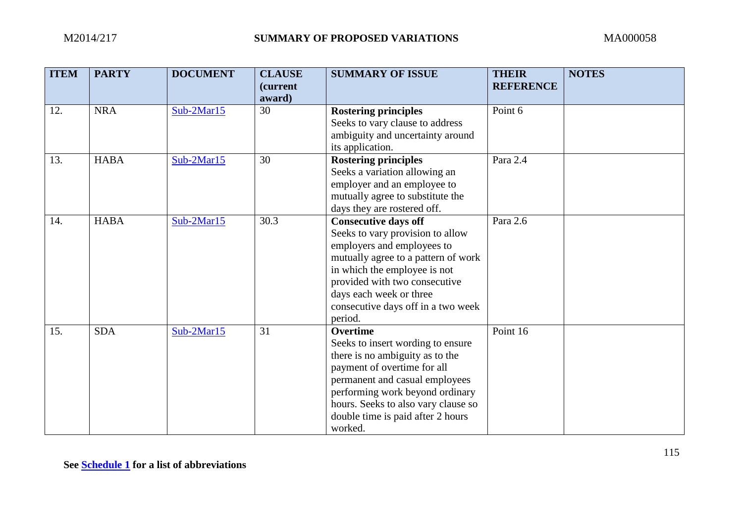| <b>ITEM</b> | <b>PARTY</b> | <b>DOCUMENT</b> | <b>CLAUSE</b><br>(current<br>award) | <b>SUMMARY OF ISSUE</b>                                                                                                                                                                                                                                                            | <b>THEIR</b><br><b>REFERENCE</b> | <b>NOTES</b> |
|-------------|--------------|-----------------|-------------------------------------|------------------------------------------------------------------------------------------------------------------------------------------------------------------------------------------------------------------------------------------------------------------------------------|----------------------------------|--------------|
| 12.         | <b>NRA</b>   | $Sub-2Mar15$    | 30                                  | <b>Rostering principles</b><br>Seeks to vary clause to address<br>ambiguity and uncertainty around<br>its application.                                                                                                                                                             | Point 6                          |              |
| 13.         | <b>HABA</b>  | Sub-2Mar15      | 30                                  | <b>Rostering principles</b><br>Seeks a variation allowing an<br>employer and an employee to<br>mutually agree to substitute the<br>days they are rostered off.                                                                                                                     | Para 2.4                         |              |
| 14.         | <b>HABA</b>  | $Sub-2Mar15$    | 30.3                                | <b>Consecutive days off</b><br>Seeks to vary provision to allow<br>employers and employees to<br>mutually agree to a pattern of work<br>in which the employee is not<br>provided with two consecutive<br>days each week or three<br>consecutive days off in a two week<br>period.  | Para 2.6                         |              |
| 15.         | <b>SDA</b>   | Sub-2Mar15      | 31                                  | <b>Overtime</b><br>Seeks to insert wording to ensure<br>there is no ambiguity as to the<br>payment of overtime for all<br>permanent and casual employees<br>performing work beyond ordinary<br>hours. Seeks to also vary clause so<br>double time is paid after 2 hours<br>worked. | Point 16                         |              |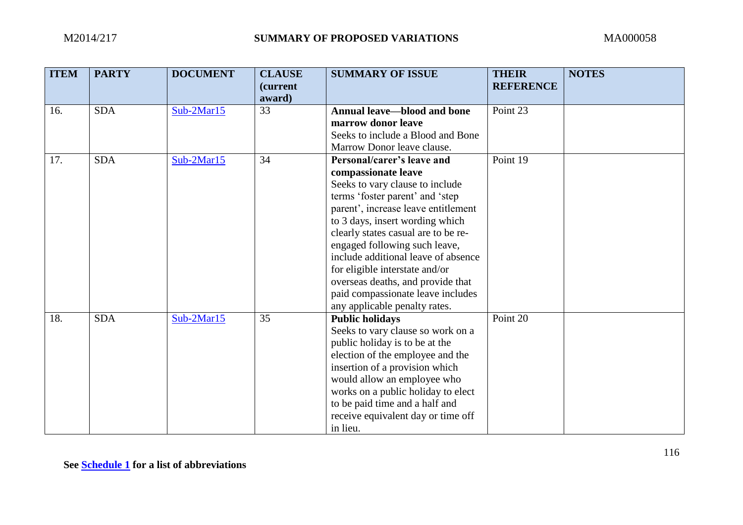| <b>ITEM</b> | <b>PARTY</b> | <b>DOCUMENT</b> | <b>CLAUSE</b><br><i>(current</i><br>award) | <b>SUMMARY OF ISSUE</b>                                                                                                                                                                                                                                                                                                                                                                                                                                       | <b>THEIR</b><br><b>REFERENCE</b> | <b>NOTES</b> |
|-------------|--------------|-----------------|--------------------------------------------|---------------------------------------------------------------------------------------------------------------------------------------------------------------------------------------------------------------------------------------------------------------------------------------------------------------------------------------------------------------------------------------------------------------------------------------------------------------|----------------------------------|--------------|
| 16.         | <b>SDA</b>   | $Sub-2Mar15$    | 33                                         | <b>Annual leave—blood and bone</b><br>marrow donor leave<br>Seeks to include a Blood and Bone<br>Marrow Donor leave clause.                                                                                                                                                                                                                                                                                                                                   | Point 23                         |              |
| 17.         | <b>SDA</b>   | $Sub-2Mar15$    | 34                                         | Personal/carer's leave and<br>compassionate leave<br>Seeks to vary clause to include<br>terms 'foster parent' and 'step<br>parent', increase leave entitlement<br>to 3 days, insert wording which<br>clearly states casual are to be re-<br>engaged following such leave,<br>include additional leave of absence<br>for eligible interstate and/or<br>overseas deaths, and provide that<br>paid compassionate leave includes<br>any applicable penalty rates. | Point 19                         |              |
| 18.         | <b>SDA</b>   | $Sub-2Mar15$    | 35                                         | <b>Public holidays</b><br>Seeks to vary clause so work on a<br>public holiday is to be at the<br>election of the employee and the<br>insertion of a provision which<br>would allow an employee who<br>works on a public holiday to elect<br>to be paid time and a half and<br>receive equivalent day or time off<br>in lieu.                                                                                                                                  | Point 20                         |              |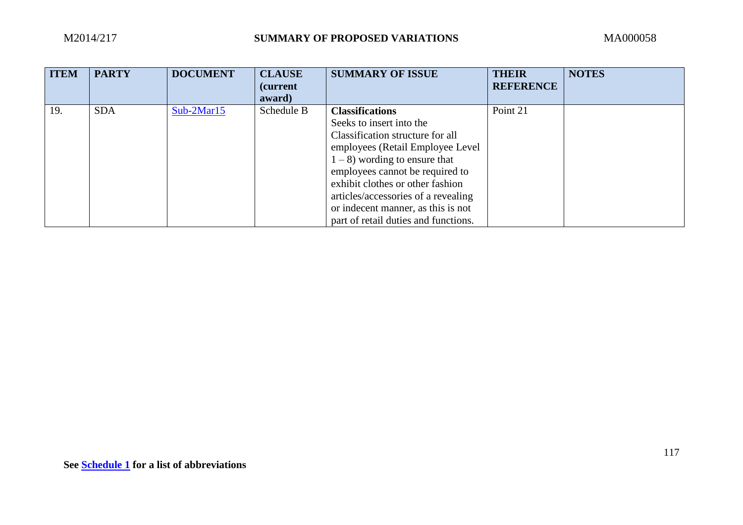| <b>ITEM</b> | <b>PARTY</b> | <b>DOCUMENT</b> | <b>CLAUSE</b><br><i>(current)</i><br>award) | <b>SUMMARY OF ISSUE</b>              | <b>THEIR</b><br><b>REFERENCE</b> | <b>NOTES</b> |
|-------------|--------------|-----------------|---------------------------------------------|--------------------------------------|----------------------------------|--------------|
| 19.         | <b>SDA</b>   | $Sub-2Mar15$    | Schedule B                                  | <b>Classifications</b>               | Point 21                         |              |
|             |              |                 |                                             | Seeks to insert into the             |                                  |              |
|             |              |                 |                                             | Classification structure for all     |                                  |              |
|             |              |                 |                                             | employees (Retail Employee Level)    |                                  |              |
|             |              |                 |                                             | $1 - 8$ ) wording to ensure that     |                                  |              |
|             |              |                 |                                             | employees cannot be required to      |                                  |              |
|             |              |                 |                                             | exhibit clothes or other fashion     |                                  |              |
|             |              |                 |                                             | articles/accessories of a revealing  |                                  |              |
|             |              |                 |                                             | or indecent manner, as this is not   |                                  |              |
|             |              |                 |                                             | part of retail duties and functions. |                                  |              |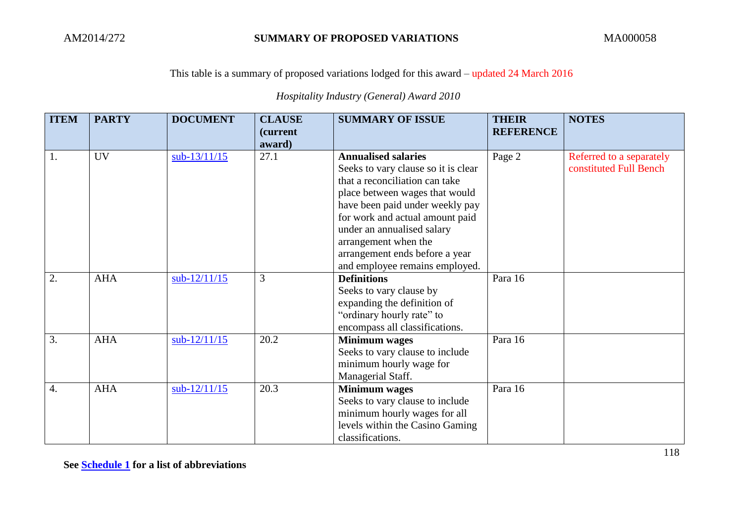### This table is a summary of proposed variations lodged for this award – updated 24 March 2016

## *Hospitality Industry (General) Award 2010*

| <b>ITEM</b>      | <b>PARTY</b> | <b>DOCUMENT</b> | <b>CLAUSE</b>    | <b>SUMMARY OF ISSUE</b>             | <b>THEIR</b>     | <b>NOTES</b>             |
|------------------|--------------|-----------------|------------------|-------------------------------------|------------------|--------------------------|
|                  |              |                 | <i>(current)</i> |                                     | <b>REFERENCE</b> |                          |
|                  |              |                 | award)           |                                     |                  |                          |
| 1.               | <b>UV</b>    | $sub-13/11/15$  | 27.1             | <b>Annualised salaries</b>          | Page 2           | Referred to a separately |
|                  |              |                 |                  | Seeks to vary clause so it is clear |                  | constituted Full Bench   |
|                  |              |                 |                  | that a reconciliation can take      |                  |                          |
|                  |              |                 |                  | place between wages that would      |                  |                          |
|                  |              |                 |                  | have been paid under weekly pay     |                  |                          |
|                  |              |                 |                  | for work and actual amount paid     |                  |                          |
|                  |              |                 |                  | under an annualised salary          |                  |                          |
|                  |              |                 |                  | arrangement when the                |                  |                          |
|                  |              |                 |                  | arrangement ends before a year      |                  |                          |
|                  |              |                 |                  | and employee remains employed.      |                  |                          |
| 2.               | <b>AHA</b>   | sub-12/11/15    | 3                | <b>Definitions</b>                  | Para 16          |                          |
|                  |              |                 |                  | Seeks to vary clause by             |                  |                          |
|                  |              |                 |                  | expanding the definition of         |                  |                          |
|                  |              |                 |                  | "ordinary hourly rate" to           |                  |                          |
|                  |              |                 |                  | encompass all classifications.      |                  |                          |
| 3.               | <b>AHA</b>   | $sub-12/11/15$  | 20.2             | <b>Minimum</b> wages                | Para 16          |                          |
|                  |              |                 |                  | Seeks to vary clause to include     |                  |                          |
|                  |              |                 |                  | minimum hourly wage for             |                  |                          |
|                  |              |                 |                  | Managerial Staff.                   |                  |                          |
| $\overline{4}$ . | <b>AHA</b>   | $sub-12/11/15$  | 20.3             | <b>Minimum</b> wages                | Para 16          |                          |
|                  |              |                 |                  | Seeks to vary clause to include     |                  |                          |
|                  |              |                 |                  | minimum hourly wages for all        |                  |                          |
|                  |              |                 |                  | levels within the Casino Gaming     |                  |                          |
|                  |              |                 |                  | classifications.                    |                  |                          |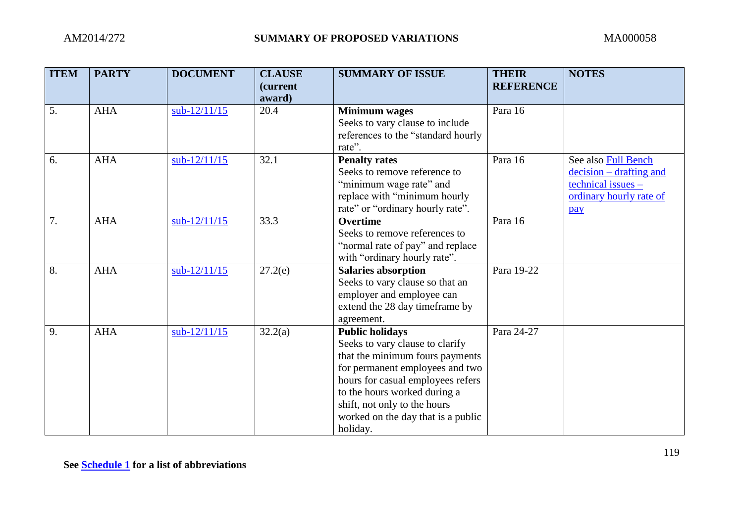| <b>ITEM</b> | <b>PARTY</b> | <b>DOCUMENT</b> | <b>CLAUSE</b><br>(current<br>award) | <b>SUMMARY OF ISSUE</b>                                                                                                                                                                                                                                                                | <b>THEIR</b><br><b>REFERENCE</b> | <b>NOTES</b>                                                                                               |
|-------------|--------------|-----------------|-------------------------------------|----------------------------------------------------------------------------------------------------------------------------------------------------------------------------------------------------------------------------------------------------------------------------------------|----------------------------------|------------------------------------------------------------------------------------------------------------|
| 5.          | <b>AHA</b>   | $sub-12/11/15$  | 20.4                                | <b>Minimum</b> wages<br>Seeks to vary clause to include<br>references to the "standard hourly<br>rate".                                                                                                                                                                                | Para 16                          |                                                                                                            |
| 6.          | <b>AHA</b>   | $sub-12/11/15$  | 32.1                                | <b>Penalty rates</b><br>Seeks to remove reference to<br>"minimum wage rate" and<br>replace with "minimum hourly<br>rate" or "ordinary hourly rate".                                                                                                                                    | Para 16                          | See also Full Bench<br>$decision - drafting$ and<br>$technical issues -$<br>ordinary hourly rate of<br>pay |
| 7.          | <b>AHA</b>   | $sub-12/11/15$  | 33.3                                | <b>Overtime</b><br>Seeks to remove references to<br>"normal rate of pay" and replace<br>with "ordinary hourly rate".                                                                                                                                                                   | Para 16                          |                                                                                                            |
| 8.          | <b>AHA</b>   | $sub-12/11/15$  | 27.2(e)                             | <b>Salaries absorption</b><br>Seeks to vary clause so that an<br>employer and employee can<br>extend the 28 day timeframe by<br>agreement.                                                                                                                                             | Para 19-22                       |                                                                                                            |
| 9.          | <b>AHA</b>   | $sub-12/11/15$  | 32.2(a)                             | <b>Public holidays</b><br>Seeks to vary clause to clarify<br>that the minimum fours payments<br>for permanent employees and two<br>hours for casual employees refers<br>to the hours worked during a<br>shift, not only to the hours<br>worked on the day that is a public<br>holiday. | Para 24-27                       |                                                                                                            |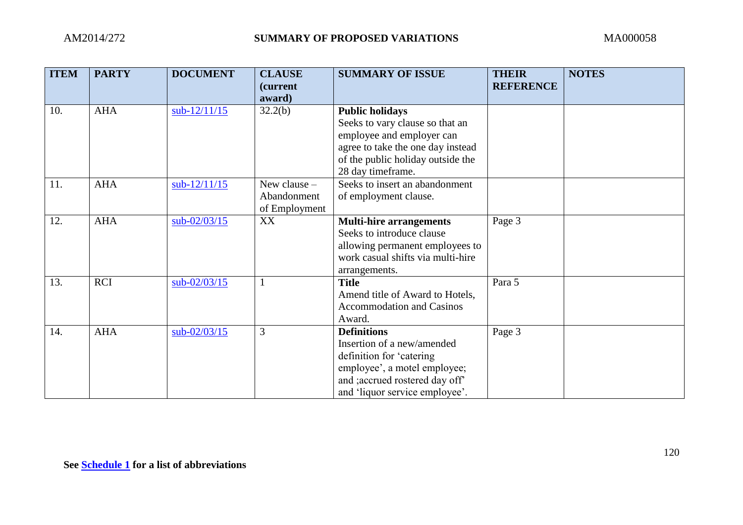| <b>ITEM</b> | <b>PARTY</b> | <b>DOCUMENT</b> | <b>CLAUSE</b>    | <b>SUMMARY OF ISSUE</b>           | <b>THEIR</b>     | <b>NOTES</b> |
|-------------|--------------|-----------------|------------------|-----------------------------------|------------------|--------------|
|             |              |                 | <i>(current)</i> |                                   | <b>REFERENCE</b> |              |
|             |              |                 | award)           |                                   |                  |              |
| 10.         | <b>AHA</b>   | $sub-12/11/15$  | 32.2(b)          | <b>Public holidays</b>            |                  |              |
|             |              |                 |                  | Seeks to vary clause so that an   |                  |              |
|             |              |                 |                  | employee and employer can         |                  |              |
|             |              |                 |                  | agree to take the one day instead |                  |              |
|             |              |                 |                  | of the public holiday outside the |                  |              |
|             |              |                 |                  | 28 day timeframe.                 |                  |              |
| 11.         | <b>AHA</b>   | $sub-12/11/15$  | New clause $-$   | Seeks to insert an abandonment    |                  |              |
|             |              |                 | Abandonment      | of employment clause.             |                  |              |
|             |              |                 | of Employment    |                                   |                  |              |
| 12.         | <b>AHA</b>   | $sub-02/03/15$  | XX               | <b>Multi-hire arrangements</b>    | Page 3           |              |
|             |              |                 |                  | Seeks to introduce clause         |                  |              |
|             |              |                 |                  | allowing permanent employees to   |                  |              |
|             |              |                 |                  | work casual shifts via multi-hire |                  |              |
|             |              |                 |                  | arrangements.                     |                  |              |
| 13.         | <b>RCI</b>   | sub-02/03/15    |                  | <b>Title</b>                      | Para 5           |              |
|             |              |                 |                  | Amend title of Award to Hotels,   |                  |              |
|             |              |                 |                  | <b>Accommodation and Casinos</b>  |                  |              |
|             |              |                 |                  | Award.                            |                  |              |
| 14.         | <b>AHA</b>   | sub-02/03/15    | 3                | <b>Definitions</b>                | Page 3           |              |
|             |              |                 |                  | Insertion of a new/amended        |                  |              |
|             |              |                 |                  | definition for 'catering          |                  |              |
|             |              |                 |                  | employee', a motel employee;      |                  |              |
|             |              |                 |                  | and ; accrued rostered day off"   |                  |              |
|             |              |                 |                  | and 'liquor service employee'.    |                  |              |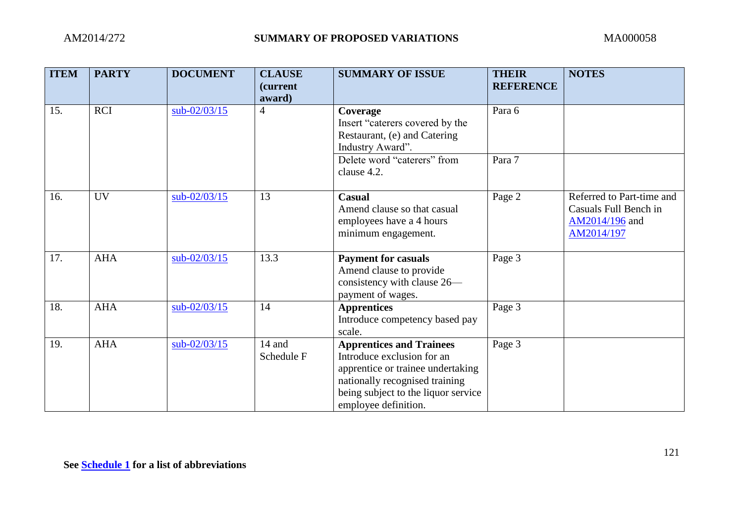| <b>ITEM</b> | <b>PARTY</b> | <b>DOCUMENT</b> | <b>CLAUSE</b><br><i>(current)</i><br>award) | <b>SUMMARY OF ISSUE</b>                                                                                                                                                                             | <b>THEIR</b><br><b>REFERENCE</b> | <b>NOTES</b>                                                                       |
|-------------|--------------|-----------------|---------------------------------------------|-----------------------------------------------------------------------------------------------------------------------------------------------------------------------------------------------------|----------------------------------|------------------------------------------------------------------------------------|
| 15.         | <b>RCI</b>   | $sub-02/03/15$  | $\overline{4}$                              | Coverage<br>Insert "caterers covered by the<br>Restaurant, (e) and Catering<br>Industry Award".                                                                                                     | Para 6                           |                                                                                    |
|             |              |                 |                                             | Delete word "caterers" from<br>clause 4.2.                                                                                                                                                          | Para 7                           |                                                                                    |
| 16.         | <b>UV</b>    | $sub-02/03/15$  | 13                                          | <b>Casual</b><br>Amend clause so that casual<br>employees have a 4 hours<br>minimum engagement.                                                                                                     | Page 2                           | Referred to Part-time and<br>Casuals Full Bench in<br>AM2014/196 and<br>AM2014/197 |
| 17.         | <b>AHA</b>   | $sub-02/03/15$  | 13.3                                        | <b>Payment for casuals</b><br>Amend clause to provide<br>consistency with clause 26—<br>payment of wages.                                                                                           | Page 3                           |                                                                                    |
| 18.         | <b>AHA</b>   | $sub-02/03/15$  | 14                                          | <b>Apprentices</b><br>Introduce competency based pay<br>scale.                                                                                                                                      | Page 3                           |                                                                                    |
| 19.         | <b>AHA</b>   | $sub-02/03/15$  | 14 and<br>Schedule F                        | <b>Apprentices and Trainees</b><br>Introduce exclusion for an<br>apprentice or trainee undertaking<br>nationally recognised training<br>being subject to the liquor service<br>employee definition. | Page 3                           |                                                                                    |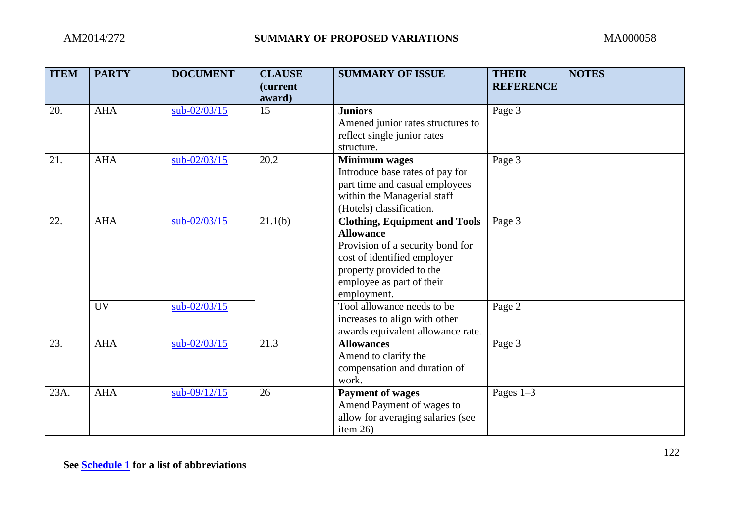| <b>ITEM</b> | <b>PARTY</b> | <b>DOCUMENT</b> | <b>CLAUSE</b><br>(current<br>award) | <b>SUMMARY OF ISSUE</b>                                                                                                                                                                             | <b>THEIR</b><br><b>REFERENCE</b> | <b>NOTES</b> |
|-------------|--------------|-----------------|-------------------------------------|-----------------------------------------------------------------------------------------------------------------------------------------------------------------------------------------------------|----------------------------------|--------------|
| 20.         | <b>AHA</b>   | sub-02/03/15    | 15                                  | <b>Juniors</b><br>Amened junior rates structures to<br>reflect single junior rates<br>structure.                                                                                                    | Page 3                           |              |
| 21.         | <b>AHA</b>   | $sub-02/03/15$  | 20.2                                | <b>Minimum</b> wages<br>Introduce base rates of pay for<br>part time and casual employees<br>within the Managerial staff<br>(Hotels) classification.                                                | Page 3                           |              |
| 22.         | <b>AHA</b>   | $sub-02/03/15$  | 21.1(b)                             | <b>Clothing, Equipment and Tools</b><br><b>Allowance</b><br>Provision of a security bond for<br>cost of identified employer<br>property provided to the<br>employee as part of their<br>employment. | Page 3                           |              |
|             | <b>UV</b>    | $sub-02/03/15$  |                                     | Tool allowance needs to be<br>increases to align with other<br>awards equivalent allowance rate.                                                                                                    | Page 2                           |              |
| 23.         | <b>AHA</b>   | $sub-02/03/15$  | 21.3                                | <b>Allowances</b><br>Amend to clarify the<br>compensation and duration of<br>work.                                                                                                                  | Page 3                           |              |
| 23A.        | <b>AHA</b>   | $sub-09/12/15$  | 26                                  | <b>Payment of wages</b><br>Amend Payment of wages to<br>allow for averaging salaries (see<br>item $26$ )                                                                                            | Pages $1-3$                      |              |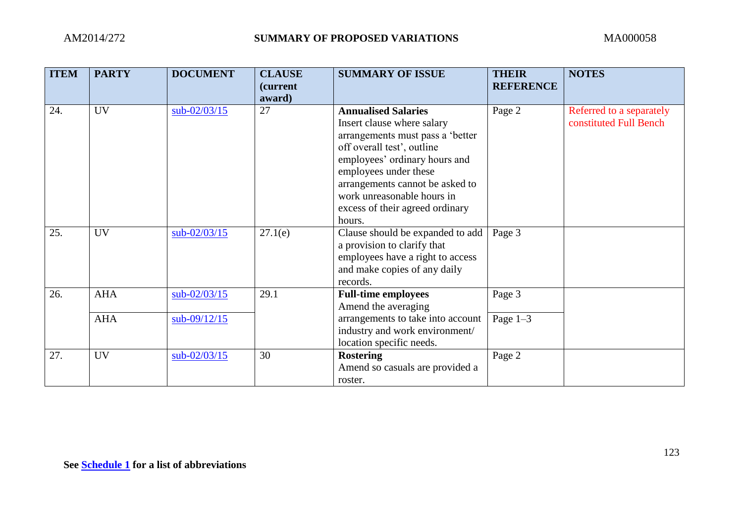| <b>ITEM</b> | <b>PARTY</b> | <b>DOCUMENT</b> | <b>CLAUSE</b><br><i>(current)</i> | <b>SUMMARY OF ISSUE</b>                                                                                                                                                              | <b>THEIR</b><br><b>REFERENCE</b> | <b>NOTES</b>                                       |
|-------------|--------------|-----------------|-----------------------------------|--------------------------------------------------------------------------------------------------------------------------------------------------------------------------------------|----------------------------------|----------------------------------------------------|
| 24.         | <b>UV</b>    | $sub-02/03/15$  | award)<br>27                      | <b>Annualised Salaries</b><br>Insert clause where salary<br>arrangements must pass a 'better<br>off overall test', outline<br>employees' ordinary hours and<br>employees under these | Page 2                           | Referred to a separately<br>constituted Full Bench |
|             |              |                 |                                   | arrangements cannot be asked to<br>work unreasonable hours in<br>excess of their agreed ordinary<br>hours.                                                                           |                                  |                                                    |
| 25.         | <b>UV</b>    | $sub-02/03/15$  | 27.1(e)                           | Clause should be expanded to add<br>a provision to clarify that<br>employees have a right to access<br>and make copies of any daily<br>records.                                      | Page 3                           |                                                    |
| 26.         | <b>AHA</b>   | $sub-02/03/15$  | 29.1                              | <b>Full-time employees</b><br>Amend the averaging                                                                                                                                    | Page 3                           |                                                    |
|             | <b>AHA</b>   | $sub-09/12/15$  |                                   | arrangements to take into account<br>industry and work environment/<br>location specific needs.                                                                                      | Page $1-3$                       |                                                    |
| 27.         | <b>UV</b>    | $sub-02/03/15$  | 30                                | <b>Rostering</b><br>Amend so casuals are provided a<br>roster.                                                                                                                       | Page 2                           |                                                    |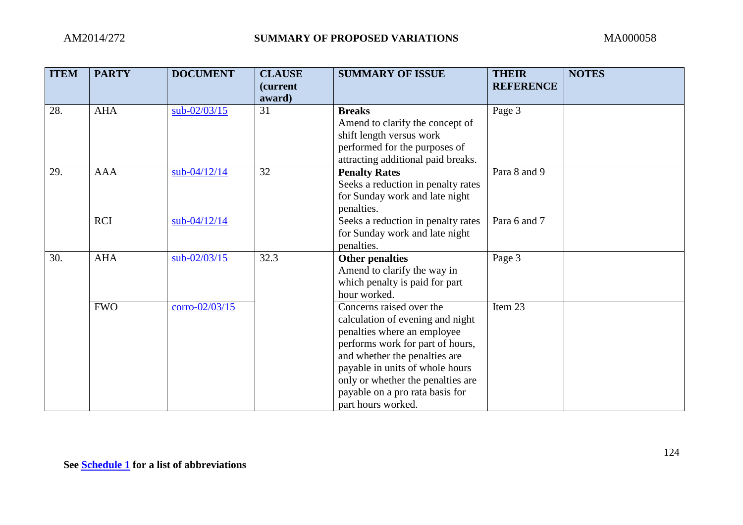| <b>ITEM</b> | <b>PARTY</b> | <b>DOCUMENT</b>  | <b>CLAUSE</b><br>(current | <b>SUMMARY OF ISSUE</b>            | <b>THEIR</b><br><b>REFERENCE</b> | <b>NOTES</b> |
|-------------|--------------|------------------|---------------------------|------------------------------------|----------------------------------|--------------|
|             |              |                  | award)                    |                                    |                                  |              |
| 28.         | <b>AHA</b>   | $sub-02/03/15$   | 31                        | <b>Breaks</b>                      | Page 3                           |              |
|             |              |                  |                           | Amend to clarify the concept of    |                                  |              |
|             |              |                  |                           | shift length versus work           |                                  |              |
|             |              |                  |                           | performed for the purposes of      |                                  |              |
|             |              |                  |                           | attracting additional paid breaks. |                                  |              |
| 29.         | <b>AAA</b>   | sub-04/12/14     | 32                        | <b>Penalty Rates</b>               | Para 8 and 9                     |              |
|             |              |                  |                           | Seeks a reduction in penalty rates |                                  |              |
|             |              |                  |                           | for Sunday work and late night     |                                  |              |
|             |              |                  |                           | penalties.                         |                                  |              |
|             | <b>RCI</b>   | sub-04/12/14     |                           | Seeks a reduction in penalty rates | Para 6 and 7                     |              |
|             |              |                  |                           | for Sunday work and late night     |                                  |              |
|             |              |                  |                           | penalties.                         |                                  |              |
| 30.         | <b>AHA</b>   | sub-02/03/15     | 32.3                      | <b>Other penalties</b>             | Page 3                           |              |
|             |              |                  |                           | Amend to clarify the way in        |                                  |              |
|             |              |                  |                           | which penalty is paid for part     |                                  |              |
|             |              |                  |                           | hour worked.                       |                                  |              |
|             | <b>FWO</b>   | $corro-02/03/15$ |                           | Concerns raised over the           | Item 23                          |              |
|             |              |                  |                           | calculation of evening and night   |                                  |              |
|             |              |                  |                           | penalties where an employee        |                                  |              |
|             |              |                  |                           | performs work for part of hours,   |                                  |              |
|             |              |                  |                           | and whether the penalties are      |                                  |              |
|             |              |                  |                           | payable in units of whole hours    |                                  |              |
|             |              |                  |                           | only or whether the penalties are  |                                  |              |
|             |              |                  |                           | payable on a pro rata basis for    |                                  |              |
|             |              |                  |                           | part hours worked.                 |                                  |              |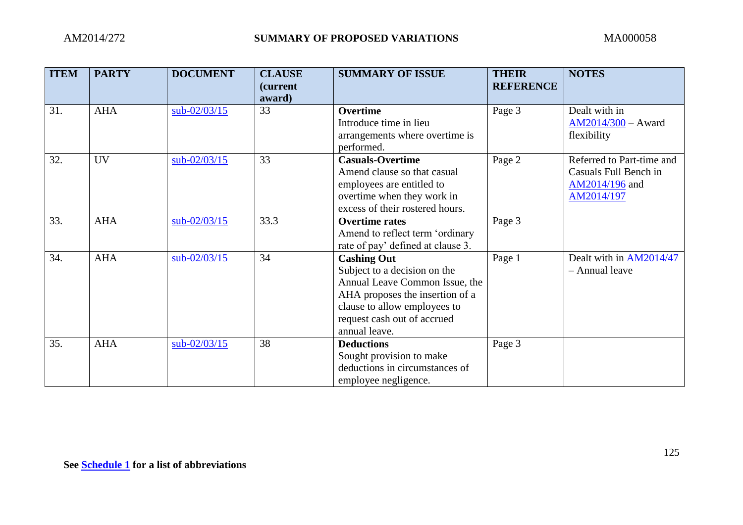| <b>ITEM</b> | <b>PARTY</b> | <b>DOCUMENT</b> | <b>CLAUSE</b><br>(current | <b>SUMMARY OF ISSUE</b>           | <b>THEIR</b><br><b>REFERENCE</b> | <b>NOTES</b>              |
|-------------|--------------|-----------------|---------------------------|-----------------------------------|----------------------------------|---------------------------|
|             |              |                 | award)                    |                                   |                                  |                           |
| 31.         | <b>AHA</b>   | $sub-02/03/15$  | 33                        | <b>Overtime</b>                   | Page 3                           | Dealt with in             |
|             |              |                 |                           | Introduce time in lieu            |                                  | $AM2014/300 - Award$      |
|             |              |                 |                           | arrangements where overtime is    |                                  | flexibility               |
|             |              |                 |                           | performed.                        |                                  |                           |
| 32.         | <b>UV</b>    | sub-02/03/15    | 33                        | <b>Casuals-Overtime</b>           | Page 2                           | Referred to Part-time and |
|             |              |                 |                           | Amend clause so that casual       |                                  | Casuals Full Bench in     |
|             |              |                 |                           | employees are entitled to         |                                  | AM2014/196 and            |
|             |              |                 |                           | overtime when they work in        |                                  | AM2014/197                |
|             |              |                 |                           | excess of their rostered hours.   |                                  |                           |
| 33.         | <b>AHA</b>   | $sub-02/03/15$  | 33.3                      | <b>Overtime rates</b>             | Page 3                           |                           |
|             |              |                 |                           | Amend to reflect term 'ordinary   |                                  |                           |
|             |              |                 |                           | rate of pay' defined at clause 3. |                                  |                           |
| 34.         | <b>AHA</b>   | $sub-02/03/15$  | 34                        | <b>Cashing Out</b>                | Page 1                           | Dealt with in AM2014/47   |
|             |              |                 |                           | Subject to a decision on the      |                                  | - Annual leave            |
|             |              |                 |                           | Annual Leave Common Issue, the    |                                  |                           |
|             |              |                 |                           | AHA proposes the insertion of a   |                                  |                           |
|             |              |                 |                           | clause to allow employees to      |                                  |                           |
|             |              |                 |                           | request cash out of accrued       |                                  |                           |
|             |              |                 |                           | annual leave.                     |                                  |                           |
| 35.         | <b>AHA</b>   | $sub-02/03/15$  | 38                        | <b>Deductions</b>                 | Page 3                           |                           |
|             |              |                 |                           | Sought provision to make          |                                  |                           |
|             |              |                 |                           | deductions in circumstances of    |                                  |                           |
|             |              |                 |                           | employee negligence.              |                                  |                           |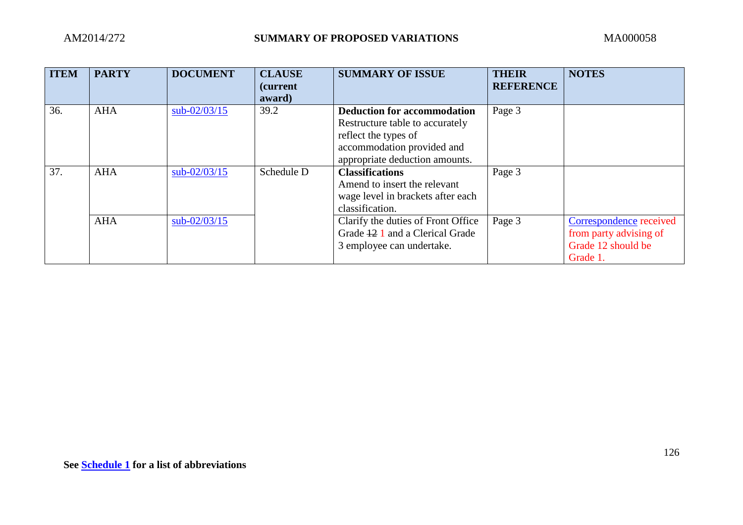| <b>ITEM</b> | <b>PARTY</b> | <b>DOCUMENT</b> | <b>CLAUSE</b><br><i>(current)</i><br>award) | <b>SUMMARY OF ISSUE</b>            | <b>THEIR</b><br><b>REFERENCE</b> | <b>NOTES</b>            |
|-------------|--------------|-----------------|---------------------------------------------|------------------------------------|----------------------------------|-------------------------|
| 36.         | <b>AHA</b>   | $sub-02/03/15$  | 39.2                                        | <b>Deduction for accommodation</b> | Page 3                           |                         |
|             |              |                 |                                             | Restructure table to accurately    |                                  |                         |
|             |              |                 |                                             | reflect the types of               |                                  |                         |
|             |              |                 |                                             | accommodation provided and         |                                  |                         |
|             |              |                 |                                             | appropriate deduction amounts.     |                                  |                         |
| 37.         | <b>AHA</b>   | $sub-02/03/15$  | Schedule D                                  | <b>Classifications</b>             | Page 3                           |                         |
|             |              |                 |                                             | Amend to insert the relevant       |                                  |                         |
|             |              |                 |                                             | wage level in brackets after each  |                                  |                         |
|             |              |                 |                                             | classification.                    |                                  |                         |
|             | <b>AHA</b>   | $sub-02/03/15$  |                                             | Clarify the duties of Front Office | Page 3                           | Correspondence received |
|             |              |                 |                                             | Grade 12 1 and a Clerical Grade    |                                  | from party advising of  |
|             |              |                 |                                             | 3 employee can undertake.          |                                  | Grade 12 should be      |
|             |              |                 |                                             |                                    |                                  | Grade 1.                |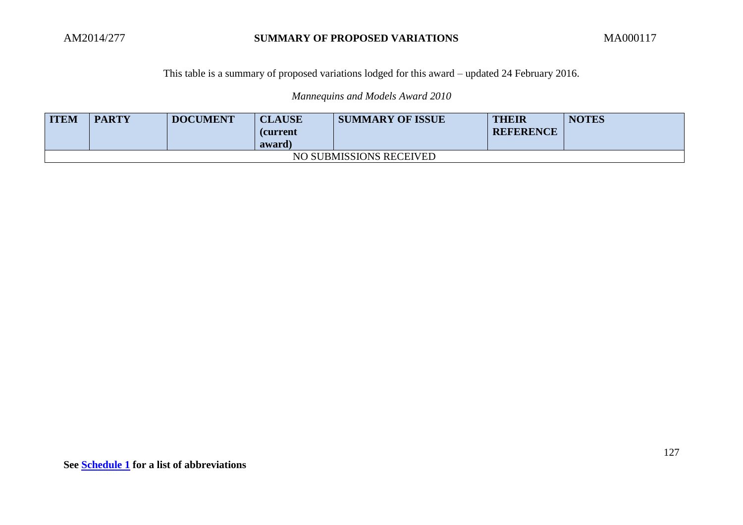#### This table is a summary of proposed variations lodged for this award – updated 24 February 2016.

*Mannequins and Models Award 2010*

| <b>ITEM</b> | <b>PARTY</b> | <b>DOCUMENT</b> | <b>CLAUSE</b><br><b>(current</b><br>award) | <b>SUMMARY OF ISSUE</b> | <b>THEIR</b><br><b>REFERENCE</b> | <b>NOTES</b> |
|-------------|--------------|-----------------|--------------------------------------------|-------------------------|----------------------------------|--------------|
|             |              |                 |                                            | NO SUBMISSIONS RECEIVED |                                  |              |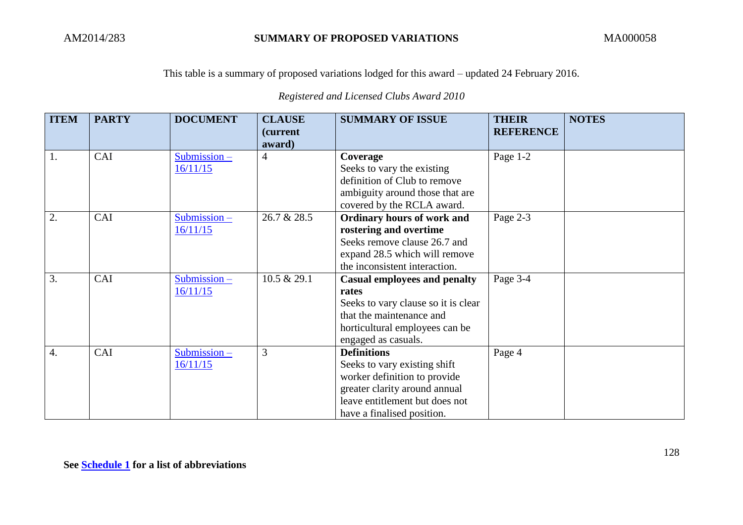This table is a summary of proposed variations lodged for this award – updated 24 February 2016.

*Registered and Licensed Clubs Award 2010*

| <b>ITEM</b>      | <b>PARTY</b> | <b>DOCUMENT</b> | <b>CLAUSE</b><br>(current | <b>SUMMARY OF ISSUE</b>             | <b>THEIR</b><br><b>REFERENCE</b> | <b>NOTES</b> |
|------------------|--------------|-----------------|---------------------------|-------------------------------------|----------------------------------|--------------|
|                  |              |                 | award)                    |                                     |                                  |              |
| 1.               | CAI          | $Submission -$  | $\overline{4}$            | Coverage                            | Page 1-2                         |              |
|                  |              | 16/11/15        |                           | Seeks to vary the existing          |                                  |              |
|                  |              |                 |                           | definition of Club to remove        |                                  |              |
|                  |              |                 |                           | ambiguity around those that are     |                                  |              |
|                  |              |                 |                           | covered by the RCLA award.          |                                  |              |
| 2.               | CAI          | $Submission -$  | 26.7 & 28.5               | Ordinary hours of work and          | Page 2-3                         |              |
|                  |              | 16/11/15        |                           | rostering and overtime              |                                  |              |
|                  |              |                 |                           | Seeks remove clause 26.7 and        |                                  |              |
|                  |              |                 |                           | expand 28.5 which will remove       |                                  |              |
|                  |              |                 |                           | the inconsistent interaction.       |                                  |              |
| 3.               | CAI          | $Submission -$  | 10.5 & 29.1               | <b>Casual employees and penalty</b> | Page 3-4                         |              |
|                  |              | 16/11/15        |                           | rates                               |                                  |              |
|                  |              |                 |                           | Seeks to vary clause so it is clear |                                  |              |
|                  |              |                 |                           | that the maintenance and            |                                  |              |
|                  |              |                 |                           | horticultural employees can be      |                                  |              |
|                  |              |                 |                           | engaged as casuals.                 |                                  |              |
| $\overline{4}$ . | CAI          | $Submission -$  | 3                         | <b>Definitions</b>                  | Page 4                           |              |
|                  |              | 16/11/15        |                           | Seeks to vary existing shift        |                                  |              |
|                  |              |                 |                           | worker definition to provide        |                                  |              |
|                  |              |                 |                           | greater clarity around annual       |                                  |              |
|                  |              |                 |                           | leave entitlement but does not      |                                  |              |
|                  |              |                 |                           | have a finalised position.          |                                  |              |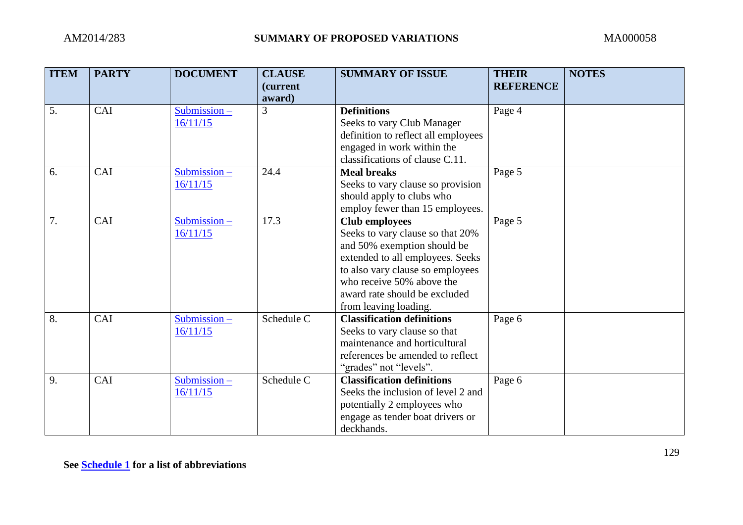| <b>ITEM</b> | <b>PARTY</b> | <b>DOCUMENT</b> | <b>CLAUSE</b><br><i>(current)</i> | <b>SUMMARY OF ISSUE</b>                                       | <b>THEIR</b><br><b>REFERENCE</b> | <b>NOTES</b> |
|-------------|--------------|-----------------|-----------------------------------|---------------------------------------------------------------|----------------------------------|--------------|
|             |              |                 | award)                            |                                                               |                                  |              |
| 5.          | CAI          | $Submission -$  | 3                                 | <b>Definitions</b>                                            | Page 4                           |              |
|             |              | 16/11/15        |                                   | Seeks to vary Club Manager                                    |                                  |              |
|             |              |                 |                                   | definition to reflect all employees                           |                                  |              |
|             |              |                 |                                   | engaged in work within the                                    |                                  |              |
|             |              |                 |                                   | classifications of clause C.11.                               |                                  |              |
| 6.          | CAI          | $Submission -$  | 24.4                              | <b>Meal breaks</b>                                            | Page 5                           |              |
|             |              | 16/11/15        |                                   | Seeks to vary clause so provision                             |                                  |              |
|             |              |                 |                                   | should apply to clubs who                                     |                                  |              |
|             |              |                 |                                   | employ fewer than 15 employees.                               |                                  |              |
| 7.          | CAI          | $Submission -$  | 17.3                              | <b>Club employees</b>                                         | Page 5                           |              |
|             |              | 16/11/15        |                                   | Seeks to vary clause so that 20%                              |                                  |              |
|             |              |                 |                                   | and 50% exemption should be                                   |                                  |              |
|             |              |                 |                                   | extended to all employees. Seeks                              |                                  |              |
|             |              |                 |                                   | to also vary clause so employees                              |                                  |              |
|             |              |                 |                                   | who receive 50% above the                                     |                                  |              |
|             |              |                 |                                   | award rate should be excluded                                 |                                  |              |
|             |              |                 |                                   | from leaving loading.<br><b>Classification definitions</b>    |                                  |              |
| 8.          | CAI          | Submission $-$  | Schedule C                        |                                                               | Page 6                           |              |
|             |              | 16/11/15        |                                   | Seeks to vary clause so that<br>maintenance and horticultural |                                  |              |
|             |              |                 |                                   | references be amended to reflect                              |                                  |              |
|             |              |                 |                                   |                                                               |                                  |              |
| 9.          | CAI          | Submission $-$  | Schedule C                        | "grades" not "levels".<br><b>Classification definitions</b>   |                                  |              |
|             |              | 16/11/15        |                                   | Seeks the inclusion of level 2 and                            | Page 6                           |              |
|             |              |                 |                                   | potentially 2 employees who                                   |                                  |              |
|             |              |                 |                                   | engage as tender boat drivers or                              |                                  |              |
|             |              |                 |                                   | deckhands.                                                    |                                  |              |
|             |              |                 |                                   |                                                               |                                  |              |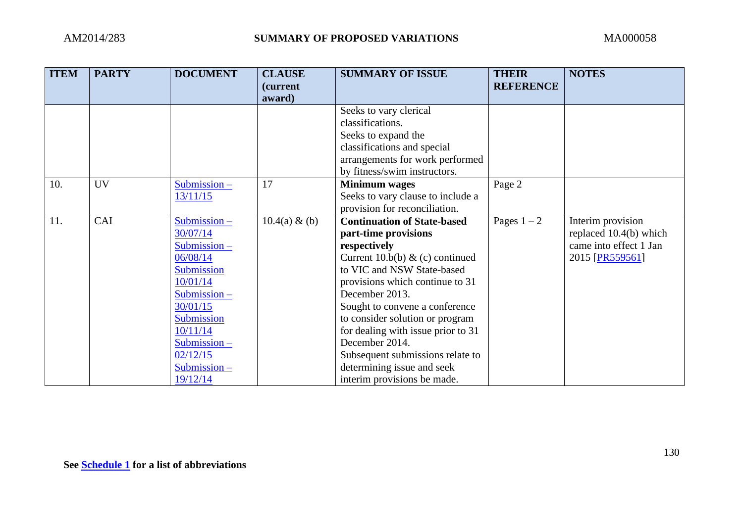| <b>ITEM</b> | <b>PARTY</b> | <b>DOCUMENT</b> | <b>CLAUSE</b>    | <b>SUMMARY OF ISSUE</b>            | <b>THEIR</b>     | <b>NOTES</b>             |
|-------------|--------------|-----------------|------------------|------------------------------------|------------------|--------------------------|
|             |              |                 | <i>(current)</i> |                                    | <b>REFERENCE</b> |                          |
|             |              |                 | award)           |                                    |                  |                          |
|             |              |                 |                  | Seeks to vary clerical             |                  |                          |
|             |              |                 |                  | classifications.                   |                  |                          |
|             |              |                 |                  | Seeks to expand the                |                  |                          |
|             |              |                 |                  | classifications and special        |                  |                          |
|             |              |                 |                  | arrangements for work performed    |                  |                          |
|             |              |                 |                  | by fitness/swim instructors.       |                  |                          |
| 10.         | <b>UV</b>    | $Submission -$  | 17               | <b>Minimum</b> wages               | Page 2           |                          |
|             |              | 13/11/15        |                  | Seeks to vary clause to include a  |                  |                          |
|             |              |                 |                  | provision for reconciliation.      |                  |                          |
| 11.         | CAI          | $Submission -$  | $10.4(a) \& (b)$ | <b>Continuation of State-based</b> | Pages $1-2$      | Interim provision        |
|             |              | 30/07/14        |                  | part-time provisions               |                  | replaced $10.4(b)$ which |
|             |              | $Submission -$  |                  | respectively                       |                  | came into effect 1 Jan   |
|             |              | 06/08/14        |                  | Current 10.b(b) $\&$ (c) continued |                  | 2015 [PR559561]          |
|             |              | Submission      |                  | to VIC and NSW State-based         |                  |                          |
|             |              | 10/01/14        |                  | provisions which continue to 31    |                  |                          |
|             |              | $Submission -$  |                  | December 2013.                     |                  |                          |
|             |              | 30/01/15        |                  | Sought to convene a conference     |                  |                          |
|             |              | Submission      |                  | to consider solution or program    |                  |                          |
|             |              | 10/11/14        |                  | for dealing with issue prior to 31 |                  |                          |
|             |              | $Submission -$  |                  | December 2014.                     |                  |                          |
|             |              | 02/12/15        |                  | Subsequent submissions relate to   |                  |                          |
|             |              | $Submission -$  |                  | determining issue and seek         |                  |                          |
|             |              | 19/12/14        |                  | interim provisions be made.        |                  |                          |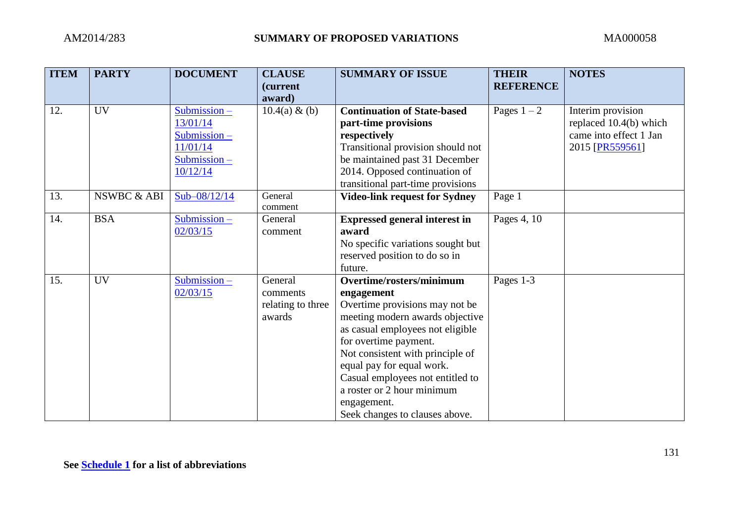| <b>ITEM</b> | <b>PARTY</b> | <b>DOCUMENT</b> | <b>CLAUSE</b>     | <b>SUMMARY OF ISSUE</b>              | <b>THEIR</b>     | <b>NOTES</b>           |
|-------------|--------------|-----------------|-------------------|--------------------------------------|------------------|------------------------|
|             |              |                 | (current          |                                      | <b>REFERENCE</b> |                        |
|             |              |                 | award)            |                                      |                  |                        |
| 12.         | <b>UV</b>    | Submission -    | $10.4(a) \& (b)$  | <b>Continuation of State-based</b>   | Pages $1-2$      | Interim provision      |
|             |              | 13/01/14        |                   | part-time provisions                 |                  | replaced 10.4(b) which |
|             |              | Submission $-$  |                   | respectively                         |                  | came into effect 1 Jan |
|             |              | 11/01/14        |                   | Transitional provision should not    |                  | 2015 [PR559561]        |
|             |              | Submission-     |                   | be maintained past 31 December       |                  |                        |
|             |              | 10/12/14        |                   | 2014. Opposed continuation of        |                  |                        |
|             |              |                 |                   | transitional part-time provisions    |                  |                        |
| 13.         | NSWBC & ABI  | $Sub-08/12/14$  | General           | <b>Video-link request for Sydney</b> | Page 1           |                        |
|             |              |                 | comment           |                                      |                  |                        |
| 14.         | <b>BSA</b>   | $Submission -$  | General           | <b>Expressed general interest in</b> | Pages 4, 10      |                        |
|             |              | 02/03/15        | comment           | award                                |                  |                        |
|             |              |                 |                   | No specific variations sought but    |                  |                        |
|             |              |                 |                   | reserved position to do so in        |                  |                        |
|             |              |                 |                   | future.                              |                  |                        |
| 15.         | <b>UV</b>    | $Submission -$  | General           | Overtime/rosters/minimum             | Pages 1-3        |                        |
|             |              | 02/03/15        | comments          | engagement                           |                  |                        |
|             |              |                 | relating to three | Overtime provisions may not be       |                  |                        |
|             |              |                 | awards            | meeting modern awards objective      |                  |                        |
|             |              |                 |                   | as casual employees not eligible     |                  |                        |
|             |              |                 |                   | for overtime payment.                |                  |                        |
|             |              |                 |                   | Not consistent with principle of     |                  |                        |
|             |              |                 |                   | equal pay for equal work.            |                  |                        |
|             |              |                 |                   | Casual employees not entitled to     |                  |                        |
|             |              |                 |                   | a roster or 2 hour minimum           |                  |                        |
|             |              |                 |                   | engagement.                          |                  |                        |
|             |              |                 |                   | Seek changes to clauses above.       |                  |                        |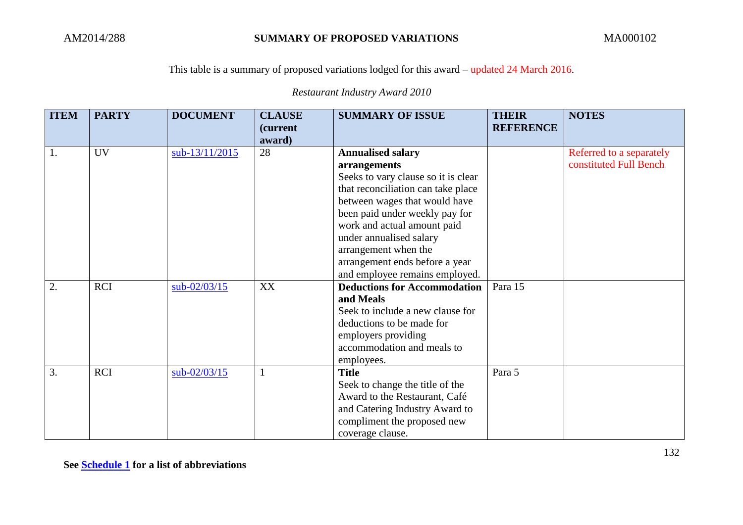## This table is a summary of proposed variations lodged for this award – updated 24 March 2016.

| <b>ITEM</b> | <b>PARTY</b> | <b>DOCUMENT</b> | <b>CLAUSE</b> | <b>SUMMARY OF ISSUE</b>             | <b>THEIR</b>     | <b>NOTES</b>             |
|-------------|--------------|-----------------|---------------|-------------------------------------|------------------|--------------------------|
|             |              |                 | (current      |                                     | <b>REFERENCE</b> |                          |
|             |              |                 | award)        |                                     |                  |                          |
| 1.          | <b>UV</b>    | sub-13/11/2015  | 28            | <b>Annualised salary</b>            |                  | Referred to a separately |
|             |              |                 |               | arrangements                        |                  | constituted Full Bench   |
|             |              |                 |               | Seeks to vary clause so it is clear |                  |                          |
|             |              |                 |               | that reconciliation can take place  |                  |                          |
|             |              |                 |               | between wages that would have       |                  |                          |
|             |              |                 |               | been paid under weekly pay for      |                  |                          |
|             |              |                 |               | work and actual amount paid         |                  |                          |
|             |              |                 |               | under annualised salary             |                  |                          |
|             |              |                 |               | arrangement when the                |                  |                          |
|             |              |                 |               | arrangement ends before a year      |                  |                          |
|             |              |                 |               | and employee remains employed.      |                  |                          |
| 2.          | <b>RCI</b>   | $sub-02/03/15$  | XX            | <b>Deductions for Accommodation</b> | Para 15          |                          |
|             |              |                 |               | and Meals                           |                  |                          |
|             |              |                 |               | Seek to include a new clause for    |                  |                          |
|             |              |                 |               | deductions to be made for           |                  |                          |
|             |              |                 |               | employers providing                 |                  |                          |
|             |              |                 |               | accommodation and meals to          |                  |                          |
|             |              |                 |               | employees.                          |                  |                          |
| 3.          | <b>RCI</b>   | $sub-02/03/15$  |               | <b>Title</b>                        | Para 5           |                          |
|             |              |                 |               | Seek to change the title of the     |                  |                          |
|             |              |                 |               | Award to the Restaurant, Café       |                  |                          |
|             |              |                 |               | and Catering Industry Award to      |                  |                          |
|             |              |                 |               | compliment the proposed new         |                  |                          |
|             |              |                 |               | coverage clause.                    |                  |                          |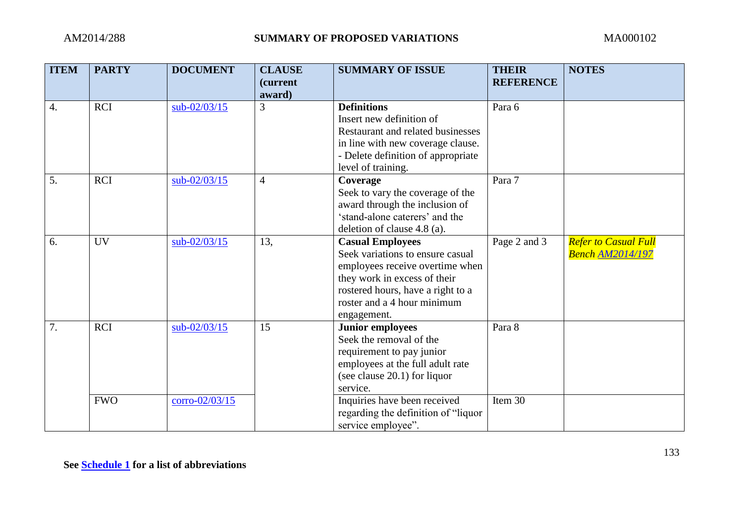| <b>ITEM</b>      | <b>PARTY</b> | <b>DOCUMENT</b> | <b>CLAUSE</b><br><i>(current</i><br>award) | <b>SUMMARY OF ISSUE</b>                                                                                                                                                                                           | <b>THEIR</b><br><b>REFERENCE</b> | <b>NOTES</b>                                           |
|------------------|--------------|-----------------|--------------------------------------------|-------------------------------------------------------------------------------------------------------------------------------------------------------------------------------------------------------------------|----------------------------------|--------------------------------------------------------|
| $\overline{4}$ . | <b>RCI</b>   | sub-02/03/15    | 3                                          | <b>Definitions</b><br>Insert new definition of<br>Restaurant and related businesses<br>in line with new coverage clause.<br>- Delete definition of appropriate<br>level of training.                              | Para 6                           |                                                        |
| 5.               | <b>RCI</b>   | sub-02/03/15    | $\overline{4}$                             | Coverage<br>Seek to vary the coverage of the<br>award through the inclusion of<br>'stand-alone caterers' and the<br>deletion of clause 4.8 (a).                                                                   | Para 7                           |                                                        |
| 6.               | UV           | sub-02/03/15    | 13,                                        | <b>Casual Employees</b><br>Seek variations to ensure casual<br>employees receive overtime when<br>they work in excess of their<br>rostered hours, have a right to a<br>roster and a 4 hour minimum<br>engagement. | Page 2 and 3                     | <b>Refer to Casual Full</b><br><b>Bench AM2014/197</b> |
| 7.               | <b>RCI</b>   | sub-02/03/15    | 15                                         | <b>Junior employees</b><br>Seek the removal of the<br>requirement to pay junior<br>employees at the full adult rate<br>(see clause 20.1) for liquor<br>service.                                                   | Para 8                           |                                                        |
|                  | <b>FWO</b>   | corro-02/03/15  |                                            | Inquiries have been received<br>regarding the definition of "liquor"<br>service employee".                                                                                                                        | Item 30                          |                                                        |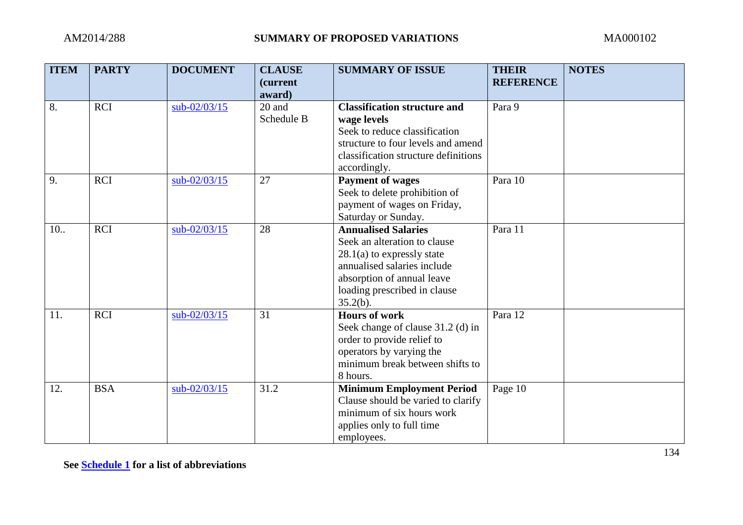| <b>ITEM</b> | <b>PARTY</b> | <b>DOCUMENT</b> | <b>CLAUSE</b><br><i>(current</i><br>award) | <b>SUMMARY OF ISSUE</b>                                                                                                                                                                             | <b>THEIR</b><br><b>REFERENCE</b> | <b>NOTES</b> |
|-------------|--------------|-----------------|--------------------------------------------|-----------------------------------------------------------------------------------------------------------------------------------------------------------------------------------------------------|----------------------------------|--------------|
| 8.          | <b>RCI</b>   | sub-02/03/15    | 20 and<br>Schedule B                       | <b>Classification structure and</b><br>wage levels<br>Seek to reduce classification<br>structure to four levels and amend<br>classification structure definitions<br>accordingly.                   | Para 9                           |              |
| 9.          | <b>RCI</b>   | $sub-02/03/15$  | 27                                         | <b>Payment of wages</b><br>Seek to delete prohibition of<br>payment of wages on Friday,<br>Saturday or Sunday.                                                                                      | Para 10                          |              |
| 10.         | <b>RCI</b>   | $sub-02/03/15$  | 28                                         | <b>Annualised Salaries</b><br>Seek an alteration to clause<br>$28.1(a)$ to expressly state<br>annualised salaries include<br>absorption of annual leave<br>loading prescribed in clause<br>35.2(b). | Para 11                          |              |
| 11.         | <b>RCI</b>   | sub-02/03/15    | 31                                         | <b>Hours of work</b><br>Seek change of clause 31.2 (d) in<br>order to provide relief to<br>operators by varying the<br>minimum break between shifts to<br>8 hours.                                  | Para 12                          |              |
| 12.         | <b>BSA</b>   | sub-02/03/15    | 31.2                                       | <b>Minimum Employment Period</b><br>Clause should be varied to clarify<br>minimum of six hours work<br>applies only to full time<br>employees.                                                      | Page 10                          |              |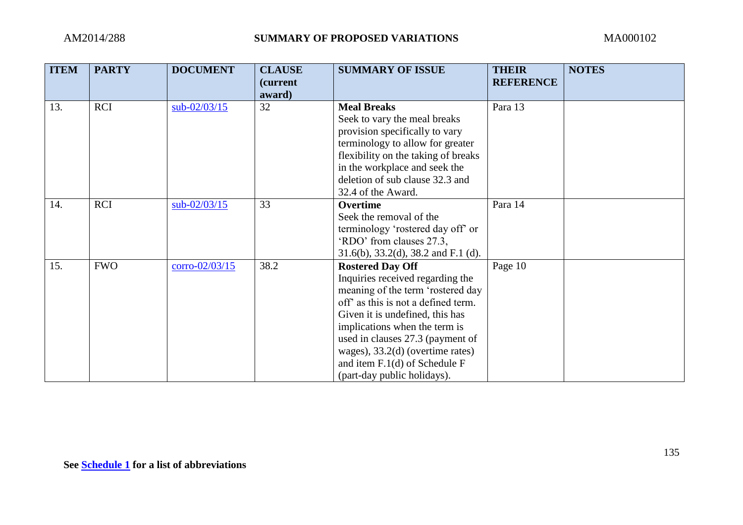| <b>ITEM</b> | <b>PARTY</b> | <b>DOCUMENT</b>  | <b>CLAUSE</b><br>(current<br>award) | <b>SUMMARY OF ISSUE</b>                                                                                                                                                                                                                                                                                                                                | <b>THEIR</b><br><b>REFERENCE</b> | <b>NOTES</b> |
|-------------|--------------|------------------|-------------------------------------|--------------------------------------------------------------------------------------------------------------------------------------------------------------------------------------------------------------------------------------------------------------------------------------------------------------------------------------------------------|----------------------------------|--------------|
| 13.         | <b>RCI</b>   | $sub-02/03/15$   | 32                                  | <b>Meal Breaks</b><br>Seek to vary the meal breaks<br>provision specifically to vary<br>terminology to allow for greater<br>flexibility on the taking of breaks<br>in the workplace and seek the<br>deletion of sub clause 32.3 and<br>32.4 of the Award.                                                                                              | Para 13                          |              |
| 14.         | <b>RCI</b>   | $sub-02/03/15$   | 33                                  | Overtime<br>Seek the removal of the<br>terminology 'rostered day off' or<br>'RDO' from clauses 27.3,<br>$31.6(b)$ , $33.2(d)$ , $38.2$ and F.1 (d).                                                                                                                                                                                                    | Para 14                          |              |
| 15.         | <b>FWO</b>   | $corro-02/03/15$ | 38.2                                | <b>Rostered Day Off</b><br>Inquiries received regarding the<br>meaning of the term 'rostered day<br>off as this is not a defined term.<br>Given it is undefined, this has<br>implications when the term is<br>used in clauses 27.3 (payment of<br>wages), $33.2(d)$ (overtime rates)<br>and item $F.1(d)$ of Schedule F<br>(part-day public holidays). | Page 10                          |              |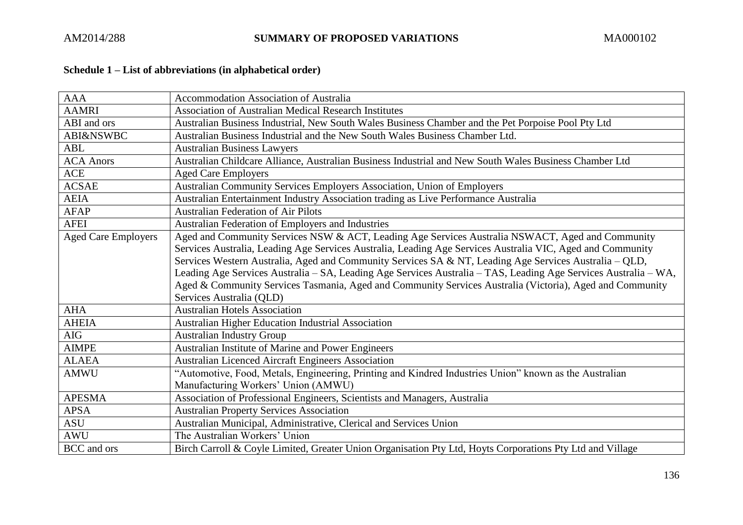# <span id="page-135-0"></span>**Schedule 1 – List of abbreviations (in alphabetical order)**

| <b>AAA</b>                 | <b>Accommodation Association of Australia</b>                                                                   |
|----------------------------|-----------------------------------------------------------------------------------------------------------------|
| <b>AAMRI</b>               | <b>Association of Australian Medical Research Institutes</b>                                                    |
| ABI and ors                | Australian Business Industrial, New South Wales Business Chamber and the Pet Porpoise Pool Pty Ltd              |
| <b>ABI&amp;NSWBC</b>       | Australian Business Industrial and the New South Wales Business Chamber Ltd.                                    |
| <b>ABL</b>                 | <b>Australian Business Lawyers</b>                                                                              |
| <b>ACA Anors</b>           | Australian Childcare Alliance, Australian Business Industrial and New South Wales Business Chamber Ltd          |
| <b>ACE</b>                 | <b>Aged Care Employers</b>                                                                                      |
| <b>ACSAE</b>               | Australian Community Services Employers Association, Union of Employers                                         |
| <b>AEIA</b>                | Australian Entertainment Industry Association trading as Live Performance Australia                             |
| <b>AFAP</b>                | <b>Australian Federation of Air Pilots</b>                                                                      |
| <b>AFEI</b>                | Australian Federation of Employers and Industries                                                               |
| <b>Aged Care Employers</b> | Aged and Community Services NSW & ACT, Leading Age Services Australia NSWACT, Aged and Community                |
|                            | Services Australia, Leading Age Services Australia, Leading Age Services Australia VIC, Aged and Community      |
|                            | Services Western Australia, Aged and Community Services SA & NT, Leading Age Services Australia – QLD,          |
|                            | Leading Age Services Australia - SA, Leading Age Services Australia - TAS, Leading Age Services Australia - WA, |
|                            | Aged & Community Services Tasmania, Aged and Community Services Australia (Victoria), Aged and Community        |
|                            | Services Australia (QLD)                                                                                        |
| <b>AHA</b>                 | <b>Australian Hotels Association</b>                                                                            |
| <b>AHEIA</b>               | Australian Higher Education Industrial Association                                                              |
| <b>AIG</b>                 | <b>Australian Industry Group</b>                                                                                |
| <b>AIMPE</b>               | Australian Institute of Marine and Power Engineers                                                              |
| <b>ALAEA</b>               | <b>Australian Licenced Aircraft Engineers Association</b>                                                       |
| <b>AMWU</b>                | "Automotive, Food, Metals, Engineering, Printing and Kindred Industries Union" known as the Australian          |
|                            | Manufacturing Workers' Union (AMWU)                                                                             |
| <b>APESMA</b>              | Association of Professional Engineers, Scientists and Managers, Australia                                       |
| <b>APSA</b>                | <b>Australian Property Services Association</b>                                                                 |
| <b>ASU</b>                 | Australian Municipal, Administrative, Clerical and Services Union                                               |
| <b>AWU</b>                 | The Australian Workers' Union                                                                                   |
| <b>BCC</b> and ors         | Birch Carroll & Coyle Limited, Greater Union Organisation Pty Ltd, Hoyts Corporations Pty Ltd and Village       |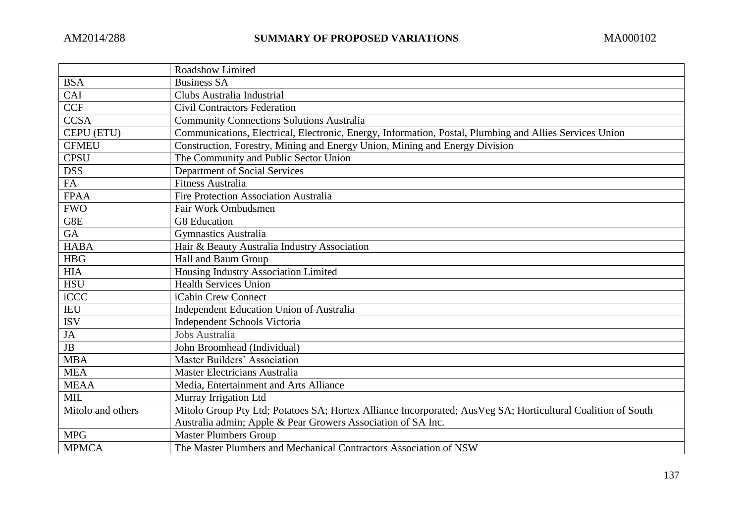|                   | Roadshow Limited                                                                                              |
|-------------------|---------------------------------------------------------------------------------------------------------------|
| <b>BSA</b>        | <b>Business SA</b>                                                                                            |
| CAI               | Clubs Australia Industrial                                                                                    |
| <b>CCF</b>        | <b>Civil Contractors Federation</b>                                                                           |
| <b>CCSA</b>       | <b>Community Connections Solutions Australia</b>                                                              |
| CEPU (ETU)        | Communications, Electrical, Electronic, Energy, Information, Postal, Plumbing and Allies Services Union       |
| <b>CFMEU</b>      | Construction, Forestry, Mining and Energy Union, Mining and Energy Division                                   |
| <b>CPSU</b>       | The Community and Public Sector Union                                                                         |
| <b>DSS</b>        | Department of Social Services                                                                                 |
| FA                | <b>Fitness Australia</b>                                                                                      |
| <b>FPAA</b>       | <b>Fire Protection Association Australia</b>                                                                  |
| <b>FWO</b>        | Fair Work Ombudsmen                                                                                           |
| G8E               | G8 Education                                                                                                  |
| GA                | <b>Gymnastics Australia</b>                                                                                   |
| <b>HABA</b>       | Hair & Beauty Australia Industry Association                                                                  |
| <b>HBG</b>        | Hall and Baum Group                                                                                           |
| <b>HIA</b>        | Housing Industry Association Limited                                                                          |
| <b>HSU</b>        | <b>Health Services Union</b>                                                                                  |
| iCCC              | iCabin Crew Connect                                                                                           |
| <b>IEU</b>        | Independent Education Union of Australia                                                                      |
| $\overline{ISV}$  | Independent Schools Victoria                                                                                  |
| JA                | Jobs Australia                                                                                                |
| JB                | John Broomhead (Individual)                                                                                   |
| <b>MBA</b>        | Master Builders' Association                                                                                  |
| <b>MEA</b>        | Master Electricians Australia                                                                                 |
| <b>MEAA</b>       | Media, Entertainment and Arts Alliance                                                                        |
| MIL               | Murray Irrigation Ltd                                                                                         |
| Mitolo and others | Mitolo Group Pty Ltd; Potatoes SA; Hortex Alliance Incorporated; Aus Veg SA; Horticultural Coalition of South |
|                   | Australia admin; Apple & Pear Growers Association of SA Inc.                                                  |
| <b>MPG</b>        | <b>Master Plumbers Group</b>                                                                                  |
| <b>MPMCA</b>      | The Master Plumbers and Mechanical Contractors Association of NSW                                             |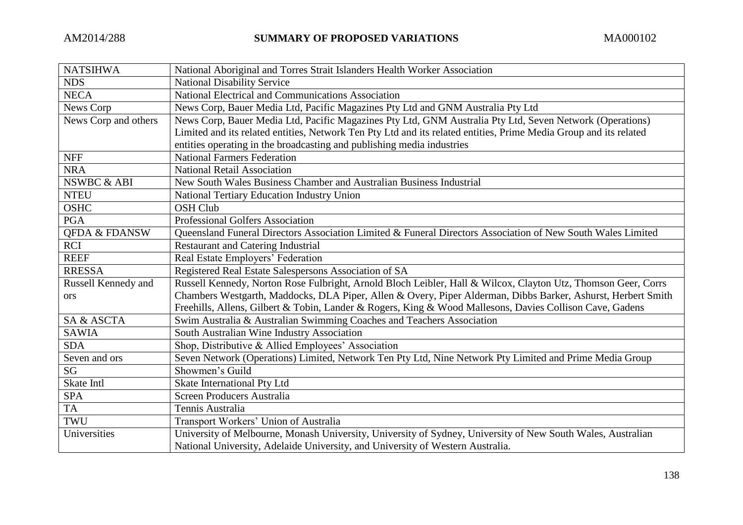| <b>NATSIHWA</b>          | National Aboriginal and Torres Strait Islanders Health Worker Association                                         |
|--------------------------|-------------------------------------------------------------------------------------------------------------------|
| <b>NDS</b>               | <b>National Disability Service</b>                                                                                |
| <b>NECA</b>              | National Electrical and Communications Association                                                                |
| News Corp                | News Corp, Bauer Media Ltd, Pacific Magazines Pty Ltd and GNM Australia Pty Ltd                                   |
| News Corp and others     | News Corp, Bauer Media Ltd, Pacific Magazines Pty Ltd, GNM Australia Pty Ltd, Seven Network (Operations)          |
|                          | Limited and its related entities, Network Ten Pty Ltd and its related entities, Prime Media Group and its related |
|                          | entities operating in the broadcasting and publishing media industries                                            |
| <b>NFF</b>               | <b>National Farmers Federation</b>                                                                                |
| <b>NRA</b>               | <b>National Retail Association</b>                                                                                |
| NSWBC & ABI              | New South Wales Business Chamber and Australian Business Industrial                                               |
| <b>NTEU</b>              | National Tertiary Education Industry Union                                                                        |
| <b>OSHC</b>              | <b>OSH Club</b>                                                                                                   |
| <b>PGA</b>               | <b>Professional Golfers Association</b>                                                                           |
| <b>OFDA &amp; FDANSW</b> | Queensland Funeral Directors Association Limited & Funeral Directors Association of New South Wales Limited       |
| <b>RCI</b>               | <b>Restaurant and Catering Industrial</b>                                                                         |
| <b>REEF</b>              | Real Estate Employers' Federation                                                                                 |
| <b>RRESSA</b>            | Registered Real Estate Salespersons Association of SA                                                             |
| Russell Kennedy and      | Russell Kennedy, Norton Rose Fulbright, Arnold Bloch Leibler, Hall & Wilcox, Clayton Utz, Thomson Geer, Corrs     |
| ors                      | Chambers Westgarth, Maddocks, DLA Piper, Allen & Overy, Piper Alderman, Dibbs Barker, Ashurst, Herbert Smith      |
|                          | Freehills, Allens, Gilbert & Tobin, Lander & Rogers, King & Wood Mallesons, Davies Collison Cave, Gadens          |
| SA & ASCTA               | Swim Australia & Australian Swimming Coaches and Teachers Association                                             |
| <b>SAWIA</b>             | South Australian Wine Industry Association                                                                        |
| <b>SDA</b>               | Shop, Distributive & Allied Employees' Association                                                                |
| Seven and ors            | Seven Network (Operations) Limited, Network Ten Pty Ltd, Nine Network Pty Limited and Prime Media Group           |
| $\overline{\text{SG}}$   | Showmen's Guild                                                                                                   |
| Skate Intl               | Skate International Pty Ltd                                                                                       |
| <b>SPA</b>               | Screen Producers Australia                                                                                        |
| <b>TA</b>                | Tennis Australia                                                                                                  |
| TWU                      | Transport Workers' Union of Australia                                                                             |
| Universities             | University of Melbourne, Monash University, University of Sydney, University of New South Wales, Australian       |
|                          | National University, Adelaide University, and University of Western Australia.                                    |